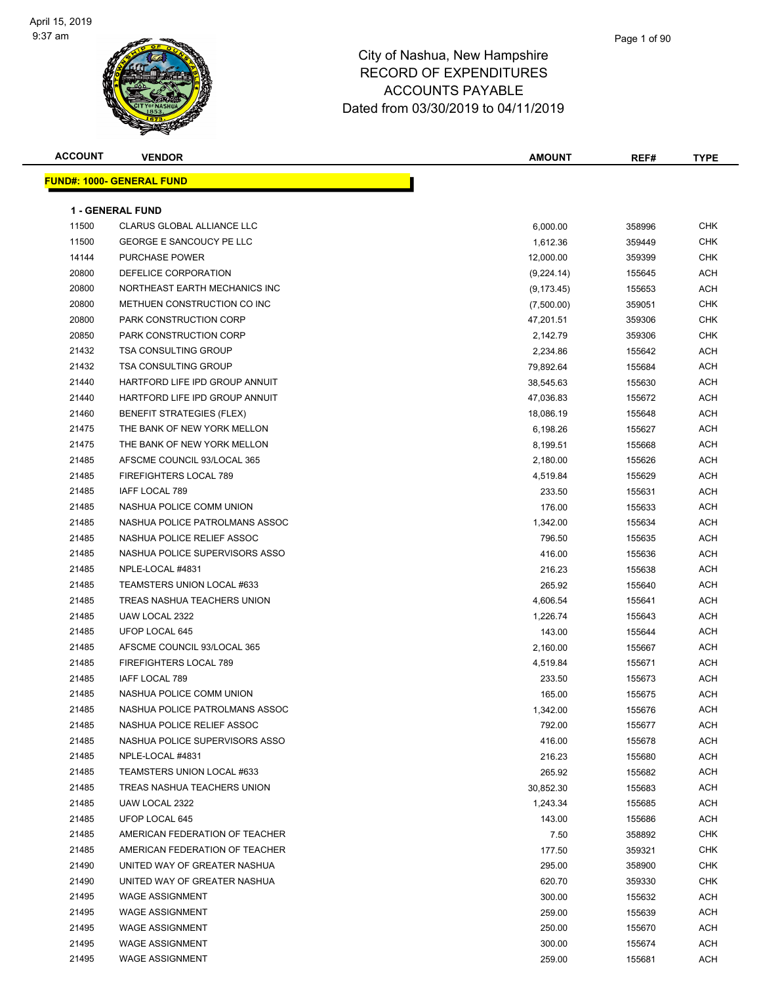

## City of Nashua, New Hampshire RECORD OF EXPENDITURES ACCOUNTS PAYABLE

Dated from 03/30/2019 to 04/11/2019

| <b>ACCOUNT</b> | <b>VENDOR</b>                    | <b>AMOUNT</b> | REF#   | <b>TYPE</b> |
|----------------|----------------------------------|---------------|--------|-------------|
|                | <b>FUND#: 1000- GENERAL FUND</b> |               |        |             |
|                |                                  |               |        |             |
|                | <b>1 - GENERAL FUND</b>          |               |        |             |
| 11500          | CLARUS GLOBAL ALLIANCE LLC       | 6,000.00      | 358996 | <b>CHK</b>  |
| 11500          | <b>GEORGE E SANCOUCY PE LLC</b>  | 1,612.36      | 359449 | <b>CHK</b>  |
| 14144          | <b>PURCHASE POWER</b>            | 12,000.00     | 359399 | <b>CHK</b>  |
| 20800          | DEFELICE CORPORATION             | (9,224.14)    | 155645 | ACH         |
| 20800          | NORTHEAST EARTH MECHANICS INC    | (9, 173.45)   | 155653 | <b>ACH</b>  |
| 20800          | METHUEN CONSTRUCTION CO INC      | (7,500.00)    | 359051 | <b>CHK</b>  |
| 20800          | PARK CONSTRUCTION CORP           | 47,201.51     | 359306 | <b>CHK</b>  |
| 20850          | PARK CONSTRUCTION CORP           | 2,142.79      | 359306 | <b>CHK</b>  |
| 21432          | <b>TSA CONSULTING GROUP</b>      | 2,234.86      | 155642 | <b>ACH</b>  |
| 21432          | <b>TSA CONSULTING GROUP</b>      | 79,892.64     | 155684 | <b>ACH</b>  |
| 21440          | HARTFORD LIFE IPD GROUP ANNUIT   | 38,545.63     | 155630 | <b>ACH</b>  |
| 21440          | HARTFORD LIFE IPD GROUP ANNUIT   | 47,036.83     | 155672 | <b>ACH</b>  |
| 21460          | <b>BENEFIT STRATEGIES (FLEX)</b> | 18,086.19     | 155648 | <b>ACH</b>  |
| 21475          | THE BANK OF NEW YORK MELLON      | 6,198.26      | 155627 | <b>ACH</b>  |
| 21475          | THE BANK OF NEW YORK MELLON      | 8,199.51      | 155668 | <b>ACH</b>  |
| 21485          | AFSCME COUNCIL 93/LOCAL 365      | 2,180.00      | 155626 | <b>ACH</b>  |
| 21485          | <b>FIREFIGHTERS LOCAL 789</b>    | 4,519.84      | 155629 | <b>ACH</b>  |
| 21485          | <b>IAFF LOCAL 789</b>            | 233.50        | 155631 | <b>ACH</b>  |
| 21485          | NASHUA POLICE COMM UNION         | 176.00        | 155633 | <b>ACH</b>  |
| 21485          | NASHUA POLICE PATROLMANS ASSOC   | 1,342.00      | 155634 | <b>ACH</b>  |
| 21485          | NASHUA POLICE RELIEF ASSOC       | 796.50        | 155635 | ACH         |
| 21485          | NASHUA POLICE SUPERVISORS ASSO   | 416.00        | 155636 | <b>ACH</b>  |
| 21485          | NPLE-LOCAL #4831                 | 216.23        | 155638 | <b>ACH</b>  |
| 21485          | TEAMSTERS UNION LOCAL #633       | 265.92        | 155640 | <b>ACH</b>  |
| 21485          | TREAS NASHUA TEACHERS UNION      | 4,606.54      | 155641 | <b>ACH</b>  |
| 21485          | UAW LOCAL 2322                   | 1,226.74      | 155643 | <b>ACH</b>  |
| 21485          | UFOP LOCAL 645                   | 143.00        | 155644 | <b>ACH</b>  |
| 21485          | AFSCME COUNCIL 93/LOCAL 365      | 2,160.00      | 155667 | <b>ACH</b>  |
| 21485          | FIREFIGHTERS LOCAL 789           | 4,519.84      | 155671 | <b>ACH</b>  |
| 21485          | IAFF LOCAL 789                   | 233.50        | 155673 | <b>ACH</b>  |
| 21485          | NASHUA POLICE COMM UNION         | 165.00        | 155675 | <b>ACH</b>  |
| 21485          | NASHUA POLICE PATROLMANS ASSOC   | 1,342.00      | 155676 | <b>ACH</b>  |
| 21485          | NASHUA POLICE RELIEF ASSOC       | 792.00        | 155677 | <b>ACH</b>  |
| 21485          | NASHUA POLICE SUPERVISORS ASSO   | 416.00        | 155678 | ACH         |
| 21485          | NPLE-LOCAL #4831                 | 216.23        | 155680 | <b>ACH</b>  |
| 21485          | TEAMSTERS UNION LOCAL #633       | 265.92        | 155682 | <b>ACH</b>  |
| 21485          | TREAS NASHUA TEACHERS UNION      | 30,852.30     | 155683 | <b>ACH</b>  |
| 21485          | UAW LOCAL 2322                   | 1,243.34      | 155685 | <b>ACH</b>  |
| 21485          | UFOP LOCAL 645                   | 143.00        | 155686 | <b>ACH</b>  |
| 21485          | AMERICAN FEDERATION OF TEACHER   | 7.50          | 358892 | <b>CHK</b>  |
| 21485          | AMERICAN FEDERATION OF TEACHER   | 177.50        | 359321 | <b>CHK</b>  |
| 21490          | UNITED WAY OF GREATER NASHUA     | 295.00        | 358900 | <b>CHK</b>  |
| 21490          | UNITED WAY OF GREATER NASHUA     | 620.70        | 359330 | <b>CHK</b>  |
| 21495          | <b>WAGE ASSIGNMENT</b>           | 300.00        | 155632 | <b>ACH</b>  |
| 21495          | <b>WAGE ASSIGNMENT</b>           | 259.00        | 155639 | ACH         |
| 21495          | <b>WAGE ASSIGNMENT</b>           | 250.00        | 155670 | <b>ACH</b>  |
| 21495          | <b>WAGE ASSIGNMENT</b>           | 300.00        | 155674 | <b>ACH</b>  |
| 21495          | <b>WAGE ASSIGNMENT</b>           | 259.00        | 155681 | <b>ACH</b>  |
|                |                                  |               |        |             |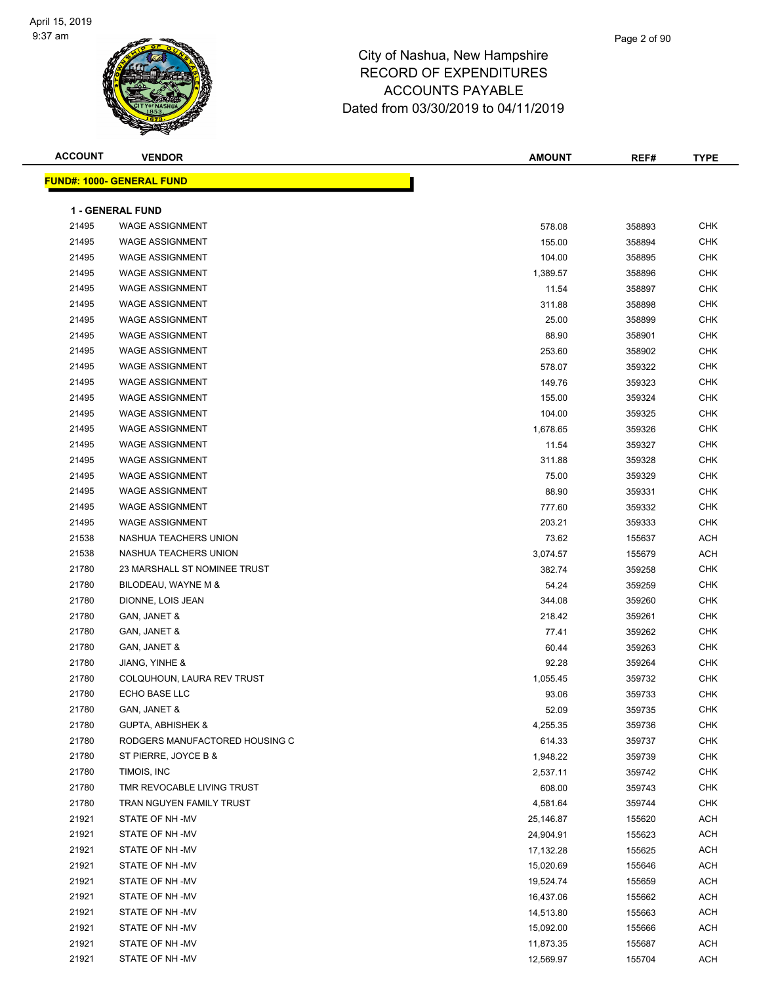

| <b>ACCOUNT</b> | <b>VENDOR</b>                    | <b>AMOUNT</b> | REF#   | <b>TYPE</b> |
|----------------|----------------------------------|---------------|--------|-------------|
|                | <b>FUND#: 1000- GENERAL FUND</b> |               |        |             |
|                |                                  |               |        |             |
|                | 1 - GENERAL FUND                 |               |        |             |
| 21495          | <b>WAGE ASSIGNMENT</b>           | 578.08        | 358893 | <b>CHK</b>  |
| 21495          | <b>WAGE ASSIGNMENT</b>           | 155.00        | 358894 | <b>CHK</b>  |
| 21495          | <b>WAGE ASSIGNMENT</b>           | 104.00        | 358895 | <b>CHK</b>  |
| 21495          | <b>WAGE ASSIGNMENT</b>           | 1,389.57      | 358896 | <b>CHK</b>  |
| 21495          | <b>WAGE ASSIGNMENT</b>           | 11.54         | 358897 | CHK         |
| 21495          | <b>WAGE ASSIGNMENT</b>           | 311.88        | 358898 | <b>CHK</b>  |
| 21495          | <b>WAGE ASSIGNMENT</b>           | 25.00         | 358899 | CHK         |
| 21495          | <b>WAGE ASSIGNMENT</b>           | 88.90         | 358901 | CHK         |
| 21495          | <b>WAGE ASSIGNMENT</b>           | 253.60        | 358902 | <b>CHK</b>  |
| 21495          | <b>WAGE ASSIGNMENT</b>           | 578.07        | 359322 | <b>CHK</b>  |
| 21495          | <b>WAGE ASSIGNMENT</b>           | 149.76        | 359323 | CHK         |
| 21495          | <b>WAGE ASSIGNMENT</b>           | 155.00        | 359324 | <b>CHK</b>  |
| 21495          | <b>WAGE ASSIGNMENT</b>           | 104.00        | 359325 | CHK         |
| 21495          | <b>WAGE ASSIGNMENT</b>           | 1,678.65      | 359326 | CHK         |
| 21495          | <b>WAGE ASSIGNMENT</b>           | 11.54         | 359327 | CHK         |
| 21495          | <b>WAGE ASSIGNMENT</b>           | 311.88        | 359328 | CHK         |
| 21495          | <b>WAGE ASSIGNMENT</b>           | 75.00         | 359329 | CHK         |
| 21495          | <b>WAGE ASSIGNMENT</b>           | 88.90         | 359331 | CHK         |
| 21495          | <b>WAGE ASSIGNMENT</b>           | 777.60        | 359332 | CHK         |
| 21495          | <b>WAGE ASSIGNMENT</b>           | 203.21        | 359333 | CHK         |
| 21538          | NASHUA TEACHERS UNION            | 73.62         | 155637 | ACH         |
| 21538          | NASHUA TEACHERS UNION            | 3,074.57      | 155679 | ACH         |
| 21780          | 23 MARSHALL ST NOMINEE TRUST     | 382.74        | 359258 | <b>CHK</b>  |
| 21780          | BILODEAU, WAYNE M &              | 54.24         | 359259 | <b>CHK</b>  |
| 21780          | DIONNE, LOIS JEAN                | 344.08        | 359260 | <b>CHK</b>  |
| 21780          | GAN, JANET &                     | 218.42        | 359261 | <b>CHK</b>  |
| 21780          | GAN, JANET &                     | 77.41         | 359262 | CHK         |
| 21780          | GAN, JANET &                     | 60.44         | 359263 | CHK         |
| 21780          | JIANG, YINHE &                   | 92.28         | 359264 | CHK         |
| 21780          | COLQUHOUN, LAURA REV TRUST       | 1,055.45      | 359732 | CHK         |
| 21780          | ECHO BASE LLC                    | 93.06         | 359733 | <b>CHK</b>  |
| 21780          | GAN, JANET &                     | 52.09         | 359735 | CHK         |
| 21780          | <b>GUPTA, ABHISHEK &amp;</b>     | 4,255.35      | 359736 | <b>CHK</b>  |
| 21780          | RODGERS MANUFACTORED HOUSING C   | 614.33        | 359737 | <b>CHK</b>  |
| 21780          | ST PIERRE, JOYCE B &             | 1,948.22      | 359739 | CHK         |
| 21780          | TIMOIS, INC                      | 2,537.11      | 359742 | CHK         |
| 21780          | TMR REVOCABLE LIVING TRUST       | 608.00        | 359743 | <b>CHK</b>  |
| 21780          | TRAN NGUYEN FAMILY TRUST         | 4,581.64      | 359744 | CHK         |
| 21921          | STATE OF NH-MV                   | 25,146.87     | 155620 | ACH         |
| 21921          | STATE OF NH -MV                  | 24,904.91     | 155623 | ACH         |
| 21921          | STATE OF NH -MV                  | 17,132.28     | 155625 | ACH         |
| 21921          | STATE OF NH -MV                  | 15,020.69     | 155646 | ACH         |
| 21921          | STATE OF NH -MV                  | 19,524.74     | 155659 | ACH         |
| 21921          | STATE OF NH -MV                  | 16,437.06     | 155662 | ACH         |
| 21921          | STATE OF NH -MV                  | 14,513.80     | 155663 | ACH         |
| 21921          | STATE OF NH -MV                  | 15,092.00     | 155666 | ACH         |
| 21921          | STATE OF NH -MV                  | 11,873.35     | 155687 | <b>ACH</b>  |
| 21921          | STATE OF NH-MV                   | 12,569.97     | 155704 | <b>ACH</b>  |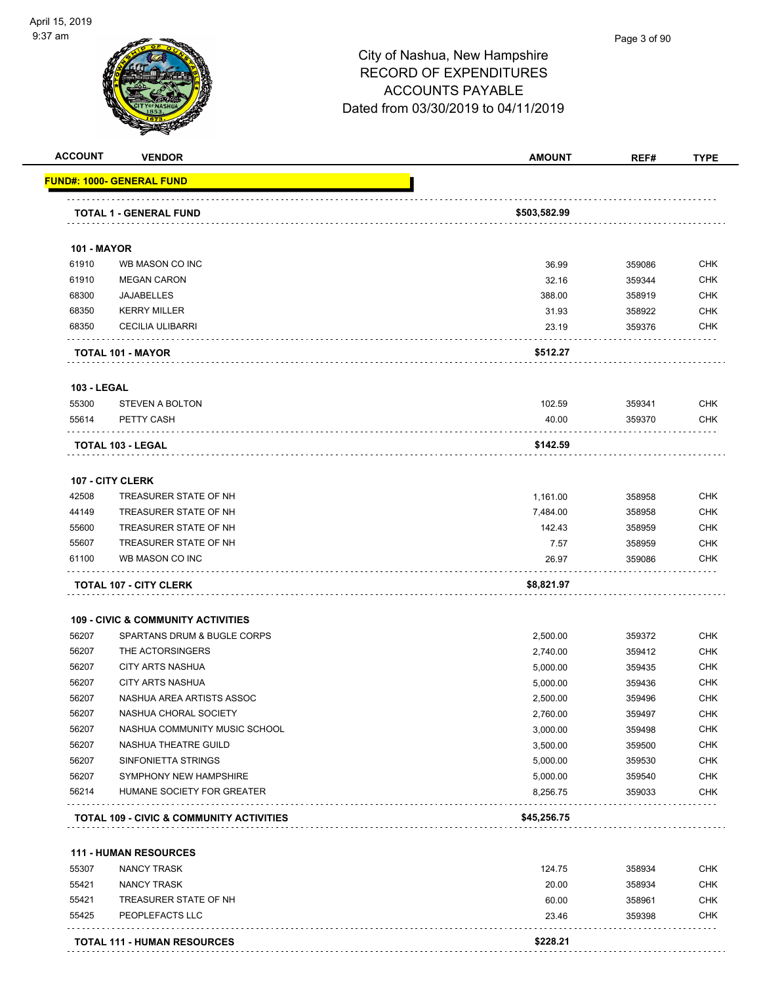

#### Page 3 of 90

|                             | <b>VENDOR</b>                                 | <b>AMOUNT</b>  | REF#             | <b>TYPE</b>                                                                                                  |
|-----------------------------|-----------------------------------------------|----------------|------------------|--------------------------------------------------------------------------------------------------------------|
|                             | <u> FUND#: 1000- GENERAL FUND</u>             |                |                  |                                                                                                              |
|                             |                                               | \$503,582.99   |                  |                                                                                                              |
|                             | <b>TOTAL 1 - GENERAL FUND</b>                 |                |                  |                                                                                                              |
| <b>101 - MAYOR</b>          |                                               |                |                  |                                                                                                              |
| 61910                       | WB MASON CO INC                               | 36.99          | 359086           | <b>CHK</b>                                                                                                   |
| 61910                       | <b>MEGAN CARON</b>                            | 32.16          | 359344           | <b>CHK</b>                                                                                                   |
| 68300                       | <b>JAJABELLES</b>                             | 388.00         | 358919           | <b>CHK</b>                                                                                                   |
| 68350                       | <b>KERRY MILLER</b>                           | 31.93          | 358922           | <b>CHK</b>                                                                                                   |
| 68350                       | <b>CECILIA ULIBARRI</b>                       | 23.19          | 359376           | <b>CHK</b>                                                                                                   |
|                             | TOTAL 101 - MAYOR                             | \$512.27       |                  |                                                                                                              |
|                             |                                               |                |                  |                                                                                                              |
| <b>103 - LEGAL</b><br>55300 | <b>STEVEN A BOLTON</b>                        | 102.59         | 359341           | <b>CHK</b>                                                                                                   |
| 55614                       | PETTY CASH                                    | 40.00          | 359370           | <b>CHK</b>                                                                                                   |
|                             |                                               |                |                  |                                                                                                              |
|                             | TOTAL 103 - LEGAL                             | \$142.59       |                  |                                                                                                              |
|                             | <b>107 - CITY CLERK</b>                       |                |                  |                                                                                                              |
| 42508                       | TREASURER STATE OF NH                         | 1,161.00       | 358958           | <b>CHK</b>                                                                                                   |
| 44149                       | TREASURER STATE OF NH                         | 7,484.00       | 358958           | <b>CHK</b>                                                                                                   |
| 55600                       | TREASURER STATE OF NH                         | 142.43         | 358959           | <b>CHK</b>                                                                                                   |
| 55607                       | TREASURER STATE OF NH                         | 7.57           | 358959           | <b>CHK</b>                                                                                                   |
| 61100                       | WB MASON CO INC                               | 26.97          | 359086           | CHK                                                                                                          |
|                             | <b>TOTAL 107 - CITY CLERK</b>                 | \$8,821.97     |                  |                                                                                                              |
|                             |                                               |                |                  |                                                                                                              |
|                             | <b>109 - CIVIC &amp; COMMUNITY ACTIVITIES</b> |                |                  |                                                                                                              |
| 56207                       | SPARTANS DRUM & BUGLE CORPS                   | 2,500.00       | 359372           | <b>CHK</b>                                                                                                   |
| 56207                       | THE ACTORSINGERS                              | 2,740.00       | 359412           | <b>CHK</b>                                                                                                   |
| 56207                       | <b>CITY ARTS NASHUA</b>                       | 5,000.00       | 359435           | <b>CHK</b>                                                                                                   |
| 56207                       | <b>CITY ARTS NASHUA</b>                       | 5,000.00       | 359436           | <b>CHK</b>                                                                                                   |
| 56207                       | NASHUA AREA ARTISTS ASSOC                     | 2,500.00       | 359496           | <b>CHK</b>                                                                                                   |
|                             | NASHUA CHORAL SOCIETY                         | 2,760.00       | 359497           | CHK                                                                                                          |
| 56207                       |                                               |                | 359498           | <b>CHK</b>                                                                                                   |
| 56207                       | NASHUA COMMUNITY MUSIC SCHOOL                 | 3,000.00       |                  |                                                                                                              |
| 56207                       | NASHUA THEATRE GUILD                          | 3,500.00       | 359500           |                                                                                                              |
| 56207                       | SINFONIETTA STRINGS                           | 5,000.00       | 359530           |                                                                                                              |
| 56207                       | SYMPHONY NEW HAMPSHIRE                        | 5,000.00       | 359540           |                                                                                                              |
| 56214                       | HUMANE SOCIETY FOR GREATER                    | 8,256.75       | 359033           |                                                                                                              |
|                             | TOTAL 109 - CIVIC & COMMUNITY ACTIVITIES      | \$45,256.75    |                  |                                                                                                              |
|                             |                                               |                |                  |                                                                                                              |
|                             | <b>111 - HUMAN RESOURCES</b>                  |                |                  |                                                                                                              |
| 55307                       | <b>NANCY TRASK</b>                            | 124.75         | 358934           |                                                                                                              |
| 55421                       | <b>NANCY TRASK</b>                            | 20.00          | 358934           |                                                                                                              |
| 55421<br>55425              | TREASURER STATE OF NH<br>PEOPLEFACTS LLC      | 60.00<br>23.46 | 358961<br>359398 | <b>CHK</b><br><b>CHK</b><br><b>CHK</b><br><b>CHK</b><br><b>CHK</b><br><b>CHK</b><br><b>CHK</b><br><b>CHK</b> |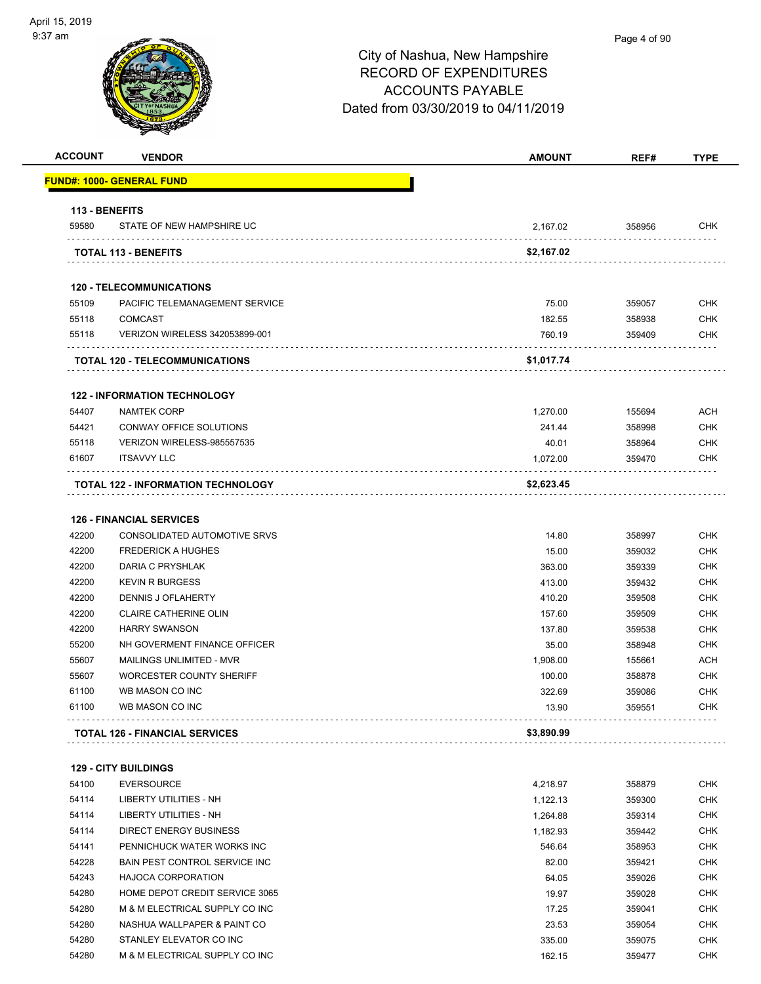| <b>FUND#: 1000- GENERAL FUND</b><br>113 - BENEFITS<br>STATE OF NEW HAMPSHIRE UC<br><b>TOTAL 113 - BENEFITS</b><br><b>120 - TELECOMMUNICATIONS</b><br>PACIFIC TELEMANAGEMENT SERVICE<br><b>COMCAST</b><br>VERIZON WIRELESS 342053899-001<br><b>TOTAL 120 - TELECOMMUNICATIONS</b><br><b>122 - INFORMATION TECHNOLOGY</b><br><b>NAMTEK CORP</b><br>CONWAY OFFICE SOLUTIONS | 2,167.02<br>\$2,167.02<br>75.00<br>182.55<br>760.19<br>\$1,017.74                                                                                                                                                                                                                                                                                                                                                                               | 358956<br>359057<br>358938<br>359409                                                                                                                    | <b>CHK</b><br><b>CHK</b><br><b>CHK</b><br><b>CHK</b>                                                                                               |
|--------------------------------------------------------------------------------------------------------------------------------------------------------------------------------------------------------------------------------------------------------------------------------------------------------------------------------------------------------------------------|-------------------------------------------------------------------------------------------------------------------------------------------------------------------------------------------------------------------------------------------------------------------------------------------------------------------------------------------------------------------------------------------------------------------------------------------------|---------------------------------------------------------------------------------------------------------------------------------------------------------|----------------------------------------------------------------------------------------------------------------------------------------------------|
|                                                                                                                                                                                                                                                                                                                                                                          |                                                                                                                                                                                                                                                                                                                                                                                                                                                 |                                                                                                                                                         |                                                                                                                                                    |
|                                                                                                                                                                                                                                                                                                                                                                          |                                                                                                                                                                                                                                                                                                                                                                                                                                                 |                                                                                                                                                         |                                                                                                                                                    |
|                                                                                                                                                                                                                                                                                                                                                                          |                                                                                                                                                                                                                                                                                                                                                                                                                                                 |                                                                                                                                                         |                                                                                                                                                    |
|                                                                                                                                                                                                                                                                                                                                                                          |                                                                                                                                                                                                                                                                                                                                                                                                                                                 |                                                                                                                                                         |                                                                                                                                                    |
|                                                                                                                                                                                                                                                                                                                                                                          |                                                                                                                                                                                                                                                                                                                                                                                                                                                 |                                                                                                                                                         |                                                                                                                                                    |
|                                                                                                                                                                                                                                                                                                                                                                          |                                                                                                                                                                                                                                                                                                                                                                                                                                                 |                                                                                                                                                         |                                                                                                                                                    |
|                                                                                                                                                                                                                                                                                                                                                                          |                                                                                                                                                                                                                                                                                                                                                                                                                                                 |                                                                                                                                                         |                                                                                                                                                    |
|                                                                                                                                                                                                                                                                                                                                                                          |                                                                                                                                                                                                                                                                                                                                                                                                                                                 |                                                                                                                                                         |                                                                                                                                                    |
|                                                                                                                                                                                                                                                                                                                                                                          |                                                                                                                                                                                                                                                                                                                                                                                                                                                 |                                                                                                                                                         |                                                                                                                                                    |
|                                                                                                                                                                                                                                                                                                                                                                          |                                                                                                                                                                                                                                                                                                                                                                                                                                                 |                                                                                                                                                         |                                                                                                                                                    |
|                                                                                                                                                                                                                                                                                                                                                                          |                                                                                                                                                                                                                                                                                                                                                                                                                                                 |                                                                                                                                                         |                                                                                                                                                    |
|                                                                                                                                                                                                                                                                                                                                                                          | 1,270.00                                                                                                                                                                                                                                                                                                                                                                                                                                        | 155694                                                                                                                                                  | <b>ACH</b>                                                                                                                                         |
|                                                                                                                                                                                                                                                                                                                                                                          | 241.44                                                                                                                                                                                                                                                                                                                                                                                                                                          | 358998                                                                                                                                                  | <b>CHK</b>                                                                                                                                         |
| VERIZON WIRELESS-985557535                                                                                                                                                                                                                                                                                                                                               | 40.01                                                                                                                                                                                                                                                                                                                                                                                                                                           | 358964                                                                                                                                                  | <b>CHK</b>                                                                                                                                         |
| <b>ITSAVVY LLC</b>                                                                                                                                                                                                                                                                                                                                                       | 1,072.00                                                                                                                                                                                                                                                                                                                                                                                                                                        | 359470                                                                                                                                                  | <b>CHK</b>                                                                                                                                         |
| <b>TOTAL 122 - INFORMATION TECHNOLOGY</b>                                                                                                                                                                                                                                                                                                                                | \$2,623.45                                                                                                                                                                                                                                                                                                                                                                                                                                      |                                                                                                                                                         |                                                                                                                                                    |
| <b>126 - FINANCIAL SERVICES</b>                                                                                                                                                                                                                                                                                                                                          |                                                                                                                                                                                                                                                                                                                                                                                                                                                 |                                                                                                                                                         |                                                                                                                                                    |
| CONSOLIDATED AUTOMOTIVE SRVS                                                                                                                                                                                                                                                                                                                                             | 14.80                                                                                                                                                                                                                                                                                                                                                                                                                                           | 358997                                                                                                                                                  | <b>CHK</b>                                                                                                                                         |
| <b>FREDERICK A HUGHES</b>                                                                                                                                                                                                                                                                                                                                                | 15.00                                                                                                                                                                                                                                                                                                                                                                                                                                           | 359032                                                                                                                                                  | <b>CHK</b>                                                                                                                                         |
| DARIA C PRYSHLAK                                                                                                                                                                                                                                                                                                                                                         | 363.00                                                                                                                                                                                                                                                                                                                                                                                                                                          | 359339                                                                                                                                                  | <b>CHK</b>                                                                                                                                         |
|                                                                                                                                                                                                                                                                                                                                                                          |                                                                                                                                                                                                                                                                                                                                                                                                                                                 |                                                                                                                                                         | <b>CHK</b>                                                                                                                                         |
|                                                                                                                                                                                                                                                                                                                                                                          |                                                                                                                                                                                                                                                                                                                                                                                                                                                 |                                                                                                                                                         | <b>CHK</b>                                                                                                                                         |
|                                                                                                                                                                                                                                                                                                                                                                          |                                                                                                                                                                                                                                                                                                                                                                                                                                                 |                                                                                                                                                         | <b>CHK</b>                                                                                                                                         |
| <b>HARRY SWANSON</b>                                                                                                                                                                                                                                                                                                                                                     |                                                                                                                                                                                                                                                                                                                                                                                                                                                 |                                                                                                                                                         | <b>CHK</b>                                                                                                                                         |
| NH GOVERMENT FINANCE OFFICER                                                                                                                                                                                                                                                                                                                                             | 35.00                                                                                                                                                                                                                                                                                                                                                                                                                                           | 358948                                                                                                                                                  | <b>CHK</b>                                                                                                                                         |
| MAILINGS UNLIMITED - MVR                                                                                                                                                                                                                                                                                                                                                 |                                                                                                                                                                                                                                                                                                                                                                                                                                                 |                                                                                                                                                         | <b>ACH</b>                                                                                                                                         |
| WORCESTER COUNTY SHERIFF                                                                                                                                                                                                                                                                                                                                                 | 100.00                                                                                                                                                                                                                                                                                                                                                                                                                                          | 358878                                                                                                                                                  | <b>CHK</b>                                                                                                                                         |
| WB MASON CO INC                                                                                                                                                                                                                                                                                                                                                          | 322.69                                                                                                                                                                                                                                                                                                                                                                                                                                          | 359086                                                                                                                                                  | <b>CHK</b>                                                                                                                                         |
| WB MASON CO INC                                                                                                                                                                                                                                                                                                                                                          | 13.90                                                                                                                                                                                                                                                                                                                                                                                                                                           | 359551                                                                                                                                                  | <b>CHK</b>                                                                                                                                         |
| <b>TOTAL 126 - FINANCIAL SERVICES</b>                                                                                                                                                                                                                                                                                                                                    | \$3,890.99                                                                                                                                                                                                                                                                                                                                                                                                                                      |                                                                                                                                                         |                                                                                                                                                    |
|                                                                                                                                                                                                                                                                                                                                                                          |                                                                                                                                                                                                                                                                                                                                                                                                                                                 |                                                                                                                                                         |                                                                                                                                                    |
|                                                                                                                                                                                                                                                                                                                                                                          |                                                                                                                                                                                                                                                                                                                                                                                                                                                 |                                                                                                                                                         | <b>CHK</b>                                                                                                                                         |
|                                                                                                                                                                                                                                                                                                                                                                          |                                                                                                                                                                                                                                                                                                                                                                                                                                                 |                                                                                                                                                         | <b>CHK</b>                                                                                                                                         |
|                                                                                                                                                                                                                                                                                                                                                                          |                                                                                                                                                                                                                                                                                                                                                                                                                                                 |                                                                                                                                                         | <b>CHK</b>                                                                                                                                         |
|                                                                                                                                                                                                                                                                                                                                                                          |                                                                                                                                                                                                                                                                                                                                                                                                                                                 |                                                                                                                                                         | CHK                                                                                                                                                |
|                                                                                                                                                                                                                                                                                                                                                                          |                                                                                                                                                                                                                                                                                                                                                                                                                                                 |                                                                                                                                                         |                                                                                                                                                    |
|                                                                                                                                                                                                                                                                                                                                                                          |                                                                                                                                                                                                                                                                                                                                                                                                                                                 |                                                                                                                                                         | CHK<br><b>CHK</b>                                                                                                                                  |
|                                                                                                                                                                                                                                                                                                                                                                          |                                                                                                                                                                                                                                                                                                                                                                                                                                                 |                                                                                                                                                         | <b>CHK</b>                                                                                                                                         |
|                                                                                                                                                                                                                                                                                                                                                                          |                                                                                                                                                                                                                                                                                                                                                                                                                                                 |                                                                                                                                                         | <b>CHK</b>                                                                                                                                         |
|                                                                                                                                                                                                                                                                                                                                                                          |                                                                                                                                                                                                                                                                                                                                                                                                                                                 |                                                                                                                                                         | <b>CHK</b>                                                                                                                                         |
|                                                                                                                                                                                                                                                                                                                                                                          |                                                                                                                                                                                                                                                                                                                                                                                                                                                 |                                                                                                                                                         | CHK                                                                                                                                                |
|                                                                                                                                                                                                                                                                                                                                                                          | 335.00                                                                                                                                                                                                                                                                                                                                                                                                                                          |                                                                                                                                                         |                                                                                                                                                    |
|                                                                                                                                                                                                                                                                                                                                                                          |                                                                                                                                                                                                                                                                                                                                                                                                                                                 | 359075                                                                                                                                                  | <b>CHK</b>                                                                                                                                         |
|                                                                                                                                                                                                                                                                                                                                                                          | <b>KEVIN R BURGESS</b><br>DENNIS J OFLAHERTY<br><b>CLAIRE CATHERINE OLIN</b><br><b>129 - CITY BUILDINGS</b><br><b>EVERSOURCE</b><br>LIBERTY UTILITIES - NH<br>LIBERTY UTILITIES - NH<br><b>DIRECT ENERGY BUSINESS</b><br>PENNICHUCK WATER WORKS INC<br>BAIN PEST CONTROL SERVICE INC<br><b>HAJOCA CORPORATION</b><br>HOME DEPOT CREDIT SERVICE 3065<br>M & M ELECTRICAL SUPPLY CO INC<br>NASHUA WALLPAPER & PAINT CO<br>STANLEY ELEVATOR CO INC | 413.00<br>410.20<br>157.60<br>137.80<br>1,908.00<br>4,218.97<br>1,122.13<br>1,264.88<br>1,182.93<br>546.64<br>82.00<br>64.05<br>19.97<br>17.25<br>23.53 | 359432<br>359508<br>359509<br>359538<br>155661<br>358879<br>359300<br>359314<br>359442<br>358953<br>359421<br>359026<br>359028<br>359041<br>359054 |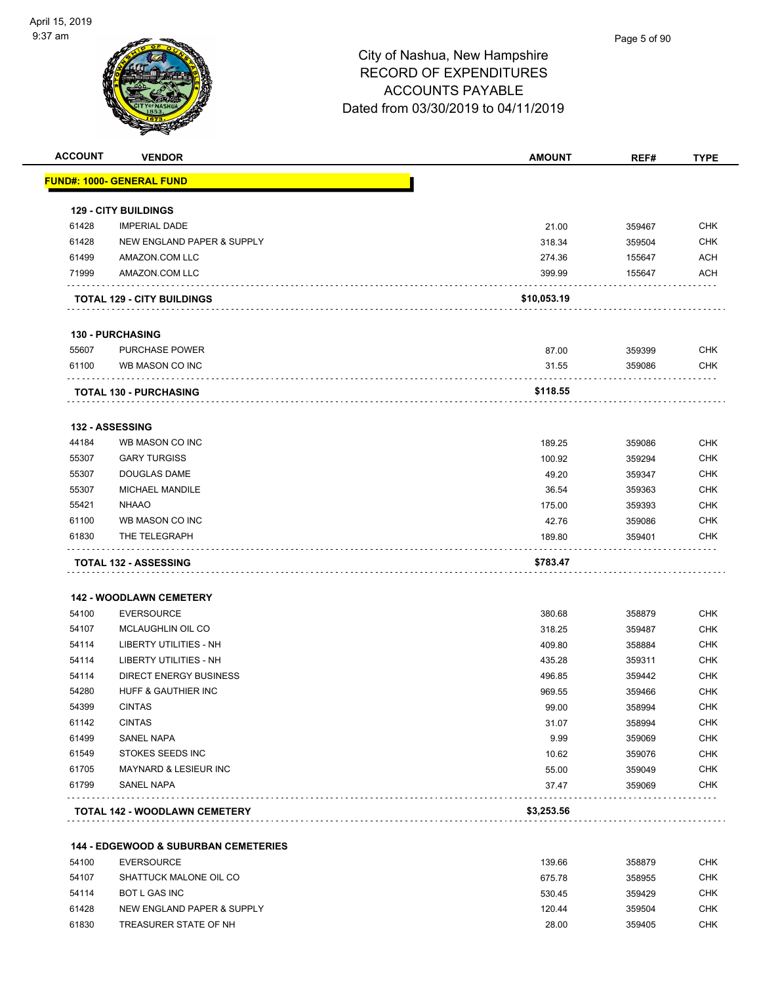

|                | <b>VENDOR</b>                                   | <b>AMOUNT</b>  | REF#             | <b>TYPE</b>                                                                                                                                                                               |
|----------------|-------------------------------------------------|----------------|------------------|-------------------------------------------------------------------------------------------------------------------------------------------------------------------------------------------|
|                | <b>FUND#: 1000- GENERAL FUND</b>                |                |                  |                                                                                                                                                                                           |
|                |                                                 |                |                  |                                                                                                                                                                                           |
|                | <b>129 - CITY BUILDINGS</b>                     |                |                  |                                                                                                                                                                                           |
| 61428          | <b>IMPERIAL DADE</b>                            | 21.00          | 359467           | <b>CHK</b>                                                                                                                                                                                |
| 61428          | NEW ENGLAND PAPER & SUPPLY                      | 318.34         | 359504           | <b>CHK</b>                                                                                                                                                                                |
| 61499          | AMAZON.COM LLC                                  | 274.36         | 155647           | ACH                                                                                                                                                                                       |
| 71999          | AMAZON.COM LLC                                  | 399.99         | 155647           | ACH                                                                                                                                                                                       |
|                | <b>TOTAL 129 - CITY BUILDINGS</b>               | \$10,053.19    |                  |                                                                                                                                                                                           |
|                | <b>130 - PURCHASING</b>                         |                |                  |                                                                                                                                                                                           |
| 55607          | <b>PURCHASE POWER</b>                           | 87.00          | 359399           | <b>CHK</b>                                                                                                                                                                                |
| 61100          | WB MASON CO INC                                 | 31.55          | 359086           | <b>CHK</b>                                                                                                                                                                                |
|                | <b>TOTAL 130 - PURCHASING</b>                   | \$118.55       |                  |                                                                                                                                                                                           |
|                | 132 - ASSESSING                                 |                |                  |                                                                                                                                                                                           |
| 44184          | WB MASON CO INC                                 | 189.25         | 359086           | <b>CHK</b>                                                                                                                                                                                |
| 55307          | <b>GARY TURGISS</b>                             | 100.92         | 359294           | <b>CHK</b>                                                                                                                                                                                |
| 55307          | <b>DOUGLAS DAME</b>                             | 49.20          | 359347           | <b>CHK</b>                                                                                                                                                                                |
| 55307          | <b>MICHAEL MANDILE</b>                          | 36.54          | 359363           | <b>CHK</b>                                                                                                                                                                                |
| 55421          | <b>NHAAO</b>                                    | 175.00         | 359393           | <b>CHK</b>                                                                                                                                                                                |
| 61100          | WB MASON CO INC                                 | 42.76          | 359086           | <b>CHK</b>                                                                                                                                                                                |
|                |                                                 |                |                  |                                                                                                                                                                                           |
|                |                                                 |                |                  |                                                                                                                                                                                           |
| 61830          | THE TELEGRAPH                                   | 189.80         | 359401           | <b>CHK</b>                                                                                                                                                                                |
|                | <b>TOTAL 132 - ASSESSING</b>                    | \$783.47       |                  |                                                                                                                                                                                           |
|                | <b>142 - WOODLAWN CEMETERY</b>                  |                |                  |                                                                                                                                                                                           |
| 54100          | <b>EVERSOURCE</b>                               | 380.68         | 358879           |                                                                                                                                                                                           |
| 54107          | MCLAUGHLIN OIL CO                               | 318.25         |                  |                                                                                                                                                                                           |
| 54114          | LIBERTY UTILITIES - NH                          | 409.80         | 359487<br>358884 |                                                                                                                                                                                           |
| 54114          | LIBERTY UTILITIES - NH                          | 435.28         | 359311           |                                                                                                                                                                                           |
| 54114          | <b>DIRECT ENERGY BUSINESS</b>                   | 496.85         | 359442           |                                                                                                                                                                                           |
| 54280          | HUFF & GAUTHIER INC                             | 969.55         | 359466           |                                                                                                                                                                                           |
| 54399          | <b>CINTAS</b>                                   | 99.00          | 358994           |                                                                                                                                                                                           |
| 61142          | <b>CINTAS</b>                                   | 31.07          | 358994           |                                                                                                                                                                                           |
| 61499          | <b>SANEL NAPA</b>                               | 9.99           | 359069           |                                                                                                                                                                                           |
|                |                                                 |                |                  |                                                                                                                                                                                           |
| 61549<br>61705 | STOKES SEEDS INC<br>MAYNARD & LESIEUR INC       | 10.62<br>55.00 | 359076           |                                                                                                                                                                                           |
| 61799          | SANEL NAPA                                      | 37.47          | 359049<br>359069 |                                                                                                                                                                                           |
|                | TOTAL 142 - WOODLAWN CEMETERY                   | \$3,253.56     |                  |                                                                                                                                                                                           |
|                |                                                 |                |                  |                                                                                                                                                                                           |
|                | <b>144 - EDGEWOOD &amp; SUBURBAN CEMETERIES</b> |                |                  |                                                                                                                                                                                           |
| 54100          | <b>EVERSOURCE</b>                               | 139.66         | 358879           |                                                                                                                                                                                           |
| 54107          | SHATTUCK MALONE OIL CO                          | 675.78         | 358955           |                                                                                                                                                                                           |
| 54114          | BOT L GAS INC                                   | 530.45         | 359429           |                                                                                                                                                                                           |
| 61428          | NEW ENGLAND PAPER & SUPPLY                      | 120.44         | 359504           | <b>CHK</b><br>CHK<br>CHK<br><b>CHK</b><br>CHK<br><b>CHK</b><br><b>CHK</b><br><b>CHK</b><br><b>CHK</b><br><b>CHK</b><br>CHK<br><b>CHK</b><br><b>CHK</b><br><b>CHK</b><br><b>CHK</b><br>CHK |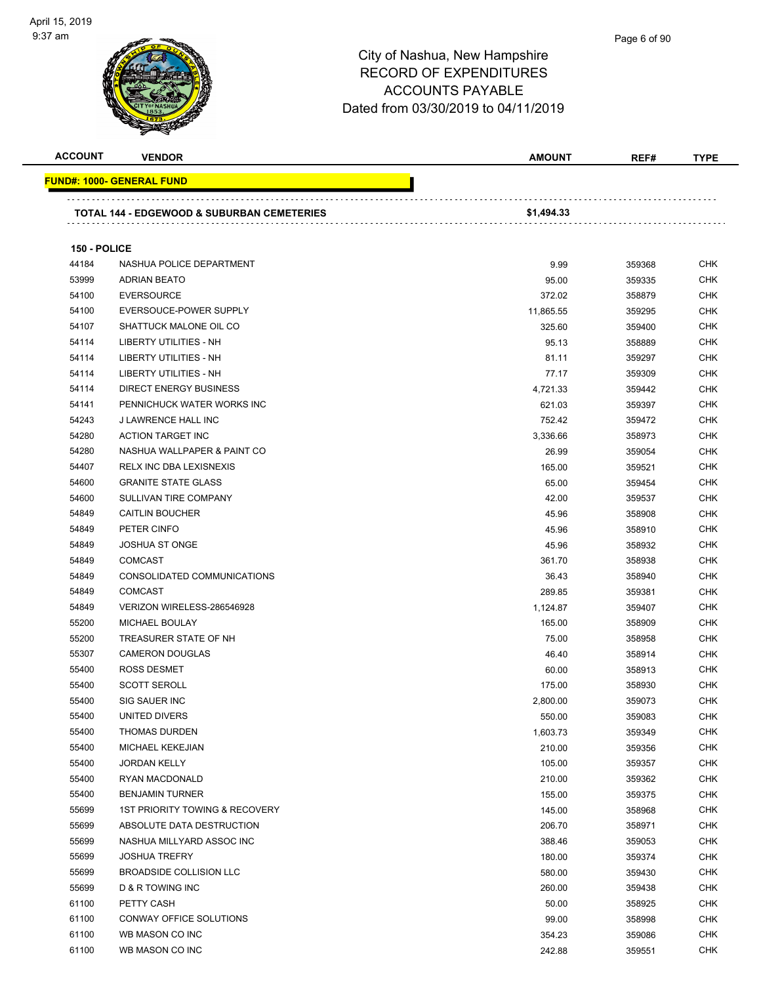

**FUND#: 1000- GENERAL FUND**

# City of Nashua, New Hampshire RECORD OF EXPENDITURES ACCOUNTS PAYABLE

|                |                                                       | <b>ACCOUNTS PAYABLE</b>             |        |             |
|----------------|-------------------------------------------------------|-------------------------------------|--------|-------------|
|                |                                                       | Dated from 03/30/2019 to 04/11/2019 |        |             |
|                |                                                       |                                     |        |             |
| <b>ACCOUNT</b> | <b>VENDOR</b>                                         | <b>AMOUNT</b>                       | REF#   | <b>TYPE</b> |
|                | <b>IND#: 1000- GENERAL FUND</b>                       |                                     |        |             |
|                | <b>TOTAL 144 - EDGEWOOD &amp; SUBURBAN CEMETERIES</b> | \$1,494.33                          |        |             |
| 150 - POLICE   |                                                       |                                     |        |             |
| 44184          | NASHUA POLICE DEPARTMENT                              | 9.99                                | 359368 | <b>CHK</b>  |
| 53999          | <b>ADRIAN BEATO</b>                                   | 95.00                               | 359335 | <b>CHK</b>  |
| 54100          | <b>EVERSOURCE</b>                                     | 372.02                              | 358879 | <b>CHK</b>  |
| 54100          | EVERSOUCE-POWER SUPPLY                                | 11,865.55                           | 359295 | <b>CHK</b>  |
| 54107          | SHATTUCK MALONE OIL CO                                | 325.60                              | 359400 | <b>CHK</b>  |
| 54114          | <b>LIBERTY UTILITIES - NH</b>                         | 95.13                               | 358889 | <b>CHK</b>  |
| 54114          | <b>LIBERTY UTILITIES - NH</b>                         | 81.11                               | 359297 | <b>CHK</b>  |
| 54114          | <b>LIBERTY UTILITIES - NH</b>                         | 77.17                               | 359309 | <b>CHK</b>  |
| 54114          | <b>DIRECT ENERGY BUSINESS</b>                         | 4,721.33                            | 359442 | <b>CHK</b>  |
| 54141          | PENNICHUCK WATER WORKS INC                            | 621.03                              | 359397 | <b>CHK</b>  |
| 54243          | <b>J LAWRENCE HALL INC</b>                            | 752.42                              | 359472 | <b>CHK</b>  |
| 54280          | <b>ACTION TARGET INC</b>                              | 3,336.66                            | 358973 | <b>CHK</b>  |
| 54280          | NASHUA WALLPAPER & PAINT CO                           | 26.99                               | 359054 | <b>CHK</b>  |
| 54407          | <b>RELX INC DBA LEXISNEXIS</b>                        | 165.00                              | 359521 | <b>CHK</b>  |
| 54600          | <b>GRANITE STATE GLASS</b>                            | 65.00                               | 359454 | <b>CHK</b>  |
| 54600          | SULLIVAN TIRE COMPANY                                 | 42.00                               | 359537 | <b>CHK</b>  |

| 54114 | <b>LIBERTY UTILITIES - NH</b>  | 81.11    | 359297 | <b>CHK</b> |
|-------|--------------------------------|----------|--------|------------|
| 54114 | <b>LIBERTY UTILITIES - NH</b>  | 77.17    | 359309 | CHK        |
| 54114 | DIRECT ENERGY BUSINESS         | 4,721.33 | 359442 | CHK        |
| 54141 | PENNICHUCK WATER WORKS INC     | 621.03   | 359397 | <b>CHK</b> |
| 54243 | J LAWRENCE HALL INC            | 752.42   | 359472 | CHK        |
| 54280 | <b>ACTION TARGET INC</b>       | 3,336.66 | 358973 | CHK        |
| 54280 | NASHUA WALLPAPER & PAINT CO    | 26.99    | 359054 | CHK        |
| 54407 | RELX INC DBA LEXISNEXIS        | 165.00   | 359521 | CHK        |
| 54600 | <b>GRANITE STATE GLASS</b>     | 65.00    | 359454 | <b>CHK</b> |
| 54600 | SULLIVAN TIRE COMPANY          | 42.00    | 359537 | <b>CHK</b> |
| 54849 | <b>CAITLIN BOUCHER</b>         | 45.96    | 358908 | <b>CHK</b> |
| 54849 | PETER CINFO                    | 45.96    | 358910 | <b>CHK</b> |
| 54849 | <b>JOSHUA ST ONGE</b>          | 45.96    | 358932 | CHK        |
| 54849 | <b>COMCAST</b>                 | 361.70   | 358938 | <b>CHK</b> |
| 54849 | CONSOLIDATED COMMUNICATIONS    | 36.43    | 358940 | CHK        |
| 54849 | <b>COMCAST</b>                 | 289.85   | 359381 | CHK        |
| 54849 | VERIZON WIRELESS-286546928     | 1,124.87 | 359407 | CHK        |
| 55200 | MICHAEL BOULAY                 | 165.00   | 358909 | <b>CHK</b> |
| 55200 | TREASURER STATE OF NH          | 75.00    | 358958 | <b>CHK</b> |
| 55307 | <b>CAMERON DOUGLAS</b>         | 46.40    | 358914 | <b>CHK</b> |
| 55400 | <b>ROSS DESMET</b>             | 60.00    | 358913 | CHK        |
| 55400 | <b>SCOTT SEROLL</b>            | 175.00   | 358930 | CHK        |
| 55400 | SIG SAUER INC                  | 2,800.00 | 359073 | <b>CHK</b> |
| 55400 | UNITED DIVERS                  | 550.00   | 359083 | <b>CHK</b> |
| 55400 | <b>THOMAS DURDEN</b>           | 1,603.73 | 359349 | CHK        |
| 55400 | MICHAEL KEKEJIAN               | 210.00   | 359356 | CHK        |
| 55400 | <b>JORDAN KELLY</b>            | 105.00   | 359357 | <b>CHK</b> |
| 55400 | RYAN MACDONALD                 | 210.00   | 359362 | <b>CHK</b> |
| 55400 | <b>BENJAMIN TURNER</b>         | 155.00   | 359375 | <b>CHK</b> |
| 55699 | 1ST PRIORITY TOWING & RECOVERY | 145.00   | 358968 | <b>CHK</b> |
| 55699 | ABSOLUTE DATA DESTRUCTION      | 206.70   | 358971 | <b>CHK</b> |
| 55699 | NASHUA MILLYARD ASSOC INC      | 388.46   | 359053 | CHK        |
| 55699 | <b>JOSHUA TREFRY</b>           | 180.00   | 359374 | <b>CHK</b> |
| 55699 | BROADSIDE COLLISION LLC        | 580.00   | 359430 | CHK        |
| 55699 | D & R TOWING INC               | 260.00   | 359438 | CHK        |
| 61100 | PETTY CASH                     | 50.00    | 358925 | CHK        |
| 61100 | CONWAY OFFICE SOLUTIONS        | 99.00    | 358998 | <b>CHK</b> |
| 61100 | WB MASON CO INC                | 354.23   | 359086 | <b>CHK</b> |
| 61100 | WB MASON CO INC                | 242.88   | 359551 | <b>CHK</b> |
|       |                                |          |        |            |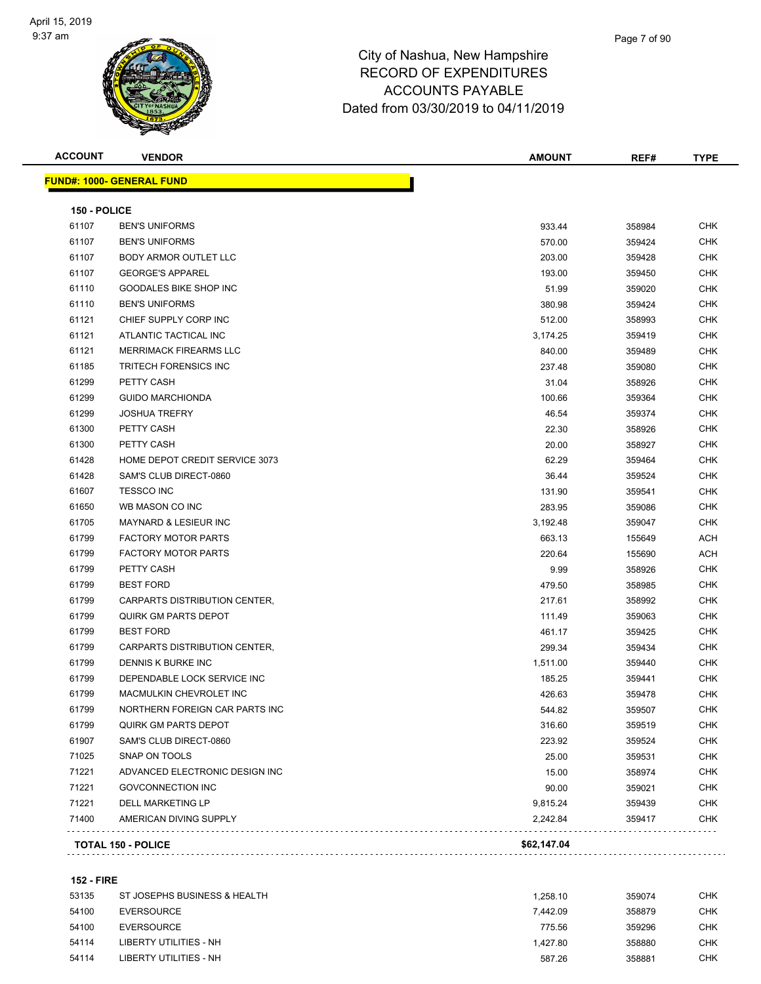

| <b>ACCOUNT</b> | <b>VENDOR</b>                    | <b>AMOUNT</b> | REF#   | TYPE       |
|----------------|----------------------------------|---------------|--------|------------|
|                | <b>FUND#: 1000- GENERAL FUND</b> |               |        |            |
| 150 - POLICE   |                                  |               |        |            |
| 61107          | <b>BEN'S UNIFORMS</b>            | 933.44        | 358984 | <b>CHK</b> |
| 61107          | <b>BEN'S UNIFORMS</b>            | 570.00        | 359424 | <b>CHK</b> |
| 61107          | BODY ARMOR OUTLET LLC            | 203.00        | 359428 | <b>CHK</b> |
| 61107          | <b>GEORGE'S APPAREL</b>          | 193.00        | 359450 | <b>CHK</b> |
| 61110          | GOODALES BIKE SHOP INC           | 51.99         | 359020 | CHK        |
| 61110          | <b>BEN'S UNIFORMS</b>            | 380.98        | 359424 | CHK        |
| 61121          | CHIEF SUPPLY CORP INC            | 512.00        | 358993 | <b>CHK</b> |
| 61121          | ATLANTIC TACTICAL INC            | 3,174.25      | 359419 | <b>CHK</b> |
| 61121          | MERRIMACK FIREARMS LLC           | 840.00        | 359489 | CHK        |
| 61185          | <b>TRITECH FORENSICS INC</b>     | 237.48        | 359080 | <b>CHK</b> |
| 61299          | PETTY CASH                       | 31.04         | 358926 | <b>CHK</b> |
| 61299          | <b>GUIDO MARCHIONDA</b>          | 100.66        | 359364 | CHK        |
| 61299          | <b>JOSHUA TREFRY</b>             | 46.54         | 359374 | <b>CHK</b> |
| 61300          | PETTY CASH                       | 22.30         | 358926 | <b>CHK</b> |
| 61300          | PETTY CASH                       | 20.00         | 358927 | <b>CHK</b> |
| 61428          | HOME DEPOT CREDIT SERVICE 3073   | 62.29         | 359464 | CHK        |
| 61428          | SAM'S CLUB DIRECT-0860           | 36.44         | 359524 | CHK        |
| 61607          | <b>TESSCO INC</b>                | 131.90        | 359541 | CHK        |
| 61650          | WB MASON CO INC                  | 283.95        | 359086 | <b>CHK</b> |
| 61705          | <b>MAYNARD &amp; LESIEUR INC</b> | 3,192.48      | 359047 | CHK        |
| 61799          | <b>FACTORY MOTOR PARTS</b>       | 663.13        | 155649 | ACH        |
| 61799          | <b>FACTORY MOTOR PARTS</b>       | 220.64        | 155690 | ACH        |
| 61799          | PETTY CASH                       | 9.99          | 358926 | <b>CHK</b> |
| 61799          | <b>BEST FORD</b>                 | 479.50        | 358985 | <b>CHK</b> |
| 61799          | CARPARTS DISTRIBUTION CENTER,    | 217.61        | 358992 | <b>CHK</b> |
| 61799          | <b>QUIRK GM PARTS DEPOT</b>      | 111.49        | 359063 | CHK        |
| 61799          | <b>BEST FORD</b>                 | 461.17        | 359425 | CHK        |
| 61799          | CARPARTS DISTRIBUTION CENTER,    | 299.34        | 359434 | CHK        |
| 61799          | DENNIS K BURKE INC               | 1,511.00      | 359440 | <b>CHK</b> |
| 61799          | DEPENDABLE LOCK SERVICE INC      | 185.25        | 359441 | <b>CHK</b> |
| 61799          | MACMULKIN CHEVROLET INC          | 426.63        | 359478 | CHK        |
| 61799          | NORTHERN FOREIGN CAR PARTS INC   | 544.82        | 359507 | <b>CHK</b> |
| 61799          | <b>QUIRK GM PARTS DEPOT</b>      | 316.60        | 359519 | <b>CHK</b> |
| 61907          | SAM'S CLUB DIRECT-0860           | 223.92        | 359524 | <b>CHK</b> |
| 71025          | SNAP ON TOOLS                    | 25.00         | 359531 | <b>CHK</b> |
| 71221          | ADVANCED ELECTRONIC DESIGN INC   | 15.00         | 358974 | <b>CHK</b> |
| 71221          | <b>GOVCONNECTION INC</b>         | 90.00         | 359021 | <b>CHK</b> |
| 71221          | DELL MARKETING LP                | 9,815.24      | 359439 | <b>CHK</b> |
| 71400          | AMERICAN DIVING SUPPLY           | 2,242.84      | 359417 | <b>CHK</b> |
|                | <b>TOTAL 150 - POLICE</b>        | \$62,147.04   |        |            |
|                |                                  |               |        |            |

#### **152 - FIRE**

| 53135 | ST JOSEPHS BUSINESS & HEALTH | 1.258.10 | 359074 | снк |
|-------|------------------------------|----------|--------|-----|
| 54100 | EVERSOURCE                   | 7.442.09 | 358879 | снк |
| 54100 | EVERSOURCE                   | 775.56   | 359296 | СНК |
| 54114 | LIBERTY UTILITIES - NH       | 1.427.80 | 358880 | снк |
| 54114 | LIBERTY UTILITIES - NH       | 587.26   | 358881 | снк |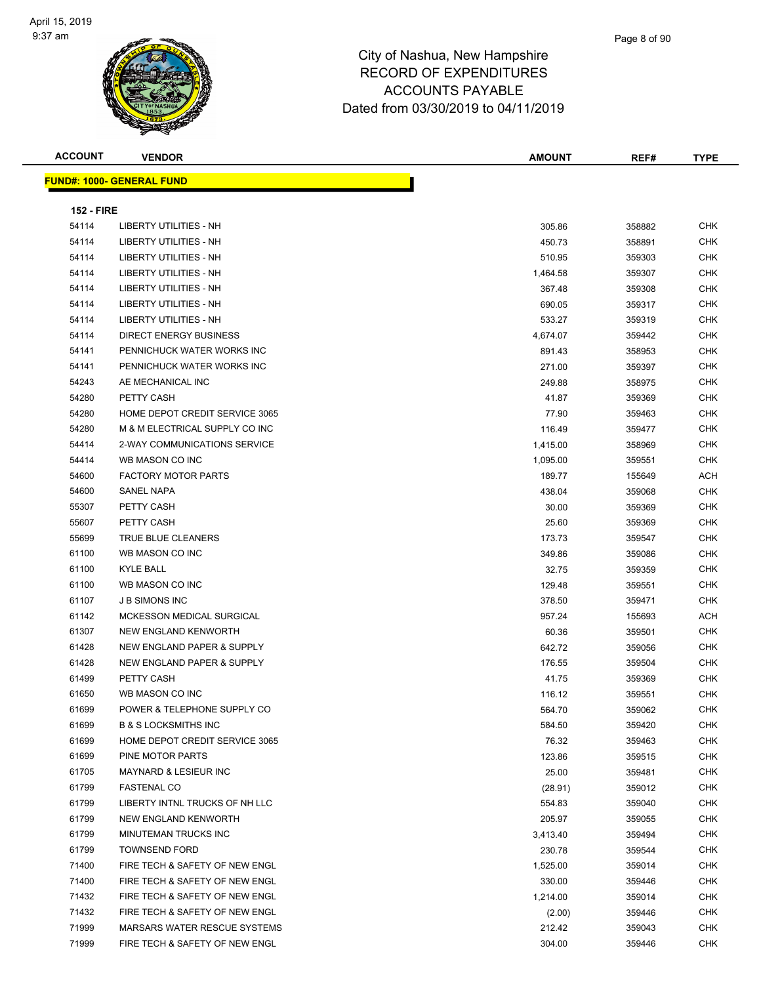#### Page 8 of 90

#### City of Nashua, New Hampshire RECORD OF EXPENDITURES ACCOUNTS PAYABLE Dated from 03/30/2019 to 04/11/2019

| <b>ACCOUNT</b>    | <b>VENDOR</b>                         | <b>AMOUNT</b> | REF#   | <b>TYPE</b> |
|-------------------|---------------------------------------|---------------|--------|-------------|
|                   | <b>FUND#: 1000- GENERAL FUND</b>      |               |        |             |
| <b>152 - FIRE</b> |                                       |               |        |             |
| 54114             | <b>LIBERTY UTILITIES - NH</b>         | 305.86        | 358882 | <b>CHK</b>  |
| 54114             | <b>LIBERTY UTILITIES - NH</b>         | 450.73        | 358891 | <b>CHK</b>  |
| 54114             | <b>LIBERTY UTILITIES - NH</b>         | 510.95        | 359303 | <b>CHK</b>  |
| 54114             | <b>LIBERTY UTILITIES - NH</b>         | 1,464.58      | 359307 | <b>CHK</b>  |
| 54114             | LIBERTY UTILITIES - NH                | 367.48        | 359308 | <b>CHK</b>  |
| 54114             | LIBERTY UTILITIES - NH                | 690.05        | 359317 | <b>CHK</b>  |
| 54114             | <b>LIBERTY UTILITIES - NH</b>         | 533.27        | 359319 | <b>CHK</b>  |
| 54114             | <b>DIRECT ENERGY BUSINESS</b>         | 4,674.07      | 359442 | <b>CHK</b>  |
| 54141             | PENNICHUCK WATER WORKS INC            | 891.43        | 358953 | <b>CHK</b>  |
| 54141             | PENNICHUCK WATER WORKS INC            | 271.00        | 359397 | <b>CHK</b>  |
| 54243             | AE MECHANICAL INC                     | 249.88        | 358975 | <b>CHK</b>  |
| 54280             | PETTY CASH                            | 41.87         | 359369 | <b>CHK</b>  |
| 54280             | HOME DEPOT CREDIT SERVICE 3065        | 77.90         | 359463 | <b>CHK</b>  |
| 54280             | M & M ELECTRICAL SUPPLY CO INC        | 116.49        | 359477 | <b>CHK</b>  |
| 54414             | 2-WAY COMMUNICATIONS SERVICE          | 1,415.00      | 358969 | <b>CHK</b>  |
| 54414             | WB MASON CO INC                       | 1,095.00      | 359551 | <b>CHK</b>  |
| 54600             | <b>FACTORY MOTOR PARTS</b>            | 189.77        | 155649 | <b>ACH</b>  |
| 54600             | SANEL NAPA                            | 438.04        | 359068 | <b>CHK</b>  |
| 55307             | PETTY CASH                            | 30.00         | 359369 | <b>CHK</b>  |
| 55607             | PETTY CASH                            | 25.60         | 359369 | <b>CHK</b>  |
| 55699             | TRUE BLUE CLEANERS                    | 173.73        | 359547 | <b>CHK</b>  |
| 61100             | WB MASON CO INC                       | 349.86        | 359086 | <b>CHK</b>  |
| 61100             | <b>KYLE BALL</b>                      | 32.75         | 359359 | СНК         |
| 61100             | WB MASON CO INC                       | 129.48        | 359551 | <b>CHK</b>  |
| 61107             | <b>J B SIMONS INC</b>                 | 378.50        | 359471 | <b>CHK</b>  |
| 61142             | MCKESSON MEDICAL SURGICAL             | 957.24        | 155693 | <b>ACH</b>  |
| 61307             | NEW ENGLAND KENWORTH                  | 60.36         | 359501 | <b>CHK</b>  |
| 61428             | <b>NEW ENGLAND PAPER &amp; SUPPLY</b> | 642.72        | 359056 | <b>CHK</b>  |
| 61428             | NEW ENGLAND PAPER & SUPPLY            | 176.55        | 359504 | <b>CHK</b>  |
| 61499             | PETTY CASH                            | 41.75         | 359369 | <b>CHK</b>  |
| 61650             | WB MASON CO INC                       | 116.12        | 359551 | <b>CHK</b>  |
| 61699             | POWER & TELEPHONE SUPPLY CO           | 564.70        | 359062 | <b>CHK</b>  |
| 61699             | <b>B &amp; S LOCKSMITHS INC</b>       | 584.50        | 359420 | <b>CHK</b>  |
| 61699             | HOME DEPOT CREDIT SERVICE 3065        | 76.32         | 359463 | <b>CHK</b>  |
| 61699             | PINE MOTOR PARTS                      | 123.86        | 359515 | <b>CHK</b>  |
| 61705             | <b>MAYNARD &amp; LESIEUR INC</b>      | 25.00         | 359481 | <b>CHK</b>  |
| 61799             | <b>FASTENAL CO</b>                    | (28.91)       | 359012 | <b>CHK</b>  |
| 61799             | LIBERTY INTNL TRUCKS OF NH LLC        | 554.83        | 359040 | <b>CHK</b>  |
| 61799             | NEW ENGLAND KENWORTH                  | 205.97        | 359055 | <b>CHK</b>  |
| 61799             | MINUTEMAN TRUCKS INC                  | 3,413.40      | 359494 | <b>CHK</b>  |

 TOWNSEND FORD 230.78 359544 CHK The STATE STATE TECH & SAFETY OF NEW ENGLASH CHANGER ASSESS AND RESIDENT ASSESS AND RESIDENCE ASSESS AND RESIDENT ASSESS AND RESIDENCE ASSESS AND RESIDENCE ASSESS AND RESIDENCE ASSESS AND RESIDENCE ASSESS AND RESIDENCE ASS The State of the Secret of Tech & Safety of NEW ENGL 370.00 359446 CHK 330.00 359446 CHK The State of the Section of the SAFETY OF NEW ENGLAND CHK CHK 1,214.00 259014 CHK FIRE TECH & SAFETY OF NEW ENGL (2.00) 359446 CHK MARSARS WATER RESCUE SYSTEMS 212.42 359043 CHK The State of the Secret of Tech & Safety of NEW ENGL 304.00 359446 CHK 304.00 359446 CHK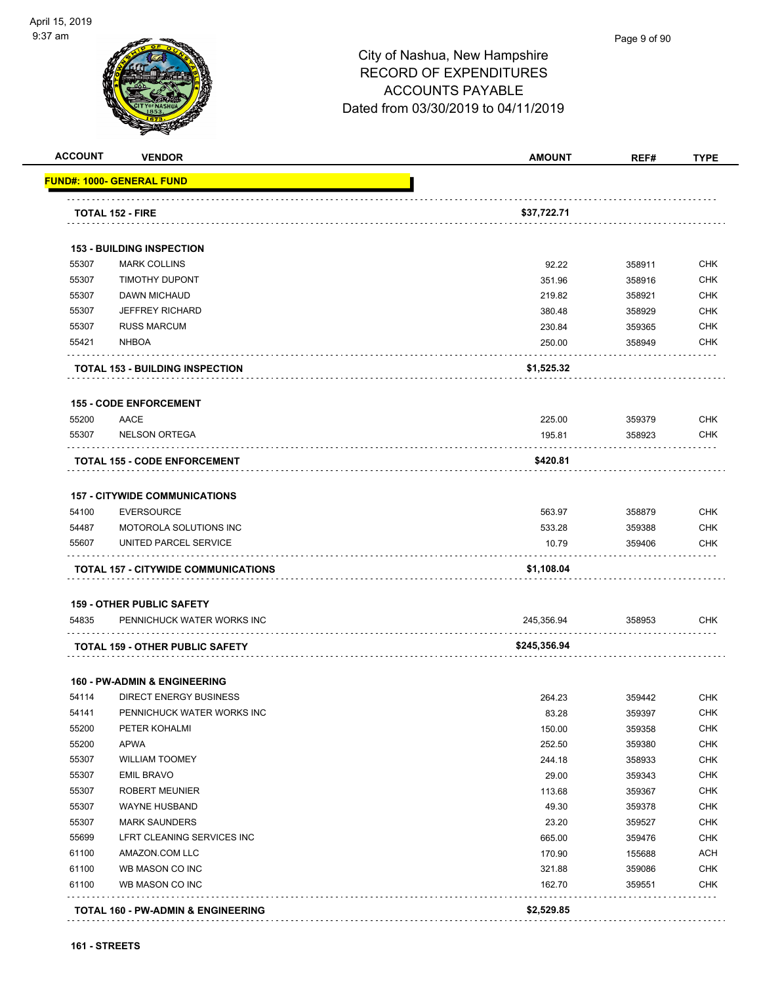

#### Page 9 of 90

| <b>ACCOUNT</b> | <b>VENDOR</b>                                             | <b>AMOUNT</b>    | REF#             | <b>TYPE</b> |
|----------------|-----------------------------------------------------------|------------------|------------------|-------------|
|                | <u> FUND#: 1000- GENERAL FUND</u>                         |                  |                  |             |
|                | <b>TOTAL 152 - FIRE</b>                                   | \$37,722.71      |                  |             |
|                |                                                           |                  |                  |             |
|                | <b>153 - BUILDING INSPECTION</b>                          |                  |                  |             |
| 55307          | <b>MARK COLLINS</b>                                       | 92.22            | 358911           | <b>CHK</b>  |
| 55307          | <b>TIMOTHY DUPONT</b>                                     | 351.96           | 358916           | <b>CHK</b>  |
| 55307          | DAWN MICHAUD                                              | 219.82           | 358921           | <b>CHK</b>  |
| 55307          | <b>JEFFREY RICHARD</b>                                    | 380.48           | 358929           | <b>CHK</b>  |
| 55307          | <b>RUSS MARCUM</b>                                        | 230.84           | 359365           | <b>CHK</b>  |
| 55421          | <b>NHBOA</b>                                              | 250.00           | 358949           | CHK         |
|                | <b>TOTAL 153 - BUILDING INSPECTION</b>                    | \$1,525.32       |                  |             |
|                | <b>155 - CODE ENFORCEMENT</b>                             |                  |                  |             |
| 55200          | AACE                                                      | 225.00           | 359379           | <b>CHK</b>  |
| 55307          | <b>NELSON ORTEGA</b>                                      | 195.81           | 358923           | CHK         |
|                | <b>TOTAL 155 - CODE ENFORCEMENT</b>                       | \$420.81         |                  |             |
|                |                                                           |                  |                  |             |
| 54100          | <b>157 - CITYWIDE COMMUNICATIONS</b><br><b>EVERSOURCE</b> | 563.97           | 358879           | <b>CHK</b>  |
| 54487          | MOTOROLA SOLUTIONS INC                                    | 533.28           | 359388           | <b>CHK</b>  |
| 55607          | UNITED PARCEL SERVICE                                     | 10.79            | 359406           | CHK         |
|                |                                                           |                  |                  |             |
|                | TOTAL 157 - CITYWIDE COMMUNICATIONS                       | \$1,108.04       |                  |             |
|                | <b>159 - OTHER PUBLIC SAFETY</b>                          |                  |                  |             |
| 54835          | PENNICHUCK WATER WORKS INC                                | 245,356.94       | 358953           | CHK         |
|                | <b>TOTAL 159 - OTHER PUBLIC SAFETY</b>                    | \$245,356.94     |                  |             |
|                | <b>160 - PW-ADMIN &amp; ENGINEERING</b>                   |                  |                  |             |
| 54114          | <b>DIRECT ENERGY BUSINESS</b>                             | 264.23           | 359442           | <b>CHK</b>  |
| 54141          | PENNICHUCK WATER WORKS INC                                | 83.28            | 359397           | <b>CHK</b>  |
| 55200          | PETER KOHALMI                                             | 150.00           | 359358           | <b>CHK</b>  |
| 55200          | <b>APWA</b>                                               | 252.50           | 359380           | <b>CHK</b>  |
| 55307          | <b>WILLIAM TOOMEY</b>                                     | 244.18           | 358933           | <b>CHK</b>  |
| 55307          | <b>EMIL BRAVO</b>                                         | 29.00            | 359343           | <b>CHK</b>  |
| 55307          | <b>ROBERT MEUNIER</b>                                     | 113.68           | 359367           | CHK         |
| 55307          | <b>WAYNE HUSBAND</b>                                      | 49.30            | 359378           | <b>CHK</b>  |
| 55307          | <b>MARK SAUNDERS</b>                                      | 23.20            | 359527           | <b>CHK</b>  |
| 55699          | LFRT CLEANING SERVICES INC                                | 665.00           | 359476           | <b>CHK</b>  |
| 61100          | AMAZON.COM LLC                                            | 170.90           | 155688           | <b>ACH</b>  |
| 61100          | WB MASON CO INC                                           |                  |                  | <b>CHK</b>  |
| 61100          | WB MASON CO INC                                           | 321.88<br>162.70 | 359086<br>359551 | <b>CHK</b>  |
|                |                                                           |                  |                  |             |
|                | <b>TOTAL 160 - PW-ADMIN &amp; ENGINEERING</b>             | \$2,529.85       |                  |             |
|                |                                                           |                  |                  |             |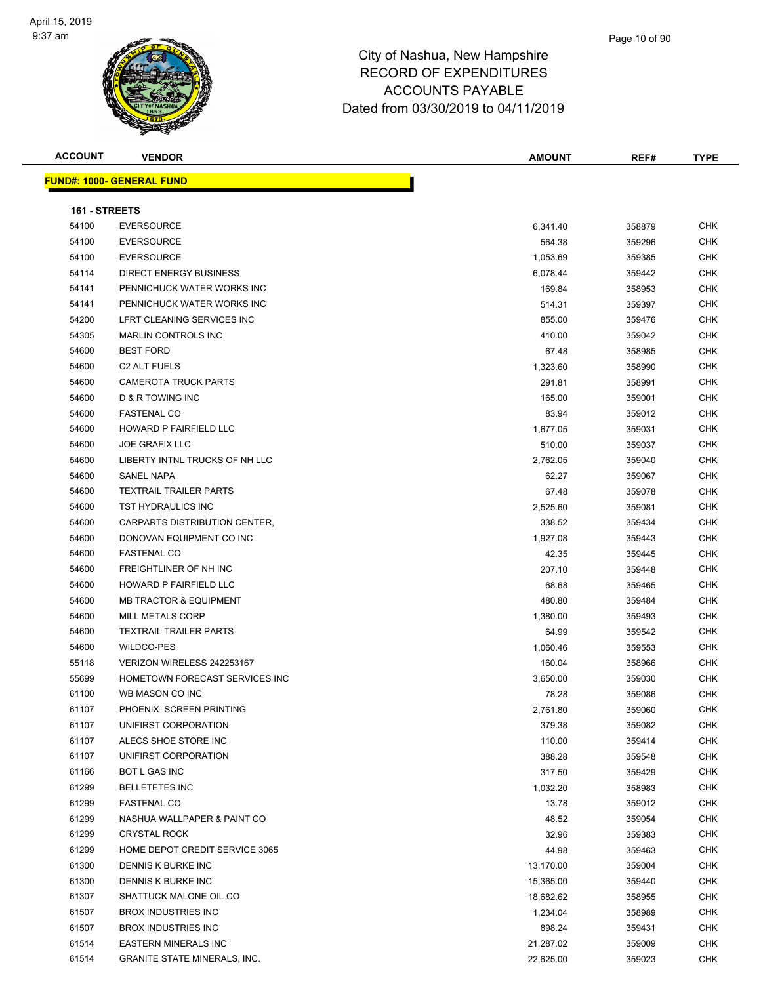

#### Page 10 of 90

## City of Nashua, New Hampshire RECORD OF EXPENDITURES ACCOUNTS PAYABLE Dated from 03/30/2019 to 04/11/2019

| <b>ACCOUNT</b> | <b>VENDOR</b>                     | <b>AMOUNT</b> | REF#   | <b>TYPE</b> |
|----------------|-----------------------------------|---------------|--------|-------------|
|                | <b>FUND#: 1000- GENERAL FUND</b>  |               |        |             |
|                |                                   |               |        |             |
| 161 - STREETS  |                                   |               |        |             |
| 54100          | <b>EVERSOURCE</b>                 | 6,341.40      | 358879 | <b>CHK</b>  |
| 54100          | <b>EVERSOURCE</b>                 | 564.38        | 359296 | <b>CHK</b>  |
| 54100          | <b>EVERSOURCE</b>                 | 1,053.69      | 359385 | <b>CHK</b>  |
| 54114          | DIRECT ENERGY BUSINESS            | 6,078.44      | 359442 | <b>CHK</b>  |
| 54141          | PENNICHUCK WATER WORKS INC        | 169.84        | 358953 | <b>CHK</b>  |
| 54141          | PENNICHUCK WATER WORKS INC        | 514.31        | 359397 | <b>CHK</b>  |
| 54200          | LFRT CLEANING SERVICES INC        | 855.00        | 359476 | <b>CHK</b>  |
| 54305          | <b>MARLIN CONTROLS INC</b>        | 410.00        | 359042 | <b>CHK</b>  |
| 54600          | <b>BEST FORD</b>                  | 67.48         | 358985 | <b>CHK</b>  |
| 54600          | C <sub>2</sub> ALT FUELS          | 1,323.60      | 358990 | <b>CHK</b>  |
| 54600          | <b>CAMEROTA TRUCK PARTS</b>       | 291.81        | 358991 | <b>CHK</b>  |
| 54600          | D & R TOWING INC                  | 165.00        | 359001 | <b>CHK</b>  |
| 54600          | <b>FASTENAL CO</b>                | 83.94         | 359012 | <b>CHK</b>  |
| 54600          | HOWARD P FAIRFIELD LLC            | 1,677.05      | 359031 | <b>CHK</b>  |
| 54600          | <b>JOE GRAFIX LLC</b>             | 510.00        | 359037 | <b>CHK</b>  |
| 54600          | LIBERTY INTNL TRUCKS OF NH LLC    | 2,762.05      | 359040 | <b>CHK</b>  |
| 54600          | <b>SANEL NAPA</b>                 | 62.27         | 359067 | <b>CHK</b>  |
| 54600          | <b>TEXTRAIL TRAILER PARTS</b>     | 67.48         | 359078 | <b>CHK</b>  |
| 54600          | <b>TST HYDRAULICS INC</b>         | 2,525.60      | 359081 | <b>CHK</b>  |
| 54600          | CARPARTS DISTRIBUTION CENTER,     | 338.52        | 359434 | <b>CHK</b>  |
| 54600          | DONOVAN EQUIPMENT CO INC          | 1,927.08      | 359443 | CHK         |
| 54600          | <b>FASTENAL CO</b>                | 42.35         | 359445 | <b>CHK</b>  |
| 54600          | FREIGHTLINER OF NH INC            | 207.10        | 359448 | <b>CHK</b>  |
| 54600          | HOWARD P FAIRFIELD LLC            | 68.68         | 359465 | <b>CHK</b>  |
| 54600          | <b>MB TRACTOR &amp; EQUIPMENT</b> | 480.80        | 359484 | <b>CHK</b>  |
| 54600          | MILL METALS CORP                  | 1,380.00      | 359493 | <b>CHK</b>  |
| 54600          | <b>TEXTRAIL TRAILER PARTS</b>     | 64.99         | 359542 | <b>CHK</b>  |
| 54600          | <b>WILDCO-PES</b>                 | 1,060.46      | 359553 | <b>CHK</b>  |
| 55118          | VERIZON WIRELESS 242253167        | 160.04        | 358966 | <b>CHK</b>  |
| 55699          | HOMETOWN FORECAST SERVICES INC    | 3,650.00      | 359030 | <b>CHK</b>  |
| 61100          | WB MASON CO INC                   | 78.28         | 359086 | <b>CHK</b>  |
| 61107          | PHOENIX SCREEN PRINTING           | 2,761.80      | 359060 | <b>CHK</b>  |
| 61107          | UNIFIRST CORPORATION              | 379.38        | 359082 | <b>CHK</b>  |
| 61107          | ALECS SHOE STORE INC              | 110.00        | 359414 | <b>CHK</b>  |
| 61107          | UNIFIRST CORPORATION              | 388.28        | 359548 | <b>CHK</b>  |
| 61166          | BOT L GAS INC                     | 317.50        | 359429 | <b>CHK</b>  |
| 61299          | <b>BELLETETES INC</b>             | 1,032.20      | 358983 | <b>CHK</b>  |
| 61299          | <b>FASTENAL CO</b>                | 13.78         | 359012 | <b>CHK</b>  |
| 61299          | NASHUA WALLPAPER & PAINT CO       | 48.52         | 359054 | <b>CHK</b>  |
| 61299          | <b>CRYSTAL ROCK</b>               | 32.96         | 359383 | <b>CHK</b>  |
| 61299          | HOME DEPOT CREDIT SERVICE 3065    | 44.98         | 359463 | <b>CHK</b>  |
| 61300          | DENNIS K BURKE INC                | 13,170.00     | 359004 | <b>CHK</b>  |
| 61300          | DENNIS K BURKE INC                | 15,365.00     | 359440 | <b>CHK</b>  |
| 61307          | SHATTUCK MALONE OIL CO            | 18,682.62     | 358955 | <b>CHK</b>  |
| 61507          | <b>BROX INDUSTRIES INC</b>        | 1,234.04      | 358989 | <b>CHK</b>  |
| 61507          | <b>BROX INDUSTRIES INC</b>        | 898.24        | 359431 | <b>CHK</b>  |

 EASTERN MINERALS INC 21,287.02 359009 CHK GRANITE STATE MINERALS, INC. 22,625.00 359023 CHK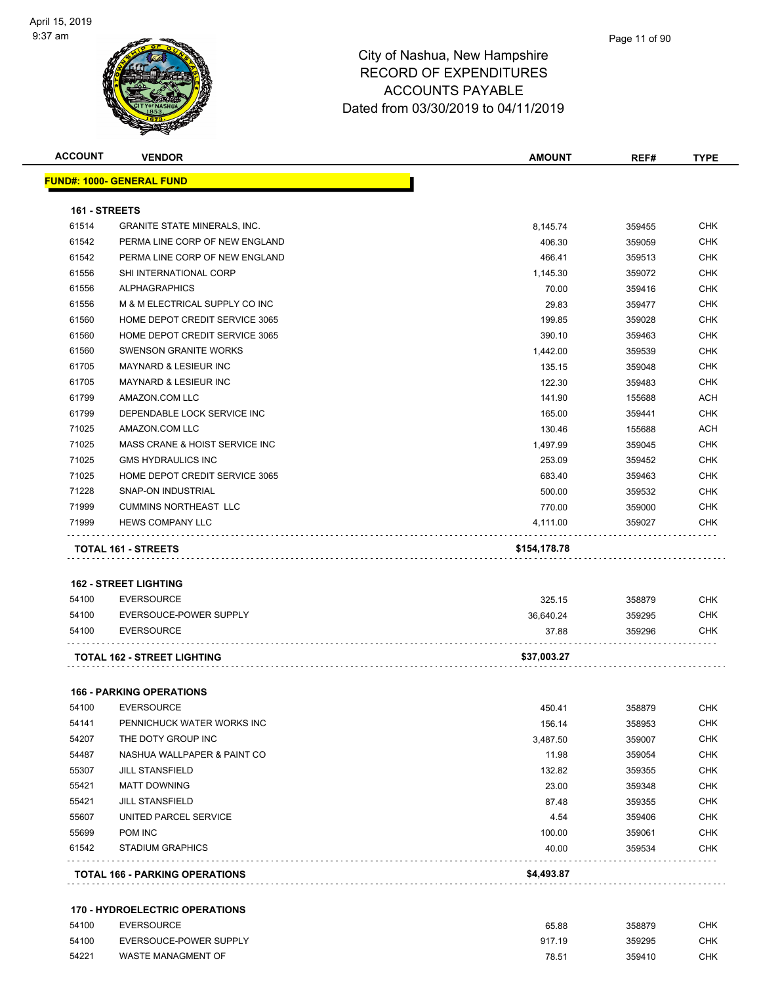

|               | <b>VENDOR</b>                       | <b>AMOUNT</b> | REF#   | <b>TYPE</b> |
|---------------|-------------------------------------|---------------|--------|-------------|
|               | <u> FUND#: 1000- GENERAL FUND</u>   |               |        |             |
| 161 - STREETS |                                     |               |        |             |
| 61514         | <b>GRANITE STATE MINERALS, INC.</b> | 8,145.74      | 359455 | CHK         |
| 61542         | PERMA LINE CORP OF NEW ENGLAND      | 406.30        | 359059 | <b>CHK</b>  |
| 61542         | PERMA LINE CORP OF NEW ENGLAND      | 466.41        | 359513 | CHK         |
| 61556         | SHI INTERNATIONAL CORP              | 1,145.30      | 359072 | CHK         |
| 61556         | <b>ALPHAGRAPHICS</b>                | 70.00         | 359416 | <b>CHK</b>  |
| 61556         | M & M ELECTRICAL SUPPLY CO INC      | 29.83         | 359477 | <b>CHK</b>  |
| 61560         | HOME DEPOT CREDIT SERVICE 3065      | 199.85        | 359028 | <b>CHK</b>  |
| 61560         | HOME DEPOT CREDIT SERVICE 3065      | 390.10        | 359463 | <b>CHK</b>  |
| 61560         | <b>SWENSON GRANITE WORKS</b>        | 1,442.00      | 359539 | <b>CHK</b>  |
| 61705         | MAYNARD & LESIEUR INC               | 135.15        | 359048 | <b>CHK</b>  |
| 61705         | MAYNARD & LESIEUR INC               | 122.30        | 359483 | <b>CHK</b>  |
| 61799         | AMAZON.COM LLC                      | 141.90        | 155688 | ACH         |
| 61799         | DEPENDABLE LOCK SERVICE INC         | 165.00        | 359441 | <b>CHK</b>  |
| 71025         | AMAZON.COM LLC                      | 130.46        | 155688 | <b>ACH</b>  |
| 71025         | MASS CRANE & HOIST SERVICE INC      | 1,497.99      | 359045 | <b>CHK</b>  |
| 71025         | <b>GMS HYDRAULICS INC</b>           | 253.09        | 359452 | CHK         |
| 71025         | HOME DEPOT CREDIT SERVICE 3065      | 683.40        | 359463 | <b>CHK</b>  |
| 71228         | SNAP-ON INDUSTRIAL                  | 500.00        | 359532 | CHK         |
| 71999         | <b>CUMMINS NORTHEAST LLC</b>        | 770.00        | 359000 | CHK         |
| 71999         | <b>HEWS COMPANY LLC</b>             | 4,111.00      | 359027 | CHK         |
|               | <b>TOTAL 161 - STREETS</b>          | \$154,178.78  |        |             |
|               |                                     |               |        |             |
|               | <b>162 - STREET LIGHTING</b>        |               |        |             |
| 54100         | <b>EVERSOURCE</b>                   | 325.15        | 358879 | CHK         |
| 54100         | EVERSOUCE-POWER SUPPLY              | 36,640.24     | 359295 | CHK         |
| 54100         | <b>EVERSOURCE</b>                   | 37.88         | 359296 | CHK         |
|               | <b>TOTAL 162 - STREET LIGHTING</b>  | \$37,003.27   |        |             |
|               | <b>166 - PARKING OPERATIONS</b>     |               |        |             |
| 54100         | <b>EVERSOURCE</b>                   | 450.41        | 358879 | CHK         |
| 54141         | PENNICHUCK WATER WORKS INC          | 156.14        | 358953 | CHK         |
| 54207         | THE DOTY GROUP INC                  | 3,487.50      | 359007 | <b>CHK</b>  |
| 54487         | NASHUA WALLPAPER & PAINT CO         | 11.98         | 359054 | <b>CHK</b>  |
| 55307         | <b>JILL STANSFIELD</b>              | 132.82        | 359355 | <b>CHK</b>  |
| 55421         | <b>MATT DOWNING</b>                 | 23.00         | 359348 | <b>CHK</b>  |
|               | <b>JILL STANSFIELD</b>              | 87.48         | 359355 | <b>CHK</b>  |
| 55421         |                                     | 4.54          | 359406 | <b>CHK</b>  |
| 55607         | UNITED PARCEL SERVICE               |               |        |             |
| 55699         | POM INC                             | 100.00        | 359061 | <b>CHK</b>  |
| 61542         | <b>STADIUM GRAPHICS</b>             | 40.00         | 359534 | <b>CHK</b>  |

#### **170 - HYDROELECTRIC OPERATIONS**

| 54100 | EVERSOURCE                | 65.88  | 358879 | СНК |
|-------|---------------------------|--------|--------|-----|
| 54100 | EVERSOUCE-POWER SUPPLY    | 917.19 | 359295 | СНК |
| 54221 | <b>WASTE MANAGMENT OF</b> | 78.51  | 359410 | СНК |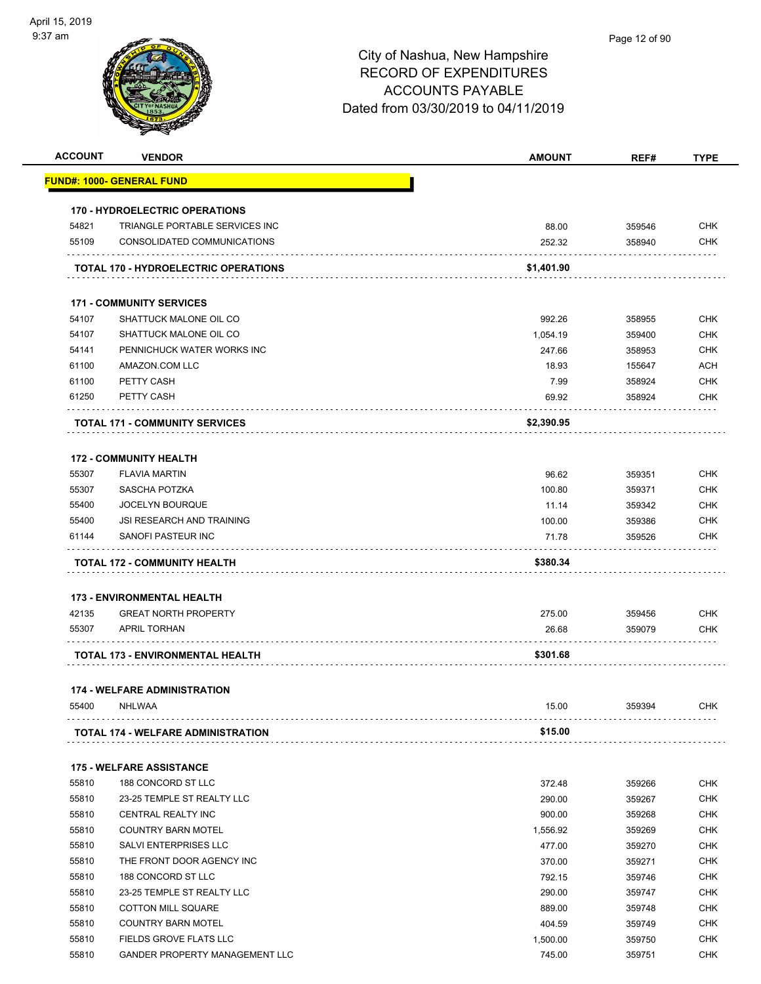|                | <b>VENDOR</b>                                       | <b>AMOUNT</b>      | REF#             | <b>TYPE</b>              |
|----------------|-----------------------------------------------------|--------------------|------------------|--------------------------|
|                | FUND#: 1000- GENERAL FUND                           |                    |                  |                          |
|                | <b>170 - HYDROELECTRIC OPERATIONS</b>               |                    |                  |                          |
| 54821          | TRIANGLE PORTABLE SERVICES INC                      | 88.00              | 359546           | <b>CHK</b>               |
| 55109          | CONSOLIDATED COMMUNICATIONS                         | 252.32             | 358940           | <b>CHK</b>               |
|                | <b>TOTAL 170 - HYDROELECTRIC OPERATIONS</b>         | \$1,401.90         |                  |                          |
|                | <b>171 - COMMUNITY SERVICES</b>                     |                    |                  |                          |
| 54107          | SHATTUCK MALONE OIL CO                              | 992.26             | 358955           | <b>CHK</b>               |
| 54107          | SHATTUCK MALONE OIL CO                              | 1,054.19           | 359400           | <b>CHK</b>               |
| 54141          | PENNICHUCK WATER WORKS INC                          | 247.66             | 358953           | <b>CHK</b>               |
| 61100          | AMAZON.COM LLC                                      | 18.93              | 155647           | <b>ACH</b>               |
| 61100          | PETTY CASH                                          | 7.99               | 358924           | <b>CHK</b>               |
| 61250          | PETTY CASH                                          | 69.92              | 358924           | CHK                      |
|                | <b>TOTAL 171 - COMMUNITY SERVICES</b>               | \$2,390.95         |                  |                          |
|                | <b>172 - COMMUNITY HEALTH</b>                       |                    |                  |                          |
| 55307          | <b>FLAVIA MARTIN</b>                                | 96.62              | 359351           | <b>CHK</b>               |
| 55307          | SASCHA POTZKA                                       | 100.80             | 359371           | <b>CHK</b>               |
| 55400          | <b>JOCELYN BOURQUE</b>                              | 11.14              | 359342           | <b>CHK</b>               |
| 55400          | <b>JSI RESEARCH AND TRAINING</b>                    | 100.00             | 359386           | <b>CHK</b>               |
| 61144          | SANOFI PASTEUR INC                                  | 71.78              | 359526           | <b>CHK</b>               |
|                |                                                     |                    |                  |                          |
|                |                                                     |                    |                  |                          |
|                | TOTAL 172 - COMMUNITY HEALTH                        | \$380.34           |                  |                          |
|                | <b>173 - ENVIRONMENTAL HEALTH</b>                   |                    |                  |                          |
| 42135          | <b>GREAT NORTH PROPERTY</b>                         | 275.00             | 359456           | <b>CHK</b>               |
| 55307          | <b>APRIL TORHAN</b>                                 | 26.68              | 359079           | CHK                      |
|                | TOTAL 173 - ENVIRONMENTAL HEALTH                    | \$301.68           |                  |                          |
|                | <b>174 - WELFARE ADMINISTRATION</b>                 |                    |                  |                          |
| 55400          | <b>NHLWAA</b>                                       | 15.00              | 359394           | <b>CHK</b>               |
|                | <b>TOTAL 174 - WELFARE ADMINISTRATION</b>           | \$15.00            |                  |                          |
|                | <b>175 - WELFARE ASSISTANCE</b>                     |                    |                  |                          |
| 55810          | 188 CONCORD ST LLC                                  | 372.48             | 359266           | <b>CHK</b>               |
| 55810          | 23-25 TEMPLE ST REALTY LLC                          | 290.00             | 359267           | <b>CHK</b>               |
| 55810          | CENTRAL REALTY INC                                  | 900.00             | 359268           | <b>CHK</b>               |
| 55810          | <b>COUNTRY BARN MOTEL</b>                           | 1,556.92           | 359269           | <b>CHK</b>               |
| 55810          | SALVI ENTERPRISES LLC                               | 477.00             | 359270           | <b>CHK</b>               |
| 55810          | THE FRONT DOOR AGENCY INC                           | 370.00             | 359271           | <b>CHK</b>               |
| 55810          | 188 CONCORD ST LLC                                  | 792.15             | 359746           | <b>CHK</b>               |
| 55810          | 23-25 TEMPLE ST REALTY LLC                          |                    |                  |                          |
|                |                                                     | 290.00             | 359747           | <b>CHK</b>               |
| 55810          | <b>COTTON MILL SQUARE</b>                           | 889.00             | 359748           | <b>CHK</b>               |
| 55810<br>55810 | <b>COUNTRY BARN MOTEL</b><br>FIELDS GROVE FLATS LLC | 404.59<br>1,500.00 | 359749<br>359750 | <b>CHK</b><br><b>CHK</b> |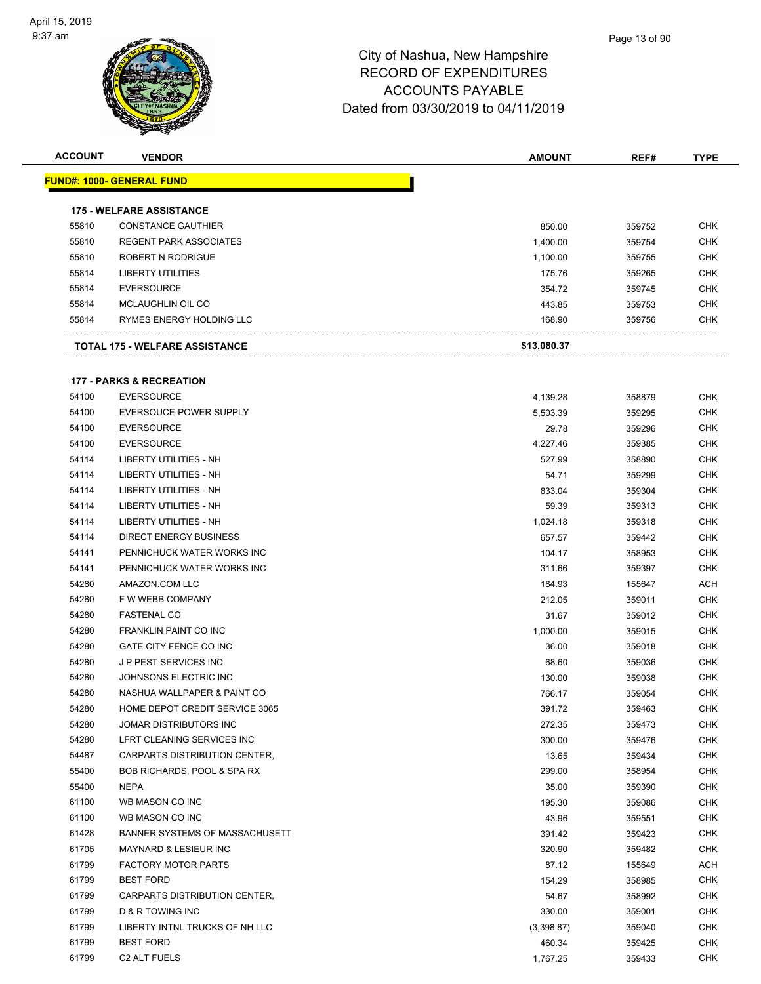| <b>ACCOUNT</b> | <b>VENDOR</b>                         | AMOUNT      | REF#   | <b>TYPE</b> |
|----------------|---------------------------------------|-------------|--------|-------------|
|                | <b>FUND#: 1000- GENERAL FUND</b>      |             |        |             |
|                |                                       |             |        |             |
|                | <b>175 - WELFARE ASSISTANCE</b>       |             |        |             |
| 55810          | <b>CONSTANCE GAUTHIER</b>             | 850.00      | 359752 | <b>CHK</b>  |
| 55810          | <b>REGENT PARK ASSOCIATES</b>         | 1,400.00    | 359754 | <b>CHK</b>  |
| 55810          | ROBERT N RODRIGUE                     | 1,100.00    | 359755 | <b>CHK</b>  |
| 55814          | <b>LIBERTY UTILITIES</b>              | 175.76      | 359265 | <b>CHK</b>  |
| 55814          | <b>EVERSOURCE</b>                     | 354.72      | 359745 | CHK         |
| 55814          | MCLAUGHLIN OIL CO                     | 443.85      | 359753 | <b>CHK</b>  |
| 55814          | RYMES ENERGY HOLDING LLC              | 168.90      | 359756 | CHK         |
|                | <b>TOTAL 175 - WELFARE ASSISTANCE</b> | \$13,080.37 |        |             |
|                | <b>177 - PARKS &amp; RECREATION</b>   |             |        |             |
| 54100          | <b>EVERSOURCE</b>                     | 4,139.28    | 358879 | CHK         |
| 54100          | EVERSOUCE-POWER SUPPLY                | 5,503.39    | 359295 | <b>CHK</b>  |
| 54100          | <b>EVERSOURCE</b>                     | 29.78       | 359296 | <b>CHK</b>  |
| 54100          | <b>EVERSOURCE</b>                     | 4,227.46    | 359385 | CHK         |
| 54114          | LIBERTY UTILITIES - NH                | 527.99      | 358890 | <b>CHK</b>  |
| 54114          | LIBERTY UTILITIES - NH                | 54.71       | 359299 | CHK         |
| 54114          | LIBERTY UTILITIES - NH                | 833.04      | 359304 | CHK         |
| 54114          | LIBERTY UTILITIES - NH                | 59.39       | 359313 | <b>CHK</b>  |
| 54114          | <b>LIBERTY UTILITIES - NH</b>         | 1,024.18    | 359318 | <b>CHK</b>  |
| 54114          | <b>DIRECT ENERGY BUSINESS</b>         | 657.57      | 359442 | <b>CHK</b>  |
| 54141          | PENNICHUCK WATER WORKS INC            | 104.17      | 358953 | <b>CHK</b>  |
| 54141          | PENNICHUCK WATER WORKS INC            | 311.66      | 359397 | CHK         |
| 54280          | AMAZON.COM LLC                        | 184.93      | 155647 | <b>ACH</b>  |
| 54280          | F W WEBB COMPANY                      | 212.05      | 359011 | <b>CHK</b>  |
| 54280          | <b>FASTENAL CO</b>                    | 31.67       | 359012 | <b>CHK</b>  |
| 54280          | <b>FRANKLIN PAINT CO INC</b>          | 1,000.00    | 359015 | <b>CHK</b>  |
| 54280          | GATE CITY FENCE CO INC                | 36.00       | 359018 | CHK         |
| 54280          | <b>JP PEST SERVICES INC</b>           | 68.60       | 359036 | CHK         |
| 54280          | JOHNSONS ELECTRIC INC                 | 130.00      | 359038 | <b>CHK</b>  |
| 54280          | NASHUA WALLPAPER & PAINT CO           | 766.17      | 359054 | <b>CHK</b>  |
| 54280          | HOME DEPOT CREDIT SERVICE 3065        | 391.72      | 359463 | CHK         |
| 54280          | JOMAR DISTRIBUTORS INC                | 272.35      | 359473 | <b>CHK</b>  |
| 54280          | LFRT CLEANING SERVICES INC            | 300.00      | 359476 | <b>CHK</b>  |
| 54487          | CARPARTS DISTRIBUTION CENTER,         | 13.65       | 359434 | <b>CHK</b>  |
| 55400          | BOB RICHARDS, POOL & SPA RX           | 299.00      | 358954 | <b>CHK</b>  |
| 55400          | <b>NEPA</b>                           | 35.00       | 359390 | <b>CHK</b>  |
| 61100          | WB MASON CO INC                       | 195.30      | 359086 | <b>CHK</b>  |
| 61100          | WB MASON CO INC                       | 43.96       | 359551 | <b>CHK</b>  |
| 61428          | BANNER SYSTEMS OF MASSACHUSETT        | 391.42      | 359423 | <b>CHK</b>  |
| 61705          | <b>MAYNARD &amp; LESIEUR INC</b>      | 320.90      | 359482 | <b>CHK</b>  |
| 61799          | <b>FACTORY MOTOR PARTS</b>            | 87.12       | 155649 | ACH         |
| 61799          | <b>BEST FORD</b>                      | 154.29      | 358985 | <b>CHK</b>  |
| 61799          | CARPARTS DISTRIBUTION CENTER,         | 54.67       | 358992 | <b>CHK</b>  |
| 61799          | D & R TOWING INC                      | 330.00      | 359001 | CHK         |
| 61799          | LIBERTY INTNL TRUCKS OF NH LLC        | (3,398.87)  | 359040 | <b>CHK</b>  |
| 61799          | <b>BEST FORD</b>                      | 460.34      | 359425 | <b>CHK</b>  |
| 61799          | C <sub>2</sub> ALT FUELS              | 1,767.25    | 359433 | <b>CHK</b>  |
|                |                                       |             |        |             |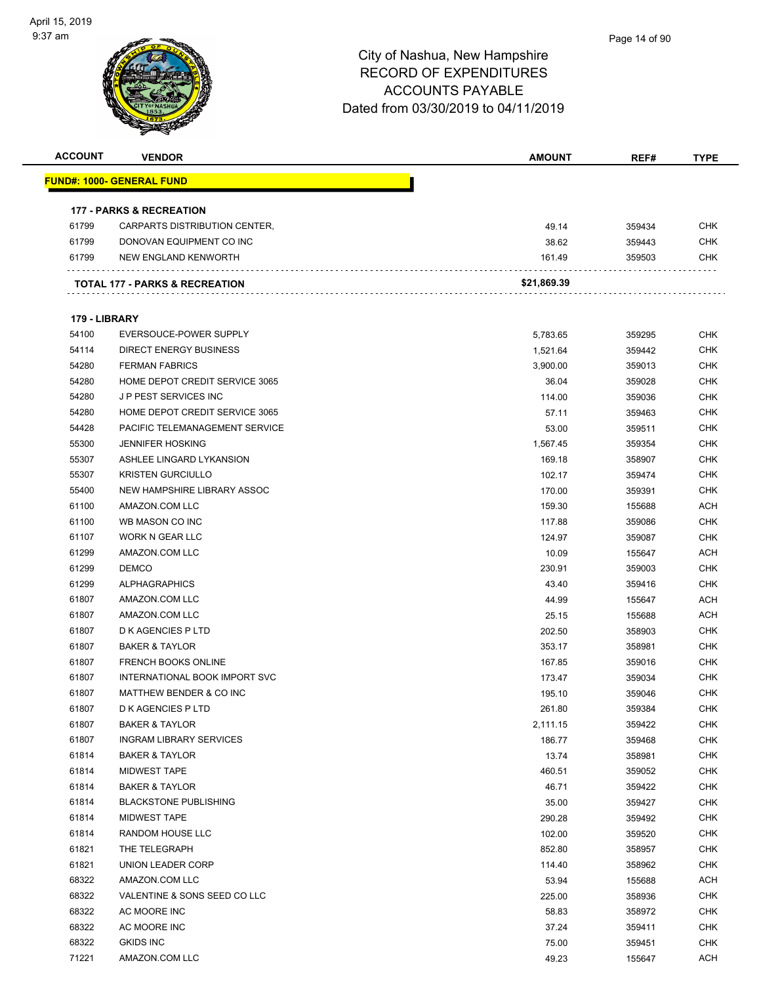| <b>ACCOUNT</b> | <b>VENDOR</b>                             | <b>AMOUNT</b> | REF#   | <b>TYPE</b> |
|----------------|-------------------------------------------|---------------|--------|-------------|
|                | <u> FUND#: 1000- GENERAL FUND</u>         |               |        |             |
|                |                                           |               |        |             |
|                | <b>177 - PARKS &amp; RECREATION</b>       |               |        |             |
| 61799          | CARPARTS DISTRIBUTION CENTER,             | 49.14         | 359434 | CHK         |
| 61799          | DONOVAN EQUIPMENT CO INC                  | 38.62         | 359443 | <b>CHK</b>  |
| 61799          | NEW ENGLAND KENWORTH                      | 161.49        | 359503 | <b>CHK</b>  |
|                |                                           |               |        |             |
|                | <b>TOTAL 177 - PARKS &amp; RECREATION</b> | \$21,869.39   |        |             |
|                |                                           |               |        |             |
| 179 - LIBRARY  |                                           |               |        |             |
| 54100          | EVERSOUCE-POWER SUPPLY                    | 5,783.65      | 359295 | <b>CHK</b>  |
| 54114          | <b>DIRECT ENERGY BUSINESS</b>             | 1,521.64      | 359442 | <b>CHK</b>  |
| 54280          | <b>FERMAN FABRICS</b>                     | 3,900.00      | 359013 | <b>CHK</b>  |
| 54280          | HOME DEPOT CREDIT SERVICE 3065            | 36.04         | 359028 | <b>CHK</b>  |
| 54280          | <b>JP PEST SERVICES INC</b>               | 114.00        | 359036 | <b>CHK</b>  |
| 54280          | HOME DEPOT CREDIT SERVICE 3065            | 57.11         | 359463 | <b>CHK</b>  |
| 54428          | PACIFIC TELEMANAGEMENT SERVICE            | 53.00         | 359511 | <b>CHK</b>  |
| 55300          | <b>JENNIFER HOSKING</b>                   | 1,567.45      | 359354 | <b>CHK</b>  |
| 55307          | ASHLEE LINGARD LYKANSION                  | 169.18        | 358907 | CHK         |
| 55307          | <b>KRISTEN GURCIULLO</b>                  | 102.17        | 359474 | <b>CHK</b>  |
| 55400          | NEW HAMPSHIRE LIBRARY ASSOC               | 170.00        | 359391 | CHK         |
| 61100          | AMAZON.COM LLC                            | 159.30        | 155688 | ACH         |
| 61100          | WB MASON CO INC                           | 117.88        | 359086 | <b>CHK</b>  |
| 61107          | WORK N GEAR LLC                           | 124.97        | 359087 | CHK         |
| 61299          | AMAZON.COM LLC                            | 10.09         | 155647 | <b>ACH</b>  |
| 61299          | <b>DEMCO</b>                              | 230.91        | 359003 | <b>CHK</b>  |
| 61299          | <b>ALPHAGRAPHICS</b>                      | 43.40         | 359416 | CHK         |
| 61807          | AMAZON.COM LLC                            | 44.99         | 155647 | <b>ACH</b>  |
| 61807          | AMAZON.COM LLC                            | 25.15         | 155688 | <b>ACH</b>  |
| 61807          | <b>D K AGENCIES P LTD</b>                 | 202.50        | 358903 | CHK         |
| 61807          | <b>BAKER &amp; TAYLOR</b>                 | 353.17        | 358981 | <b>CHK</b>  |
| 61807          | <b>FRENCH BOOKS ONLINE</b>                | 167.85        | 359016 | <b>CHK</b>  |
| 61807          | INTERNATIONAL BOOK IMPORT SVC             | 173.47        | 359034 | <b>CHK</b>  |
| 61807          | MATTHEW BENDER & CO INC                   | 195.10        | 359046 | <b>CHK</b>  |
| 61807          | D K AGENCIES P LTD                        | 261.80        | 359384 | CHK         |
| 61807          | <b>BAKER &amp; TAYLOR</b>                 | 2,111.15      | 359422 | <b>CHK</b>  |
| 61807          | <b>INGRAM LIBRARY SERVICES</b>            | 186.77        | 359468 | <b>CHK</b>  |
| 61814          | <b>BAKER &amp; TAYLOR</b>                 | 13.74         | 358981 | <b>CHK</b>  |
| 61814          | <b>MIDWEST TAPE</b>                       | 460.51        | 359052 | <b>CHK</b>  |
| 61814          | <b>BAKER &amp; TAYLOR</b>                 | 46.71         | 359422 | <b>CHK</b>  |
| 61814          | <b>BLACKSTONE PUBLISHING</b>              | 35.00         | 359427 | <b>CHK</b>  |
| 61814          | MIDWEST TAPE                              | 290.28        | 359492 | <b>CHK</b>  |
| 61814          | RANDOM HOUSE LLC                          | 102.00        | 359520 | <b>CHK</b>  |
| 61821          | THE TELEGRAPH                             | 852.80        | 358957 | <b>CHK</b>  |
| 61821          | UNION LEADER CORP                         | 114.40        | 358962 | <b>CHK</b>  |
| 68322          | AMAZON.COM LLC                            | 53.94         | 155688 | ACH         |
| 68322          | VALENTINE & SONS SEED CO LLC              | 225.00        | 358936 | <b>CHK</b>  |
| 68322          | AC MOORE INC                              | 58.83         | 358972 | <b>CHK</b>  |
| 68322          | AC MOORE INC                              | 37.24         | 359411 | CHK         |
| 68322          | <b>GKIDS INC</b>                          | 75.00         | 359451 | <b>CHK</b>  |
|                |                                           | 49.23         |        | <b>ACH</b>  |
| 71221          | AMAZON.COM LLC                            |               | 155647 |             |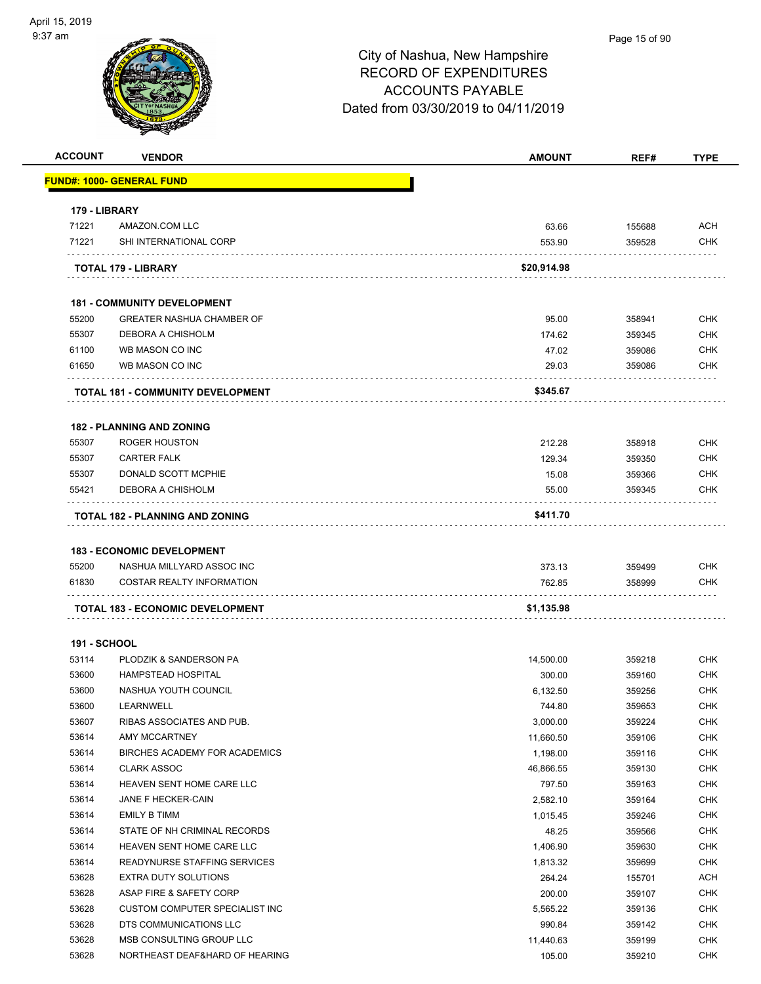| <b>ACCOUNT</b>      | <b>VENDOR</b>                                                  | <b>AMOUNT</b> | REF#   | <b>TYPE</b> |
|---------------------|----------------------------------------------------------------|---------------|--------|-------------|
|                     | <u> FUND#: 1000- GENERAL FUND</u>                              |               |        |             |
| 179 - LIBRARY       |                                                                |               |        |             |
| 71221               | AMAZON.COM LLC                                                 | 63.66         | 155688 | <b>ACH</b>  |
| 71221               | SHI INTERNATIONAL CORP                                         | 553.90        | 359528 | <b>CHK</b>  |
|                     | <b>TOTAL 179 - LIBRARY</b>                                     | \$20,914.98   |        |             |
|                     | <b>181 - COMMUNITY DEVELOPMENT</b>                             |               |        |             |
| 55200               | <b>GREATER NASHUA CHAMBER OF</b>                               | 95.00         | 358941 | <b>CHK</b>  |
| 55307               | DEBORA A CHISHOLM                                              | 174.62        | 359345 | <b>CHK</b>  |
| 61100               | WB MASON CO INC                                                | 47.02         | 359086 | <b>CHK</b>  |
| 61650               | WB MASON CO INC                                                | 29.03         | 359086 | <b>CHK</b>  |
|                     | <b>TOTAL 181 - COMMUNITY DEVELOPMENT</b>                       | \$345.67      |        |             |
|                     | <b>182 - PLANNING AND ZONING</b>                               |               |        |             |
| 55307               | <b>ROGER HOUSTON</b>                                           | 212.28        | 358918 | <b>CHK</b>  |
| 55307               | <b>CARTER FALK</b>                                             | 129.34        | 359350 | <b>CHK</b>  |
| 55307               | DONALD SCOTT MCPHIE                                            | 15.08         | 359366 | <b>CHK</b>  |
| 55421               | DEBORA A CHISHOLM                                              | 55.00         | 359345 | <b>CHK</b>  |
|                     | TOTAL 182 - PLANNING AND ZONING                                | \$411.70      |        |             |
|                     |                                                                |               |        |             |
| 55200               | <b>183 - ECONOMIC DEVELOPMENT</b><br>NASHUA MILLYARD ASSOC INC | 373.13        | 359499 | <b>CHK</b>  |
| 61830               | <b>COSTAR REALTY INFORMATION</b>                               | 762.85        | 358999 | CHK         |
|                     | <b>TOTAL 183 - ECONOMIC DEVELOPMENT</b>                        | \$1,135.98    |        |             |
|                     |                                                                |               |        |             |
| <b>191 - SCHOOL</b> |                                                                |               |        |             |
| 53114               | PLODZIK & SANDERSON PA                                         | 14,500.00     | 359218 | <b>CHK</b>  |
| 53600               | <b>HAMPSTEAD HOSPITAL</b>                                      | 300.00        | 359160 | <b>CHK</b>  |
| 53600               | NASHUA YOUTH COUNCIL                                           | 6,132.50      | 359256 | <b>CHK</b>  |
| 53600               | LEARNWELL                                                      | 744.80        | 359653 | <b>CHK</b>  |
| 53607               | RIBAS ASSOCIATES AND PUB.                                      | 3,000.00      | 359224 | CHK         |
| 53614               | AMY MCCARTNEY                                                  | 11,660.50     | 359106 | <b>CHK</b>  |
| 53614               | BIRCHES ACADEMY FOR ACADEMICS                                  | 1,198.00      | 359116 | <b>CHK</b>  |
| 53614               | <b>CLARK ASSOC</b>                                             | 46,866.55     | 359130 | <b>CHK</b>  |
| 53614               | HEAVEN SENT HOME CARE LLC                                      | 797.50        | 359163 | <b>CHK</b>  |
| 53614               | JANE F HECKER-CAIN                                             | 2,582.10      | 359164 | <b>CHK</b>  |
| 53614               | EMILY B TIMM                                                   | 1,015.45      | 359246 | <b>CHK</b>  |
| 53614               | STATE OF NH CRIMINAL RECORDS                                   | 48.25         | 359566 | <b>CHK</b>  |
| 53614               | HEAVEN SENT HOME CARE LLC                                      | 1,406.90      | 359630 | <b>CHK</b>  |
| 53614               | READYNURSE STAFFING SERVICES                                   | 1,813.32      | 359699 | <b>CHK</b>  |
| 53628               | EXTRA DUTY SOLUTIONS                                           | 264.24        | 155701 | <b>ACH</b>  |
| 53628               | ASAP FIRE & SAFETY CORP                                        | 200.00        | 359107 | <b>CHK</b>  |
| 53628               | <b>CUSTOM COMPUTER SPECIALIST INC</b>                          | 5,565.22      | 359136 | <b>CHK</b>  |
| 53628               | DTS COMMUNICATIONS LLC                                         | 990.84        | 359142 | <b>CHK</b>  |
| 53628               | MSB CONSULTING GROUP LLC                                       | 11,440.63     | 359199 | <b>CHK</b>  |
| 53628               | NORTHEAST DEAF&HARD OF HEARING                                 | 105.00        | 359210 | <b>CHK</b>  |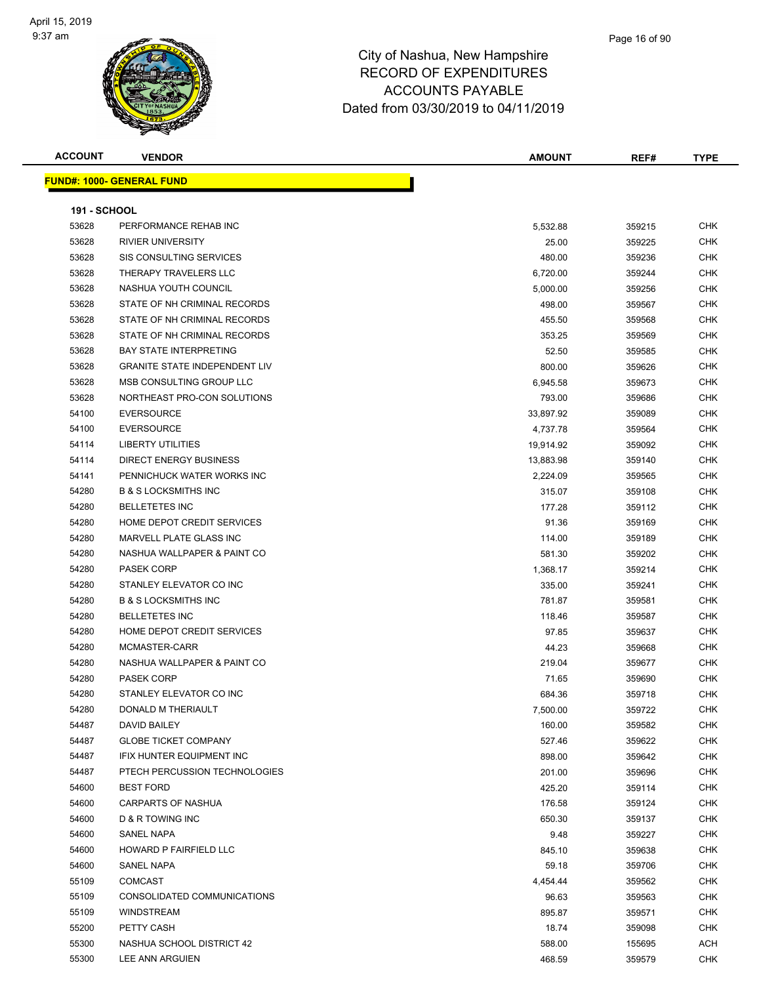

#### Page 16 of 90

| <b>ACCOUNT</b>      | <b>VENDOR</b>                        | <b>AMOUNT</b> | REF#   | <b>TYPE</b> |
|---------------------|--------------------------------------|---------------|--------|-------------|
|                     | <b>FUND#: 1000- GENERAL FUND</b>     |               |        |             |
|                     |                                      |               |        |             |
| <b>191 - SCHOOL</b> |                                      |               |        |             |
| 53628               | PERFORMANCE REHAB INC                | 5,532.88      | 359215 | CHK         |
| 53628               | <b>RIVIER UNIVERSITY</b>             | 25.00         | 359225 | <b>CHK</b>  |
| 53628               | SIS CONSULTING SERVICES              | 480.00        | 359236 | <b>CHK</b>  |
| 53628               | THERAPY TRAVELERS LLC                | 6,720.00      | 359244 | <b>CHK</b>  |
| 53628               | NASHUA YOUTH COUNCIL                 | 5,000.00      | 359256 | <b>CHK</b>  |
| 53628               | STATE OF NH CRIMINAL RECORDS         | 498.00        | 359567 | <b>CHK</b>  |
| 53628               | STATE OF NH CRIMINAL RECORDS         | 455.50        | 359568 | <b>CHK</b>  |
| 53628               | STATE OF NH CRIMINAL RECORDS         | 353.25        | 359569 | <b>CHK</b>  |
| 53628               | <b>BAY STATE INTERPRETING</b>        | 52.50         | 359585 | CHK         |
| 53628               | <b>GRANITE STATE INDEPENDENT LIV</b> | 800.00        | 359626 | CHK         |
| 53628               | MSB CONSULTING GROUP LLC             | 6,945.58      | 359673 | CHK         |
| 53628               | NORTHEAST PRO-CON SOLUTIONS          | 793.00        | 359686 | CHK         |
| 54100               | <b>EVERSOURCE</b>                    | 33,897.92     | 359089 | <b>CHK</b>  |
| 54100               | <b>EVERSOURCE</b>                    | 4,737.78      | 359564 | <b>CHK</b>  |
| 54114               | <b>LIBERTY UTILITIES</b>             | 19,914.92     | 359092 | CHK         |
| 54114               | <b>DIRECT ENERGY BUSINESS</b>        | 13,883.98     | 359140 | <b>CHK</b>  |
| 54141               | PENNICHUCK WATER WORKS INC           | 2,224.09      | 359565 | <b>CHK</b>  |
| 54280               | <b>B &amp; S LOCKSMITHS INC</b>      | 315.07        | 359108 | CHK         |
| 54280               | <b>BELLETETES INC</b>                | 177.28        | 359112 | <b>CHK</b>  |
| 54280               | HOME DEPOT CREDIT SERVICES           | 91.36         | 359169 | CHK         |
| 54280               | MARVELL PLATE GLASS INC              | 114.00        | 359189 | CHK         |
| 54280               | NASHUA WALLPAPER & PAINT CO          | 581.30        | 359202 | CHK         |
| 54280               | <b>PASEK CORP</b>                    | 1,368.17      | 359214 | CHK         |
| 54280               | STANLEY ELEVATOR CO INC              | 335.00        | 359241 | <b>CHK</b>  |
| 54280               | <b>B &amp; S LOCKSMITHS INC</b>      | 781.87        | 359581 | <b>CHK</b>  |
| 54280               | <b>BELLETETES INC</b>                | 118.46        | 359587 | CHK         |
| 54280               | HOME DEPOT CREDIT SERVICES           | 97.85         | 359637 | <b>CHK</b>  |
| 54280               | MCMASTER-CARR                        | 44.23         | 359668 | <b>CHK</b>  |
| 54280               | NASHUA WALLPAPER & PAINT CO          | 219.04        | 359677 | CHK         |
| 54280               | <b>PASEK CORP</b>                    | 71.65         | 359690 | CHK         |
| 54280               | STANLEY ELEVATOR CO INC              | 684.36        | 359718 | CHK         |
| 54280               | DONALD M THERIAULT                   | 7,500.00      | 359722 | <b>CHK</b>  |
| 54487               | DAVID BAILEY                         | 160.00        | 359582 | CHK         |
| 54487               | <b>GLOBE TICKET COMPANY</b>          | 527.46        | 359622 | CHK         |
| 54487               | IFIX HUNTER EQUIPMENT INC            | 898.00        | 359642 | <b>CHK</b>  |
| 54487               | PTECH PERCUSSION TECHNOLOGIES        | 201.00        | 359696 | <b>CHK</b>  |
| 54600               | <b>BEST FORD</b>                     | 425.20        | 359114 | CHK         |
| 54600               | CARPARTS OF NASHUA                   | 176.58        | 359124 | <b>CHK</b>  |
| 54600               | D & R TOWING INC                     | 650.30        | 359137 | <b>CHK</b>  |
| 54600               | SANEL NAPA                           | 9.48          | 359227 | CHK         |
| 54600               | HOWARD P FAIRFIELD LLC               | 845.10        | 359638 | CHK         |
| 54600               | <b>SANEL NAPA</b>                    | 59.18         | 359706 | CHK         |
| 55109               | <b>COMCAST</b>                       | 4,454.44      | 359562 | CHK         |
| 55109               | CONSOLIDATED COMMUNICATIONS          | 96.63         | 359563 | <b>CHK</b>  |
| 55109               | WINDSTREAM                           | 895.87        | 359571 | CHK         |
| 55200               | PETTY CASH                           | 18.74         | 359098 | <b>CHK</b>  |
| 55300               | NASHUA SCHOOL DISTRICT 42            | 588.00        | 155695 | <b>ACH</b>  |
| 55300               | LEE ANN ARGUIEN                      | 468.59        | 359579 | CHK         |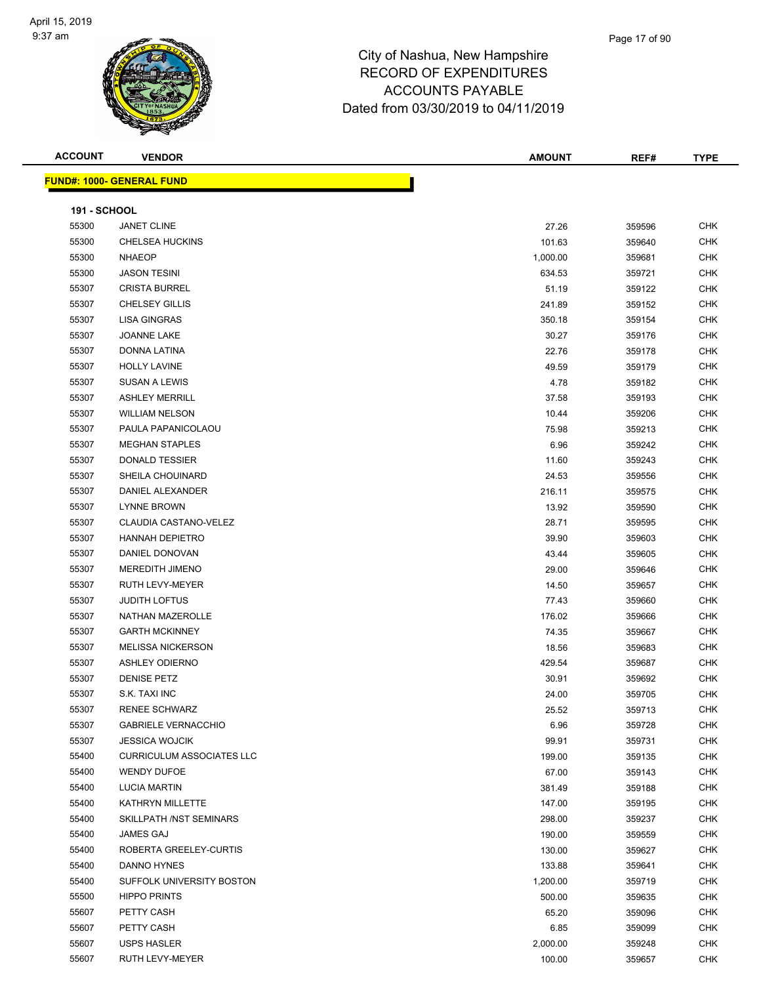

| <b>ACCOUNT</b>      | <b>VENDOR</b>                     | <b>AMOUNT</b> | REF#   | <b>TYPE</b> |
|---------------------|-----------------------------------|---------------|--------|-------------|
|                     | <u> FUND#: 1000- GENERAL FUND</u> |               |        |             |
|                     |                                   |               |        |             |
| <b>191 - SCHOOL</b> |                                   |               |        |             |
| 55300               | <b>JANET CLINE</b>                | 27.26         | 359596 | <b>CHK</b>  |
| 55300               | CHELSEA HUCKINS                   | 101.63        | 359640 | <b>CHK</b>  |
| 55300               | <b>NHAEOP</b>                     | 1,000.00      | 359681 | <b>CHK</b>  |
| 55300               | <b>JASON TESINI</b>               | 634.53        | 359721 | <b>CHK</b>  |
| 55307               | <b>CRISTA BURREL</b>              | 51.19         | 359122 | <b>CHK</b>  |
| 55307               | <b>CHELSEY GILLIS</b>             | 241.89        | 359152 | CHK         |
| 55307               | <b>LISA GINGRAS</b>               | 350.18        | 359154 | <b>CHK</b>  |
| 55307               | JOANNE LAKE                       | 30.27         | 359176 | <b>CHK</b>  |
| 55307               | DONNA LATINA                      | 22.76         | 359178 | <b>CHK</b>  |
| 55307               | <b>HOLLY LAVINE</b>               | 49.59         | 359179 | <b>CHK</b>  |
| 55307               | <b>SUSAN A LEWIS</b>              | 4.78          | 359182 | CHK         |
| 55307               | <b>ASHLEY MERRILL</b>             | 37.58         | 359193 | CHK         |
| 55307               | <b>WILLIAM NELSON</b>             | 10.44         | 359206 | <b>CHK</b>  |
| 55307               | PAULA PAPANICOLAOU                | 75.98         | 359213 | <b>CHK</b>  |
| 55307               | <b>MEGHAN STAPLES</b>             | 6.96          | 359242 | <b>CHK</b>  |
| 55307               | DONALD TESSIER                    | 11.60         | 359243 | <b>CHK</b>  |
| 55307               | SHEILA CHOUINARD                  | 24.53         | 359556 | CHK         |
| 55307               | DANIEL ALEXANDER                  | 216.11        | 359575 | <b>CHK</b>  |
| 55307               | <b>LYNNE BROWN</b>                | 13.92         | 359590 | CHK         |
| 55307               | CLAUDIA CASTANO-VELEZ             | 28.71         | 359595 | <b>CHK</b>  |
| 55307               | <b>HANNAH DEPIETRO</b>            | 39.90         | 359603 | CHK         |
| 55307               | DANIEL DONOVAN                    | 43.44         | 359605 | CHK         |
| 55307               | MEREDITH JIMENO                   | 29.00         | 359646 | CHK         |
| 55307               | RUTH LEVY-MEYER                   | 14.50         | 359657 | <b>CHK</b>  |
| 55307               | <b>JUDITH LOFTUS</b>              | 77.43         | 359660 | <b>CHK</b>  |
| 55307               | NATHAN MAZEROLLE                  | 176.02        | 359666 | <b>CHK</b>  |
| 55307               | <b>GARTH MCKINNEY</b>             | 74.35         | 359667 | <b>CHK</b>  |
| 55307               | <b>MELISSA NICKERSON</b>          | 18.56         | 359683 | <b>CHK</b>  |
| 55307               | <b>ASHLEY ODIERNO</b>             | 429.54        | 359687 | <b>CHK</b>  |
| 55307               | <b>DENISE PETZ</b>                | 30.91         | 359692 | <b>CHK</b>  |
| 55307               | S.K. TAXI INC                     | 24.00         | 359705 | <b>CHK</b>  |
| 55307               | RENEE SCHWARZ                     | 25.52         | 359713 | <b>CHK</b>  |
| 55307               | <b>GABRIELE VERNACCHIO</b>        | 6.96          | 359728 | CHK         |
| 55307               | <b>JESSICA WOJCIK</b>             | 99.91         | 359731 | <b>CHK</b>  |
| 55400               | <b>CURRICULUM ASSOCIATES LLC</b>  | 199.00        | 359135 | <b>CHK</b>  |
| 55400               | <b>WENDY DUFOE</b>                | 67.00         | 359143 | <b>CHK</b>  |
| 55400               | <b>LUCIA MARTIN</b>               | 381.49        | 359188 | <b>CHK</b>  |
| 55400               | KATHRYN MILLETTE                  | 147.00        | 359195 | CHK         |
| 55400               | SKILLPATH /NST SEMINARS           | 298.00        | 359237 | <b>CHK</b>  |
| 55400               | JAMES GAJ                         | 190.00        | 359559 | <b>CHK</b>  |
| 55400               | ROBERTA GREELEY-CURTIS            | 130.00        | 359627 | <b>CHK</b>  |
| 55400               | DANNO HYNES                       | 133.88        | 359641 | <b>CHK</b>  |
| 55400               | SUFFOLK UNIVERSITY BOSTON         | 1,200.00      | 359719 | <b>CHK</b>  |
| 55500               | <b>HIPPO PRINTS</b>               | 500.00        | 359635 | CHK         |
| 55607               | PETTY CASH                        | 65.20         | 359096 | <b>CHK</b>  |
| 55607               | PETTY CASH                        | 6.85          | 359099 | <b>CHK</b>  |
| 55607               | USPS HASLER                       | 2,000.00      | 359248 | <b>CHK</b>  |
| 55607               | RUTH LEVY-MEYER                   | 100.00        | 359657 | <b>CHK</b>  |
|                     |                                   |               |        |             |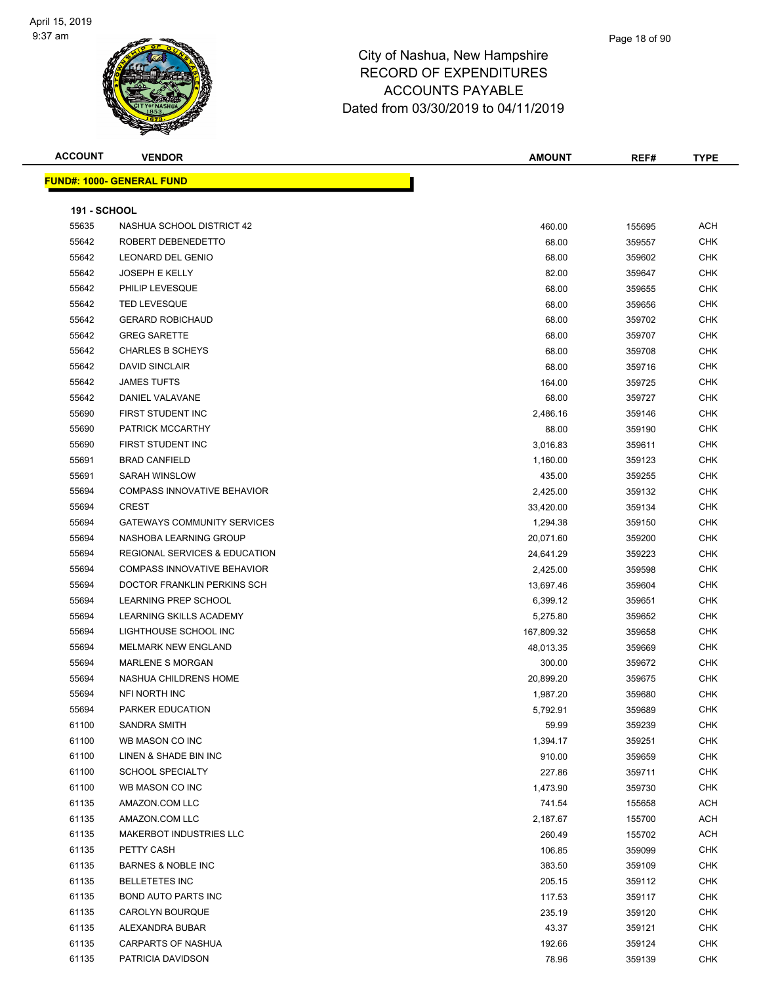

#### Page 18 of 90

| <b>ACCOUNT</b>      | <b>VENDOR</b>                            | <b>AMOUNT</b>        | REF#             | <b>TYPE</b>              |
|---------------------|------------------------------------------|----------------------|------------------|--------------------------|
|                     | <b>FUND#: 1000- GENERAL FUND</b>         |                      |                  |                          |
|                     |                                          |                      |                  |                          |
| <b>191 - SCHOOL</b> |                                          |                      |                  |                          |
| 55635               | NASHUA SCHOOL DISTRICT 42                | 460.00               | 155695           | ACH                      |
| 55642               | ROBERT DEBENEDETTO                       | 68.00                | 359557           | <b>CHK</b>               |
| 55642               | <b>LEONARD DEL GENIO</b>                 | 68.00                | 359602           | <b>CHK</b>               |
| 55642               | <b>JOSEPH E KELLY</b>                    | 82.00                | 359647           | <b>CHK</b>               |
| 55642               | PHILIP LEVESQUE                          | 68.00                | 359655           | <b>CHK</b>               |
| 55642               | <b>TED LEVESQUE</b>                      | 68.00                | 359656           | <b>CHK</b>               |
| 55642               | <b>GERARD ROBICHAUD</b>                  | 68.00                | 359702           | <b>CHK</b>               |
| 55642               | <b>GREG SARETTE</b>                      | 68.00                | 359707           | <b>CHK</b>               |
| 55642               | <b>CHARLES B SCHEYS</b>                  | 68.00                | 359708           | <b>CHK</b>               |
| 55642               | <b>DAVID SINCLAIR</b>                    | 68.00                | 359716           | <b>CHK</b>               |
| 55642               | <b>JAMES TUFTS</b>                       | 164.00               | 359725           | <b>CHK</b>               |
| 55642               | DANIEL VALAVANE                          | 68.00                | 359727           | <b>CHK</b>               |
| 55690               | FIRST STUDENT INC                        | 2,486.16             | 359146           | <b>CHK</b>               |
| 55690               | PATRICK MCCARTHY                         | 88.00                | 359190           | <b>CHK</b>               |
| 55690               | FIRST STUDENT INC                        | 3,016.83             | 359611           | <b>CHK</b>               |
| 55691               | <b>BRAD CANFIELD</b>                     | 1,160.00             | 359123           | <b>CHK</b>               |
| 55691               | <b>SARAH WINSLOW</b>                     | 435.00               | 359255           | <b>CHK</b>               |
| 55694               | <b>COMPASS INNOVATIVE BEHAVIOR</b>       | 2,425.00             | 359132           | <b>CHK</b>               |
| 55694               | <b>CREST</b>                             | 33,420.00            | 359134           | <b>CHK</b>               |
| 55694               | <b>GATEWAYS COMMUNITY SERVICES</b>       | 1,294.38             | 359150           | <b>CHK</b>               |
| 55694               | NASHOBA LEARNING GROUP                   | 20,071.60            | 359200           | <b>CHK</b>               |
| 55694               | <b>REGIONAL SERVICES &amp; EDUCATION</b> | 24,641.29            | 359223           | <b>CHK</b>               |
| 55694               | <b>COMPASS INNOVATIVE BEHAVIOR</b>       | 2,425.00             | 359598           | <b>CHK</b>               |
| 55694               | DOCTOR FRANKLIN PERKINS SCH              | 13,697.46            | 359604           | <b>CHK</b>               |
| 55694               | <b>LEARNING PREP SCHOOL</b>              |                      |                  | <b>CHK</b>               |
| 55694               | LEARNING SKILLS ACADEMY                  | 6,399.12<br>5,275.80 | 359651<br>359652 | <b>CHK</b>               |
| 55694               | LIGHTHOUSE SCHOOL INC                    | 167,809.32           | 359658           | <b>CHK</b>               |
| 55694               | <b>MELMARK NEW ENGLAND</b>               |                      |                  | <b>CHK</b>               |
| 55694               | <b>MARLENE S MORGAN</b>                  | 48,013.35<br>300.00  | 359669<br>359672 | <b>CHK</b>               |
| 55694               | NASHUA CHILDRENS HOME                    |                      |                  | <b>CHK</b>               |
|                     | <b>NFI NORTH INC</b>                     | 20,899.20            | 359675           | <b>CHK</b>               |
| 55694<br>55694      | PARKER EDUCATION                         | 1,987.20             | 359680           | <b>CHK</b>               |
| 61100               | SANDRA SMITH                             | 5,792.91             | 359689           | <b>CHK</b>               |
| 61100               |                                          | 59.99                | 359239           | <b>CHK</b>               |
| 61100               | WB MASON CO INC<br>LINEN & SHADE BIN INC | 1,394.17             | 359251           |                          |
| 61100               | <b>SCHOOL SPECIALTY</b>                  | 910.00               | 359659           | <b>CHK</b><br><b>CHK</b> |
| 61100               |                                          | 227.86               | 359711           |                          |
|                     | WB MASON CO INC                          | 1,473.90             | 359730           | <b>CHK</b>               |
| 61135               | AMAZON.COM LLC                           | 741.54               | 155658           | ACH                      |
| 61135               | AMAZON.COM LLC                           | 2,187.67             | 155700           | ACH                      |
| 61135               | MAKERBOT INDUSTRIES LLC                  | 260.49               | 155702           | ACH                      |
| 61135               | PETTY CASH                               | 106.85               | 359099           | <b>CHK</b>               |
| 61135               | <b>BARNES &amp; NOBLE INC</b>            | 383.50               | 359109           | <b>CHK</b>               |
| 61135               | <b>BELLETETES INC</b>                    | 205.15               | 359112           | <b>CHK</b>               |
| 61135               | <b>BOND AUTO PARTS INC</b>               | 117.53               | 359117           | <b>CHK</b>               |
| 61135               | CAROLYN BOURQUE                          | 235.19               | 359120           | <b>CHK</b>               |
| 61135               | ALEXANDRA BUBAR                          | 43.37                | 359121           | <b>CHK</b>               |
| 61135               | <b>CARPARTS OF NASHUA</b>                | 192.66               | 359124           | <b>CHK</b>               |
| 61135               | PATRICIA DAVIDSON                        | 78.96                | 359139           | <b>CHK</b>               |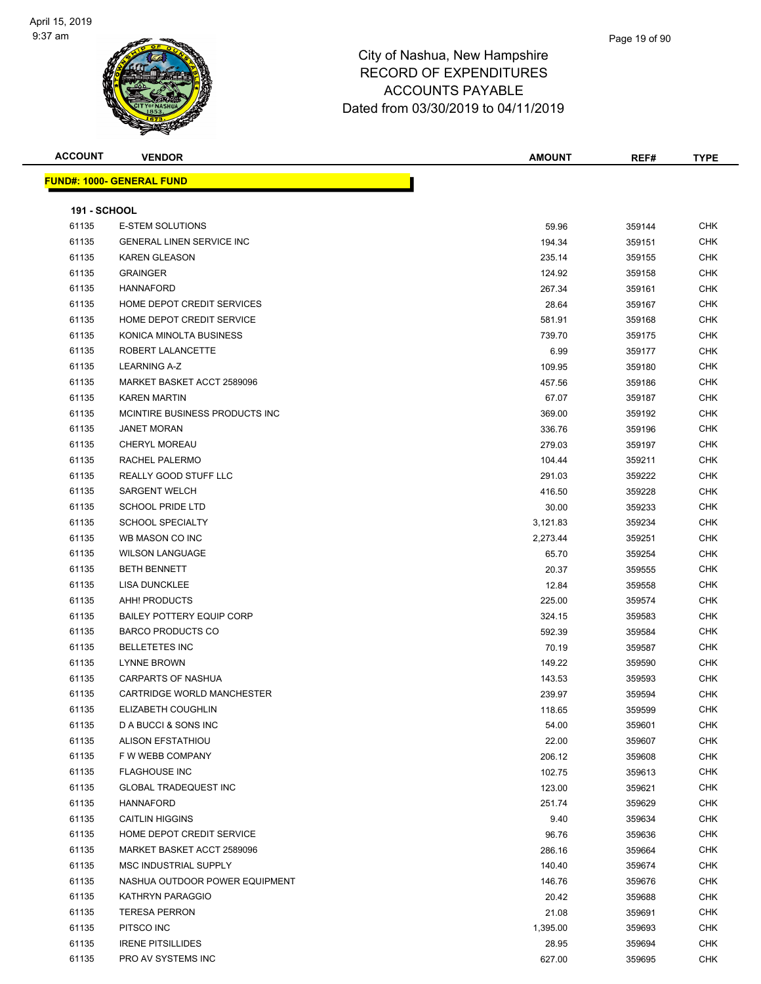

Page 19 of 90

|                     | <b>FUND#: 1000- GENERAL FUND</b> |          |        |            |
|---------------------|----------------------------------|----------|--------|------------|
| <b>191 - SCHOOL</b> |                                  |          |        |            |
| 61135               | <b>E-STEM SOLUTIONS</b>          | 59.96    | 359144 | <b>CHK</b> |
| 61135               | <b>GENERAL LINEN SERVICE INC</b> | 194.34   | 359151 | <b>CHK</b> |
| 61135               | <b>KAREN GLEASON</b>             | 235.14   | 359155 | <b>CHK</b> |
| 61135               | <b>GRAINGER</b>                  | 124.92   | 359158 | <b>CHK</b> |
| 61135               | <b>HANNAFORD</b>                 | 267.34   | 359161 | <b>CHK</b> |
| 61135               | HOME DEPOT CREDIT SERVICES       | 28.64    | 359167 | <b>CHK</b> |
| 61135               | HOME DEPOT CREDIT SERVICE        | 581.91   | 359168 | <b>CHK</b> |
| 61135               | KONICA MINOLTA BUSINESS          | 739.70   | 359175 | <b>CHK</b> |
| 61135               | ROBERT LALANCETTE                | 6.99     | 359177 | <b>CHK</b> |
| 61135               | LEARNING A-Z                     | 109.95   | 359180 | <b>CHK</b> |
| 61135               | MARKET BASKET ACCT 2589096       | 457.56   | 359186 | <b>CHK</b> |
| 61135               | <b>KAREN MARTIN</b>              | 67.07    | 359187 | <b>CHK</b> |
| 61135               | MCINTIRE BUSINESS PRODUCTS INC   | 369.00   | 359192 | <b>CHK</b> |
| 61135               | <b>JANET MORAN</b>               | 336.76   | 359196 | <b>CHK</b> |
| 61135               | CHERYL MOREAU                    | 279.03   | 359197 | <b>CHK</b> |
| 61135               | RACHEL PALERMO                   | 104.44   | 359211 | <b>CHK</b> |
| 61135               | REALLY GOOD STUFF LLC            | 291.03   | 359222 | <b>CHK</b> |
| 61135               | <b>SARGENT WELCH</b>             | 416.50   | 359228 | <b>CHK</b> |
| 61135               | <b>SCHOOL PRIDE LTD</b>          | 30.00    | 359233 | <b>CHK</b> |
| 61135               | <b>SCHOOL SPECIALTY</b>          | 3,121.83 | 359234 | <b>CHK</b> |
| 61135               | WB MASON CO INC                  | 2,273.44 | 359251 | <b>CHK</b> |
| 61135               | <b>WILSON LANGUAGE</b>           | 65.70    | 359254 | <b>CHK</b> |
| 61135               | <b>BETH BENNETT</b>              | 20.37    | 359555 | <b>CHK</b> |
| 61135               | <b>LISA DUNCKLEE</b>             | 12.84    | 359558 | <b>CHK</b> |
| 61135               | AHH! PRODUCTS                    | 225.00   | 359574 | <b>CHK</b> |
| 61135               | <b>BAILEY POTTERY EQUIP CORP</b> | 324.15   | 359583 | <b>CHK</b> |
| 61135               | <b>BARCO PRODUCTS CO</b>         | 592.39   | 359584 | <b>CHK</b> |
| 61135               | <b>BELLETETES INC</b>            | 70.19    | 359587 | <b>CHK</b> |
| 61135               | <b>LYNNE BROWN</b>               | 149.22   | 359590 | <b>CHK</b> |
| 61135               | <b>CARPARTS OF NASHUA</b>        | 143.53   | 359593 | <b>CHK</b> |
| 61135               | CARTRIDGE WORLD MANCHESTER       | 239.97   | 359594 | <b>CHK</b> |
| 61135               | ELIZABETH COUGHLIN               | 118.65   | 359599 | <b>CHK</b> |
| 61135               | D A BUCCI & SONS INC             | 54.00    | 359601 | <b>CHK</b> |
| 61135               | <b>ALISON EFSTATHIOU</b>         | 22.00    | 359607 | <b>CHK</b> |
| 61135               | F W WEBB COMPANY                 | 206.12   | 359608 | CHK        |
| 61135               | <b>FLAGHOUSE INC</b>             | 102.75   | 359613 | CHK        |
| 61135               | <b>GLOBAL TRADEQUEST INC</b>     | 123.00   | 359621 | <b>CHK</b> |
| 61135               | <b>HANNAFORD</b>                 | 251.74   | 359629 | <b>CHK</b> |
| 61135               | <b>CAITLIN HIGGINS</b>           | 9.40     | 359634 | <b>CHK</b> |

er and the series of the series of the series of the series of the series of the series of the series of the series of the series of the series of the series of the series of the series of the series of the series of the s MARKET BASKET ACCT 2589096 286.16 359664 CHK MSC INDUSTRIAL SUPPLY 140.40 359674 CHK NASHUA OUTDOOR POWER EQUIPMENT 146.76 359676 CHK KATHRYN PARAGGIO 20.42 359688 CHK TERESA PERRON 21.08 359691 CHK PITSCO INC 1,395.00 359693 CHK IRENE PITSILLIDES 28.95 359694 CHK er and the state of the state of the state of the state of the state of the state of the state of the state of the state of the state of the state of the state of the state of the state of the state of the state of the sta

# **ACCOUNT VENDOR AMOUNT REF# TYPE**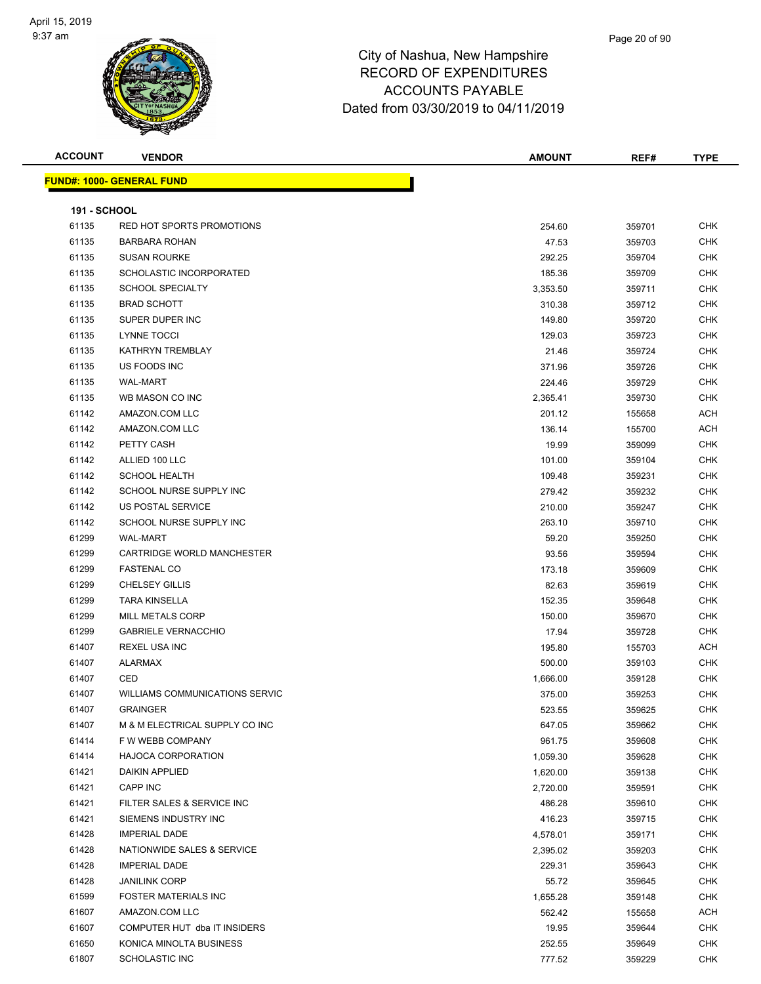

#### Page 20 of 90

| <b>ACCOUNT</b>      | <b>VENDOR</b>                                      | <b>AMOUNT</b>      | REF#             | <b>TYPE</b>              |
|---------------------|----------------------------------------------------|--------------------|------------------|--------------------------|
|                     | <b>FUND#: 1000- GENERAL FUND</b>                   |                    |                  |                          |
|                     |                                                    |                    |                  |                          |
| <b>191 - SCHOOL</b> |                                                    |                    |                  |                          |
| 61135               | RED HOT SPORTS PROMOTIONS                          | 254.60             | 359701           | <b>CHK</b>               |
| 61135               | <b>BARBARA ROHAN</b>                               | 47.53              | 359703           | <b>CHK</b>               |
| 61135               | <b>SUSAN ROURKE</b>                                | 292.25             | 359704           | <b>CHK</b>               |
| 61135               | SCHOLASTIC INCORPORATED                            | 185.36             | 359709           | <b>CHK</b>               |
| 61135               | <b>SCHOOL SPECIALTY</b>                            | 3,353.50           | 359711           | <b>CHK</b>               |
| 61135               | <b>BRAD SCHOTT</b>                                 | 310.38             | 359712           | <b>CHK</b>               |
| 61135               | SUPER DUPER INC                                    | 149.80             | 359720           | <b>CHK</b>               |
| 61135               | LYNNE TOCCI                                        | 129.03             | 359723           | <b>CHK</b>               |
| 61135               | KATHRYN TREMBLAY                                   | 21.46              | 359724           | <b>CHK</b>               |
| 61135               | US FOODS INC                                       | 371.96             | 359726           | <b>CHK</b>               |
| 61135               | <b>WAL-MART</b>                                    | 224.46             | 359729           | <b>CHK</b>               |
| 61135               | WB MASON CO INC                                    | 2,365.41           | 359730           | <b>CHK</b>               |
| 61142               | AMAZON.COM LLC                                     | 201.12             | 155658           | <b>ACH</b>               |
| 61142               | AMAZON.COM LLC                                     | 136.14             | 155700           | <b>ACH</b>               |
| 61142               | PETTY CASH                                         | 19.99              | 359099           | <b>CHK</b>               |
| 61142               | ALLIED 100 LLC                                     | 101.00             | 359104           | <b>CHK</b>               |
| 61142               | <b>SCHOOL HEALTH</b>                               | 109.48             | 359231           | <b>CHK</b>               |
| 61142               | SCHOOL NURSE SUPPLY INC                            | 279.42             | 359232           | <b>CHK</b>               |
| 61142               | US POSTAL SERVICE                                  | 210.00             | 359247           | <b>CHK</b>               |
| 61142               | SCHOOL NURSE SUPPLY INC                            | 263.10             | 359710           | <b>CHK</b>               |
| 61299               | <b>WAL-MART</b>                                    | 59.20              | 359250           | <b>CHK</b>               |
| 61299               | CARTRIDGE WORLD MANCHESTER                         | 93.56              | 359594           | <b>CHK</b>               |
| 61299               | <b>FASTENAL CO</b>                                 | 173.18             | 359609           | <b>CHK</b>               |
| 61299               | <b>CHELSEY GILLIS</b>                              | 82.63              | 359619           | <b>CHK</b>               |
| 61299               | <b>TARA KINSELLA</b>                               | 152.35             | 359648           | <b>CHK</b>               |
| 61299               | MILL METALS CORP                                   | 150.00             | 359670           | <b>CHK</b>               |
| 61299               | <b>GABRIELE VERNACCHIO</b>                         | 17.94              | 359728           | <b>CHK</b>               |
| 61407               | <b>REXEL USA INC</b>                               | 195.80             | 155703           | ACH                      |
| 61407               | <b>ALARMAX</b>                                     | 500.00             | 359103           | <b>CHK</b>               |
| 61407               | CED                                                |                    |                  | <b>CHK</b>               |
| 61407               | <b>WILLIAMS COMMUNICATIONS SERVIC</b>              | 1,666.00<br>375.00 | 359128<br>359253 | <b>CHK</b>               |
| 61407               | <b>GRAINGER</b>                                    |                    |                  | <b>CHK</b>               |
| 61407               | M & M ELECTRICAL SUPPLY CO INC                     | 523.55             | 359625           |                          |
| 61414               |                                                    | 647.05             | 359662           | <b>CHK</b><br><b>CHK</b> |
| 61414               | F W WEBB COMPANY                                   | 961.75             | 359608           |                          |
|                     | <b>HAJOCA CORPORATION</b><br><b>DAIKIN APPLIED</b> | 1,059.30           | 359628           | <b>CHK</b>               |
| 61421               |                                                    | 1,620.00           | 359138           | <b>CHK</b>               |
| 61421               | CAPP INC                                           | 2,720.00           | 359591           | <b>CHK</b>               |
| 61421               | FILTER SALES & SERVICE INC<br>SIEMENS INDUSTRY INC | 486.28             | 359610           | <b>CHK</b>               |
| 61421               |                                                    | 416.23             | 359715           | <b>CHK</b>               |
| 61428               | <b>IMPERIAL DADE</b>                               | 4,578.01           | 359171           | <b>CHK</b>               |
| 61428               | NATIONWIDE SALES & SERVICE                         | 2,395.02           | 359203           | <b>CHK</b>               |
| 61428               | <b>IMPERIAL DADE</b>                               | 229.31             | 359643           | <b>CHK</b>               |
| 61428               | <b>JANILINK CORP</b>                               | 55.72              | 359645           | <b>CHK</b>               |
| 61599               | <b>FOSTER MATERIALS INC</b>                        | 1,655.28           | 359148           | <b>CHK</b>               |
| 61607               | AMAZON.COM LLC                                     | 562.42             | 155658           | ACH                      |
| 61607               | COMPUTER HUT dba IT INSIDERS                       | 19.95              | 359644           | <b>CHK</b>               |
| 61650               | KONICA MINOLTA BUSINESS                            | 252.55             | 359649           | <b>CHK</b>               |
| 61807               | <b>SCHOLASTIC INC</b>                              | 777.52             | 359229           | <b>CHK</b>               |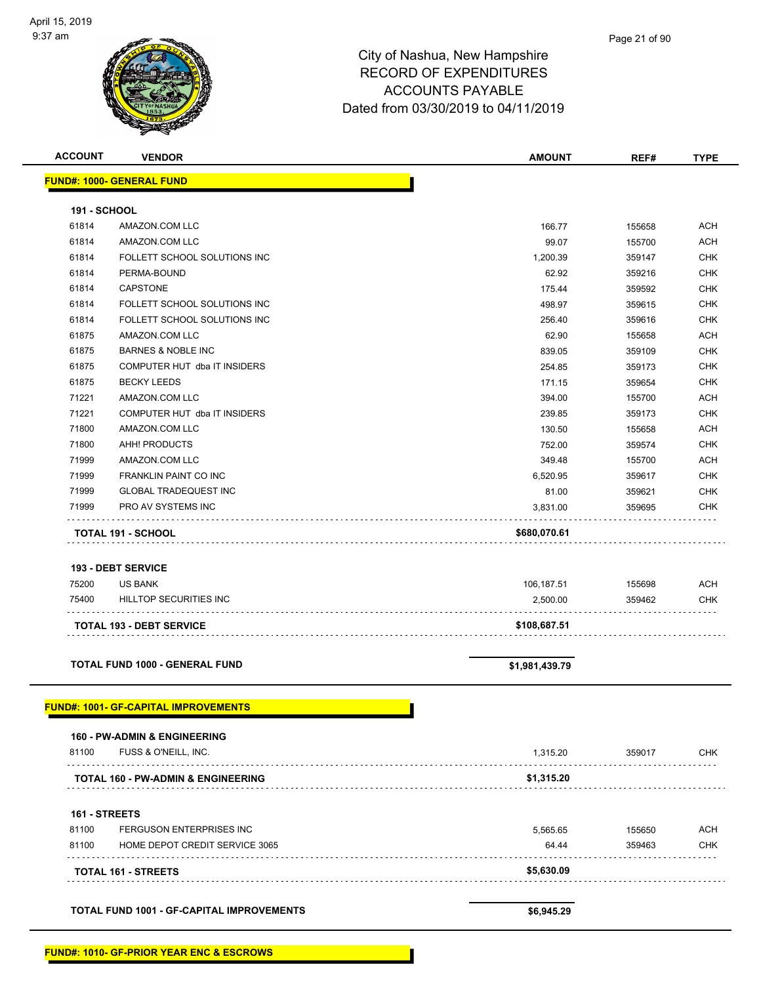| <b>ACCOUNT</b>      | <b>VENDOR</b>                                    | <b>AMOUNT</b>  | REF#   | <b>TYPE</b> |
|---------------------|--------------------------------------------------|----------------|--------|-------------|
|                     | <b>FUND#: 1000- GENERAL FUND</b>                 |                |        |             |
|                     |                                                  |                |        |             |
| <b>191 - SCHOOL</b> |                                                  |                |        |             |
| 61814               | AMAZON.COM LLC                                   | 166.77         | 155658 | <b>ACH</b>  |
| 61814               | AMAZON.COM LLC                                   | 99.07          | 155700 | <b>ACH</b>  |
| 61814               | FOLLETT SCHOOL SOLUTIONS INC                     | 1,200.39       | 359147 | <b>CHK</b>  |
| 61814               | PERMA-BOUND                                      | 62.92          | 359216 | <b>CHK</b>  |
| 61814               | CAPSTONE                                         | 175.44         | 359592 | <b>CHK</b>  |
| 61814               | FOLLETT SCHOOL SOLUTIONS INC                     | 498.97         | 359615 | <b>CHK</b>  |
| 61814               | FOLLETT SCHOOL SOLUTIONS INC                     | 256.40         | 359616 | <b>CHK</b>  |
| 61875               | AMAZON.COM LLC                                   | 62.90          | 155658 | <b>ACH</b>  |
| 61875               | <b>BARNES &amp; NOBLE INC</b>                    | 839.05         | 359109 | <b>CHK</b>  |
| 61875               | COMPUTER HUT dba IT INSIDERS                     | 254.85         | 359173 | <b>CHK</b>  |
| 61875               | <b>BECKY LEEDS</b>                               | 171.15         | 359654 | <b>CHK</b>  |
| 71221               | AMAZON.COM LLC                                   | 394.00         | 155700 | <b>ACH</b>  |
| 71221               | COMPUTER HUT dba IT INSIDERS                     | 239.85         | 359173 | <b>CHK</b>  |
| 71800               | AMAZON.COM LLC                                   | 130.50         | 155658 | <b>ACH</b>  |
| 71800               | AHH! PRODUCTS                                    | 752.00         | 359574 | <b>CHK</b>  |
| 71999               | AMAZON.COM LLC                                   | 349.48         | 155700 | ACH         |
| 71999               | <b>FRANKLIN PAINT CO INC</b>                     | 6,520.95       | 359617 | CHK         |
| 71999               | <b>GLOBAL TRADEQUEST INC</b>                     | 81.00          | 359621 | <b>CHK</b>  |
| 71999               | PRO AV SYSTEMS INC                               | 3,831.00       | 359695 | CHK         |
|                     | TOTAL 191 - SCHOOL                               | \$680,070.61   |        |             |
|                     |                                                  |                |        |             |
|                     | <b>193 - DEBT SERVICE</b>                        |                |        |             |
| 75200               | <b>US BANK</b>                                   | 106,187.51     | 155698 | <b>ACH</b>  |
| 75400               | <b>HILLTOP SECURITIES INC</b>                    | 2,500.00       | 359462 | CHK         |
|                     |                                                  |                |        |             |
|                     | <b>TOTAL 193 - DEBT SERVICE</b>                  | \$108,687.51   |        |             |
|                     |                                                  |                |        |             |
|                     | <b>TOTAL FUND 1000 - GENERAL FUND</b>            | \$1,981,439.79 |        |             |
|                     |                                                  |                |        |             |
|                     |                                                  |                |        |             |
|                     | <b>FUND#: 1001- GF-CAPITAL IMPROVEMENTS</b>      |                |        |             |
|                     | <b>160 - PW-ADMIN &amp; ENGINEERING</b>          |                |        |             |
| 81100               | FUSS & O'NEILL, INC.                             | 1,315.20       | 359017 | <b>CHK</b>  |
|                     | .                                                |                |        |             |
|                     | TOTAL 160 - PW-ADMIN & ENGINEERING               | \$1,315.20     |        |             |
|                     |                                                  |                |        |             |
| 161 - STREETS       |                                                  |                |        |             |
| 81100               | FERGUSON ENTERPRISES INC                         | 5,565.65       | 155650 | ACH         |
| 81100               | HOME DEPOT CREDIT SERVICE 3065                   | 64.44          | 359463 | CHK         |
|                     |                                                  |                |        |             |
|                     | TOTAL 161 - STREETS                              | \$5,630.09     |        |             |
|                     |                                                  |                |        |             |
|                     | <b>TOTAL FUND 1001 - GF-CAPITAL IMPROVEMENTS</b> | \$6,945.29     |        |             |
|                     |                                                  |                |        |             |
|                     |                                                  |                |        |             |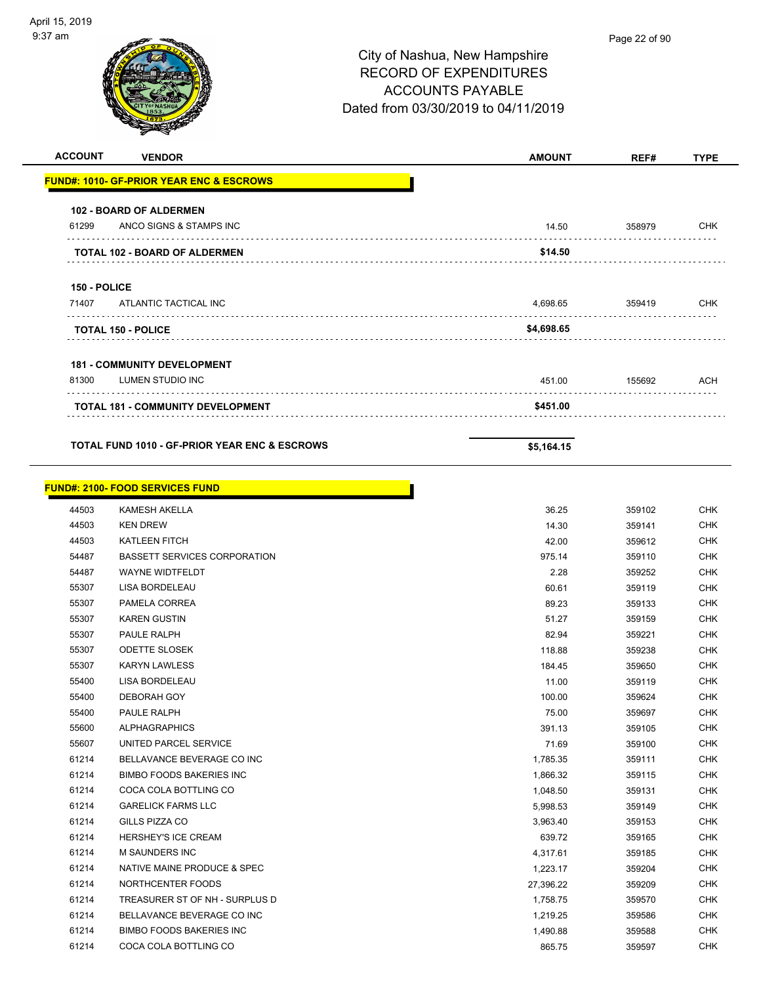| <b>ACCOUNT</b>      | <b>VENDOR</b>                                            | <b>AMOUNT</b> | REF#   | <b>TYPE</b> |
|---------------------|----------------------------------------------------------|---------------|--------|-------------|
|                     | <b>FUND#: 1010- GF-PRIOR YEAR ENC &amp; ESCROWS</b>      |               |        |             |
|                     | <b>102 - BOARD OF ALDERMEN</b>                           |               |        |             |
| 61299               | ANCO SIGNS & STAMPS INC                                  | 14.50         | 358979 | CHK         |
|                     | <b>TOTAL 102 - BOARD OF ALDERMEN</b>                     | \$14.50       |        |             |
| <b>150 - POLICE</b> |                                                          |               |        |             |
| 71407               | ATLANTIC TACTICAL INC                                    | 4,698.65      | 359419 | CHK         |
|                     | <b>TOTAL 150 - POLICE</b>                                | \$4,698.65    |        |             |
|                     | <b>181 - COMMUNITY DEVELOPMENT</b>                       |               |        |             |
| 81300               | LUMEN STUDIO INC                                         | 451.00        | 155692 | ACH         |
|                     | TOTAL 181 - COMMUNITY DEVELOPMENT                        | \$451.00      |        |             |
|                     |                                                          |               |        |             |
|                     | <b>TOTAL FUND 1010 - GF-PRIOR YEAR ENC &amp; ESCROWS</b> | \$5,164.15    |        |             |
|                     | <b>FUND#: 2100- FOOD SERVICES FUND</b>                   |               |        |             |
| 44503               | <b>KAMESH AKELLA</b>                                     | 36.25         | 359102 | <b>CHK</b>  |
| 44503               | <b>KEN DREW</b>                                          | 14.30         | 359141 | CHK         |
| 44503               | <b>KATLEEN FITCH</b>                                     | 42.00         | 359612 | CHK         |
| 54487               | <b>BASSETT SERVICES CORPORATION</b>                      | 975.14        | 359110 | CHK         |
| 54487               | <b>WAYNE WIDTFELDT</b>                                   | 2.28          | 359252 | CHK         |
| 55307               | LISA BORDELEAU                                           | 60.61         | 359119 | <b>CHK</b>  |
| 55307               | PAMELA CORREA                                            | 89.23         | 359133 | CHK         |
| 55307               | <b>KAREN GUSTIN</b>                                      | 51.27         | 359159 | <b>CHK</b>  |
| 55307               | <b>PAULE RALPH</b>                                       | 82.94         | 359221 | CHK         |
| 55307               | <b>ODETTE SLOSEK</b>                                     | 118.88        | 359238 | CHK         |
| 55307               | <b>KARYN LAWLESS</b>                                     | 184.45        | 359650 | CHK         |
| 55400               | LISA BORDELEAU                                           | 11.00         | 359119 | <b>CHK</b>  |
| 55400               | DEBORAH GOY                                              | 100.00        | 359624 | CHK         |
| 55400               | PAULE RALPH                                              | 75.00         | 359697 | <b>CHK</b>  |
| 55600               | <b>ALPHAGRAPHICS</b>                                     | 391.13        | 359105 | <b>CHK</b>  |
| 55607               | UNITED PARCEL SERVICE                                    | 71.69         | 359100 | <b>CHK</b>  |
| 61214               | BELLAVANCE BEVERAGE CO INC                               | 1,785.35      | 359111 | <b>CHK</b>  |
| 61214               | <b>BIMBO FOODS BAKERIES INC</b>                          | 1,866.32      | 359115 | <b>CHK</b>  |
| 61214               | COCA COLA BOTTLING CO                                    | 1,048.50      | 359131 | <b>CHK</b>  |
| 61214               | <b>GARELICK FARMS LLC</b>                                | 5,998.53      | 359149 | <b>CHK</b>  |
| 61214               | GILLS PIZZA CO                                           | 3,963.40      | 359153 | CHK         |
| 61214               | HERSHEY'S ICE CREAM                                      | 639.72        | 359165 | <b>CHK</b>  |
| 61214               | M SAUNDERS INC                                           | 4,317.61      | 359185 | <b>CHK</b>  |
| 61214               | NATIVE MAINE PRODUCE & SPEC                              | 1,223.17      | 359204 | CHK         |
| 61214               | NORTHCENTER FOODS                                        | 27,396.22     | 359209 | <b>CHK</b>  |
| 61214               | TREASURER ST OF NH - SURPLUS D                           | 1,758.75      | 359570 | <b>CHK</b>  |
| 61214               | BELLAVANCE BEVERAGE CO INC                               | 1,219.25      | 359586 | CHK         |
| 61214               | <b>BIMBO FOODS BAKERIES INC</b>                          | 1,490.88      | 359588 | <b>CHK</b>  |
| 61214               | COCA COLA BOTTLING CO                                    | 865.75        | 359597 | CHK         |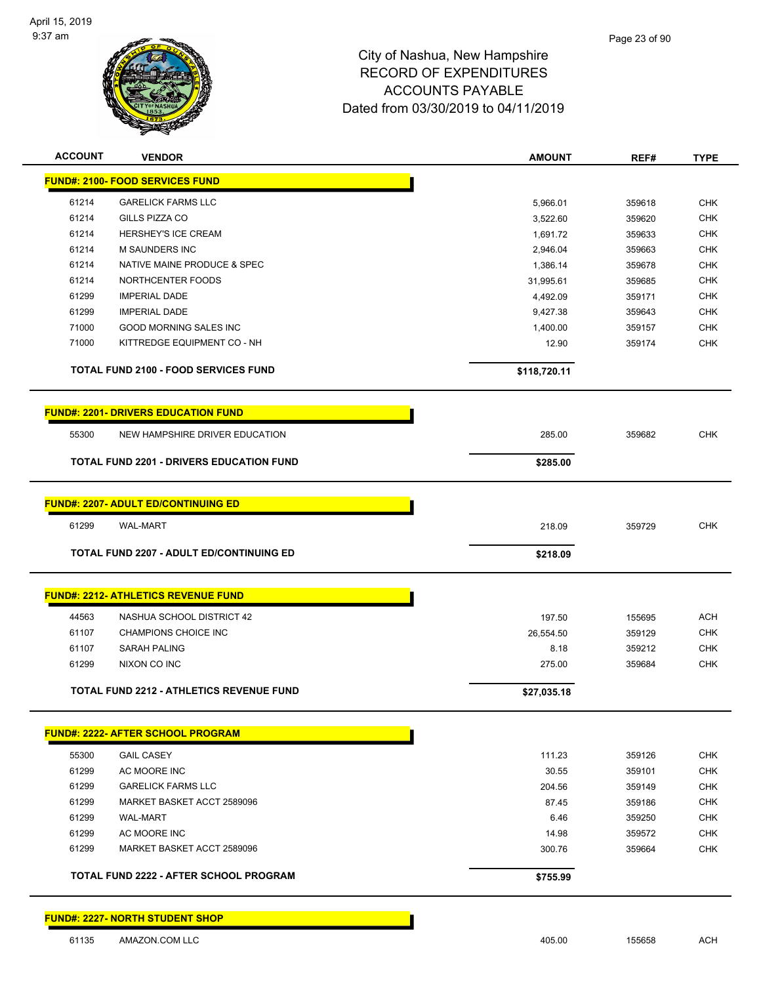

| <b>ACCOUNT</b> | <b>VENDOR</b>                                   | <b>AMOUNT</b> | REF#   | <b>TYPE</b> |
|----------------|-------------------------------------------------|---------------|--------|-------------|
|                | <b>FUND#: 2100- FOOD SERVICES FUND</b>          |               |        |             |
| 61214          | <b>GARELICK FARMS LLC</b>                       | 5,966.01      | 359618 | <b>CHK</b>  |
| 61214          | GILLS PIZZA CO                                  | 3,522.60      | 359620 | <b>CHK</b>  |
| 61214          | <b>HERSHEY'S ICE CREAM</b>                      | 1,691.72      | 359633 | <b>CHK</b>  |
| 61214          | M SAUNDERS INC                                  | 2,946.04      | 359663 | <b>CHK</b>  |
| 61214          | NATIVE MAINE PRODUCE & SPEC                     | 1,386.14      | 359678 | <b>CHK</b>  |
| 61214          | NORTHCENTER FOODS                               | 31,995.61     | 359685 | <b>CHK</b>  |
| 61299          | <b>IMPERIAL DADE</b>                            | 4,492.09      | 359171 | <b>CHK</b>  |
| 61299          | <b>IMPERIAL DADE</b>                            | 9,427.38      | 359643 | <b>CHK</b>  |
| 71000          | GOOD MORNING SALES INC                          | 1,400.00      | 359157 | <b>CHK</b>  |
| 71000          | KITTREDGE EQUIPMENT CO - NH                     | 12.90         | 359174 | <b>CHK</b>  |
|                | <b>TOTAL FUND 2100 - FOOD SERVICES FUND</b>     | \$118,720.11  |        |             |
|                | <b>FUND#: 2201- DRIVERS EDUCATION FUND</b>      |               |        |             |
| 55300          | NEW HAMPSHIRE DRIVER EDUCATION                  | 285.00        | 359682 | <b>CHK</b>  |
|                | <b>TOTAL FUND 2201 - DRIVERS EDUCATION FUND</b> | \$285.00      |        |             |
|                |                                                 |               |        |             |
|                | <b>FUND#: 2207- ADULT ED/CONTINUING ED</b>      |               |        |             |
| 61299          | <b>WAL-MART</b>                                 | 218.09        | 359729 | <b>CHK</b>  |
|                | <b>TOTAL FUND 2207 - ADULT ED/CONTINUING ED</b> | \$218.09      |        |             |
|                |                                                 |               |        |             |
|                | <b>FUND#: 2212- ATHLETICS REVENUE FUND</b>      |               |        |             |
| 44563          | NASHUA SCHOOL DISTRICT 42                       | 197.50        | 155695 | <b>ACH</b>  |
| 61107          | <b>CHAMPIONS CHOICE INC</b>                     | 26,554.50     | 359129 | CHK         |
| 61107          | <b>SARAH PALING</b>                             | 8.18          | 359212 | <b>CHK</b>  |
| 61299          | NIXON CO INC                                    | 275.00        | 359684 | <b>CHK</b>  |
|                | <b>TOTAL FUND 2212 - ATHLETICS REVENUE FUND</b> | \$27,035.18   |        |             |
|                |                                                 |               |        |             |
|                | <b>FUND#: 2222- AFTER SCHOOL PROGRAM</b>        |               |        |             |
| 55300          | <b>GAIL CASEY</b>                               | 111.23        | 359126 | <b>CHK</b>  |
| 61299          | AC MOORE INC                                    | 30.55         | 359101 | <b>CHK</b>  |
| 61299          | <b>GARELICK FARMS LLC</b>                       | 204.56        | 359149 | <b>CHK</b>  |
| 61299          | MARKET BASKET ACCT 2589096                      | 87.45         | 359186 | <b>CHK</b>  |
| 61299          | <b>WAL-MART</b>                                 | 6.46          | 359250 | <b>CHK</b>  |
| 61299          | AC MOORE INC                                    | 14.98         | 359572 | <b>CHK</b>  |
| 61299          | MARKET BASKET ACCT 2589096                      | 300.76        | 359664 | <b>CHK</b>  |
|                | <b>TOTAL FUND 2222 - AFTER SCHOOL PROGRAM</b>   | \$755.99      |        |             |
|                |                                                 |               |        |             |
|                | <b>FUND#: 2227- NORTH STUDENT SHOP</b>          |               |        |             |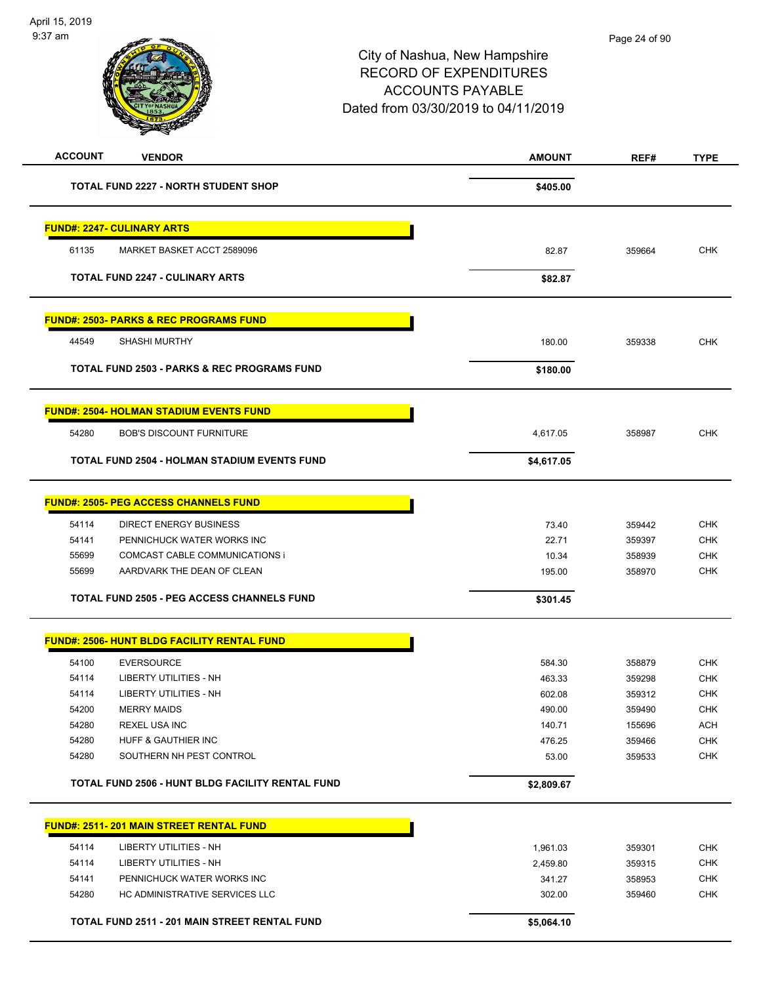| <b>ACCOUNT</b> | <b>VENDOR</b>                                          | <b>AMOUNT</b> | REF#   | <b>TYPE</b> |
|----------------|--------------------------------------------------------|---------------|--------|-------------|
|                | <b>TOTAL FUND 2227 - NORTH STUDENT SHOP</b>            | \$405.00      |        |             |
|                | <b>FUND#: 2247- CULINARY ARTS</b>                      |               |        |             |
| 61135          | MARKET BASKET ACCT 2589096                             | 82.87         | 359664 | <b>CHK</b>  |
|                | <b>TOTAL FUND 2247 - CULINARY ARTS</b>                 | \$82.87       |        |             |
|                | <u> FUND#: 2503- PARKS &amp; REC PROGRAMS FUND</u>     |               |        |             |
| 44549          | <b>SHASHI MURTHY</b>                                   | 180.00        | 359338 | <b>CHK</b>  |
|                | <b>TOTAL FUND 2503 - PARKS &amp; REC PROGRAMS FUND</b> | \$180.00      |        |             |
|                | <u> FUND#: 2504- HOLMAN STADIUM EVENTS FUND</u>        |               |        |             |
| 54280          | <b>BOB'S DISCOUNT FURNITURE</b>                        | 4,617.05      | 358987 | <b>CHK</b>  |
|                | <b>TOTAL FUND 2504 - HOLMAN STADIUM EVENTS FUND</b>    | \$4,617.05    |        |             |
|                | <u> FUND#: 2505- PEG ACCESS CHANNELS FUND</u>          |               |        |             |
| 54114          | <b>DIRECT ENERGY BUSINESS</b>                          | 73.40         | 359442 | <b>CHK</b>  |
| 54141          | PENNICHUCK WATER WORKS INC                             | 22.71         | 359397 | <b>CHK</b>  |
| 55699          | COMCAST CABLE COMMUNICATIONS i                         | 10.34         | 358939 | <b>CHK</b>  |
| 55699          | AARDVARK THE DEAN OF CLEAN                             | 195.00        | 358970 | <b>CHK</b>  |
|                | <b>TOTAL FUND 2505 - PEG ACCESS CHANNELS FUND</b>      | \$301.45      |        |             |
|                | <u> FUND#: 2506- HUNT BLDG FACILITY RENTAL FUND</u>    |               |        |             |
| 54100          | <b>EVERSOURCE</b>                                      | 584.30        | 358879 | <b>CHK</b>  |
| 54114          | LIBERTY UTILITIES - NH                                 | 463.33        | 359298 | <b>CHK</b>  |
| 54114          | LIBERTY UTILITIES - NH                                 | 602.08        | 359312 | <b>CHK</b>  |
| 54200          | <b>MERRY MAIDS</b>                                     | 490.00        | 359490 | <b>CHK</b>  |
| 54280          | <b>REXEL USA INC</b>                                   | 140.71        | 155696 | ACH         |
| 54280          | HUFF & GAUTHIER INC                                    | 476.25        | 359466 | <b>CHK</b>  |
| 54280          | SOUTHERN NH PEST CONTROL                               | 53.00         | 359533 | <b>CHK</b>  |
|                | TOTAL FUND 2506 - HUNT BLDG FACILITY RENTAL FUND       | \$2,809.67    |        |             |
|                | <b>FUND#: 2511-201 MAIN STREET RENTAL FUND</b>         |               |        |             |
| 54114          | <b>LIBERTY UTILITIES - NH</b>                          | 1,961.03      | 359301 | <b>CHK</b>  |
| 54114          | <b>LIBERTY UTILITIES - NH</b>                          | 2,459.80      | 359315 | <b>CHK</b>  |
| 54141          | PENNICHUCK WATER WORKS INC                             | 341.27        | 358953 | <b>CHK</b>  |
| 54280          | HC ADMINISTRATIVE SERVICES LLC                         | 302.00        | 359460 | <b>CHK</b>  |
|                | TOTAL FUND 2511 - 201 MAIN STREET RENTAL FUND          | \$5,064.10    |        |             |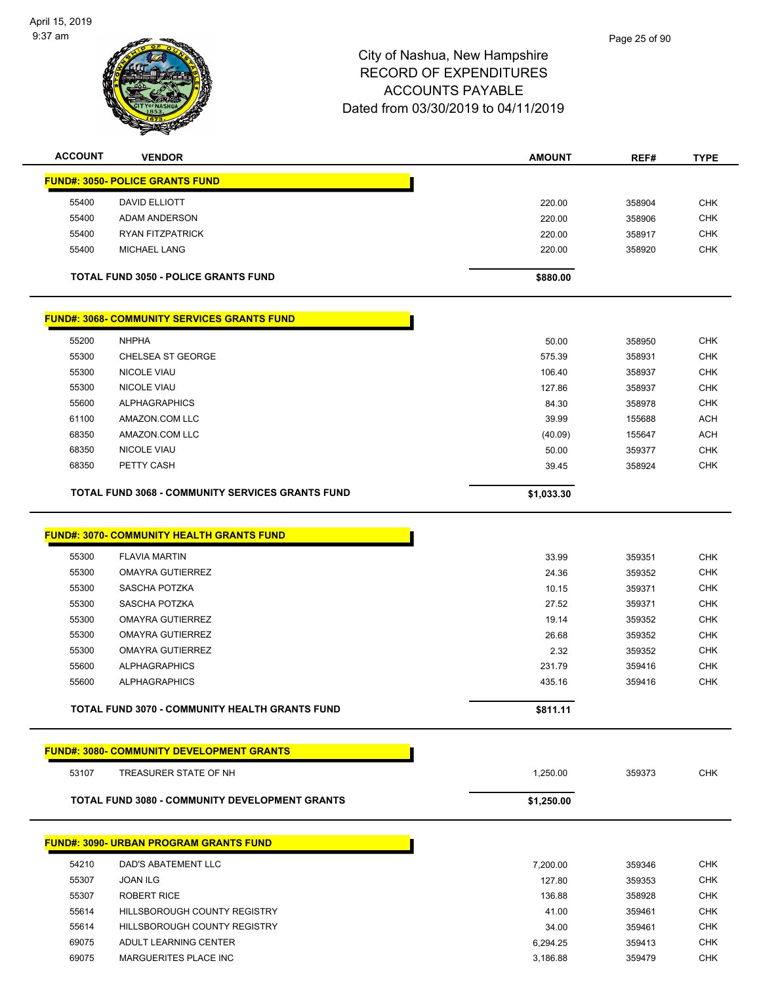

| <b>ACCOUNT</b> | <b>VENDOR</b>                                       | <b>AMOUNT</b> | REF#   | <b>TYPE</b> |
|----------------|-----------------------------------------------------|---------------|--------|-------------|
|                | <b>FUND#: 3050- POLICE GRANTS FUND</b>              |               |        |             |
| 55400          | DAVID ELLIOTT                                       | 220.00        | 358904 | <b>CHK</b>  |
| 55400          | <b>ADAM ANDERSON</b>                                | 220.00        | 358906 | <b>CHK</b>  |
| 55400          | <b>RYAN FITZPATRICK</b>                             | 220.00        | 358917 | <b>CHK</b>  |
| 55400          | <b>MICHAEL LANG</b>                                 | 220.00        | 358920 | <b>CHK</b>  |
|                | <b>TOTAL FUND 3050 - POLICE GRANTS FUND</b>         | \$880.00      |        |             |
|                | <u> FUND#: 3068- COMMUNITY SERVICES GRANTS FUND</u> |               |        |             |
| 55200          | <b>NHPHA</b>                                        | 50.00         | 358950 | <b>CHK</b>  |
| 55300          | <b>CHELSEA ST GEORGE</b>                            | 575.39        | 358931 | <b>CHK</b>  |
| 55300          | <b>NICOLE VIAU</b>                                  | 106.40        | 358937 | <b>CHK</b>  |
| 55300          | <b>NICOLE VIAU</b>                                  | 127.86        | 358937 | <b>CHK</b>  |
| 55600          | <b>ALPHAGRAPHICS</b>                                | 84.30         | 358978 | <b>CHK</b>  |
| 61100          | AMAZON.COM LLC                                      | 39.99         | 155688 | <b>ACH</b>  |
| 68350          | AMAZON.COM LLC                                      | (40.09)       | 155647 | <b>ACH</b>  |
| 68350          | <b>NICOLE VIAU</b>                                  | 50.00         | 359377 | <b>CHK</b>  |
| 68350          | PETTY CASH                                          | 39.45         | 358924 | <b>CHK</b>  |
|                | TOTAL FUND 3068 - COMMUNITY SERVICES GRANTS FUND    | \$1,033.30    |        |             |
|                | <b>FUND#: 3070- COMMUNITY HEALTH GRANTS FUND</b>    |               |        |             |
| 55300          | <b>FLAVIA MARTIN</b>                                | 33.99         | 359351 | <b>CHK</b>  |
| 55300          | <b>OMAYRA GUTIERREZ</b>                             | 24.36         | 359352 | <b>CHK</b>  |
| 55300          | SASCHA POTZKA                                       | 10.15         | 359371 | <b>CHK</b>  |
| 55300          | SASCHA POTZKA                                       | 27.52         | 359371 | <b>CHK</b>  |
| 55300          | OMAYRA GUTIERREZ                                    | 19.14         | 359352 | <b>CHK</b>  |
| 55300          | <b>OMAYRA GUTIERREZ</b>                             | 26.68         | 359352 | <b>CHK</b>  |
| 55300          | <b>OMAYRA GUTIERREZ</b>                             | 2.32          | 359352 | <b>CHK</b>  |
| 55600          | <b>ALPHAGRAPHICS</b>                                | 231.79        | 359416 | <b>CHK</b>  |
| 55600          | <b>ALPHAGRAPHICS</b>                                | 435.16        | 359416 | <b>CHK</b>  |
|                | TOTAL FUND 3070 - COMMUNITY HEALTH GRANTS FUND      | \$811.11      |        |             |
|                | <b>FUND#: 3080- COMMUNITY DEVELOPMENT GRANTS</b>    |               |        |             |
| 53107          | TREASURER STATE OF NH                               | 1,250.00      | 359373 | <b>CHK</b>  |
|                | TOTAL FUND 3080 - COMMUNITY DEVELOPMENT GRANTS      | \$1,250.00    |        |             |
|                | <b>FUND#: 3090- URBAN PROGRAM GRANTS FUND</b>       |               |        |             |
| 54210          | DAD'S ABATEMENT LLC                                 | 7,200.00      | 359346 | <b>CHK</b>  |
| 55307          | <b>JOAN ILG</b>                                     | 127.80        | 359353 | <b>CHK</b>  |
| 55307          | <b>ROBERT RICE</b>                                  | 136.88        | 358928 | <b>CHK</b>  |
| 55614          | HILLSBOROUGH COUNTY REGISTRY                        | 41.00         | 359461 | <b>CHK</b>  |
| 55614          | HILLSBOROUGH COUNTY REGISTRY                        | 34.00         | 359461 | <b>CHK</b>  |
| 69075          | ADULT LEARNING CENTER                               | 6,294.25      | 359413 | <b>CHK</b>  |
| 69075          | MARGUERITES PLACE INC                               | 3,186.88      | 359479 | <b>CHK</b>  |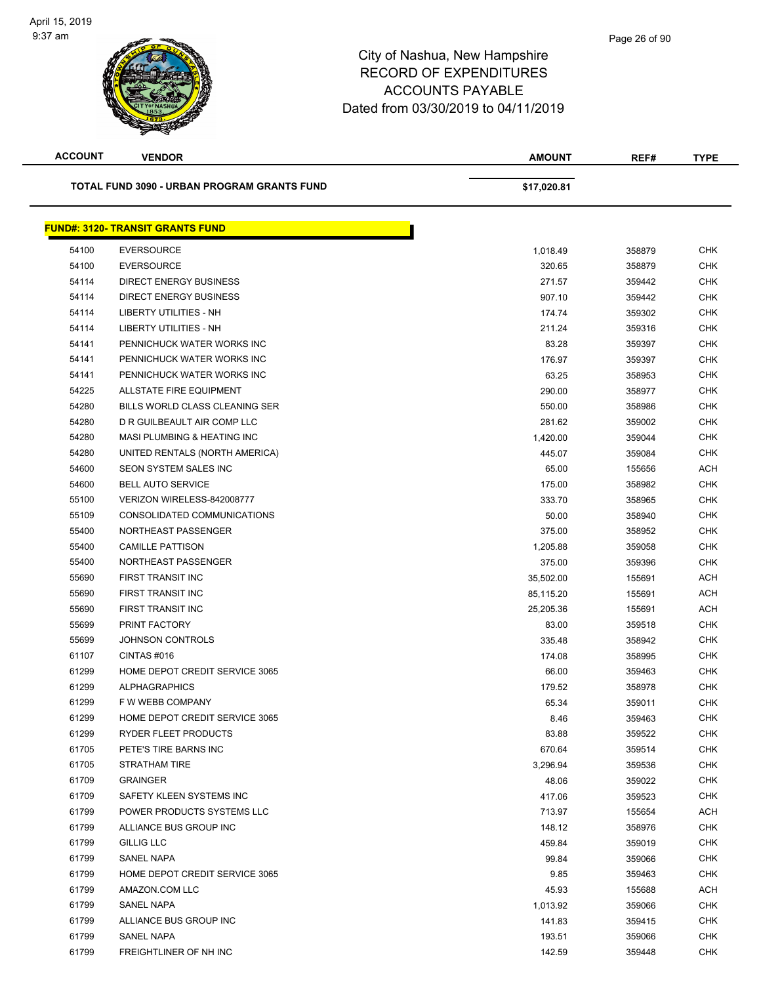| <b>ACCOUNT</b> | <b>VENDOR</b>                               | <b>AMOUNT</b>   | REF#   | <b>TYPE</b> |
|----------------|---------------------------------------------|-----------------|--------|-------------|
|                | TOTAL FUND 3090 - URBAN PROGRAM GRANTS FUND | \$17,020.81     |        |             |
|                | <b>FUND#: 3120- TRANSIT GRANTS FUND</b>     |                 |        |             |
| 54100          | <b>EVERSOURCE</b>                           | 1,018.49        | 358879 | <b>CHK</b>  |
| 54100          | <b>EVERSOURCE</b>                           | 320.65          | 358879 | <b>CHK</b>  |
| 54114          | <b>DIRECT ENERGY BUSINESS</b>               | 271.57          | 359442 | <b>CHK</b>  |
| 54114          | <b>DIRECT ENERGY BUSINESS</b>               | 907.10          | 359442 | <b>CHK</b>  |
| 54114          | LIBERTY UTILITIES - NH                      | 174.74          | 359302 | <b>CHK</b>  |
| 54114          | <b>LIBERTY UTILITIES - NH</b>               | 211.24          | 359316 | <b>CHK</b>  |
| 54141          | PENNICHUCK WATER WORKS INC                  | 83.28           | 359397 | <b>CHK</b>  |
| 54141          | PENNICHUCK WATER WORKS INC                  | 176.97          | 359397 | <b>CHK</b>  |
| 54141          | PENNICHUCK WATER WORKS INC                  | 63.25           | 358953 | <b>CHK</b>  |
| 54225          | ALLSTATE FIRE EQUIPMENT                     | 290.00          | 358977 | <b>CHK</b>  |
| 54280          | BILLS WORLD CLASS CLEANING SER              | 550.00          | 358986 | <b>CHK</b>  |
| 54280          | D R GUILBEAULT AIR COMP LLC                 | 281.62          | 359002 | <b>CHK</b>  |
| 54280          | MASI PLUMBING & HEATING INC                 | 1,420.00        | 359044 | <b>CHK</b>  |
| 54280          | UNITED RENTALS (NORTH AMERICA)              | 445.07          | 359084 | <b>CHK</b>  |
| 54600          | SEON SYSTEM SALES INC                       | 65.00           | 155656 | <b>ACH</b>  |
| 54600          | <b>BELL AUTO SERVICE</b>                    | 175.00          | 358982 | <b>CHK</b>  |
| 55100          | VERIZON WIRELESS-842008777                  | 333.70          | 358965 | <b>CHK</b>  |
| 55109          | CONSOLIDATED COMMUNICATIONS                 | 50.00           | 358940 | <b>CHK</b>  |
| 55400          | NORTHEAST PASSENGER                         | 375.00          | 358952 | <b>CHK</b>  |
| 55400          | <b>CAMILLE PATTISON</b>                     | 1,205.88        | 359058 | <b>CHK</b>  |
| 55400          | NORTHEAST PASSENGER                         | 375.00          | 359396 | <b>CHK</b>  |
| 55690          | FIRST TRANSIT INC                           | 35,502.00       | 155691 | <b>ACH</b>  |
| 55690          | FIRST TRANSIT INC                           | 85,115.20       | 155691 | <b>ACH</b>  |
| 55690          | FIRST TRANSIT INC                           | 25,205.36       | 155691 | <b>ACH</b>  |
| 55699          | PRINT FACTORY                               | 83.00           | 359518 | CHK         |
| 55699          | <b>JOHNSON CONTROLS</b>                     | 335.48          | 358942 | <b>CHK</b>  |
| 61107          | CINTAS#016                                  | 174.08          | 358995 | <b>CHK</b>  |
| 61299          | HOME DEPOT CREDIT SERVICE 3065              | 66.00           | 359463 | <b>CHK</b>  |
| 61299          | <b>ALPHAGRAPHICS</b>                        | 179.52          | 358978 | <b>CHK</b>  |
| 61299          | F W WEBB COMPANY                            | 65.34           | 359011 | CHK         |
| 61299          | HOME DEPOT CREDIT SERVICE 3065              | 8.46            | 359463 | <b>CHK</b>  |
| 61299          | RYDER FLEET PRODUCTS                        | 83.88           | 359522 | <b>CHK</b>  |
| 61705          | PETE'S TIRE BARNS INC                       | 670.64          | 359514 | <b>CHK</b>  |
| 61705          | <b>STRATHAM TIRE</b>                        | 3,296.94        | 359536 | <b>CHK</b>  |
| 61709          | <b>GRAINGER</b>                             | 48.06           | 359022 | <b>CHK</b>  |
| 61709          | SAFETY KLEEN SYSTEMS INC                    | 417.06          | 359523 | CHK         |
| 61799          | POWER PRODUCTS SYSTEMS LLC                  | 713.97          | 155654 | <b>ACH</b>  |
| 61799          | ALLIANCE BUS GROUP INC                      | 148.12          | 358976 | <b>CHK</b>  |
|                |                                             |                 |        | <b>CHK</b>  |
| 61799<br>61799 | <b>GILLIG LLC</b><br><b>SANEL NAPA</b>      | 459.84<br>99.84 | 359019 | <b>CHK</b>  |
| 61799          |                                             |                 | 359066 | <b>CHK</b>  |
| 61799          | HOME DEPOT CREDIT SERVICE 3065              | 9.85            | 359463 |             |
|                | AMAZON.COM LLC                              | 45.93           | 155688 | ACH         |
| 61799          | SANEL NAPA                                  | 1,013.92        | 359066 | <b>CHK</b>  |
| 61799          | ALLIANCE BUS GROUP INC                      | 141.83          | 359415 | <b>CHK</b>  |
| 61799          | SANEL NAPA                                  | 193.51          | 359066 | <b>CHK</b>  |
| 61799          | FREIGHTLINER OF NH INC                      | 142.59          | 359448 | <b>CHK</b>  |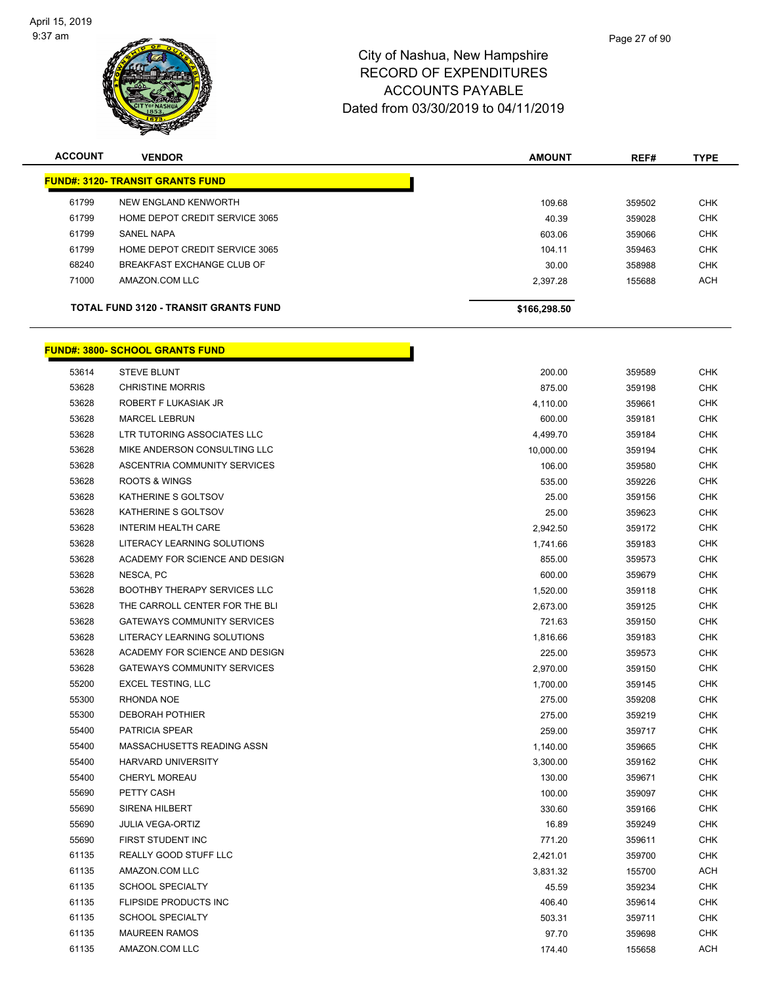

| <b>ACCOUNT</b> | <b>VENDOR</b>                                | <b>AMOUNT</b> | REF#   | <b>TYPE</b> |
|----------------|----------------------------------------------|---------------|--------|-------------|
|                | <b>FUND#: 3120- TRANSIT GRANTS FUND</b>      |               |        |             |
| 61799          | NEW ENGLAND KENWORTH                         | 109.68        | 359502 | <b>CHK</b>  |
| 61799          | HOME DEPOT CREDIT SERVICE 3065               | 40.39         | 359028 | <b>CHK</b>  |
| 61799          | SANEL NAPA                                   | 603.06        | 359066 | <b>CHK</b>  |
| 61799          | HOME DEPOT CREDIT SERVICE 3065               | 104.11        | 359463 | <b>CHK</b>  |
| 68240          | BREAKFAST EXCHANGE CLUB OF                   | 30.00         | 358988 | <b>CHK</b>  |
| 71000          | AMAZON.COM LLC                               | 2.397.28      | 155688 | <b>ACH</b>  |
|                | <b>TOTAL FUND 3120 - TRANSIT GRANTS FUND</b> | \$166,298.50  |        |             |
|                |                                              |               |        |             |

#### **FUND#: 3800- SCHOOL GRANTS FUND**

| 53614 | <b>STEVE BLUNT</b>                  | 200.00    | 359589 | <b>CHK</b> |
|-------|-------------------------------------|-----------|--------|------------|
| 53628 | <b>CHRISTINE MORRIS</b>             | 875.00    | 359198 | <b>CHK</b> |
| 53628 | ROBERT F LUKASIAK JR                | 4,110.00  | 359661 | <b>CHK</b> |
| 53628 | <b>MARCEL LEBRUN</b>                | 600.00    | 359181 | <b>CHK</b> |
| 53628 | LTR TUTORING ASSOCIATES LLC         | 4,499.70  | 359184 | <b>CHK</b> |
| 53628 | MIKE ANDERSON CONSULTING LLC        | 10,000.00 | 359194 | <b>CHK</b> |
| 53628 | ASCENTRIA COMMUNITY SERVICES        | 106.00    | 359580 | <b>CHK</b> |
| 53628 | <b>ROOTS &amp; WINGS</b>            | 535.00    | 359226 | <b>CHK</b> |
| 53628 | KATHERINE S GOLTSOV                 | 25.00     | 359156 | <b>CHK</b> |
| 53628 | KATHERINE S GOLTSOV                 | 25.00     | 359623 | <b>CHK</b> |
| 53628 | <b>INTERIM HEALTH CARE</b>          | 2,942.50  | 359172 | <b>CHK</b> |
| 53628 | LITERACY LEARNING SOLUTIONS         | 1,741.66  | 359183 | <b>CHK</b> |
| 53628 | ACADEMY FOR SCIENCE AND DESIGN      | 855.00    | 359573 | <b>CHK</b> |
| 53628 | NESCA, PC                           | 600.00    | 359679 | <b>CHK</b> |
| 53628 | <b>BOOTHBY THERAPY SERVICES LLC</b> | 1,520.00  | 359118 | <b>CHK</b> |
| 53628 | THE CARROLL CENTER FOR THE BLI      | 2,673.00  | 359125 | <b>CHK</b> |
| 53628 | <b>GATEWAYS COMMUNITY SERVICES</b>  | 721.63    | 359150 | <b>CHK</b> |
| 53628 | LITERACY LEARNING SOLUTIONS         | 1,816.66  | 359183 | <b>CHK</b> |
| 53628 | ACADEMY FOR SCIENCE AND DESIGN      | 225.00    | 359573 | <b>CHK</b> |
| 53628 | <b>GATEWAYS COMMUNITY SERVICES</b>  | 2,970.00  | 359150 | <b>CHK</b> |
| 55200 | <b>EXCEL TESTING, LLC</b>           | 1,700.00  | 359145 | <b>CHK</b> |
| 55300 | RHONDA NOE                          | 275.00    | 359208 | <b>CHK</b> |
| 55300 | <b>DEBORAH POTHIER</b>              | 275.00    | 359219 | <b>CHK</b> |
| 55400 | PATRICIA SPEAR                      | 259.00    | 359717 | <b>CHK</b> |
| 55400 | MASSACHUSETTS READING ASSN          | 1,140.00  | 359665 | <b>CHK</b> |
| 55400 | <b>HARVARD UNIVERSITY</b>           | 3,300.00  | 359162 | <b>CHK</b> |
| 55400 | CHERYL MOREAU                       | 130.00    | 359671 | <b>CHK</b> |
| 55690 | PETTY CASH                          | 100.00    | 359097 | <b>CHK</b> |
| 55690 | <b>SIRENA HILBERT</b>               | 330.60    | 359166 | <b>CHK</b> |
| 55690 | <b>JULIA VEGA-ORTIZ</b>             | 16.89     | 359249 | <b>CHK</b> |
| 55690 | FIRST STUDENT INC                   | 771.20    | 359611 | <b>CHK</b> |
| 61135 | REALLY GOOD STUFF LLC               | 2,421.01  | 359700 | <b>CHK</b> |
| 61135 | AMAZON.COM LLC                      | 3,831.32  | 155700 | ACH        |
| 61135 | <b>SCHOOL SPECIALTY</b>             | 45.59     | 359234 | <b>CHK</b> |
| 61135 | FLIPSIDE PRODUCTS INC               | 406.40    | 359614 | <b>CHK</b> |
| 61135 | <b>SCHOOL SPECIALTY</b>             | 503.31    | 359711 | <b>CHK</b> |
| 61135 | <b>MAUREEN RAMOS</b>                | 97.70     | 359698 | <b>CHK</b> |
| 61135 | AMAZON.COM LLC                      | 174.40    | 155658 | <b>ACH</b> |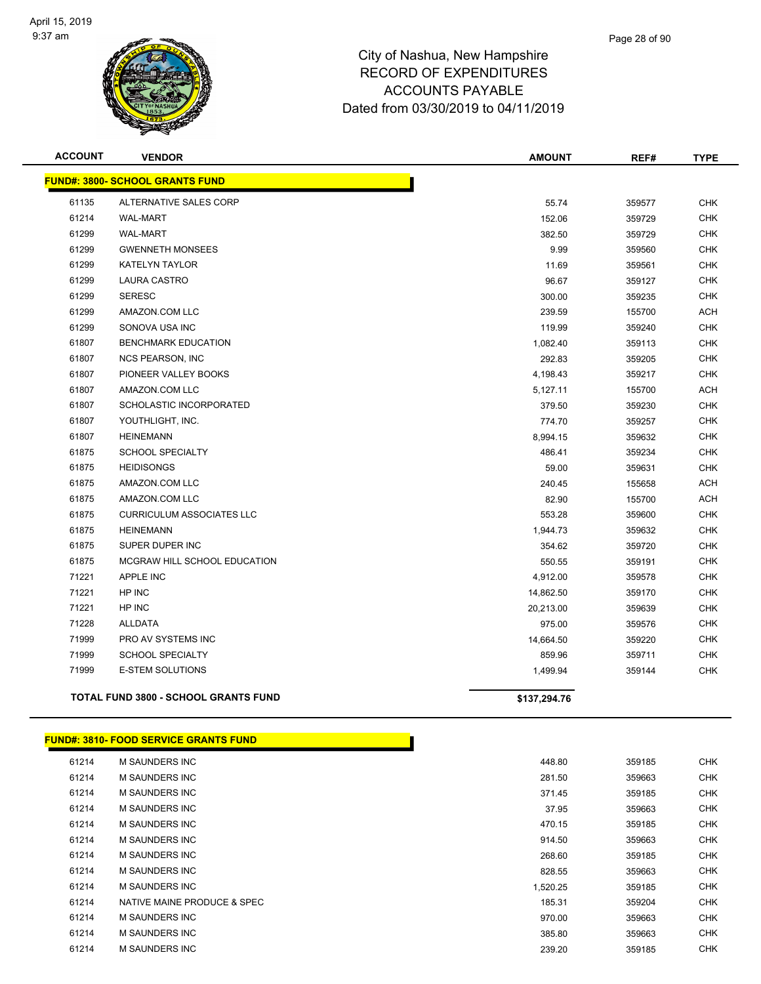

| <b>ACCOUNT</b> | <b>VENDOR</b>                          | <b>AMOUNT</b> | REF#   | <b>TYPE</b> |
|----------------|----------------------------------------|---------------|--------|-------------|
|                | <b>FUND#: 3800- SCHOOL GRANTS FUND</b> |               |        |             |
| 61135          | ALTERNATIVE SALES CORP                 | 55.74         | 359577 | <b>CHK</b>  |
| 61214          | <b>WAL-MART</b>                        | 152.06        | 359729 | <b>CHK</b>  |
| 61299          | <b>WAL-MART</b>                        | 382.50        | 359729 | <b>CHK</b>  |
| 61299          | <b>GWENNETH MONSEES</b>                | 9.99          | 359560 | <b>CHK</b>  |
| 61299          | <b>KATELYN TAYLOR</b>                  | 11.69         | 359561 | <b>CHK</b>  |
| 61299          | <b>LAURA CASTRO</b>                    | 96.67         | 359127 | <b>CHK</b>  |
| 61299          | <b>SERESC</b>                          | 300.00        | 359235 | <b>CHK</b>  |
| 61299          | AMAZON.COM LLC                         | 239.59        | 155700 | <b>ACH</b>  |
| 61299          | SONOVA USA INC                         | 119.99        | 359240 | <b>CHK</b>  |
| 61807          | <b>BENCHMARK EDUCATION</b>             | 1,082.40      | 359113 | <b>CHK</b>  |
| 61807          | <b>NCS PEARSON, INC</b>                | 292.83        | 359205 | <b>CHK</b>  |
| 61807          | PIONEER VALLEY BOOKS                   | 4,198.43      | 359217 | <b>CHK</b>  |
| 61807          | AMAZON.COM LLC                         | 5,127.11      | 155700 | <b>ACH</b>  |
| 61807          | SCHOLASTIC INCORPORATED                | 379.50        | 359230 | <b>CHK</b>  |
| 61807          | YOUTHLIGHT, INC.                       | 774.70        | 359257 | <b>CHK</b>  |
| 61807          | <b>HEINEMANN</b>                       | 8,994.15      | 359632 | CHK         |
| 61875          | <b>SCHOOL SPECIALTY</b>                | 486.41        | 359234 | <b>CHK</b>  |
| 61875          | <b>HEIDISONGS</b>                      | 59.00         | 359631 | <b>CHK</b>  |
| 61875          | AMAZON.COM LLC                         | 240.45        | 155658 | <b>ACH</b>  |
| 61875          | AMAZON.COM LLC                         | 82.90         | 155700 | <b>ACH</b>  |
| 61875          | <b>CURRICULUM ASSOCIATES LLC</b>       | 553.28        | 359600 | <b>CHK</b>  |
| 61875          | <b>HEINEMANN</b>                       | 1,944.73      | 359632 | <b>CHK</b>  |
| 61875          | SUPER DUPER INC                        | 354.62        | 359720 | <b>CHK</b>  |
| 61875          | MCGRAW HILL SCHOOL EDUCATION           | 550.55        | 359191 | <b>CHK</b>  |
| 71221          | APPLE INC                              | 4,912.00      | 359578 | <b>CHK</b>  |
| 71221          | HP INC                                 | 14,862.50     | 359170 | <b>CHK</b>  |
| 71221          | HP INC                                 | 20,213.00     | 359639 | <b>CHK</b>  |
| 71228          | ALLDATA                                | 975.00        | 359576 | <b>CHK</b>  |
| 71999          | PRO AV SYSTEMS INC                     | 14,664.50     | 359220 | <b>CHK</b>  |
| 71999          | <b>SCHOOL SPECIALTY</b>                | 859.96        | 359711 | <b>CHK</b>  |
| 71999          | <b>E-STEM SOLUTIONS</b>                | 1,499.94      | 359144 | <b>CHK</b>  |
|                | TOTAL FUND 3800 - SCHOOL GRANTS FUND   | \$137,294.76  |        |             |
|                |                                        |               |        |             |

|       | <b>FUND#: 3810- FOOD SERVICE GRANTS FUND</b> |          |        |            |
|-------|----------------------------------------------|----------|--------|------------|
| 61214 | M SAUNDERS INC                               | 448.80   | 359185 | CHK        |
| 61214 | <b>M SAUNDERS INC</b>                        | 281.50   | 359663 | CHK        |
| 61214 | <b>M SAUNDERS INC</b>                        | 371.45   | 359185 | CHK        |
| 61214 | M SAUNDERS INC                               | 37.95    | 359663 | CHK        |
| 61214 | <b>M SAUNDERS INC</b>                        | 470.15   | 359185 | CHK        |
| 61214 | <b>M SAUNDERS INC</b>                        | 914.50   | 359663 | CHK        |
| 61214 | <b>M SAUNDERS INC</b>                        | 268.60   | 359185 | CHK        |
| 61214 | <b>M SAUNDERS INC</b>                        | 828.55   | 359663 | <b>CHK</b> |
| 61214 | <b>M SAUNDERS INC</b>                        | 1,520.25 | 359185 | CHK        |
| 61214 | NATIVE MAINE PRODUCE & SPEC                  | 185.31   | 359204 | <b>CHK</b> |
| 61214 | <b>M SAUNDERS INC</b>                        | 970.00   | 359663 | CHK        |
| 61214 | <b>M SAUNDERS INC</b>                        | 385.80   | 359663 | CHK        |

| 61214 | <b>M SAUNDERS INC</b>       |  | 448.80   | 359185 |
|-------|-----------------------------|--|----------|--------|
| 61214 | <b>M SAUNDERS INC</b>       |  | 281.50   | 359663 |
| 61214 | <b>M SAUNDERS INC</b>       |  | 371.45   | 359185 |
| 61214 | <b>M SAUNDERS INC</b>       |  | 37.95    | 359663 |
| 61214 | <b>M SAUNDERS INC</b>       |  | 470.15   | 359185 |
| 61214 | <b>M SAUNDERS INC</b>       |  | 914.50   | 359663 |
| 61214 | <b>M SAUNDERS INC</b>       |  | 268.60   | 359185 |
| 61214 | <b>M SAUNDERS INC</b>       |  | 828.55   | 359663 |
| 61214 | <b>M SAUNDERS INC</b>       |  | 1,520.25 | 359185 |
| 61214 | NATIVE MAINE PRODUCE & SPEC |  | 185.31   | 359204 |
| 61214 | M SAUNDERS INC              |  | 970.00   | 359663 |
| 61214 | <b>M SAUNDERS INC</b>       |  | 385.80   | 359663 |
| 61214 | <b>M SAUNDERS INC</b>       |  | 239.20   | 359185 |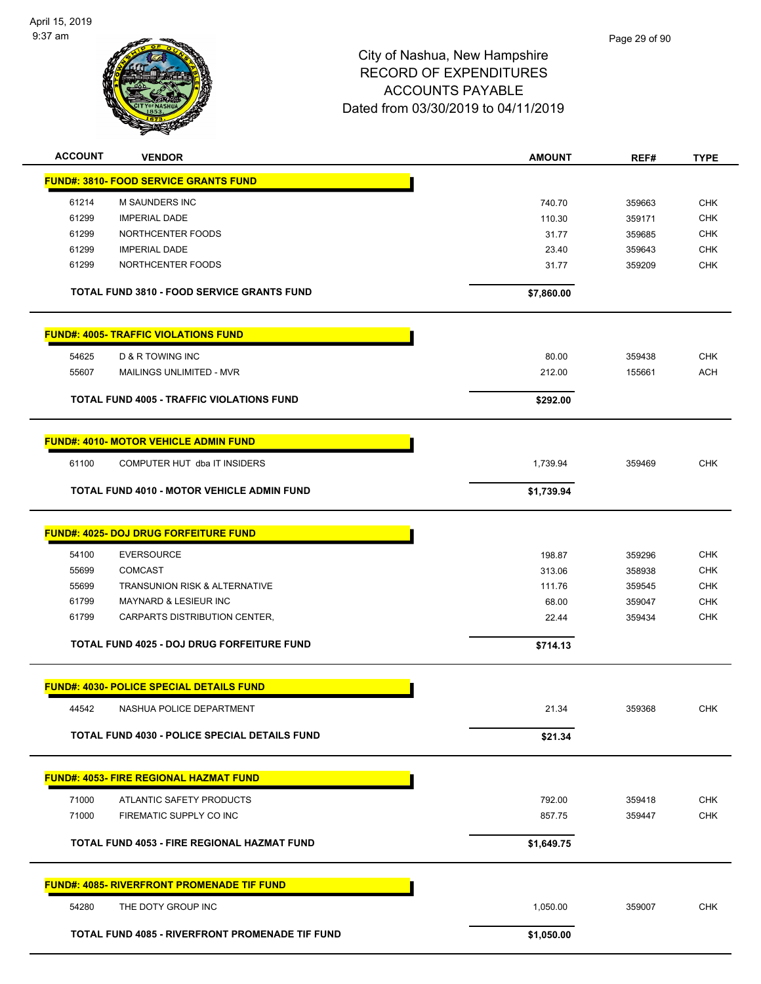

| <b>ACCOUNT</b> | <b>VENDOR</b>                                       | <b>AMOUNT</b> | REF#   | <b>TYPE</b>              |
|----------------|-----------------------------------------------------|---------------|--------|--------------------------|
|                | <b>FUND#: 3810- FOOD SERVICE GRANTS FUND</b>        |               |        |                          |
| 61214          | M SAUNDERS INC                                      | 740.70        | 359663 | <b>CHK</b>               |
| 61299          | <b>IMPERIAL DADE</b>                                | 110.30        | 359171 | <b>CHK</b>               |
| 61299          | NORTHCENTER FOODS                                   | 31.77         | 359685 | <b>CHK</b>               |
| 61299          | <b>IMPERIAL DADE</b>                                | 23.40         | 359643 | <b>CHK</b>               |
| 61299          | NORTHCENTER FOODS                                   | 31.77         | 359209 | <b>CHK</b>               |
|                | <b>TOTAL FUND 3810 - FOOD SERVICE GRANTS FUND</b>   | \$7,860.00    |        |                          |
|                | <b>FUND#: 4005- TRAFFIC VIOLATIONS FUND</b>         |               |        |                          |
| 54625          | <b>D &amp; R TOWING INC</b>                         | 80.00         | 359438 | <b>CHK</b>               |
| 55607          | MAILINGS UNLIMITED - MVR                            | 212.00        | 155661 | <b>ACH</b>               |
|                |                                                     |               |        |                          |
|                | <b>TOTAL FUND 4005 - TRAFFIC VIOLATIONS FUND</b>    | \$292.00      |        |                          |
|                | <b>FUND#: 4010- MOTOR VEHICLE ADMIN FUND</b>        |               |        |                          |
| 61100          | COMPUTER HUT dba IT INSIDERS                        | 1,739.94      | 359469 | <b>CHK</b>               |
|                | <b>TOTAL FUND 4010 - MOTOR VEHICLE ADMIN FUND</b>   | \$1,739.94    |        |                          |
|                | <b>FUND#: 4025- DOJ DRUG FORFEITURE FUND</b>        |               |        |                          |
|                |                                                     |               |        |                          |
| 54100          | <b>EVERSOURCE</b>                                   | 198.87        | 359296 | <b>CHK</b>               |
| 55699          | <b>COMCAST</b>                                      | 313.06        | 358938 | <b>CHK</b>               |
| 55699          | TRANSUNION RISK & ALTERNATIVE                       | 111.76        | 359545 | <b>CHK</b>               |
| 61799          | MAYNARD & LESIEUR INC                               | 68.00         | 359047 | <b>CHK</b>               |
| 61799          | CARPARTS DISTRIBUTION CENTER,                       | 22.44         | 359434 | <b>CHK</b>               |
|                | TOTAL FUND 4025 - DOJ DRUG FORFEITURE FUND          | \$714.13      |        |                          |
|                | <b>FUND#: 4030- POLICE SPECIAL DETAILS FUND</b>     |               |        |                          |
| 44542          | NASHUA POLICE DEPARTMENT                            | 21.34         | 359368 | CHK                      |
|                | TOTAL FUND 4030 - POLICE SPECIAL DETAILS FUND       | \$21.34       |        |                          |
|                | <b>FUND#: 4053- FIRE REGIONAL HAZMAT FUND</b>       |               |        |                          |
|                |                                                     |               |        |                          |
| 71000<br>71000 | ATLANTIC SAFETY PRODUCTS<br>FIREMATIC SUPPLY CO INC | 792.00        | 359418 | <b>CHK</b><br><b>CHK</b> |
|                |                                                     | 857.75        | 359447 |                          |
|                | TOTAL FUND 4053 - FIRE REGIONAL HAZMAT FUND         | \$1,649.75    |        |                          |
|                | <b>FUND#: 4085- RIVERFRONT PROMENADE TIF FUND</b>   |               |        |                          |
| 54280          | THE DOTY GROUP INC                                  | 1,050.00      | 359007 | <b>CHK</b>               |
|                | TOTAL FUND 4085 - RIVERFRONT PROMENADE TIF FUND     | \$1,050.00    |        |                          |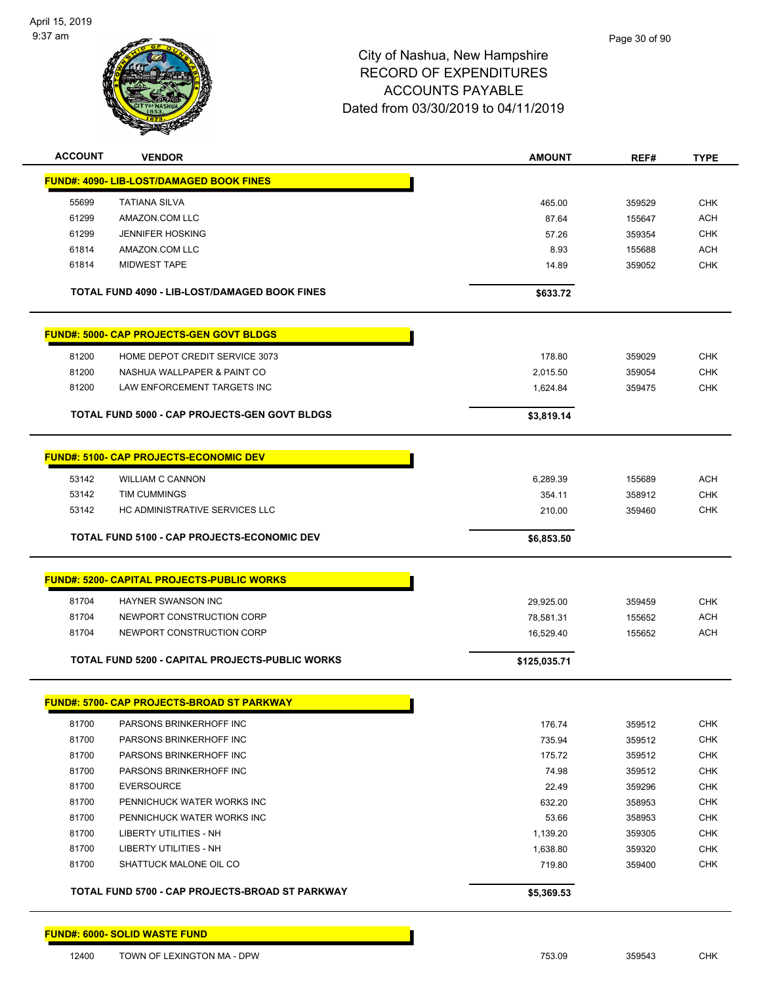

| <b>ACCOUNT</b> | <b>VENDOR</b>                                          | <b>AMOUNT</b> | REF#   | <b>TYPE</b>              |
|----------------|--------------------------------------------------------|---------------|--------|--------------------------|
|                | FUND#: 4090- LIB-LOST/DAMAGED BOOK FINES               |               |        |                          |
| 55699          | <b>TATIANA SILVA</b>                                   | 465.00        | 359529 | <b>CHK</b>               |
| 61299          | AMAZON.COM LLC                                         | 87.64         | 155647 | <b>ACH</b>               |
| 61299          | <b>JENNIFER HOSKING</b>                                | 57.26         | 359354 | <b>CHK</b>               |
| 61814          | AMAZON.COM LLC                                         | 8.93          | 155688 | <b>ACH</b>               |
| 61814          | <b>MIDWEST TAPE</b>                                    | 14.89         | 359052 | <b>CHK</b>               |
|                |                                                        |               |        |                          |
|                | TOTAL FUND 4090 - LIB-LOST/DAMAGED BOOK FINES          | \$633.72      |        |                          |
|                | <b>FUND#: 5000- CAP PROJECTS-GEN GOVT BLDGS</b>        |               |        |                          |
| 81200          | HOME DEPOT CREDIT SERVICE 3073                         | 178.80        | 359029 | <b>CHK</b>               |
| 81200          | NASHUA WALLPAPER & PAINT CO                            | 2,015.50      | 359054 | <b>CHK</b>               |
| 81200          | LAW ENFORCEMENT TARGETS INC                            | 1,624.84      | 359475 | <b>CHK</b>               |
|                |                                                        |               |        |                          |
|                | TOTAL FUND 5000 - CAP PROJECTS-GEN GOVT BLDGS          | \$3,819.14    |        |                          |
|                | <b>FUND#: 5100- CAP PROJECTS-ECONOMIC DEV</b>          |               |        |                          |
|                |                                                        |               |        |                          |
| 53142<br>53142 | <b>WILLIAM C CANNON</b><br><b>TIM CUMMINGS</b>         | 6,289.39      | 155689 | <b>ACH</b>               |
| 53142          | HC ADMINISTRATIVE SERVICES LLC                         | 354.11        | 358912 | <b>CHK</b><br><b>CHK</b> |
|                |                                                        | 210.00        | 359460 |                          |
|                | TOTAL FUND 5100 - CAP PROJECTS-ECONOMIC DEV            | \$6,853.50    |        |                          |
|                | <b>FUND#: 5200- CAPITAL PROJECTS-PUBLIC WORKS</b>      |               |        |                          |
|                |                                                        |               |        |                          |
| 81704          | HAYNER SWANSON INC                                     | 29,925.00     | 359459 | <b>CHK</b>               |
| 81704          | NEWPORT CONSTRUCTION CORP                              | 78,581.31     | 155652 | <b>ACH</b>               |
| 81704          | NEWPORT CONSTRUCTION CORP                              | 16,529.40     | 155652 | <b>ACH</b>               |
|                | <b>TOTAL FUND 5200 - CAPITAL PROJECTS-PUBLIC WORKS</b> | \$125,035.71  |        |                          |
|                |                                                        |               |        |                          |
|                | <b>FUND#: 5700- CAP PROJECTS-BROAD ST PARKWAY</b>      |               |        |                          |
| 81700          | PARSONS BRINKERHOFF INC                                | 176.74        | 359512 | <b>CHK</b>               |
| 81700          | PARSONS BRINKERHOFF INC                                | 735.94        | 359512 | <b>CHK</b>               |
| 81700          | PARSONS BRINKERHOFF INC                                | 175.72        | 359512 | <b>CHK</b>               |
| 81700          | PARSONS BRINKERHOFF INC                                | 74.98         | 359512 | <b>CHK</b>               |
| 81700          | <b>EVERSOURCE</b>                                      | 22.49         | 359296 | <b>CHK</b>               |
| 81700          | PENNICHUCK WATER WORKS INC                             | 632.20        | 358953 | <b>CHK</b>               |
| 81700          | PENNICHUCK WATER WORKS INC                             | 53.66         | 358953 | <b>CHK</b>               |
| 81700          | LIBERTY UTILITIES - NH                                 | 1,139.20      | 359305 | <b>CHK</b>               |
| 81700          | LIBERTY UTILITIES - NH                                 | 1,638.80      | 359320 | <b>CHK</b>               |
| 81700          | SHATTUCK MALONE OIL CO                                 | 719.80        | 359400 | <b>CHK</b>               |
|                | TOTAL FUND 5700 - CAP PROJECTS-BROAD ST PARKWAY        | \$5,369.53    |        |                          |
|                |                                                        |               |        |                          |
|                | <b>FUND#: 6000- SOLID WASTE FUND</b>                   |               |        |                          |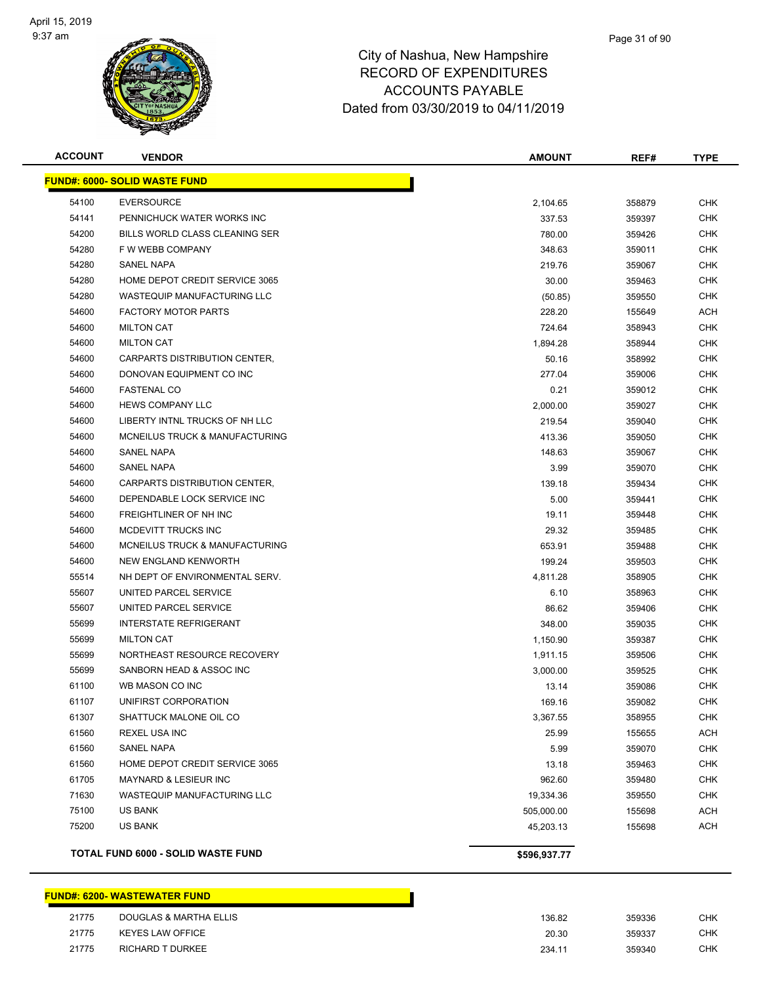

| <b>ACCOUNT</b> | <b>VENDOR</b>                        | <b>AMOUNT</b> | REF#   | <b>TYPE</b> |
|----------------|--------------------------------------|---------------|--------|-------------|
|                | <b>FUND#: 6000- SOLID WASTE FUND</b> |               |        |             |
| 54100          | <b>EVERSOURCE</b>                    | 2,104.65      | 358879 | <b>CHK</b>  |
| 54141          | PENNICHUCK WATER WORKS INC           | 337.53        | 359397 | <b>CHK</b>  |
| 54200          | BILLS WORLD CLASS CLEANING SER       | 780.00        | 359426 | CHK         |
| 54280          | F W WEBB COMPANY                     | 348.63        | 359011 | <b>CHK</b>  |
| 54280          | <b>SANEL NAPA</b>                    | 219.76        | 359067 | <b>CHK</b>  |
| 54280          | HOME DEPOT CREDIT SERVICE 3065       | 30.00         | 359463 | CHK         |
| 54280          | <b>WASTEQUIP MANUFACTURING LLC</b>   | (50.85)       | 359550 | <b>CHK</b>  |
| 54600          | <b>FACTORY MOTOR PARTS</b>           | 228.20        | 155649 | ACH         |
| 54600          | <b>MILTON CAT</b>                    | 724.64        | 358943 | CHK         |
| 54600          | <b>MILTON CAT</b>                    | 1,894.28      | 358944 | <b>CHK</b>  |
| 54600          | CARPARTS DISTRIBUTION CENTER,        | 50.16         | 358992 | <b>CHK</b>  |
| 54600          | DONOVAN EQUIPMENT CO INC             | 277.04        | 359006 | CHK         |
| 54600          | <b>FASTENAL CO</b>                   | 0.21          | 359012 | <b>CHK</b>  |
| 54600          | <b>HEWS COMPANY LLC</b>              | 2,000.00      | 359027 | CHK         |
| 54600          | LIBERTY INTNL TRUCKS OF NH LLC       | 219.54        | 359040 | CHK         |
| 54600          | MCNEILUS TRUCK & MANUFACTURING       | 413.36        | 359050 | <b>CHK</b>  |
| 54600          | <b>SANEL NAPA</b>                    | 148.63        | 359067 | CHK         |
| 54600          | <b>SANEL NAPA</b>                    | 3.99          | 359070 | <b>CHK</b>  |
| 54600          | CARPARTS DISTRIBUTION CENTER,        | 139.18        | 359434 | <b>CHK</b>  |
| 54600          | DEPENDABLE LOCK SERVICE INC          | 5.00          | 359441 | CHK         |
| 54600          | FREIGHTLINER OF NH INC               | 19.11         | 359448 | <b>CHK</b>  |
| 54600          | MCDEVITT TRUCKS INC                  | 29.32         | 359485 | <b>CHK</b>  |
| 54600          | MCNEILUS TRUCK & MANUFACTURING       | 653.91        | 359488 | <b>CHK</b>  |
| 54600          | NEW ENGLAND KENWORTH                 | 199.24        | 359503 | <b>CHK</b>  |
| 55514          | NH DEPT OF ENVIRONMENTAL SERV.       | 4,811.28      | 358905 | CHK         |
| 55607          | UNITED PARCEL SERVICE                | 6.10          | 358963 | CHK         |
| 55607          | UNITED PARCEL SERVICE                | 86.62         | 359406 | <b>CHK</b>  |
| 55699          | <b>INTERSTATE REFRIGERANT</b>        | 348.00        | 359035 | CHK         |
| 55699          | <b>MILTON CAT</b>                    | 1,150.90      | 359387 | <b>CHK</b>  |
| 55699          | NORTHEAST RESOURCE RECOVERY          | 1,911.15      | 359506 | CHK         |
| 55699          | SANBORN HEAD & ASSOC INC             | 3,000.00      | 359525 | CHK         |
| 61100          | WB MASON CO INC                      | 13.14         | 359086 | <b>CHK</b>  |
| 61107          | UNIFIRST CORPORATION                 | 169.16        | 359082 | <b>CHK</b>  |
| 61307          | SHATTUCK MALONE OIL CO               | 3,367.55      | 358955 | <b>CHK</b>  |
| 61560          | <b>REXEL USA INC</b>                 | 25.99         | 155655 | ACH         |
| 61560          | SANEL NAPA                           | 5.99          | 359070 | <b>CHK</b>  |
| 61560          | HOME DEPOT CREDIT SERVICE 3065       | 13.18         | 359463 | <b>CHK</b>  |
| 61705          | MAYNARD & LESIEUR INC                | 962.60        | 359480 | <b>CHK</b>  |
| 71630          | WASTEQUIP MANUFACTURING LLC          | 19,334.36     | 359550 | <b>CHK</b>  |
| 75100          | US BANK                              | 505,000.00    | 155698 | ACH         |
| 75200          | <b>US BANK</b>                       | 45,203.13     | 155698 | <b>ACH</b>  |
|                | TOTAL FUND 6000 - SOLID WASTE FUND   | \$596,937.77  |        |             |

#### **FUND#: 6200- WASTEWATER FUND**

| 21775 | <b>DOUGLAS &amp; MARTHA ELLIS</b> | 136.82 | 359336 | СНК |
|-------|-----------------------------------|--------|--------|-----|
| 21775 | KEYES LAW OFFICE                  | 20.30  | 359337 | СНК |
| 21775 | <b>RICHARD T DURKEE</b>           | 234.11 | 359340 | СНК |

| 36.82 | 359336 | CHK |
|-------|--------|-----|
| 20.30 | 359337 | CHK |
| 34.11 | 359340 | CHK |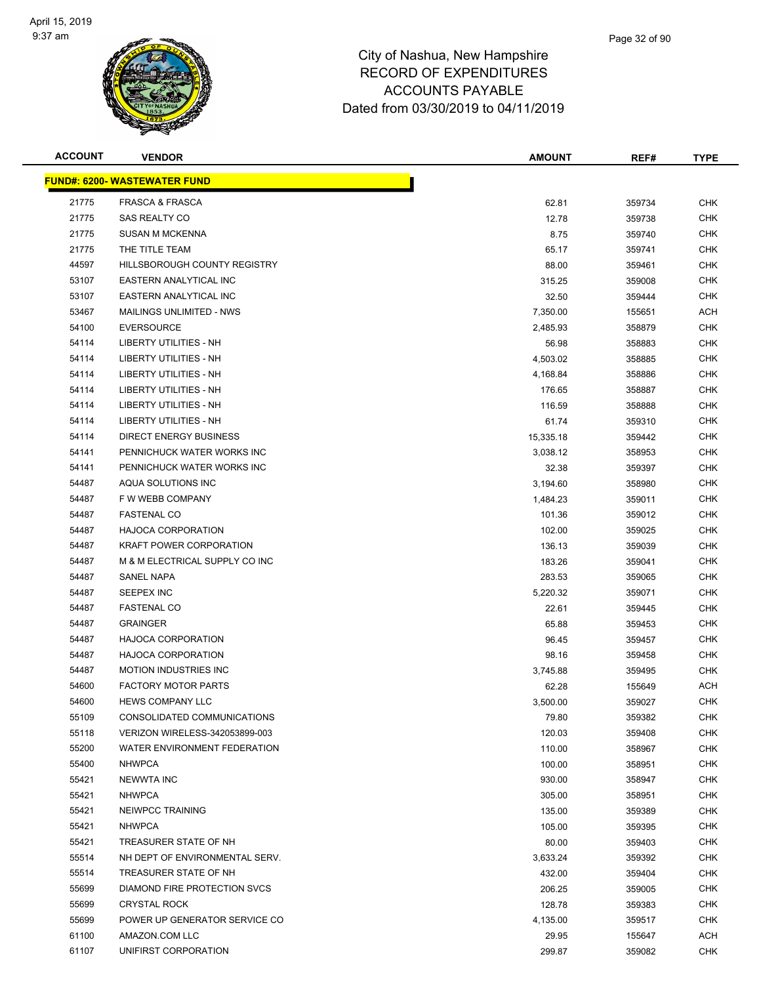

| <b>ACCOUNT</b> | <b>VENDOR</b>                       | <b>AMOUNT</b> | REF#   | <b>TYPE</b> |
|----------------|-------------------------------------|---------------|--------|-------------|
|                | <b>FUND#: 6200- WASTEWATER FUND</b> |               |        |             |
| 21775          | <b>FRASCA &amp; FRASCA</b>          | 62.81         | 359734 | <b>CHK</b>  |
| 21775          | SAS REALTY CO                       | 12.78         | 359738 | <b>CHK</b>  |
| 21775          | <b>SUSAN M MCKENNA</b>              | 8.75          | 359740 | <b>CHK</b>  |
| 21775          | THE TITLE TEAM                      | 65.17         | 359741 | <b>CHK</b>  |
| 44597          | HILLSBOROUGH COUNTY REGISTRY        | 88.00         | 359461 | <b>CHK</b>  |
| 53107          | EASTERN ANALYTICAL INC              | 315.25        | 359008 | <b>CHK</b>  |
| 53107          | EASTERN ANALYTICAL INC              | 32.50         | 359444 | <b>CHK</b>  |
| 53467          | <b>MAILINGS UNLIMITED - NWS</b>     | 7,350.00      | 155651 | ACH         |
| 54100          | <b>EVERSOURCE</b>                   | 2,485.93      | 358879 | <b>CHK</b>  |
| 54114          | LIBERTY UTILITIES - NH              | 56.98         | 358883 | <b>CHK</b>  |
| 54114          | LIBERTY UTILITIES - NH              | 4,503.02      | 358885 | <b>CHK</b>  |
| 54114          | LIBERTY UTILITIES - NH              | 4,168.84      | 358886 | <b>CHK</b>  |
| 54114          | LIBERTY UTILITIES - NH              | 176.65        | 358887 | <b>CHK</b>  |
| 54114          | LIBERTY UTILITIES - NH              | 116.59        | 358888 | <b>CHK</b>  |
| 54114          | <b>LIBERTY UTILITIES - NH</b>       | 61.74         | 359310 | CHK         |
| 54114          | <b>DIRECT ENERGY BUSINESS</b>       | 15,335.18     | 359442 | <b>CHK</b>  |
| 54141          | PENNICHUCK WATER WORKS INC          | 3,038.12      | 358953 | <b>CHK</b>  |
| 54141          | PENNICHUCK WATER WORKS INC          | 32.38         | 359397 | <b>CHK</b>  |
| 54487          | AQUA SOLUTIONS INC                  | 3,194.60      | 358980 | <b>CHK</b>  |
| 54487          | F W WEBB COMPANY                    | 1,484.23      | 359011 | <b>CHK</b>  |
| 54487          | <b>FASTENAL CO</b>                  | 101.36        | 359012 | <b>CHK</b>  |
| 54487          | <b>HAJOCA CORPORATION</b>           | 102.00        | 359025 | <b>CHK</b>  |
| 54487          | <b>KRAFT POWER CORPORATION</b>      | 136.13        | 359039 | <b>CHK</b>  |
| 54487          | M & M ELECTRICAL SUPPLY CO INC      | 183.26        | 359041 | <b>CHK</b>  |
| 54487          | SANEL NAPA                          | 283.53        | 359065 | <b>CHK</b>  |
| 54487          | SEEPEX INC                          | 5,220.32      | 359071 | CHK         |
| 54487          | <b>FASTENAL CO</b>                  | 22.61         | 359445 | <b>CHK</b>  |
| 54487          | <b>GRAINGER</b>                     | 65.88         | 359453 | <b>CHK</b>  |
| 54487          | HAJOCA CORPORATION                  | 96.45         | 359457 | <b>CHK</b>  |
| 54487          | <b>HAJOCA CORPORATION</b>           | 98.16         | 359458 | CHK         |
| 54487          | <b>MOTION INDUSTRIES INC</b>        | 3,745.88      | 359495 | <b>CHK</b>  |
| 54600          | <b>FACTORY MOTOR PARTS</b>          | 62.28         | 155649 | ACH         |
| 54600          | <b>HEWS COMPANY LLC</b>             | 3,500.00      | 359027 | <b>CHK</b>  |
| 55109          | CONSOLIDATED COMMUNICATIONS         | 79.80         | 359382 | <b>CHK</b>  |
| 55118          | VERIZON WIRELESS-342053899-003      | 120.03        | 359408 | <b>CHK</b>  |
| 55200          | WATER ENVIRONMENT FEDERATION        | 110.00        | 358967 | <b>CHK</b>  |
| 55400          | <b>NHWPCA</b>                       | 100.00        | 358951 | <b>CHK</b>  |
| 55421          | <b>NEWWTA INC</b>                   | 930.00        | 358947 | <b>CHK</b>  |
| 55421          | <b>NHWPCA</b>                       | 305.00        | 358951 | <b>CHK</b>  |
| 55421          | <b>NEIWPCC TRAINING</b>             | 135.00        | 359389 | <b>CHK</b>  |
| 55421          | <b>NHWPCA</b>                       | 105.00        | 359395 | <b>CHK</b>  |
| 55421          | TREASURER STATE OF NH               | 80.00         | 359403 | CHK         |
| 55514          | NH DEPT OF ENVIRONMENTAL SERV.      | 3,633.24      | 359392 | <b>CHK</b>  |
| 55514          | TREASURER STATE OF NH               | 432.00        | 359404 | CHK         |
| 55699          | DIAMOND FIRE PROTECTION SVCS        | 206.25        | 359005 | CHK         |
| 55699          | <b>CRYSTAL ROCK</b>                 | 128.78        | 359383 | <b>CHK</b>  |
| 55699          | POWER UP GENERATOR SERVICE CO       | 4,135.00      | 359517 | <b>CHK</b>  |
| 61100          | AMAZON.COM LLC                      | 29.95         | 155647 | ACH         |
| 61107          | UNIFIRST CORPORATION                | 299.87        | 359082 | <b>CHK</b>  |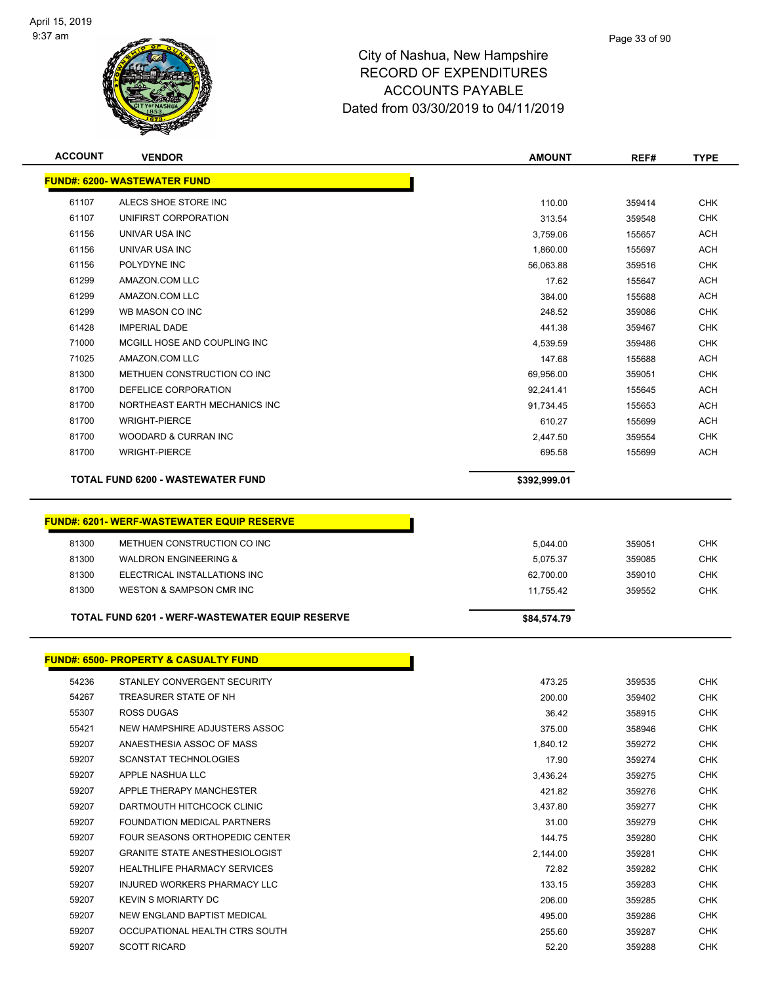

| <b>ACCOUNT</b>                      | <b>VENDOR</b>                                    | <b>AMOUNT</b> | REF#   | <b>TYPE</b> |  |  |
|-------------------------------------|--------------------------------------------------|---------------|--------|-------------|--|--|
| <b>FUND#: 6200- WASTEWATER FUND</b> |                                                  |               |        |             |  |  |
| 61107                               | ALECS SHOE STORE INC                             | 110.00        | 359414 | <b>CHK</b>  |  |  |
| 61107                               | UNIFIRST CORPORATION                             | 313.54        | 359548 | <b>CHK</b>  |  |  |
| 61156                               | UNIVAR USA INC                                   | 3,759.06      | 155657 | ACH         |  |  |
| 61156                               | UNIVAR USA INC                                   | 1,860.00      | 155697 | <b>ACH</b>  |  |  |
| 61156                               | POLYDYNE INC                                     | 56,063.88     | 359516 | <b>CHK</b>  |  |  |
| 61299                               | AMAZON.COM LLC                                   | 17.62         | 155647 | ACH         |  |  |
| 61299                               | AMAZON.COM LLC                                   | 384.00        | 155688 | <b>ACH</b>  |  |  |
| 61299                               | WB MASON CO INC                                  | 248.52        | 359086 | <b>CHK</b>  |  |  |
| 61428                               | <b>IMPERIAL DADE</b>                             | 441.38        | 359467 | <b>CHK</b>  |  |  |
| 71000                               | MCGILL HOSE AND COUPLING INC                     | 4,539.59      | 359486 | <b>CHK</b>  |  |  |
| 71025                               | AMAZON.COM LLC                                   | 147.68        | 155688 | ACH         |  |  |
| 81300                               | METHUEN CONSTRUCTION CO INC                      | 69,956.00     | 359051 | CHK         |  |  |
| 81700                               | DEFELICE CORPORATION                             | 92,241.41     | 155645 | <b>ACH</b>  |  |  |
| 81700                               | NORTHEAST EARTH MECHANICS INC                    | 91,734.45     | 155653 | ACH         |  |  |
| 81700                               | <b>WRIGHT-PIERCE</b>                             | 610.27        | 155699 | <b>ACH</b>  |  |  |
| 81700                               | WOODARD & CURRAN INC                             | 2,447.50      | 359554 | <b>CHK</b>  |  |  |
| 81700                               | <b>WRIGHT-PIERCE</b>                             | 695.58        | 155699 | ACH         |  |  |
|                                     | <b>TOTAL FUND 6200 - WASTEWATER FUND</b>         | \$392,999.01  |        |             |  |  |
|                                     |                                                  |               |        |             |  |  |
|                                     | <b>FUND#: 6201-WERF-WASTEWATER EQUIP RESERVE</b> |               |        |             |  |  |
|                                     |                                                  |               |        |             |  |  |
| 81300                               | METHUEN CONSTRUCTION CO INC                      | 5,044.00      | 359051 | <b>CHK</b>  |  |  |
| 81300                               | <b>WALDRON ENGINEERING &amp;</b>                 | 5,075.37      | 359085 | <b>CHK</b>  |  |  |
| 81300                               | ELECTRICAL INSTALLATIONS INC                     | 62,700.00     | 359010 | <b>CHK</b>  |  |  |
| 81300                               | WESTON & SAMPSON CMR INC                         | 11,755.42     | 359552 | <b>CHK</b>  |  |  |
|                                     | TOTAL FUND 6201 - WERF-WASTEWATER EQUIP RESERVE  | \$84,574.79   |        |             |  |  |
|                                     |                                                  |               |        |             |  |  |
|                                     | <b>FUND#: 6500- PROPERTY &amp; CASUALTY FUND</b> |               |        |             |  |  |
| 54236                               | STANLEY CONVERGENT SECURITY                      | 473.25        | 359535 | <b>CHK</b>  |  |  |
| 54267                               | TREASURER STATE OF NH                            | 200.00        | 359402 | <b>CHK</b>  |  |  |
| 55307                               | <b>ROSS DUGAS</b>                                | 36.42         | 358915 | <b>CHK</b>  |  |  |
| 55421                               | NEW HAMPSHIRE ADJUSTERS ASSOC                    | 375.00        | 358946 | <b>CHK</b>  |  |  |
| 59207                               | ANAESTHESIA ASSOC OF MASS                        | 1,840.12      | 359272 | <b>CHK</b>  |  |  |
| 59207                               | <b>SCANSTAT TECHNOLOGIES</b>                     | 17.90         | 359274 | <b>CHK</b>  |  |  |
| 59207                               | APPLE NASHUA LLC                                 | 3,436.24      | 359275 | <b>CHK</b>  |  |  |
| 59207                               | APPLE THERAPY MANCHESTER                         | 421.82        | 359276 | <b>CHK</b>  |  |  |
| 59207                               | DARTMOUTH HITCHCOCK CLINIC                       | 3,437.80      | 359277 | <b>CHK</b>  |  |  |
| 59207                               | <b>FOUNDATION MEDICAL PARTNERS</b>               | 31.00         | 359279 | <b>CHK</b>  |  |  |
| 59207                               | FOUR SEASONS ORTHOPEDIC CENTER                   | 144.75        | 359280 | <b>CHK</b>  |  |  |
| 59207                               | <b>GRANITE STATE ANESTHESIOLOGIST</b>            | 2,144.00      | 359281 | <b>CHK</b>  |  |  |
| 59207                               | <b>HEALTHLIFE PHARMACY SERVICES</b>              | 72.82         | 359282 | <b>CHK</b>  |  |  |
| 59207                               | INJURED WORKERS PHARMACY LLC                     | 133.15        | 359283 | <b>CHK</b>  |  |  |
| 59207                               | <b>KEVIN S MORIARTY DC</b>                       | 206.00        | 359285 | <b>CHK</b>  |  |  |
| 59207                               | NEW ENGLAND BAPTIST MEDICAL                      | 495.00        | 359286 | <b>CHK</b>  |  |  |
| 59207                               | OCCUPATIONAL HEALTH CTRS SOUTH                   | 255.60        | 359287 | CHK         |  |  |
| 59207                               | <b>SCOTT RICARD</b>                              | 52.20         | 359288 | <b>CHK</b>  |  |  |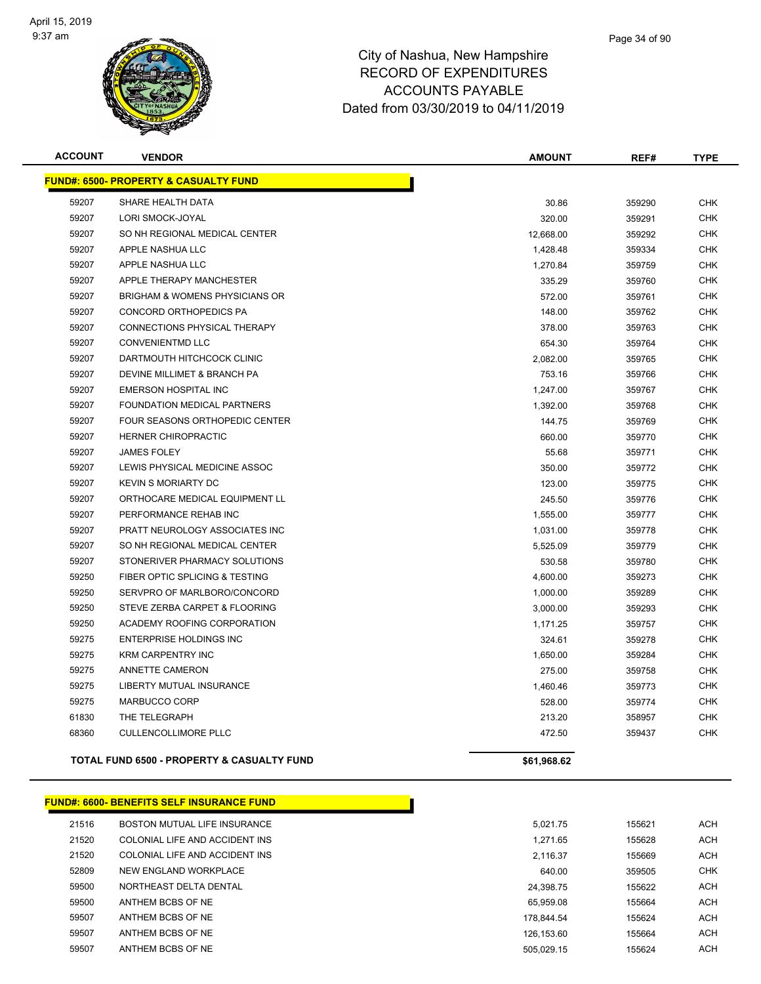

| <b>ACCOUNT</b> | <b>VENDOR</b>                                         | <b>AMOUNT</b> | REF#   | <b>TYPE</b> |
|----------------|-------------------------------------------------------|---------------|--------|-------------|
|                | <b>FUND#: 6500- PROPERTY &amp; CASUALTY FUND</b>      |               |        |             |
| 59207          | SHARE HEALTH DATA                                     | 30.86         | 359290 | <b>CHK</b>  |
| 59207          | LORI SMOCK-JOYAL                                      | 320.00        | 359291 | <b>CHK</b>  |
| 59207          | SO NH REGIONAL MEDICAL CENTER                         | 12,668.00     | 359292 | <b>CHK</b>  |
| 59207          | APPLE NASHUA LLC                                      | 1,428.48      | 359334 | <b>CHK</b>  |
| 59207          | APPLE NASHUA LLC                                      | 1,270.84      | 359759 | <b>CHK</b>  |
| 59207          | APPLE THERAPY MANCHESTER                              | 335.29        | 359760 | <b>CHK</b>  |
| 59207          | <b>BRIGHAM &amp; WOMENS PHYSICIANS OR</b>             | 572.00        | 359761 | <b>CHK</b>  |
| 59207          | CONCORD ORTHOPEDICS PA                                | 148.00        | 359762 | <b>CHK</b>  |
| 59207          | CONNECTIONS PHYSICAL THERAPY                          | 378.00        | 359763 | <b>CHK</b>  |
| 59207          | <b>CONVENIENTMD LLC</b>                               | 654.30        | 359764 | <b>CHK</b>  |
| 59207          | DARTMOUTH HITCHCOCK CLINIC                            | 2,082.00      | 359765 | <b>CHK</b>  |
| 59207          | DEVINE MILLIMET & BRANCH PA                           | 753.16        | 359766 | <b>CHK</b>  |
| 59207          | <b>EMERSON HOSPITAL INC</b>                           | 1,247.00      | 359767 | <b>CHK</b>  |
| 59207          | <b>FOUNDATION MEDICAL PARTNERS</b>                    | 1,392.00      | 359768 | <b>CHK</b>  |
| 59207          | <b>FOUR SEASONS ORTHOPEDIC CENTER</b>                 | 144.75        | 359769 | <b>CHK</b>  |
| 59207          | <b>HERNER CHIROPRACTIC</b>                            | 660.00        | 359770 | <b>CHK</b>  |
| 59207          | <b>JAMES FOLEY</b>                                    | 55.68         | 359771 | <b>CHK</b>  |
| 59207          | LEWIS PHYSICAL MEDICINE ASSOC                         | 350.00        | 359772 | <b>CHK</b>  |
| 59207          | <b>KEVIN S MORIARTY DC</b>                            | 123.00        | 359775 | <b>CHK</b>  |
| 59207          | ORTHOCARE MEDICAL EQUIPMENT LL                        | 245.50        | 359776 | <b>CHK</b>  |
| 59207          | PERFORMANCE REHAB INC                                 | 1,555.00      | 359777 | <b>CHK</b>  |
| 59207          | PRATT NEUROLOGY ASSOCIATES INC                        | 1,031.00      | 359778 | <b>CHK</b>  |
| 59207          | SO NH REGIONAL MEDICAL CENTER                         | 5,525.09      | 359779 | <b>CHK</b>  |
| 59207          | STONERIVER PHARMACY SOLUTIONS                         | 530.58        | 359780 | <b>CHK</b>  |
| 59250          | FIBER OPTIC SPLICING & TESTING                        | 4,600.00      | 359273 | <b>CHK</b>  |
| 59250          | SERVPRO OF MARLBORO/CONCORD                           | 1,000.00      | 359289 | <b>CHK</b>  |
| 59250          | STEVE ZERBA CARPET & FLOORING                         | 3,000.00      | 359293 | <b>CHK</b>  |
| 59250          | ACADEMY ROOFING CORPORATION                           | 1,171.25      | 359757 | <b>CHK</b>  |
| 59275          | <b>ENTERPRISE HOLDINGS INC</b>                        | 324.61        | 359278 | <b>CHK</b>  |
| 59275          | <b>KRM CARPENTRY INC</b>                              | 1,650.00      | 359284 | <b>CHK</b>  |
| 59275          | ANNETTE CAMERON                                       | 275.00        | 359758 | <b>CHK</b>  |
| 59275          | LIBERTY MUTUAL INSURANCE                              | 1,460.46      | 359773 | <b>CHK</b>  |
| 59275          | MARBUCCO CORP                                         | 528.00        | 359774 | <b>CHK</b>  |
| 61830          | THE TELEGRAPH                                         | 213.20        | 358957 | <b>CHK</b>  |
| 68360          | <b>CULLENCOLLIMORE PLLC</b>                           | 472.50        | 359437 | <b>CHK</b>  |
|                | <b>TOTAL FUND 6500 - PROPERTY &amp; CASUALTY FUND</b> | \$61,968.62   |        |             |

# **FUND#: 6600- BENEFITS SELF INSURANCE FUND**

| 21516 | BOSTON MUTUAL LIFE INSURANCE   | 5.021.75   | 155621 |
|-------|--------------------------------|------------|--------|
| 21520 | COLONIAL LIFE AND ACCIDENT INS | 1.271.65   | 155628 |
| 21520 | COLONIAL LIFE AND ACCIDENT INS | 2.116.37   | 155669 |
| 52809 | NEW ENGLAND WORKPLACE          | 640.00     | 359505 |
| 59500 | NORTHEAST DELTA DENTAL         | 24.398.75  | 155622 |
| 59500 | ANTHEM BCBS OF NE              | 65.959.08  | 155664 |
| 59507 | ANTHEM BCBS OF NE              | 178.844.54 | 155624 |
| 59507 | ANTHEM BCBS OF NE              | 126.153.60 | 155664 |
| 59507 | ANTHEM BCBS OF NE              | 505.029.15 | 155624 |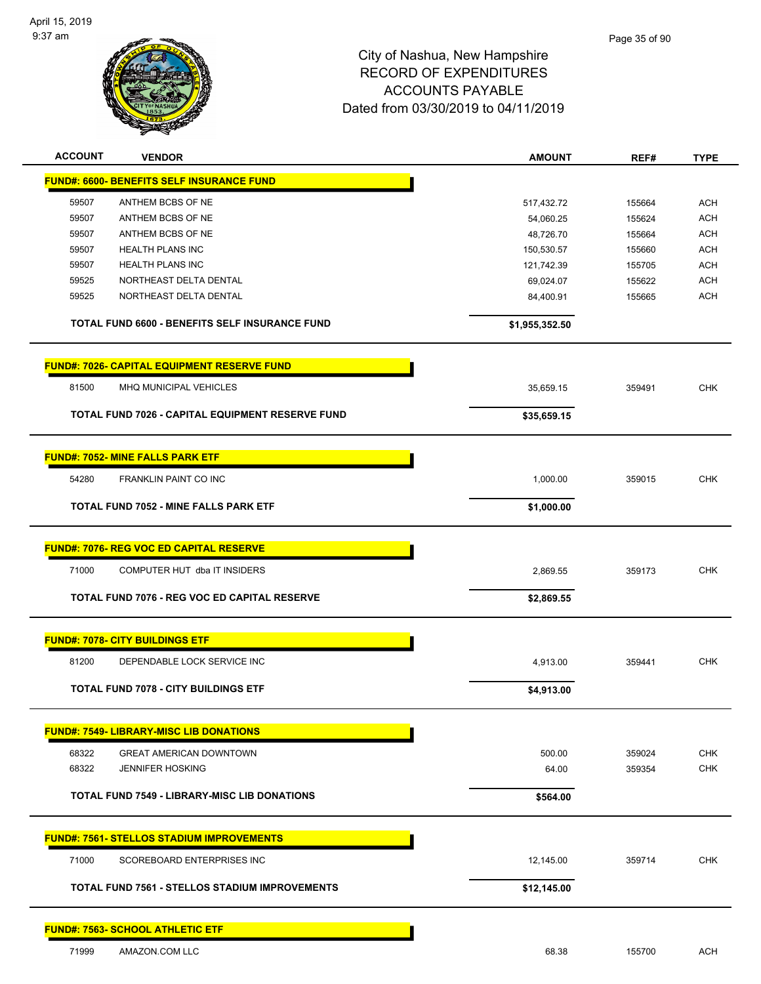

| <b>ACCOUNT</b> | <b>VENDOR</b>                                         | <b>AMOUNT</b>  | REF#   | <b>TYPE</b> |
|----------------|-------------------------------------------------------|----------------|--------|-------------|
|                | <b>FUND#: 6600- BENEFITS SELF INSURANCE FUND</b>      |                |        |             |
| 59507          | ANTHEM BCBS OF NE                                     | 517,432.72     | 155664 | <b>ACH</b>  |
| 59507          | ANTHEM BCBS OF NE                                     | 54,060.25      | 155624 | <b>ACH</b>  |
| 59507          | ANTHEM BCBS OF NE                                     | 48,726.70      | 155664 | <b>ACH</b>  |
| 59507          | <b>HEALTH PLANS INC</b>                               | 150,530.57     | 155660 | <b>ACH</b>  |
| 59507          | <b>HEALTH PLANS INC</b>                               | 121,742.39     | 155705 | <b>ACH</b>  |
| 59525          | NORTHEAST DELTA DENTAL                                | 69,024.07      | 155622 | <b>ACH</b>  |
| 59525          | NORTHEAST DELTA DENTAL                                | 84,400.91      | 155665 | <b>ACH</b>  |
|                | <b>TOTAL FUND 6600 - BENEFITS SELF INSURANCE FUND</b> | \$1,955,352.50 |        |             |
|                | <b>FUND#: 7026- CAPITAL EQUIPMENT RESERVE FUND</b>    |                |        |             |
| 81500          | MHQ MUNICIPAL VEHICLES                                | 35,659.15      | 359491 | <b>CHK</b>  |
|                | TOTAL FUND 7026 - CAPITAL EQUIPMENT RESERVE FUND      | \$35,659.15    |        |             |
|                | <b>FUND#: 7052- MINE FALLS PARK ETF</b>               |                |        |             |
| 54280          | <b>FRANKLIN PAINT CO INC</b>                          | 1,000.00       | 359015 | <b>CHK</b>  |
|                | <b>TOTAL FUND 7052 - MINE FALLS PARK ETF</b>          | \$1,000.00     |        |             |
|                |                                                       |                |        |             |
|                | <b>FUND#: 7076- REG VOC ED CAPITAL RESERVE</b>        |                |        |             |
| 71000          | COMPUTER HUT dba IT INSIDERS                          | 2,869.55       | 359173 | <b>CHK</b>  |
|                | TOTAL FUND 7076 - REG VOC ED CAPITAL RESERVE          | \$2,869.55     |        |             |
|                | <b>FUND#: 7078- CITY BUILDINGS ETF</b>                |                |        |             |
| 81200          | DEPENDABLE LOCK SERVICE INC                           | 4,913.00       | 359441 | <b>CHK</b>  |
|                | <b>TOTAL FUND 7078 - CITY BUILDINGS ETF</b>           | \$4,913.00     |        |             |
|                | <b>FUND#: 7549- LIBRARY-MISC LIB DONATIONS</b>        |                |        |             |
| 68322          | <b>GREAT AMERICAN DOWNTOWN</b>                        | 500.00         | 359024 | <b>CHK</b>  |
| 68322          | <b>JENNIFER HOSKING</b>                               | 64.00          | 359354 | <b>CHK</b>  |
|                | <b>TOTAL FUND 7549 - LIBRARY-MISC LIB DONATIONS</b>   | \$564.00       |        |             |
|                | <b>FUND#: 7561- STELLOS STADIUM IMPROVEMENTS</b>      |                |        |             |
| 71000          | SCOREBOARD ENTERPRISES INC                            | 12,145.00      | 359714 | <b>CHK</b>  |
|                | <b>TOTAL FUND 7561 - STELLOS STADIUM IMPROVEMENTS</b> | \$12,145.00    |        |             |
|                | <b>FUND#: 7563- SCHOOL ATHLETIC ETF</b>               |                |        |             |
| 71999          | AMAZON.COM LLC                                        | 68.38          | 155700 | ACH         |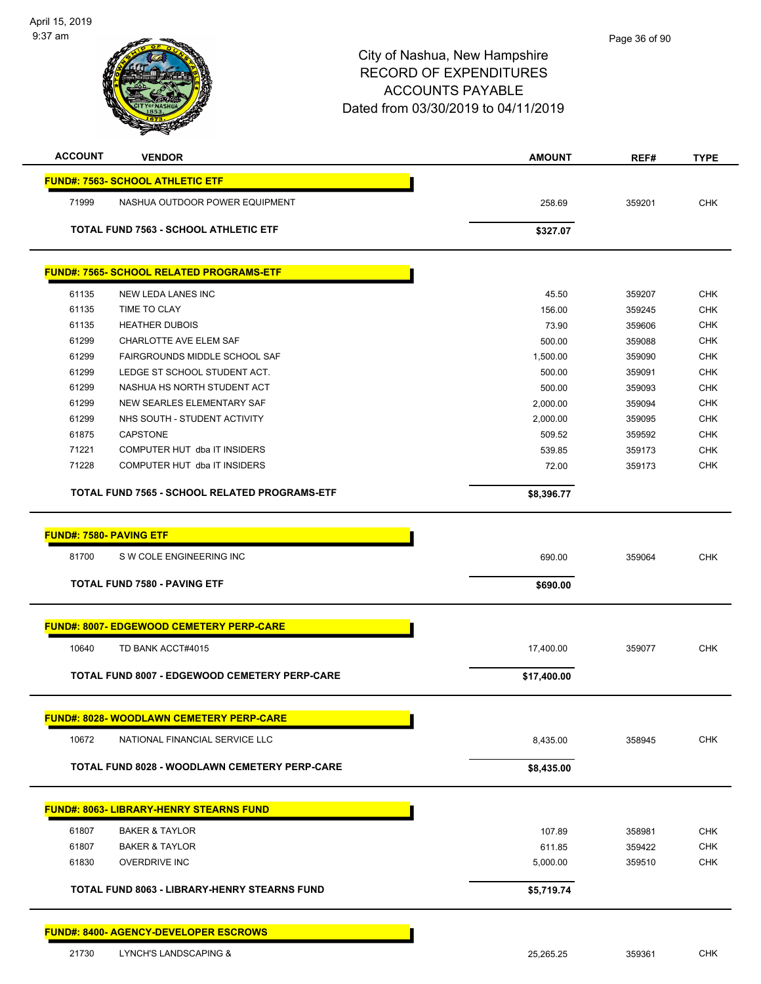| <b>ACCOUNT</b>                 | <b>VENDOR</b>                                        | <b>AMOUNT</b> | REF#   | <b>TYPE</b> |
|--------------------------------|------------------------------------------------------|---------------|--------|-------------|
|                                | <b>FUND#: 7563- SCHOOL ATHLETIC ETF</b>              |               |        |             |
| 71999                          | NASHUA OUTDOOR POWER EQUIPMENT                       | 258.69        | 359201 | <b>CHK</b>  |
|                                | <b>TOTAL FUND 7563 - SCHOOL ATHLETIC ETF</b>         | \$327.07      |        |             |
|                                |                                                      |               |        |             |
|                                | <b>FUND#: 7565- SCHOOL RELATED PROGRAMS-ETF</b>      |               |        |             |
| 61135                          | NEW LEDA LANES INC                                   | 45.50         | 359207 | <b>CHK</b>  |
| 61135                          | TIME TO CLAY                                         | 156.00        | 359245 | <b>CHK</b>  |
| 61135                          | <b>HEATHER DUBOIS</b>                                | 73.90         | 359606 | <b>CHK</b>  |
| 61299                          | CHARLOTTE AVE ELEM SAF                               | 500.00        | 359088 | <b>CHK</b>  |
| 61299                          | FAIRGROUNDS MIDDLE SCHOOL SAF                        | 1,500.00      | 359090 | <b>CHK</b>  |
| 61299                          | LEDGE ST SCHOOL STUDENT ACT.                         | 500.00        | 359091 | <b>CHK</b>  |
| 61299                          | NASHUA HS NORTH STUDENT ACT                          | 500.00        | 359093 | <b>CHK</b>  |
| 61299                          | NEW SEARLES ELEMENTARY SAF                           | 2,000.00      | 359094 | <b>CHK</b>  |
| 61299                          | NHS SOUTH - STUDENT ACTIVITY                         | 2.000.00      | 359095 | <b>CHK</b>  |
| 61875                          | <b>CAPSTONE</b>                                      | 509.52        | 359592 | <b>CHK</b>  |
| 71221                          | COMPUTER HUT dba IT INSIDERS                         | 539.85        | 359173 | <b>CHK</b>  |
| 71228                          | COMPUTER HUT dba IT INSIDERS                         | 72.00         | 359173 | <b>CHK</b>  |
|                                | <b>TOTAL FUND 7565 - SCHOOL RELATED PROGRAMS-ETF</b> | \$8,396.77    |        |             |
|                                |                                                      |               |        |             |
| <b>FUND#: 7580- PAVING ETF</b> |                                                      |               |        |             |
| 81700                          | S W COLE ENGINEERING INC                             | 690.00        | 359064 | <b>CHK</b>  |
|                                | <b>TOTAL FUND 7580 - PAVING ETF</b>                  | \$690.00      |        |             |
|                                |                                                      |               |        |             |
|                                | <u> FUND#: 8007- EDGEWOOD CEMETERY PERP-CARE</u>     |               |        |             |
| 10640                          | TD BANK ACCT#4015                                    | 17,400.00     | 359077 | <b>CHK</b>  |
|                                | TOTAL FUND 8007 - EDGEWOOD CEMETERY PERP-CARE        | \$17,400.00   |        |             |
|                                |                                                      |               |        |             |
|                                | <b>FUND#: 8028- WOODLAWN CEMETERY PERP-CARE</b>      |               |        |             |
| 10672                          | NATIONAL FINANCIAL SERVICE LLC                       | 8,435.00      | 358945 | <b>CHK</b>  |
|                                | TOTAL FUND 8028 - WOODLAWN CEMETERY PERP-CARE        | \$8,435.00    |        |             |
|                                | <u> FUND#: 8063- LIBRARY-HENRY STEARNS FUND</u>      |               |        |             |
|                                |                                                      |               |        |             |
| 61807                          | <b>BAKER &amp; TAYLOR</b>                            | 107.89        | 358981 | <b>CHK</b>  |
| 61807                          | <b>BAKER &amp; TAYLOR</b>                            | 611.85        | 359422 | <b>CHK</b>  |
| 61830                          | <b>OVERDRIVE INC</b>                                 | 5,000.00      | 359510 | CHK         |
|                                | <b>TOTAL FUND 8063 - LIBRARY-HENRY STEARNS FUND</b>  | \$5,719.74    |        |             |
|                                | <b>FUND#: 8400- AGENCY-DEVELOPER ESCROWS</b>         |               |        |             |
| 21730                          | LYNCH'S LANDSCAPING &                                | 25,265.25     | 359361 | <b>CHK</b>  |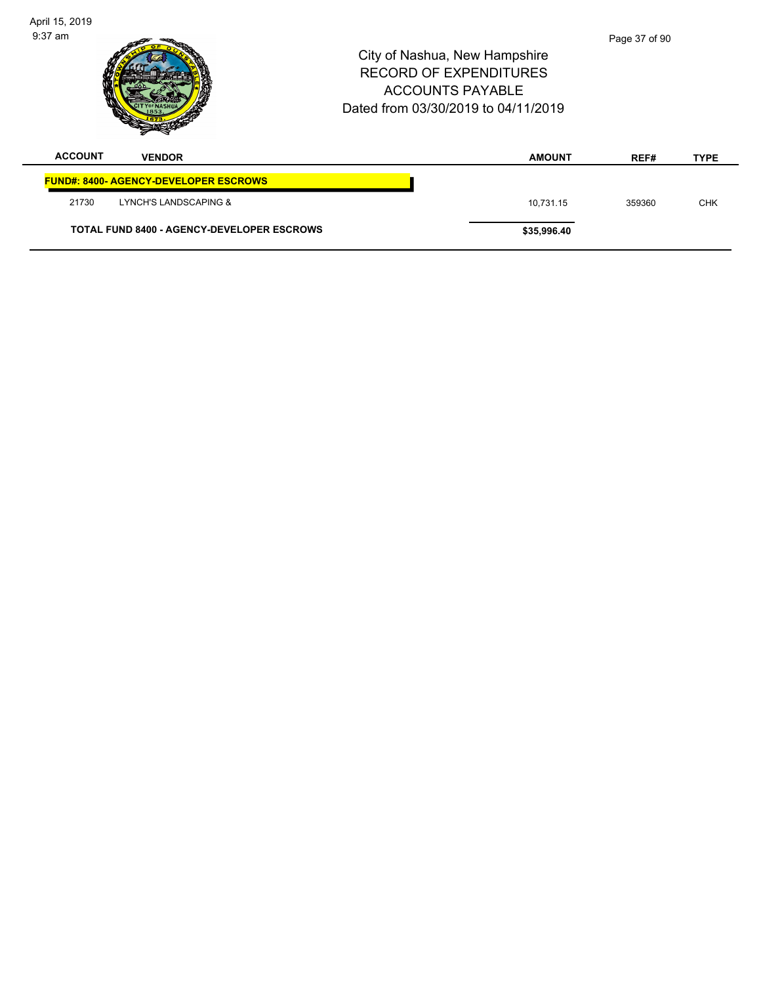| April 15, 2019<br>$9:37$ am |                                                   | City of Nashua, New Hampshire<br><b>RECORD OF EXPENDITURES</b><br><b>ACCOUNTS PAYABLE</b><br>Dated from 03/30/2019 to 04/11/2019 | Page 37 of 90 |             |
|-----------------------------|---------------------------------------------------|----------------------------------------------------------------------------------------------------------------------------------|---------------|-------------|
| <b>ACCOUNT</b>              | <b>VENDOR</b>                                     | <b>AMOUNT</b>                                                                                                                    | REF#          | <b>TYPE</b> |
|                             | <b>FUND#: 8400- AGENCY-DEVELOPER ESCROWS</b>      |                                                                                                                                  |               |             |
| 21730                       | LYNCH'S LANDSCAPING &                             | 10,731.15                                                                                                                        | 359360        | <b>CHK</b>  |
|                             | <b>TOTAL FUND 8400 - AGENCY-DEVELOPER ESCROWS</b> | \$35,996.40                                                                                                                      |               |             |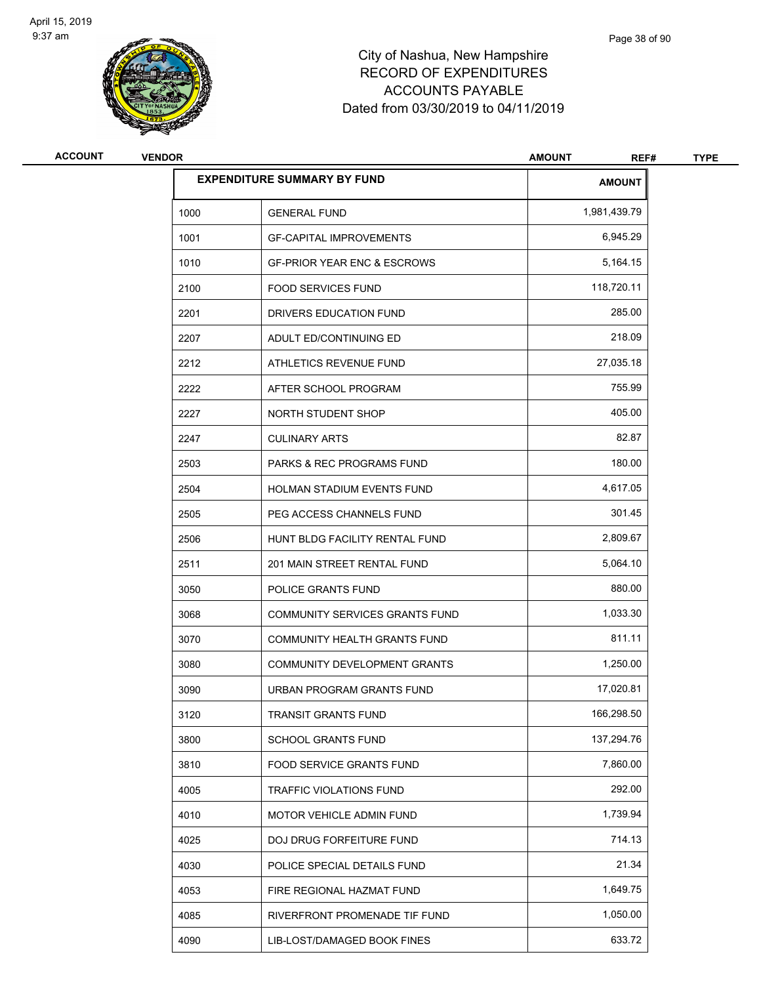

# City of Nashua, New Hampshire RECORD OF EXPENDITURES ACCOUNTS PAYABLE Dated from 03/30/2019 to 04/11/2019

| <b>ACCOUNT</b> | <b>VENDOR</b> |                                        | <b>AMOUNT</b><br>REF# | <b>TYPE</b> |
|----------------|---------------|----------------------------------------|-----------------------|-------------|
|                |               | <b>EXPENDITURE SUMMARY BY FUND</b>     | <b>AMOUNT</b>         |             |
|                | 1000          | <b>GENERAL FUND</b>                    | 1,981,439.79          |             |
|                | 1001          | <b>GF-CAPITAL IMPROVEMENTS</b>         | 6,945.29              |             |
|                | 1010          | <b>GF-PRIOR YEAR ENC &amp; ESCROWS</b> | 5,164.15              |             |
|                | 2100          | <b>FOOD SERVICES FUND</b>              | 118,720.11            |             |
|                | 2201          | DRIVERS EDUCATION FUND                 | 285.00                |             |
|                | 2207          | ADULT ED/CONTINUING ED                 | 218.09                |             |
|                | 2212          | ATHLETICS REVENUE FUND                 | 27,035.18             |             |
|                | 2222          | AFTER SCHOOL PROGRAM                   | 755.99                |             |
|                | 2227          | NORTH STUDENT SHOP                     | 405.00                |             |
|                | 2247          | <b>CULINARY ARTS</b>                   | 82.87                 |             |
|                | 2503          | <b>PARKS &amp; REC PROGRAMS FUND</b>   | 180.00                |             |
|                | 2504          | HOLMAN STADIUM EVENTS FUND             | 4,617.05              |             |
|                | 2505          | PEG ACCESS CHANNELS FUND               | 301.45                |             |
|                | 2506          | HUNT BLDG FACILITY RENTAL FUND         | 2,809.67              |             |
|                | 2511          | 201 MAIN STREET RENTAL FUND            | 5,064.10              |             |
|                | 3050          | POLICE GRANTS FUND                     | 880.00                |             |
|                | 3068          | COMMUNITY SERVICES GRANTS FUND         | 1,033.30              |             |
|                | 3070          | <b>COMMUNITY HEALTH GRANTS FUND</b>    | 811.11                |             |
|                | 3080          | <b>COMMUNITY DEVELOPMENT GRANTS</b>    | 1,250.00              |             |
|                | 3090          | URBAN PROGRAM GRANTS FUND              | 17,020.81             |             |
|                | 3120          | TRANSIT GRANTS FUND                    | 166,298.50            |             |
|                | 3800          | <b>SCHOOL GRANTS FUND</b>              | 137,294.76            |             |
|                | 3810          | FOOD SERVICE GRANTS FUND               | 7,860.00              |             |
|                | 4005          | TRAFFIC VIOLATIONS FUND                | 292.00                |             |
|                | 4010          | MOTOR VEHICLE ADMIN FUND               | 1,739.94              |             |
|                | 4025          | DOJ DRUG FORFEITURE FUND               | 714.13                |             |
|                | 4030          | POLICE SPECIAL DETAILS FUND            | 21.34                 |             |
|                | 4053          | FIRE REGIONAL HAZMAT FUND              | 1,649.75              |             |
|                | 4085          | RIVERFRONT PROMENADE TIF FUND          | 1,050.00              |             |
|                | 4090          | LIB-LOST/DAMAGED BOOK FINES            | 633.72                |             |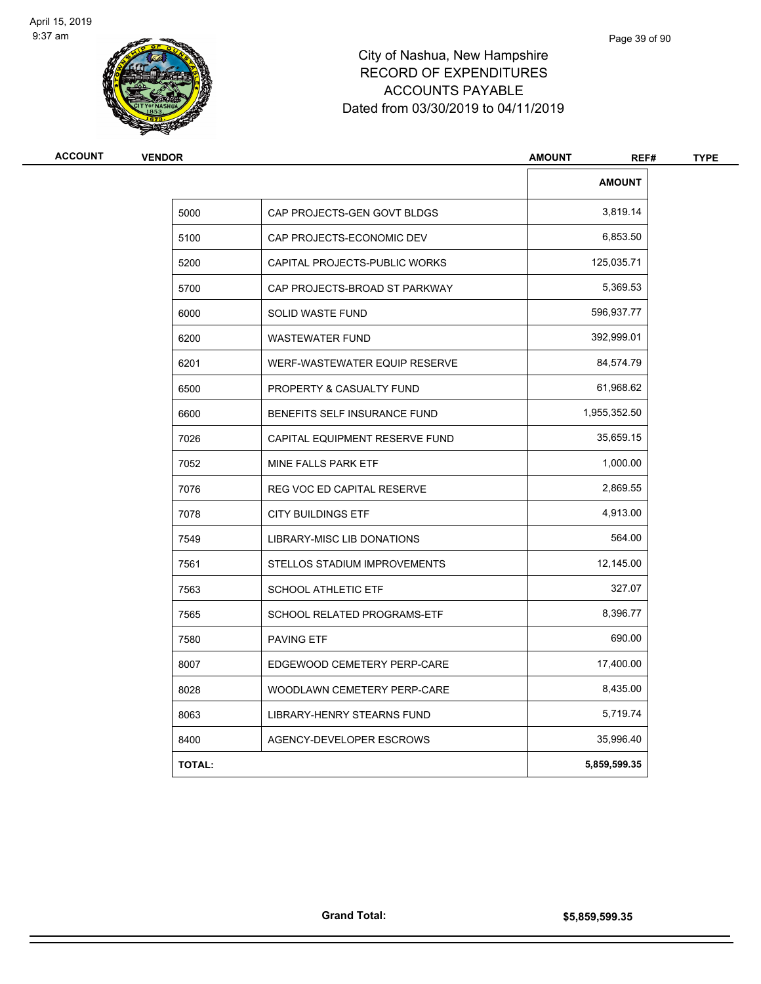

## City of Nashua, New Hampshire RECORD OF EXPENDITURES ACCOUNTS PAYABLE Dated from 03/30/2019 to 04/11/2019

| <b>VENDOR</b> |                                | <b>AMOUNT</b><br>REF# |  |
|---------------|--------------------------------|-----------------------|--|
|               |                                | <b>AMOUNT</b>         |  |
| 5000          | CAP PROJECTS-GEN GOVT BLDGS    | 3,819.14              |  |
| 5100          | CAP PROJECTS-ECONOMIC DEV      | 6,853.50              |  |
| 5200          | CAPITAL PROJECTS-PUBLIC WORKS  | 125,035.71            |  |
| 5700          | CAP PROJECTS-BROAD ST PARKWAY  | 5,369.53              |  |
| 6000          | <b>SOLID WASTE FUND</b>        | 596,937.77            |  |
| 6200          | <b>WASTEWATER FUND</b>         | 392,999.01            |  |
| 6201          | WERF-WASTEWATER EQUIP RESERVE  | 84,574.79             |  |
| 6500          | PROPERTY & CASUALTY FUND       | 61,968.62             |  |
| 6600          | BENEFITS SELF INSURANCE FUND   | 1,955,352.50          |  |
| 7026          | CAPITAL EQUIPMENT RESERVE FUND | 35,659.15             |  |
| 7052          | MINE FALLS PARK ETF            | 1,000.00              |  |
| 7076          | REG VOC ED CAPITAL RESERVE     | 2,869.55              |  |
| 7078          | <b>CITY BUILDINGS ETF</b>      | 4,913.00              |  |
| 7549          | LIBRARY-MISC LIB DONATIONS     | 564.00                |  |
| 7561          | STELLOS STADIUM IMPROVEMENTS   | 12,145.00             |  |
| 7563          | <b>SCHOOL ATHLETIC ETF</b>     | 327.07                |  |
| 7565          | SCHOOL RELATED PROGRAMS-ETF    | 8,396.77              |  |
| 7580          | <b>PAVING ETF</b>              | 690.00                |  |
| 8007          | EDGEWOOD CEMETERY PERP-CARE    | 17,400.00             |  |
| 8028          | WOODLAWN CEMETERY PERP-CARE    | 8,435.00              |  |
| 8063          | LIBRARY-HENRY STEARNS FUND     | 5,719.74              |  |
| 8400          | AGENCY-DEVELOPER ESCROWS       | 35,996.40             |  |
| <b>TOTAL:</b> |                                | 5,859,599.35          |  |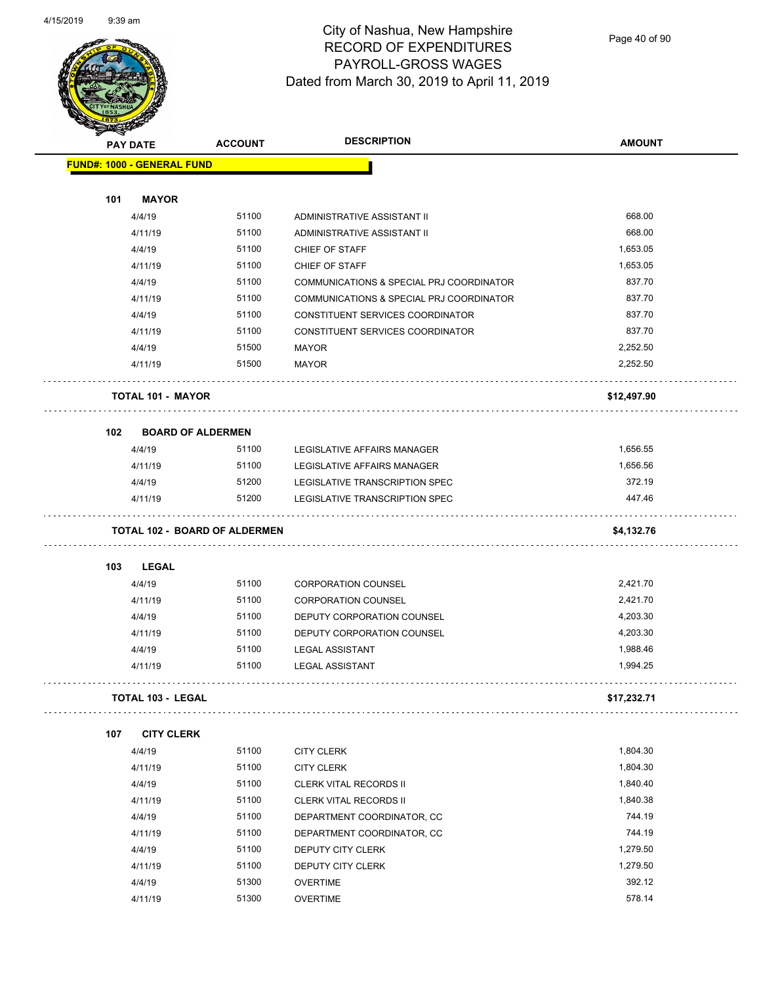

Page 40 of 90

| <b>MARGAS</b> |                                      |                |                                          |               |
|---------------|--------------------------------------|----------------|------------------------------------------|---------------|
|               | <b>PAY DATE</b>                      | <b>ACCOUNT</b> | <b>DESCRIPTION</b>                       | <b>AMOUNT</b> |
|               | <b>FUND#: 1000 - GENERAL FUND</b>    |                |                                          |               |
|               |                                      |                |                                          |               |
| 101           | <b>MAYOR</b>                         |                |                                          |               |
|               | 4/4/19                               | 51100          | ADMINISTRATIVE ASSISTANT II              | 668.00        |
|               | 4/11/19                              | 51100          | ADMINISTRATIVE ASSISTANT II              | 668.00        |
|               | 4/4/19                               | 51100          | CHIEF OF STAFF                           | 1,653.05      |
|               | 4/11/19                              | 51100          | CHIEF OF STAFF                           | 1,653.05      |
|               | 4/4/19                               | 51100          | COMMUNICATIONS & SPECIAL PRJ COORDINATOR | 837.70        |
|               | 4/11/19                              | 51100          | COMMUNICATIONS & SPECIAL PRJ COORDINATOR | 837.70        |
|               | 4/4/19                               | 51100          | CONSTITUENT SERVICES COORDINATOR         | 837.70        |
|               | 4/11/19                              | 51100          | CONSTITUENT SERVICES COORDINATOR         | 837.70        |
|               | 4/4/19                               | 51500          | <b>MAYOR</b>                             | 2,252.50      |
|               | 4/11/19                              | 51500          | <b>MAYOR</b>                             | 2,252.50      |
|               | <b>TOTAL 101 - MAYOR</b>             |                |                                          | \$12,497.90   |
| 102           | <b>BOARD OF ALDERMEN</b>             |                |                                          |               |
|               | 4/4/19                               | 51100          | LEGISLATIVE AFFAIRS MANAGER              | 1,656.55      |
|               | 4/11/19                              | 51100          | LEGISLATIVE AFFAIRS MANAGER              | 1,656.56      |
|               | 4/4/19                               | 51200          | LEGISLATIVE TRANSCRIPTION SPEC           | 372.19        |
|               | 4/11/19                              | 51200          | LEGISLATIVE TRANSCRIPTION SPEC           | 447.46        |
|               | <b>TOTAL 102 - BOARD OF ALDERMEN</b> |                |                                          | \$4,132.76    |
| 103           | <b>LEGAL</b>                         |                |                                          |               |
|               | 4/4/19                               | 51100          | <b>CORPORATION COUNSEL</b>               | 2,421.70      |
|               | 4/11/19                              | 51100          | <b>CORPORATION COUNSEL</b>               | 2,421.70      |
|               | 4/4/19                               | 51100          | DEPUTY CORPORATION COUNSEL               | 4,203.30      |
|               | 4/11/19                              | 51100          | DEPUTY CORPORATION COUNSEL               | 4,203.30      |
|               | 4/4/19                               | 51100          | <b>LEGAL ASSISTANT</b>                   | 1,988.46      |
|               | 4/11/19                              | 51100          | <b>LEGAL ASSISTANT</b>                   | 1,994.25      |
|               | <b>TOTAL 103 - LEGAL</b>             |                |                                          | \$17,232.71   |
|               |                                      |                |                                          |               |
| 107           | <b>CITY CLERK</b>                    |                |                                          |               |
|               | 4/4/19                               | 51100          | <b>CITY CLERK</b>                        | 1,804.30      |
|               | 4/11/19                              | 51100          | <b>CITY CLERK</b>                        | 1,804.30      |
|               | 4/4/19                               | 51100          | CLERK VITAL RECORDS II                   | 1,840.40      |
|               | 4/11/19                              | 51100          | <b>CLERK VITAL RECORDS II</b>            | 1,840.38      |
|               | 4/4/19                               | 51100          | DEPARTMENT COORDINATOR, CC               | 744.19        |
|               | 4/11/19                              | 51100          | DEPARTMENT COORDINATOR, CC               | 744.19        |
|               | 4/4/19                               | 51100          | DEPUTY CITY CLERK                        | 1,279.50      |
|               | 4/11/19                              | 51100          | DEPUTY CITY CLERK                        | 1,279.50      |
|               | 4/4/19                               | 51300          | <b>OVERTIME</b>                          | 392.12        |
|               | 4/11/19                              | 51300          | <b>OVERTIME</b>                          | 578.14        |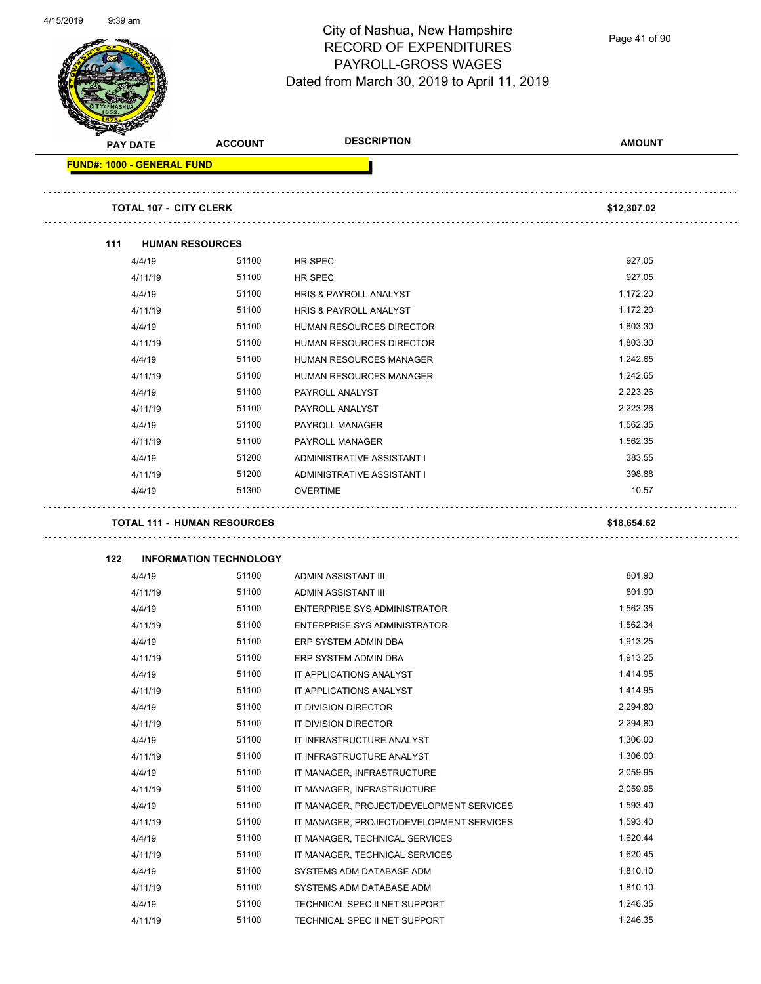Page 41 of 90

| <b>PAY DATE</b>                   | <b>ACCOUNT</b>                     | <b>DESCRIPTION</b>                                     | <b>AMOUNT</b> |
|-----------------------------------|------------------------------------|--------------------------------------------------------|---------------|
| <b>FUND#: 1000 - GENERAL FUND</b> |                                    |                                                        |               |
|                                   | <b>TOTAL 107 - CITY CLERK</b>      |                                                        | \$12,307.02   |
|                                   |                                    |                                                        |               |
| 111                               | <b>HUMAN RESOURCES</b>             |                                                        |               |
| 4/4/19                            | 51100                              | HR SPEC                                                | 927.05        |
| 4/11/19                           | 51100                              | HR SPEC                                                | 927.05        |
| 4/4/19                            | 51100                              | <b>HRIS &amp; PAYROLL ANALYST</b>                      | 1,172.20      |
| 4/11/19                           | 51100                              | <b>HRIS &amp; PAYROLL ANALYST</b>                      | 1,172.20      |
| 4/4/19                            | 51100                              | HUMAN RESOURCES DIRECTOR                               | 1,803.30      |
| 4/11/19                           | 51100                              | HUMAN RESOURCES DIRECTOR                               | 1,803.30      |
| 4/4/19                            | 51100                              | <b>HUMAN RESOURCES MANAGER</b>                         | 1,242.65      |
| 4/11/19                           | 51100                              | HUMAN RESOURCES MANAGER                                | 1,242.65      |
| 4/4/19                            | 51100                              | PAYROLL ANALYST                                        | 2,223.26      |
| 4/11/19                           | 51100                              | PAYROLL ANALYST                                        | 2,223.26      |
| 4/4/19                            | 51100                              | <b>PAYROLL MANAGER</b>                                 | 1,562.35      |
| 4/11/19                           | 51100                              | PAYROLL MANAGER                                        | 1,562.35      |
| 4/4/19                            | 51200                              | ADMINISTRATIVE ASSISTANT I                             | 383.55        |
| 4/11/19                           | 51200                              | ADMINISTRATIVE ASSISTANT I                             | 398.88        |
| 4/4/19                            | 51300                              | <b>OVERTIME</b>                                        | 10.57         |
|                                   | <b>TOTAL 111 - HUMAN RESOURCES</b> |                                                        | \$18,654.62   |
| 122                               | <b>INFORMATION TECHNOLOGY</b>      |                                                        |               |
| 4/4/19                            | 51100                              | ADMIN ASSISTANT III                                    | 801.90        |
| 4/11/19                           | 51100                              | ADMIN ASSISTANT III                                    | 801.90        |
| 4/4/19                            | 51100                              | <b>ENTERPRISE SYS ADMINISTRATOR</b>                    | 1,562.35      |
| 4/11/19                           | 51100                              | <b>ENTERPRISE SYS ADMINISTRATOR</b>                    | 1,562.34      |
| 4/4/19                            | 51100                              | ERP SYSTEM ADMIN DBA                                   | 1,913.25      |
| 4/11/19                           | 51100                              | ERP SYSTEM ADMIN DBA                                   | 1,913.25      |
| 4/4/19                            | 51100                              | IT APPLICATIONS ANALYST                                | 1,414.95      |
| 4/11/19                           | 51100                              | IT APPLICATIONS ANALYST                                | 1,414.95      |
| 4/4/19                            | 51100                              | IT DIVISION DIRECTOR                                   | 2,294.80      |
| 4/11/19                           | 51100                              | IT DIVISION DIRECTOR                                   | 2,294.80      |
| 4/4/19                            | 51100                              |                                                        | 1,306.00      |
| 4/11/19                           | 51100                              | IT INFRASTRUCTURE ANALYST<br>IT INFRASTRUCTURE ANALYST | 1,306.00      |
| 4/4/19                            | 51100                              |                                                        | 2,059.95      |
|                                   | 51100                              | IT MANAGER, INFRASTRUCTURE                             | 2,059.95      |
| 4/11/19                           |                                    | IT MANAGER, INFRASTRUCTURE                             |               |
| 4/4/19                            | 51100                              | IT MANAGER, PROJECT/DEVELOPMENT SERVICES               | 1,593.40      |
| 4/11/19                           | 51100                              | IT MANAGER, PROJECT/DEVELOPMENT SERVICES               | 1,593.40      |
| 4/4/19                            | 51100                              | IT MANAGER, TECHNICAL SERVICES                         | 1,620.44      |
| 4/11/19                           | 51100                              | IT MANAGER, TECHNICAL SERVICES                         | 1,620.45      |
| 4/4/19                            | 51100                              | SYSTEMS ADM DATABASE ADM                               | 1,810.10      |
| 4/11/19                           | 51100                              | SYSTEMS ADM DATABASE ADM                               | 1,810.10      |
| 4/4/19                            | 51100                              | TECHNICAL SPEC II NET SUPPORT                          | 1,246.35      |
| 4/11/19                           | 51100                              | TECHNICAL SPEC II NET SUPPORT                          | 1,246.35      |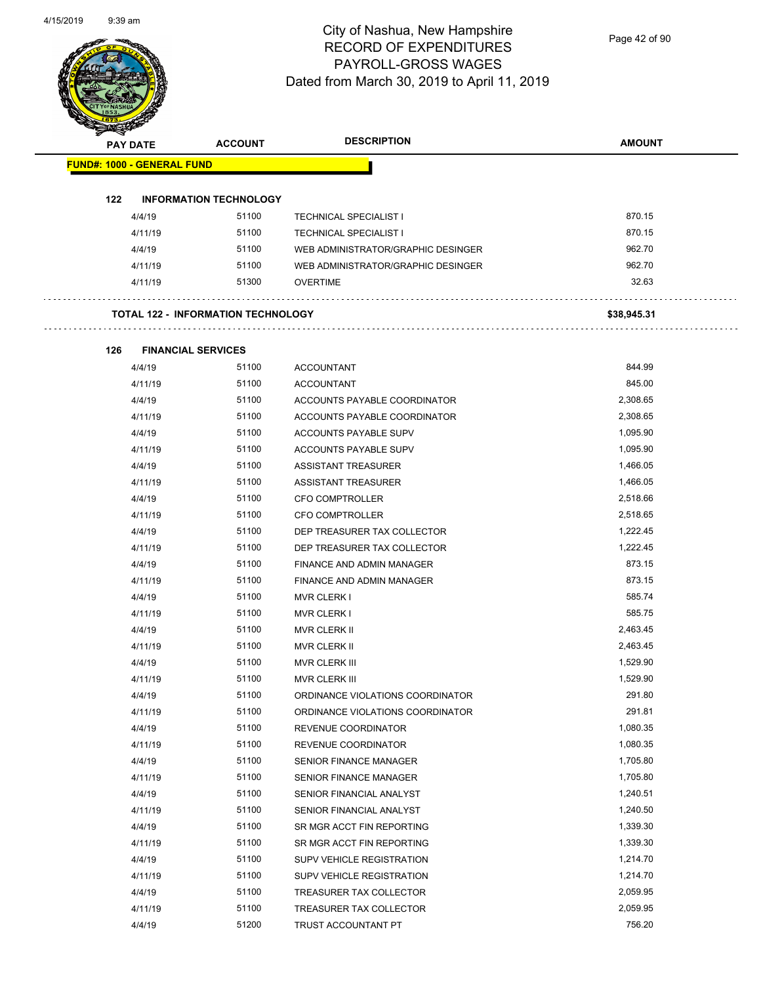Page 42 of 90

| <b>FUND#: 1000 - GENERAL FUND</b><br>122<br><b>INFORMATION TECHNOLOGY</b><br>51100<br>870.15<br>4/4/19<br><b>TECHNICAL SPECIALIST I</b><br>870.15<br>51100<br>4/11/19<br><b>TECHNICAL SPECIALIST I</b><br>962.70<br>4/4/19<br>51100<br>WEB ADMINISTRATOR/GRAPHIC DESINGER<br>51100<br>962.70<br>4/11/19<br>WEB ADMINISTRATOR/GRAPHIC DESINGER<br>32.63<br>51300<br>4/11/19<br><b>OVERTIME</b><br><b>TOTAL 122 - INFORMATION TECHNOLOGY</b><br>\$38,945.31<br>126<br><b>FINANCIAL SERVICES</b><br>844.99<br>51100<br>4/4/19<br><b>ACCOUNTANT</b><br>845.00<br>51100<br>4/11/19<br><b>ACCOUNTANT</b><br>2,308.65<br>51100<br>4/4/19<br>ACCOUNTS PAYABLE COORDINATOR<br>4/11/19<br>51100<br>2,308.65<br>ACCOUNTS PAYABLE COORDINATOR<br>1,095.90<br>4/4/19<br>51100<br>ACCOUNTS PAYABLE SUPV<br>51100<br>1,095.90<br>4/11/19<br>ACCOUNTS PAYABLE SUPV<br>51100<br>1,466.05<br>4/4/19<br><b>ASSISTANT TREASURER</b><br>51100<br>1,466.05<br>4/11/19<br>ASSISTANT TREASURER<br>4/4/19<br>51100<br>2,518.66<br><b>CFO COMPTROLLER</b><br>2,518.65<br>4/11/19<br>51100<br><b>CFO COMPTROLLER</b><br>1,222.45<br>51100<br>4/4/19<br>DEP TREASURER TAX COLLECTOR<br>51100<br>1,222.45<br>4/11/19<br>DEP TREASURER TAX COLLECTOR<br>873.15<br>51100<br>4/4/19<br>FINANCE AND ADMIN MANAGER<br>4/11/19<br>51100<br>873.15<br>FINANCE AND ADMIN MANAGER<br>585.74<br>4/4/19<br>51100<br><b>MVR CLERK I</b><br>585.75<br>51100<br>4/11/19<br><b>MVR CLERK I</b><br>51100<br>2,463.45<br>4/4/19<br>MVR CLERK II<br>51100<br>2,463.45<br>4/11/19<br><b>MVR CLERK II</b><br>51100<br>1,529.90<br>4/4/19<br>MVR CLERK III<br>51100<br>1,529.90<br>4/11/19<br>MVR CLERK III<br>291.80<br>51100<br>4/4/19<br>ORDINANCE VIOLATIONS COORDINATOR<br>51100<br>291.81<br>4/11/19<br>ORDINANCE VIOLATIONS COORDINATOR<br>51100<br>1,080.35<br>4/4/19<br>REVENUE COORDINATOR<br>4/11/19<br>51100<br>1,080.35<br>REVENUE COORDINATOR<br>51100<br>1,705.80<br>4/4/19<br>SENIOR FINANCE MANAGER<br>51100<br>1,705.80<br>4/11/19<br>SENIOR FINANCE MANAGER<br>51100<br>1,240.51<br>4/4/19<br>SENIOR FINANCIAL ANALYST<br>51100<br>1,240.50<br>4/11/19<br>SENIOR FINANCIAL ANALYST<br>4/4/19<br>51100<br>1,339.30<br>SR MGR ACCT FIN REPORTING<br>51100<br>1,339.30<br>4/11/19<br>SR MGR ACCT FIN REPORTING<br>1,214.70<br>51100<br>4/4/19<br>SUPV VEHICLE REGISTRATION<br>51100<br>1,214.70<br>4/11/19<br>SUPV VEHICLE REGISTRATION<br>51100<br>2,059.95<br>4/4/19<br>TREASURER TAX COLLECTOR<br>4/11/19<br>51100<br>2,059.95<br>TREASURER TAX COLLECTOR | <b>PAY DATE</b> | <b>ACCOUNT</b> | <b>DESCRIPTION</b> | <b>AMOUNT</b> |
|----------------------------------------------------------------------------------------------------------------------------------------------------------------------------------------------------------------------------------------------------------------------------------------------------------------------------------------------------------------------------------------------------------------------------------------------------------------------------------------------------------------------------------------------------------------------------------------------------------------------------------------------------------------------------------------------------------------------------------------------------------------------------------------------------------------------------------------------------------------------------------------------------------------------------------------------------------------------------------------------------------------------------------------------------------------------------------------------------------------------------------------------------------------------------------------------------------------------------------------------------------------------------------------------------------------------------------------------------------------------------------------------------------------------------------------------------------------------------------------------------------------------------------------------------------------------------------------------------------------------------------------------------------------------------------------------------------------------------------------------------------------------------------------------------------------------------------------------------------------------------------------------------------------------------------------------------------------------------------------------------------------------------------------------------------------------------------------------------------------------------------------------------------------------------------------------------------------------------------------------------------------------------------------------------------------------------------------------------------------------------------------------------------------------------------------------------------------------------------------------------------------------------|-----------------|----------------|--------------------|---------------|
|                                                                                                                                                                                                                                                                                                                                                                                                                                                                                                                                                                                                                                                                                                                                                                                                                                                                                                                                                                                                                                                                                                                                                                                                                                                                                                                                                                                                                                                                                                                                                                                                                                                                                                                                                                                                                                                                                                                                                                                                                                                                                                                                                                                                                                                                                                                                                                                                                                                                                                                            |                 |                |                    |               |
|                                                                                                                                                                                                                                                                                                                                                                                                                                                                                                                                                                                                                                                                                                                                                                                                                                                                                                                                                                                                                                                                                                                                                                                                                                                                                                                                                                                                                                                                                                                                                                                                                                                                                                                                                                                                                                                                                                                                                                                                                                                                                                                                                                                                                                                                                                                                                                                                                                                                                                                            |                 |                |                    |               |
|                                                                                                                                                                                                                                                                                                                                                                                                                                                                                                                                                                                                                                                                                                                                                                                                                                                                                                                                                                                                                                                                                                                                                                                                                                                                                                                                                                                                                                                                                                                                                                                                                                                                                                                                                                                                                                                                                                                                                                                                                                                                                                                                                                                                                                                                                                                                                                                                                                                                                                                            |                 |                |                    |               |
|                                                                                                                                                                                                                                                                                                                                                                                                                                                                                                                                                                                                                                                                                                                                                                                                                                                                                                                                                                                                                                                                                                                                                                                                                                                                                                                                                                                                                                                                                                                                                                                                                                                                                                                                                                                                                                                                                                                                                                                                                                                                                                                                                                                                                                                                                                                                                                                                                                                                                                                            |                 |                |                    |               |
|                                                                                                                                                                                                                                                                                                                                                                                                                                                                                                                                                                                                                                                                                                                                                                                                                                                                                                                                                                                                                                                                                                                                                                                                                                                                                                                                                                                                                                                                                                                                                                                                                                                                                                                                                                                                                                                                                                                                                                                                                                                                                                                                                                                                                                                                                                                                                                                                                                                                                                                            |                 |                |                    |               |
|                                                                                                                                                                                                                                                                                                                                                                                                                                                                                                                                                                                                                                                                                                                                                                                                                                                                                                                                                                                                                                                                                                                                                                                                                                                                                                                                                                                                                                                                                                                                                                                                                                                                                                                                                                                                                                                                                                                                                                                                                                                                                                                                                                                                                                                                                                                                                                                                                                                                                                                            |                 |                |                    |               |
|                                                                                                                                                                                                                                                                                                                                                                                                                                                                                                                                                                                                                                                                                                                                                                                                                                                                                                                                                                                                                                                                                                                                                                                                                                                                                                                                                                                                                                                                                                                                                                                                                                                                                                                                                                                                                                                                                                                                                                                                                                                                                                                                                                                                                                                                                                                                                                                                                                                                                                                            |                 |                |                    |               |
|                                                                                                                                                                                                                                                                                                                                                                                                                                                                                                                                                                                                                                                                                                                                                                                                                                                                                                                                                                                                                                                                                                                                                                                                                                                                                                                                                                                                                                                                                                                                                                                                                                                                                                                                                                                                                                                                                                                                                                                                                                                                                                                                                                                                                                                                                                                                                                                                                                                                                                                            |                 |                |                    |               |
|                                                                                                                                                                                                                                                                                                                                                                                                                                                                                                                                                                                                                                                                                                                                                                                                                                                                                                                                                                                                                                                                                                                                                                                                                                                                                                                                                                                                                                                                                                                                                                                                                                                                                                                                                                                                                                                                                                                                                                                                                                                                                                                                                                                                                                                                                                                                                                                                                                                                                                                            |                 |                |                    |               |
|                                                                                                                                                                                                                                                                                                                                                                                                                                                                                                                                                                                                                                                                                                                                                                                                                                                                                                                                                                                                                                                                                                                                                                                                                                                                                                                                                                                                                                                                                                                                                                                                                                                                                                                                                                                                                                                                                                                                                                                                                                                                                                                                                                                                                                                                                                                                                                                                                                                                                                                            |                 |                |                    |               |
|                                                                                                                                                                                                                                                                                                                                                                                                                                                                                                                                                                                                                                                                                                                                                                                                                                                                                                                                                                                                                                                                                                                                                                                                                                                                                                                                                                                                                                                                                                                                                                                                                                                                                                                                                                                                                                                                                                                                                                                                                                                                                                                                                                                                                                                                                                                                                                                                                                                                                                                            |                 |                |                    |               |
|                                                                                                                                                                                                                                                                                                                                                                                                                                                                                                                                                                                                                                                                                                                                                                                                                                                                                                                                                                                                                                                                                                                                                                                                                                                                                                                                                                                                                                                                                                                                                                                                                                                                                                                                                                                                                                                                                                                                                                                                                                                                                                                                                                                                                                                                                                                                                                                                                                                                                                                            |                 |                |                    |               |
|                                                                                                                                                                                                                                                                                                                                                                                                                                                                                                                                                                                                                                                                                                                                                                                                                                                                                                                                                                                                                                                                                                                                                                                                                                                                                                                                                                                                                                                                                                                                                                                                                                                                                                                                                                                                                                                                                                                                                                                                                                                                                                                                                                                                                                                                                                                                                                                                                                                                                                                            |                 |                |                    |               |
|                                                                                                                                                                                                                                                                                                                                                                                                                                                                                                                                                                                                                                                                                                                                                                                                                                                                                                                                                                                                                                                                                                                                                                                                                                                                                                                                                                                                                                                                                                                                                                                                                                                                                                                                                                                                                                                                                                                                                                                                                                                                                                                                                                                                                                                                                                                                                                                                                                                                                                                            |                 |                |                    |               |
|                                                                                                                                                                                                                                                                                                                                                                                                                                                                                                                                                                                                                                                                                                                                                                                                                                                                                                                                                                                                                                                                                                                                                                                                                                                                                                                                                                                                                                                                                                                                                                                                                                                                                                                                                                                                                                                                                                                                                                                                                                                                                                                                                                                                                                                                                                                                                                                                                                                                                                                            |                 |                |                    |               |
|                                                                                                                                                                                                                                                                                                                                                                                                                                                                                                                                                                                                                                                                                                                                                                                                                                                                                                                                                                                                                                                                                                                                                                                                                                                                                                                                                                                                                                                                                                                                                                                                                                                                                                                                                                                                                                                                                                                                                                                                                                                                                                                                                                                                                                                                                                                                                                                                                                                                                                                            |                 |                |                    |               |
|                                                                                                                                                                                                                                                                                                                                                                                                                                                                                                                                                                                                                                                                                                                                                                                                                                                                                                                                                                                                                                                                                                                                                                                                                                                                                                                                                                                                                                                                                                                                                                                                                                                                                                                                                                                                                                                                                                                                                                                                                                                                                                                                                                                                                                                                                                                                                                                                                                                                                                                            |                 |                |                    |               |
|                                                                                                                                                                                                                                                                                                                                                                                                                                                                                                                                                                                                                                                                                                                                                                                                                                                                                                                                                                                                                                                                                                                                                                                                                                                                                                                                                                                                                                                                                                                                                                                                                                                                                                                                                                                                                                                                                                                                                                                                                                                                                                                                                                                                                                                                                                                                                                                                                                                                                                                            |                 |                |                    |               |
|                                                                                                                                                                                                                                                                                                                                                                                                                                                                                                                                                                                                                                                                                                                                                                                                                                                                                                                                                                                                                                                                                                                                                                                                                                                                                                                                                                                                                                                                                                                                                                                                                                                                                                                                                                                                                                                                                                                                                                                                                                                                                                                                                                                                                                                                                                                                                                                                                                                                                                                            |                 |                |                    |               |
|                                                                                                                                                                                                                                                                                                                                                                                                                                                                                                                                                                                                                                                                                                                                                                                                                                                                                                                                                                                                                                                                                                                                                                                                                                                                                                                                                                                                                                                                                                                                                                                                                                                                                                                                                                                                                                                                                                                                                                                                                                                                                                                                                                                                                                                                                                                                                                                                                                                                                                                            |                 |                |                    |               |
|                                                                                                                                                                                                                                                                                                                                                                                                                                                                                                                                                                                                                                                                                                                                                                                                                                                                                                                                                                                                                                                                                                                                                                                                                                                                                                                                                                                                                                                                                                                                                                                                                                                                                                                                                                                                                                                                                                                                                                                                                                                                                                                                                                                                                                                                                                                                                                                                                                                                                                                            |                 |                |                    |               |
|                                                                                                                                                                                                                                                                                                                                                                                                                                                                                                                                                                                                                                                                                                                                                                                                                                                                                                                                                                                                                                                                                                                                                                                                                                                                                                                                                                                                                                                                                                                                                                                                                                                                                                                                                                                                                                                                                                                                                                                                                                                                                                                                                                                                                                                                                                                                                                                                                                                                                                                            |                 |                |                    |               |
|                                                                                                                                                                                                                                                                                                                                                                                                                                                                                                                                                                                                                                                                                                                                                                                                                                                                                                                                                                                                                                                                                                                                                                                                                                                                                                                                                                                                                                                                                                                                                                                                                                                                                                                                                                                                                                                                                                                                                                                                                                                                                                                                                                                                                                                                                                                                                                                                                                                                                                                            |                 |                |                    |               |
|                                                                                                                                                                                                                                                                                                                                                                                                                                                                                                                                                                                                                                                                                                                                                                                                                                                                                                                                                                                                                                                                                                                                                                                                                                                                                                                                                                                                                                                                                                                                                                                                                                                                                                                                                                                                                                                                                                                                                                                                                                                                                                                                                                                                                                                                                                                                                                                                                                                                                                                            |                 |                |                    |               |
|                                                                                                                                                                                                                                                                                                                                                                                                                                                                                                                                                                                                                                                                                                                                                                                                                                                                                                                                                                                                                                                                                                                                                                                                                                                                                                                                                                                                                                                                                                                                                                                                                                                                                                                                                                                                                                                                                                                                                                                                                                                                                                                                                                                                                                                                                                                                                                                                                                                                                                                            |                 |                |                    |               |
|                                                                                                                                                                                                                                                                                                                                                                                                                                                                                                                                                                                                                                                                                                                                                                                                                                                                                                                                                                                                                                                                                                                                                                                                                                                                                                                                                                                                                                                                                                                                                                                                                                                                                                                                                                                                                                                                                                                                                                                                                                                                                                                                                                                                                                                                                                                                                                                                                                                                                                                            |                 |                |                    |               |
|                                                                                                                                                                                                                                                                                                                                                                                                                                                                                                                                                                                                                                                                                                                                                                                                                                                                                                                                                                                                                                                                                                                                                                                                                                                                                                                                                                                                                                                                                                                                                                                                                                                                                                                                                                                                                                                                                                                                                                                                                                                                                                                                                                                                                                                                                                                                                                                                                                                                                                                            |                 |                |                    |               |
|                                                                                                                                                                                                                                                                                                                                                                                                                                                                                                                                                                                                                                                                                                                                                                                                                                                                                                                                                                                                                                                                                                                                                                                                                                                                                                                                                                                                                                                                                                                                                                                                                                                                                                                                                                                                                                                                                                                                                                                                                                                                                                                                                                                                                                                                                                                                                                                                                                                                                                                            |                 |                |                    |               |
|                                                                                                                                                                                                                                                                                                                                                                                                                                                                                                                                                                                                                                                                                                                                                                                                                                                                                                                                                                                                                                                                                                                                                                                                                                                                                                                                                                                                                                                                                                                                                                                                                                                                                                                                                                                                                                                                                                                                                                                                                                                                                                                                                                                                                                                                                                                                                                                                                                                                                                                            |                 |                |                    |               |
|                                                                                                                                                                                                                                                                                                                                                                                                                                                                                                                                                                                                                                                                                                                                                                                                                                                                                                                                                                                                                                                                                                                                                                                                                                                                                                                                                                                                                                                                                                                                                                                                                                                                                                                                                                                                                                                                                                                                                                                                                                                                                                                                                                                                                                                                                                                                                                                                                                                                                                                            |                 |                |                    |               |
|                                                                                                                                                                                                                                                                                                                                                                                                                                                                                                                                                                                                                                                                                                                                                                                                                                                                                                                                                                                                                                                                                                                                                                                                                                                                                                                                                                                                                                                                                                                                                                                                                                                                                                                                                                                                                                                                                                                                                                                                                                                                                                                                                                                                                                                                                                                                                                                                                                                                                                                            |                 |                |                    |               |
|                                                                                                                                                                                                                                                                                                                                                                                                                                                                                                                                                                                                                                                                                                                                                                                                                                                                                                                                                                                                                                                                                                                                                                                                                                                                                                                                                                                                                                                                                                                                                                                                                                                                                                                                                                                                                                                                                                                                                                                                                                                                                                                                                                                                                                                                                                                                                                                                                                                                                                                            |                 |                |                    |               |
|                                                                                                                                                                                                                                                                                                                                                                                                                                                                                                                                                                                                                                                                                                                                                                                                                                                                                                                                                                                                                                                                                                                                                                                                                                                                                                                                                                                                                                                                                                                                                                                                                                                                                                                                                                                                                                                                                                                                                                                                                                                                                                                                                                                                                                                                                                                                                                                                                                                                                                                            |                 |                |                    |               |
|                                                                                                                                                                                                                                                                                                                                                                                                                                                                                                                                                                                                                                                                                                                                                                                                                                                                                                                                                                                                                                                                                                                                                                                                                                                                                                                                                                                                                                                                                                                                                                                                                                                                                                                                                                                                                                                                                                                                                                                                                                                                                                                                                                                                                                                                                                                                                                                                                                                                                                                            |                 |                |                    |               |
|                                                                                                                                                                                                                                                                                                                                                                                                                                                                                                                                                                                                                                                                                                                                                                                                                                                                                                                                                                                                                                                                                                                                                                                                                                                                                                                                                                                                                                                                                                                                                                                                                                                                                                                                                                                                                                                                                                                                                                                                                                                                                                                                                                                                                                                                                                                                                                                                                                                                                                                            |                 |                |                    |               |
|                                                                                                                                                                                                                                                                                                                                                                                                                                                                                                                                                                                                                                                                                                                                                                                                                                                                                                                                                                                                                                                                                                                                                                                                                                                                                                                                                                                                                                                                                                                                                                                                                                                                                                                                                                                                                                                                                                                                                                                                                                                                                                                                                                                                                                                                                                                                                                                                                                                                                                                            |                 |                |                    |               |
|                                                                                                                                                                                                                                                                                                                                                                                                                                                                                                                                                                                                                                                                                                                                                                                                                                                                                                                                                                                                                                                                                                                                                                                                                                                                                                                                                                                                                                                                                                                                                                                                                                                                                                                                                                                                                                                                                                                                                                                                                                                                                                                                                                                                                                                                                                                                                                                                                                                                                                                            |                 |                |                    |               |
|                                                                                                                                                                                                                                                                                                                                                                                                                                                                                                                                                                                                                                                                                                                                                                                                                                                                                                                                                                                                                                                                                                                                                                                                                                                                                                                                                                                                                                                                                                                                                                                                                                                                                                                                                                                                                                                                                                                                                                                                                                                                                                                                                                                                                                                                                                                                                                                                                                                                                                                            |                 |                |                    |               |
|                                                                                                                                                                                                                                                                                                                                                                                                                                                                                                                                                                                                                                                                                                                                                                                                                                                                                                                                                                                                                                                                                                                                                                                                                                                                                                                                                                                                                                                                                                                                                                                                                                                                                                                                                                                                                                                                                                                                                                                                                                                                                                                                                                                                                                                                                                                                                                                                                                                                                                                            |                 |                |                    |               |
|                                                                                                                                                                                                                                                                                                                                                                                                                                                                                                                                                                                                                                                                                                                                                                                                                                                                                                                                                                                                                                                                                                                                                                                                                                                                                                                                                                                                                                                                                                                                                                                                                                                                                                                                                                                                                                                                                                                                                                                                                                                                                                                                                                                                                                                                                                                                                                                                                                                                                                                            |                 |                |                    |               |
|                                                                                                                                                                                                                                                                                                                                                                                                                                                                                                                                                                                                                                                                                                                                                                                                                                                                                                                                                                                                                                                                                                                                                                                                                                                                                                                                                                                                                                                                                                                                                                                                                                                                                                                                                                                                                                                                                                                                                                                                                                                                                                                                                                                                                                                                                                                                                                                                                                                                                                                            |                 |                |                    |               |
|                                                                                                                                                                                                                                                                                                                                                                                                                                                                                                                                                                                                                                                                                                                                                                                                                                                                                                                                                                                                                                                                                                                                                                                                                                                                                                                                                                                                                                                                                                                                                                                                                                                                                                                                                                                                                                                                                                                                                                                                                                                                                                                                                                                                                                                                                                                                                                                                                                                                                                                            |                 |                |                    |               |
|                                                                                                                                                                                                                                                                                                                                                                                                                                                                                                                                                                                                                                                                                                                                                                                                                                                                                                                                                                                                                                                                                                                                                                                                                                                                                                                                                                                                                                                                                                                                                                                                                                                                                                                                                                                                                                                                                                                                                                                                                                                                                                                                                                                                                                                                                                                                                                                                                                                                                                                            |                 |                |                    |               |
| 756.20<br>51200<br>4/4/19<br>TRUST ACCOUNTANT PT                                                                                                                                                                                                                                                                                                                                                                                                                                                                                                                                                                                                                                                                                                                                                                                                                                                                                                                                                                                                                                                                                                                                                                                                                                                                                                                                                                                                                                                                                                                                                                                                                                                                                                                                                                                                                                                                                                                                                                                                                                                                                                                                                                                                                                                                                                                                                                                                                                                                           |                 |                |                    |               |
|                                                                                                                                                                                                                                                                                                                                                                                                                                                                                                                                                                                                                                                                                                                                                                                                                                                                                                                                                                                                                                                                                                                                                                                                                                                                                                                                                                                                                                                                                                                                                                                                                                                                                                                                                                                                                                                                                                                                                                                                                                                                                                                                                                                                                                                                                                                                                                                                                                                                                                                            |                 |                |                    |               |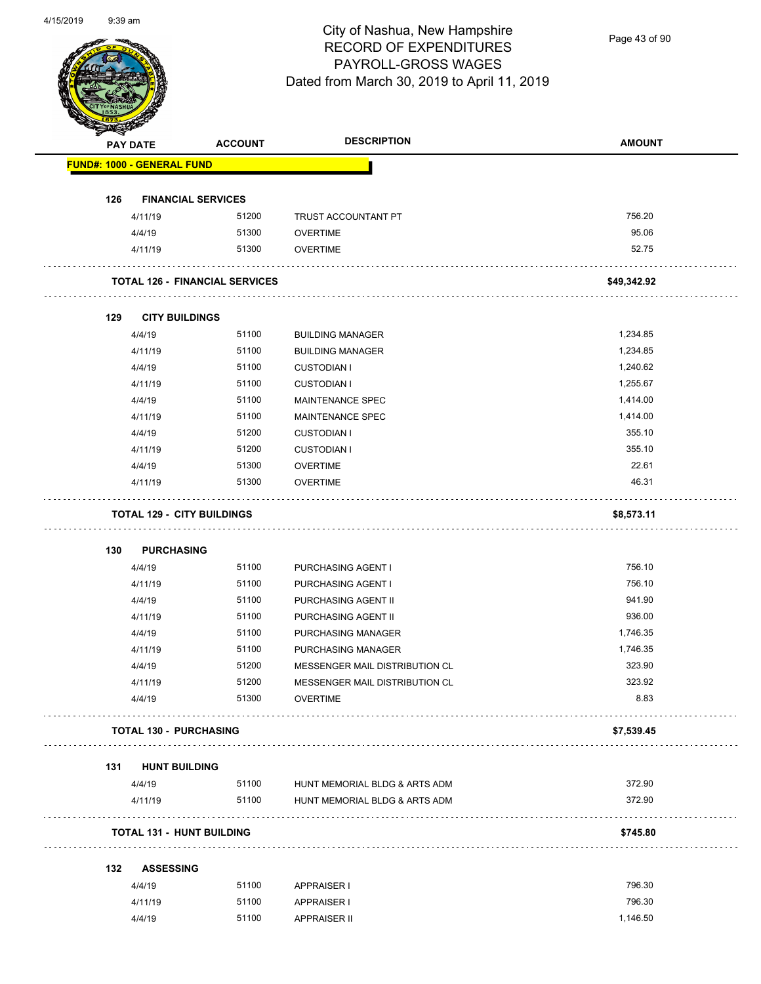

Page 43 of 90

|     | <b>PAY DATE</b>                   | <b>ACCOUNT</b>                        | <b>DESCRIPTION</b>                  | <b>AMOUNT</b> |
|-----|-----------------------------------|---------------------------------------|-------------------------------------|---------------|
|     | <b>FUND#: 1000 - GENERAL FUND</b> |                                       |                                     |               |
| 126 | <b>FINANCIAL SERVICES</b>         |                                       |                                     |               |
|     | 4/11/19                           | 51200                                 | TRUST ACCOUNTANT PT                 | 756.20        |
|     | 4/4/19                            | 51300                                 | <b>OVERTIME</b>                     | 95.06         |
|     | 4/11/19                           | 51300                                 | <b>OVERTIME</b>                     | 52.75         |
|     |                                   | <b>TOTAL 126 - FINANCIAL SERVICES</b> |                                     | \$49,342.92   |
| 129 | <b>CITY BUILDINGS</b>             |                                       |                                     |               |
|     | 4/4/19                            | 51100                                 | <b>BUILDING MANAGER</b>             | 1,234.85      |
|     | 4/11/19                           | 51100                                 | <b>BUILDING MANAGER</b>             | 1,234.85      |
|     | 4/4/19                            | 51100                                 | <b>CUSTODIAN I</b>                  | 1,240.62      |
|     | 4/11/19                           | 51100                                 | <b>CUSTODIAN I</b>                  | 1,255.67      |
|     | 4/4/19                            | 51100                                 | MAINTENANCE SPEC                    | 1,414.00      |
|     | 4/11/19                           | 51100                                 | MAINTENANCE SPEC                    | 1,414.00      |
|     | 4/4/19                            | 51200                                 | <b>CUSTODIAN I</b>                  | 355.10        |
|     | 4/11/19                           | 51200                                 | <b>CUSTODIAN I</b>                  | 355.10        |
|     | 4/4/19                            | 51300                                 | <b>OVERTIME</b>                     | 22.61         |
|     | 4/11/19                           | 51300                                 | <b>OVERTIME</b>                     | 46.31         |
|     | <b>TOTAL 129 - CITY BUILDINGS</b> |                                       |                                     | \$8,573.11    |
| 130 | <b>PURCHASING</b>                 |                                       |                                     |               |
|     | 4/4/19                            | 51100                                 | PURCHASING AGENT I                  | 756.10        |
|     | 4/11/19                           | 51100                                 | PURCHASING AGENT I                  | 756.10        |
|     | 4/4/19                            | 51100                                 | PURCHASING AGENT II                 | 941.90        |
|     | 4/11/19                           | 51100                                 | PURCHASING AGENT II                 | 936.00        |
|     | 4/4/19                            | 51100                                 | PURCHASING MANAGER                  | 1,746.35      |
|     | 4/11/19                           | 51100                                 | PURCHASING MANAGER                  | 1,746.35      |
|     | 4/4/19                            | 51200                                 | MESSENGER MAIL DISTRIBUTION CL      | 323.90        |
|     | 4/11/19                           | 51200                                 | MESSENGER MAIL DISTRIBUTION CL      | 323.92        |
|     | 4/4/19                            | 51300                                 | <b>OVERTIME</b>                     | 8.83          |
|     | <b>TOTAL 130 - PURCHASING</b>     |                                       |                                     | \$7,539.45    |
| 131 | <b>HUNT BUILDING</b>              |                                       |                                     |               |
|     | 4/4/19                            |                                       | 51100 HUNT MEMORIAL BLDG & ARTS ADM | 372.90        |
|     | 4/11/19                           | 51100                                 | HUNT MEMORIAL BLDG & ARTS ADM       | 372.90        |
|     | <b>TOTAL 131 - HUNT BUILDING</b>  |                                       |                                     | \$745.80      |
| 132 | <b>ASSESSING</b>                  |                                       |                                     |               |
|     | 4/4/19                            | 51100                                 | <b>APPRAISER I</b>                  | 796.30        |
|     | 4/11/19                           | 51100                                 | <b>APPRAISER I</b>                  | 796.30        |
|     |                                   |                                       |                                     |               |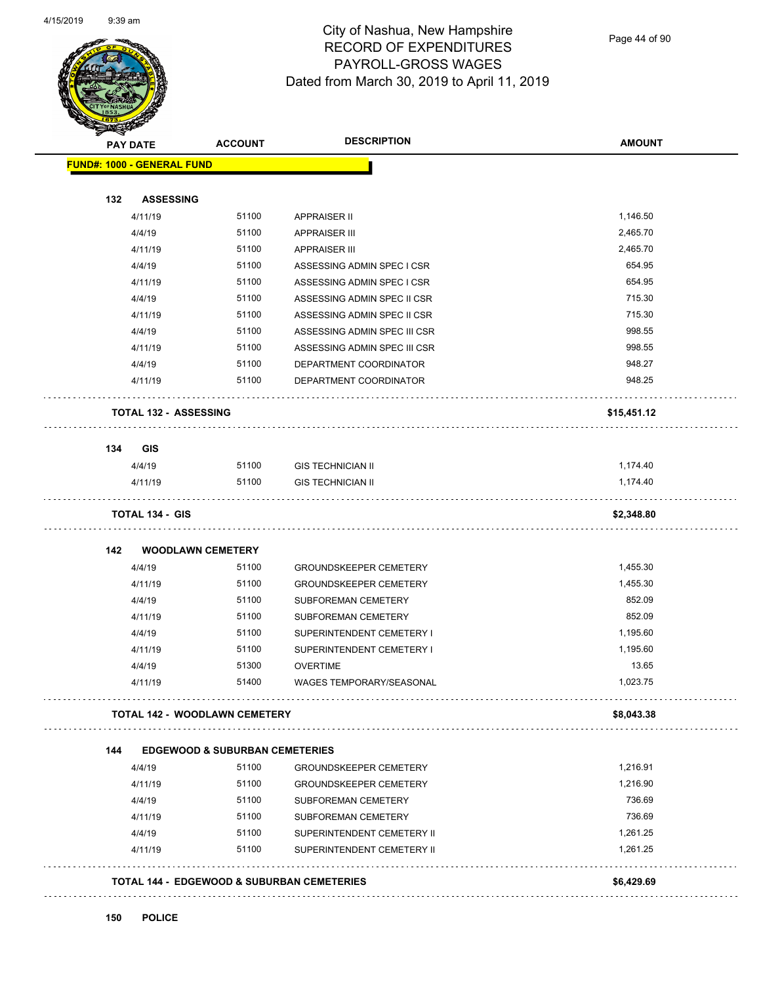

Page 44 of 90

| <b>PAY DATE</b>                   | <b>ACCOUNT</b>                            | <b>DESCRIPTION</b>                                       | <b>AMOUNT</b> |
|-----------------------------------|-------------------------------------------|----------------------------------------------------------|---------------|
| <b>FUND#: 1000 - GENERAL FUND</b> |                                           |                                                          |               |
|                                   |                                           |                                                          |               |
| 132<br><b>ASSESSING</b>           |                                           |                                                          |               |
| 4/11/19                           | 51100                                     | <b>APPRAISER II</b>                                      | 1,146.50      |
| 4/4/19                            | 51100                                     | <b>APPRAISER III</b>                                     | 2,465.70      |
| 4/11/19                           | 51100                                     | <b>APPRAISER III</b>                                     | 2,465.70      |
| 4/4/19                            | 51100                                     | ASSESSING ADMIN SPEC I CSR                               | 654.95        |
| 4/11/19                           | 51100                                     | ASSESSING ADMIN SPEC I CSR                               | 654.95        |
| 4/4/19                            | 51100                                     | ASSESSING ADMIN SPEC II CSR                              | 715.30        |
| 4/11/19                           | 51100                                     | ASSESSING ADMIN SPEC II CSR                              | 715.30        |
| 4/4/19                            | 51100                                     | ASSESSING ADMIN SPEC III CSR                             | 998.55        |
| 4/11/19                           | 51100                                     | ASSESSING ADMIN SPEC III CSR                             | 998.55        |
| 4/4/19                            | 51100                                     | DEPARTMENT COORDINATOR                                   | 948.27        |
| 4/11/19                           | 51100                                     | DEPARTMENT COORDINATOR                                   | 948.25        |
| <b>TOTAL 132 - ASSESSING</b>      |                                           |                                                          | \$15,451.12   |
| 134<br><b>GIS</b>                 |                                           |                                                          |               |
| 4/4/19                            | 51100                                     | <b>GIS TECHNICIAN II</b>                                 | 1,174.40      |
| 4/11/19                           | 51100                                     | <b>GIS TECHNICIAN II</b>                                 | 1,174.40      |
| <b>TOTAL 134 - GIS</b>            |                                           |                                                          | \$2,348.80    |
| 142                               | <b>WOODLAWN CEMETERY</b>                  |                                                          |               |
| 4/4/19                            | 51100                                     | <b>GROUNDSKEEPER CEMETERY</b>                            | 1,455.30      |
| 4/11/19                           | 51100                                     | <b>GROUNDSKEEPER CEMETERY</b>                            | 1,455.30      |
| 4/4/19                            | 51100                                     | <b>SUBFOREMAN CEMETERY</b>                               | 852.09        |
| 4/11/19                           | 51100                                     | SUBFOREMAN CEMETERY                                      | 852.09        |
| 4/4/19                            | 51100                                     | SUPERINTENDENT CEMETERY I                                | 1,195.60      |
| 4/11/19                           | 51100                                     | SUPERINTENDENT CEMETERY I                                | 1,195.60      |
| 4/4/19                            | 51300                                     | <b>OVERTIME</b>                                          | 13.65         |
| 4/11/19                           | 51400                                     | WAGES TEMPORARY/SEASONAL                                 | 1,023.75      |
|                                   | <b>TOTAL 142 - WOODLAWN CEMETERY</b>      |                                                          | \$8,043.38    |
| 144                               | <b>EDGEWOOD &amp; SUBURBAN CEMETERIES</b> |                                                          |               |
| 4/4/19                            | 51100                                     | <b>GROUNDSKEEPER CEMETERY</b>                            | 1,216.91      |
| 4/11/19                           | 51100                                     | <b>GROUNDSKEEPER CEMETERY</b>                            | 1,216.90      |
| 4/4/19                            | 51100                                     | SUBFOREMAN CEMETERY                                      | 736.69        |
| 4/11/19                           | 51100                                     | SUBFOREMAN CEMETERY                                      | 736.69        |
|                                   |                                           |                                                          | 1,261.25      |
| 4/4/19<br>4/11/19                 | 51100<br>51100                            | SUPERINTENDENT CEMETERY II<br>SUPERINTENDENT CEMETERY II | 1,261.25      |
|                                   |                                           | <b>TOTAL 144 - EDGEWOOD &amp; SUBURBAN CEMETERIES</b>    | \$6,429.69    |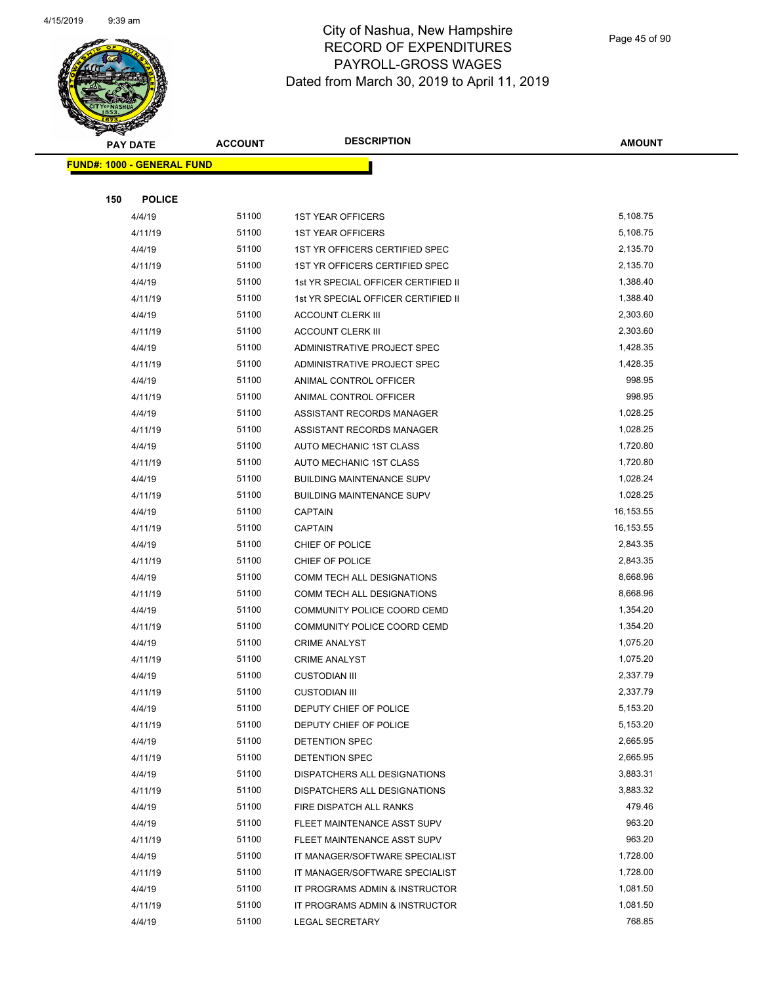

Page 45 of 90

|     | <b>PAY DATE</b>                    | <b>ACCOUNT</b> | <b>DESCRIPTION</b>                  | <b>AMOUNT</b> |
|-----|------------------------------------|----------------|-------------------------------------|---------------|
|     | <u> FUND#: 1000 - GENERAL FUND</u> |                |                                     |               |
|     |                                    |                |                                     |               |
| 150 | <b>POLICE</b>                      |                |                                     |               |
|     | 4/4/19                             | 51100          | <b>1ST YEAR OFFICERS</b>            | 5,108.75      |
|     | 4/11/19                            | 51100          | <b>1ST YEAR OFFICERS</b>            | 5,108.75      |
|     | 4/4/19                             | 51100          | 1ST YR OFFICERS CERTIFIED SPEC      | 2,135.70      |
|     | 4/11/19                            | 51100          | 1ST YR OFFICERS CERTIFIED SPEC      | 2,135.70      |
|     | 4/4/19                             | 51100          | 1st YR SPECIAL OFFICER CERTIFIED II | 1,388.40      |
|     | 4/11/19                            | 51100          | 1st YR SPECIAL OFFICER CERTIFIED II | 1,388.40      |
|     | 4/4/19                             | 51100          | <b>ACCOUNT CLERK III</b>            | 2,303.60      |
|     | 4/11/19                            | 51100          | <b>ACCOUNT CLERK III</b>            | 2,303.60      |
|     | 4/4/19                             | 51100          | ADMINISTRATIVE PROJECT SPEC         | 1,428.35      |
|     | 4/11/19                            | 51100          | ADMINISTRATIVE PROJECT SPEC         | 1,428.35      |
|     | 4/4/19                             | 51100          | ANIMAL CONTROL OFFICER              | 998.95        |
|     | 4/11/19                            | 51100          | ANIMAL CONTROL OFFICER              | 998.95        |
|     | 4/4/19                             | 51100          | ASSISTANT RECORDS MANAGER           | 1,028.25      |
|     | 4/11/19                            | 51100          | ASSISTANT RECORDS MANAGER           | 1,028.25      |
|     | 4/4/19                             | 51100          | AUTO MECHANIC 1ST CLASS             | 1,720.80      |
|     | 4/11/19                            | 51100          | AUTO MECHANIC 1ST CLASS             | 1,720.80      |
|     | 4/4/19                             | 51100          | <b>BUILDING MAINTENANCE SUPV</b>    | 1,028.24      |
|     | 4/11/19                            | 51100          | <b>BUILDING MAINTENANCE SUPV</b>    | 1,028.25      |
|     | 4/4/19                             | 51100          | <b>CAPTAIN</b>                      | 16,153.55     |
|     | 4/11/19                            | 51100          | <b>CAPTAIN</b>                      | 16,153.55     |
|     | 4/4/19                             | 51100          | CHIEF OF POLICE                     | 2,843.35      |
|     | 4/11/19                            | 51100          | CHIEF OF POLICE                     | 2,843.35      |
|     | 4/4/19                             | 51100          | COMM TECH ALL DESIGNATIONS          | 8,668.96      |
|     | 4/11/19                            | 51100          | COMM TECH ALL DESIGNATIONS          | 8,668.96      |
|     | 4/4/19                             | 51100          | COMMUNITY POLICE COORD CEMD         | 1,354.20      |
|     | 4/11/19                            | 51100          | COMMUNITY POLICE COORD CEMD         | 1,354.20      |
|     | 4/4/19                             | 51100          | <b>CRIME ANALYST</b>                | 1,075.20      |
|     | 4/11/19                            | 51100          | <b>CRIME ANALYST</b>                | 1,075.20      |
|     | 4/4/19                             | 51100          | <b>CUSTODIAN III</b>                | 2,337.79      |
|     | 4/11/19                            | 51100          | <b>CUSTODIAN III</b>                | 2,337.79      |
|     | 4/4/19                             | 51100          | DEPUTY CHIEF OF POLICE              | 5,153.20      |
|     | 4/11/19                            | 51100          | DEPUTY CHIEF OF POLICE              | 5,153.20      |
|     | 4/4/19                             | 51100          | DETENTION SPEC                      | 2,665.95      |
|     | 4/11/19                            | 51100          | DETENTION SPEC                      | 2,665.95      |
|     | 4/4/19                             | 51100          | DISPATCHERS ALL DESIGNATIONS        | 3,883.31      |
|     | 4/11/19                            | 51100          | DISPATCHERS ALL DESIGNATIONS        | 3,883.32      |
|     | 4/4/19                             | 51100          | FIRE DISPATCH ALL RANKS             | 479.46        |
|     | 4/4/19                             | 51100          | FLEET MAINTENANCE ASST SUPV         | 963.20        |
|     | 4/11/19                            | 51100          | FLEET MAINTENANCE ASST SUPV         | 963.20        |
|     | 4/4/19                             | 51100          | IT MANAGER/SOFTWARE SPECIALIST      | 1,728.00      |
|     | 4/11/19                            | 51100          | IT MANAGER/SOFTWARE SPECIALIST      | 1,728.00      |
|     | 4/4/19                             | 51100          | IT PROGRAMS ADMIN & INSTRUCTOR      | 1,081.50      |
|     | 4/11/19                            | 51100          | IT PROGRAMS ADMIN & INSTRUCTOR      | 1,081.50      |
|     | 4/4/19                             | 51100          | LEGAL SECRETARY                     | 768.85        |
|     |                                    |                |                                     |               |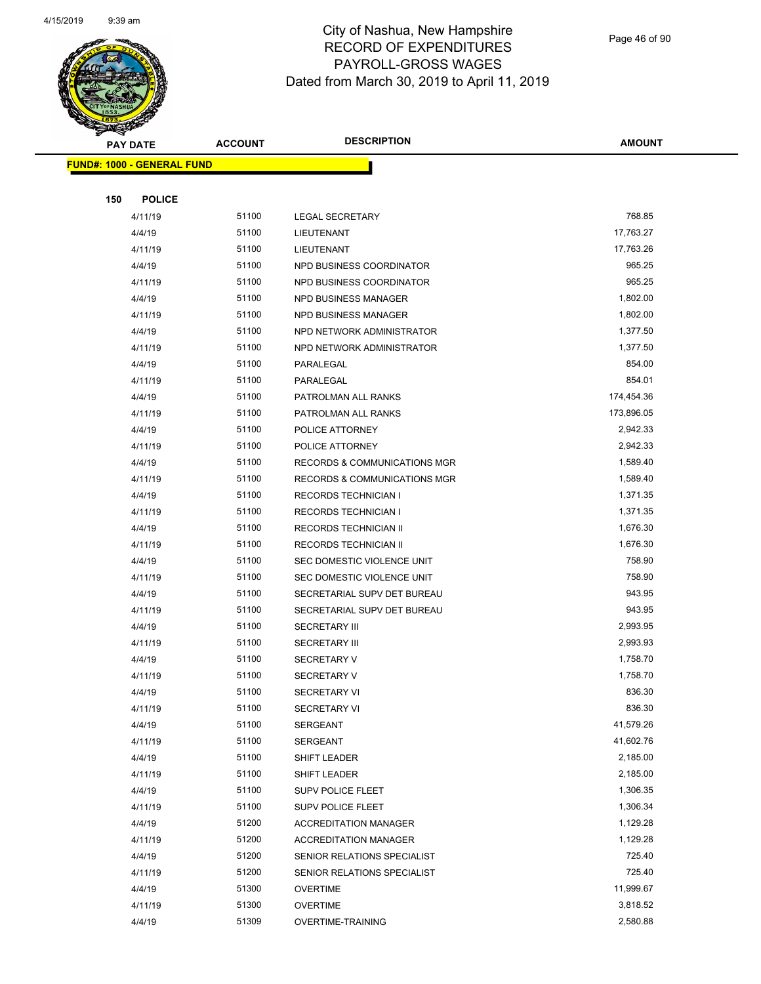

Page 46 of 90

| ☞<br>$\blacktriangleleft$ .<br><b>PAY DATE</b> | <b>ACCOUNT</b> | <b>DESCRIPTION</b>                      | <b>AMOUNT</b>       |
|------------------------------------------------|----------------|-----------------------------------------|---------------------|
| <b>FUND#: 1000 - GENERAL FUND</b>              |                |                                         |                     |
|                                                |                |                                         |                     |
| 150<br><b>POLICE</b>                           |                |                                         |                     |
| 4/11/19                                        | 51100          | <b>LEGAL SECRETARY</b>                  | 768.85              |
| 4/4/19                                         | 51100          | LIEUTENANT                              | 17,763.27           |
| 4/11/19                                        | 51100          | LIEUTENANT                              | 17,763.26           |
| 4/4/19                                         | 51100          | NPD BUSINESS COORDINATOR                | 965.25              |
| 4/11/19                                        | 51100          | NPD BUSINESS COORDINATOR                | 965.25              |
| 4/4/19                                         | 51100          | NPD BUSINESS MANAGER                    | 1,802.00            |
| 4/11/19                                        | 51100          | NPD BUSINESS MANAGER                    | 1,802.00            |
| 4/4/19                                         | 51100          | NPD NETWORK ADMINISTRATOR               | 1,377.50            |
| 4/11/19                                        | 51100          | NPD NETWORK ADMINISTRATOR               | 1,377.50            |
| 4/4/19                                         | 51100          | PARALEGAL                               | 854.00              |
| 4/11/19                                        | 51100          | PARALEGAL                               | 854.01              |
| 4/4/19                                         | 51100          | PATROLMAN ALL RANKS                     | 174,454.36          |
| 4/11/19                                        | 51100          | PATROLMAN ALL RANKS                     | 173,896.05          |
| 4/4/19                                         | 51100          | POLICE ATTORNEY                         | 2,942.33            |
| 4/11/19                                        | 51100          | POLICE ATTORNEY                         | 2,942.33            |
| 4/4/19                                         | 51100          | RECORDS & COMMUNICATIONS MGR            | 1,589.40            |
| 4/11/19                                        | 51100          | <b>RECORDS &amp; COMMUNICATIONS MGR</b> | 1,589.40            |
| 4/4/19                                         | 51100          | <b>RECORDS TECHNICIAN I</b>             | 1,371.35            |
| 4/11/19                                        | 51100          | <b>RECORDS TECHNICIAN I</b>             | 1,371.35            |
| 4/4/19                                         | 51100          | RECORDS TECHNICIAN II                   | 1,676.30            |
| 4/11/19                                        | 51100          | RECORDS TECHNICIAN II                   | 1,676.30            |
| 4/4/19                                         | 51100          | SEC DOMESTIC VIOLENCE UNIT              | 758.90              |
| 4/11/19                                        | 51100          | SEC DOMESTIC VIOLENCE UNIT              | 758.90              |
| 4/4/19                                         | 51100          | SECRETARIAL SUPV DET BUREAU             | 943.95              |
| 4/11/19                                        | 51100          | SECRETARIAL SUPV DET BUREAU             | 943.95              |
| 4/4/19                                         | 51100          | <b>SECRETARY III</b>                    | 2,993.95            |
| 4/11/19                                        | 51100          | <b>SECRETARY III</b>                    | 2,993.93            |
| 4/4/19                                         | 51100          | <b>SECRETARY V</b>                      | 1,758.70            |
| 4/11/19                                        | 51100          | <b>SECRETARY V</b>                      | 1,758.70            |
| 4/4/19                                         | 51100          | SECRETARY VI                            | 836.30              |
| 4/11/19                                        | 51100<br>51100 | <b>SECRETARY VI</b>                     | 836.30<br>41,579.26 |
| 4/4/19                                         |                | <b>SERGEANT</b>                         | 41,602.76           |
| 4/11/19<br>4/4/19                              | 51100<br>51100 | SERGEANT<br>SHIFT LEADER                | 2,185.00            |
| 4/11/19                                        | 51100          |                                         | 2,185.00            |
| 4/4/19                                         | 51100          | SHIFT LEADER<br>SUPV POLICE FLEET       | 1,306.35            |
| 4/11/19                                        | 51100          | SUPV POLICE FLEET                       | 1,306.34            |
| 4/4/19                                         | 51200          | <b>ACCREDITATION MANAGER</b>            | 1,129.28            |
| 4/11/19                                        | 51200          | <b>ACCREDITATION MANAGER</b>            | 1,129.28            |
| 4/4/19                                         | 51200          | SENIOR RELATIONS SPECIALIST             | 725.40              |
| 4/11/19                                        | 51200          | SENIOR RELATIONS SPECIALIST             | 725.40              |
| 4/4/19                                         | 51300          | <b>OVERTIME</b>                         | 11,999.67           |
| 4/11/19                                        | 51300          | <b>OVERTIME</b>                         | 3,818.52            |
| 4/4/19                                         | 51309          | <b>OVERTIME-TRAINING</b>                | 2,580.88            |
|                                                |                |                                         |                     |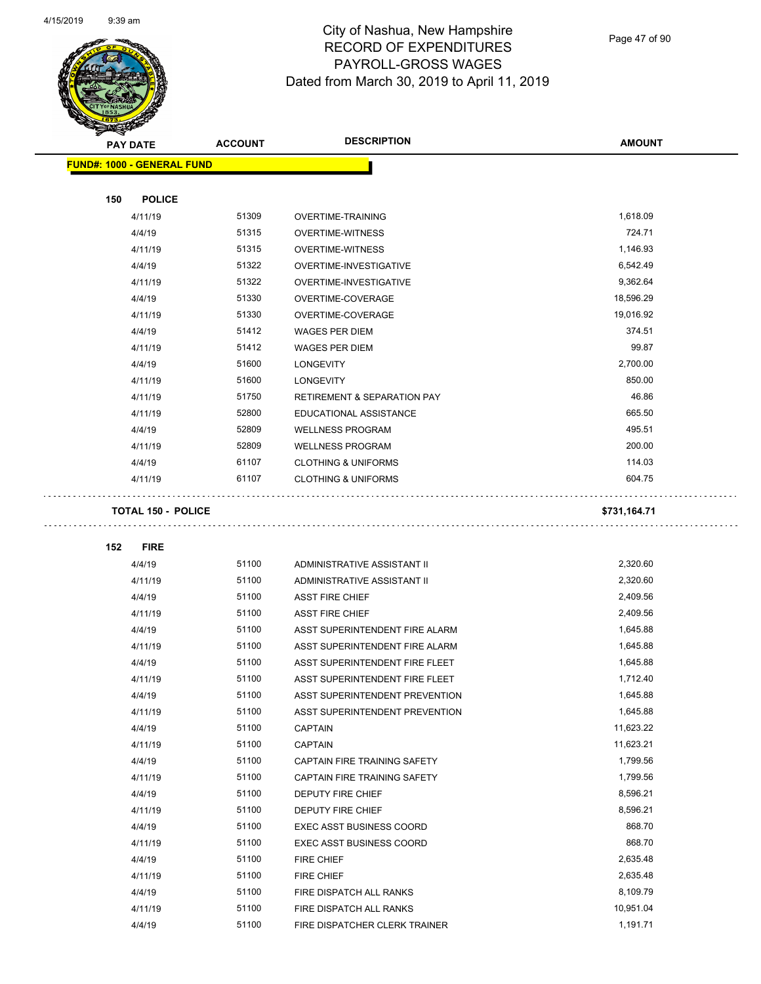$\overline{\phantom{0}}$ 



### City of Nashua, New Hampshire RECORD OF EXPENDITURES PAYROLL-GROSS WAGES Dated from March 30, 2019 to April 11, 2019

Page 47 of 90

| <b>PAY DATE</b>                   | <b>ACCOUNT</b> | <b>DESCRIPTION</b>                     | <b>AMOUNT</b> |
|-----------------------------------|----------------|----------------------------------------|---------------|
| <b>FUND#: 1000 - GENERAL FUND</b> |                |                                        |               |
|                                   |                |                                        |               |
| 150<br><b>POLICE</b>              |                |                                        |               |
| 4/11/19                           | 51309          | <b>OVERTIME-TRAINING</b>               | 1,618.09      |
| 4/4/19                            | 51315          | <b>OVERTIME-WITNESS</b>                | 724.71        |
| 4/11/19                           | 51315          | <b>OVERTIME-WITNESS</b>                | 1,146.93      |
| 4/4/19                            | 51322          | OVERTIME-INVESTIGATIVE                 | 6,542.49      |
| 4/11/19                           | 51322          | OVERTIME-INVESTIGATIVE                 | 9,362.64      |
| 4/4/19                            | 51330          | OVERTIME-COVERAGE                      | 18,596.29     |
| 4/11/19                           | 51330          | OVERTIME-COVERAGE                      | 19,016.92     |
| 4/4/19                            | 51412          | <b>WAGES PER DIEM</b>                  | 374.51        |
| 4/11/19                           | 51412          | <b>WAGES PER DIEM</b>                  | 99.87         |
| 4/4/19                            | 51600          | LONGEVITY                              | 2,700.00      |
| 4/11/19                           | 51600          | <b>LONGEVITY</b>                       | 850.00        |
| 4/11/19                           | 51750          | <b>RETIREMENT &amp; SEPARATION PAY</b> | 46.86         |
| 4/11/19                           | 52800          | EDUCATIONAL ASSISTANCE                 | 665.50        |
| 4/4/19                            | 52809          | <b>WELLNESS PROGRAM</b>                | 495.51        |
| 4/11/19                           | 52809          | <b>WELLNESS PROGRAM</b>                | 200.00        |
| 4/4/19                            | 61107          | <b>CLOTHING &amp; UNIFORMS</b>         | 114.03        |
| 4/11/19                           | 61107          | <b>CLOTHING &amp; UNIFORMS</b>         | 604.75        |
| <b>TOTAL 150 - POLICE</b>         |                |                                        | \$731,164.71  |
| 152<br><b>FIRE</b>                |                |                                        |               |
| 4/4/19                            | 51100          | ADMINISTRATIVE ASSISTANT II            | 2,320.60      |
| 4/11/19                           | 51100          | ADMINISTRATIVE ASSISTANT II            | 2,320.60      |
| 4/4/19                            | 51100          | <b>ASST FIRE CHIEF</b>                 | 2,409.56      |
| 4/11/19                           | 51100          | <b>ASST FIRE CHIEF</b>                 | 2,409.56      |
| 4/4/19                            | 51100          | ASST SUPERINTENDENT FIRE ALARM         | 1,645.88      |
| 4/11/19                           | 51100          | ASST SUPERINTENDENT FIRE ALARM         | 1,645.88      |
| 4/4/19                            | 51100          | ASST SUPERINTENDENT FIRE FLEET         | 1,645.88      |
| 4/11/19                           | 51100          | ASST SUPERINTENDENT FIRE FLEET         | 1,712.40      |
| 4/4/19                            | 51100          | ASST SUPERINTENDENT PREVENTION         | 1,645.88      |
| 4/11/19                           | 51100          | ASST SUPERINTENDENT PREVENTION         | 1,645.88      |
| 4/4/19                            | 51100          | CAPTAIN                                | 11,623.22     |
| 4/11/19                           | 51100          | <b>CAPTAIN</b>                         | 11,623.21     |
| 4/4/19                            | 51100          | CAPTAIN FIRE TRAINING SAFETY           | 1,799.56      |
| 4/11/19                           | 51100          | CAPTAIN FIRE TRAINING SAFETY           | 1,799.56      |
| 4/4/19                            | 51100          | DEPUTY FIRE CHIEF                      | 8,596.21      |
| 4/11/19                           | 51100          | DEPUTY FIRE CHIEF                      | 8,596.21      |
| 4/4/19                            | 51100          | <b>EXEC ASST BUSINESS COORD</b>        | 868.70        |
| 4/11/19                           | 51100          | <b>EXEC ASST BUSINESS COORD</b>        | 868.70        |
| 4/4/19                            | 51100          | FIRE CHIEF                             | 2,635.48      |
| 4/11/19                           | 51100          | FIRE CHIEF                             | 2,635.48      |
| 4/4/19                            | 51100          | FIRE DISPATCH ALL RANKS                | 8,109.79      |
| 4/11/19                           | 51100          | FIRE DISPATCH ALL RANKS                | 10,951.04     |
| 4/4/19                            | 51100          | FIRE DISPATCHER CLERK TRAINER          | 1,191.71      |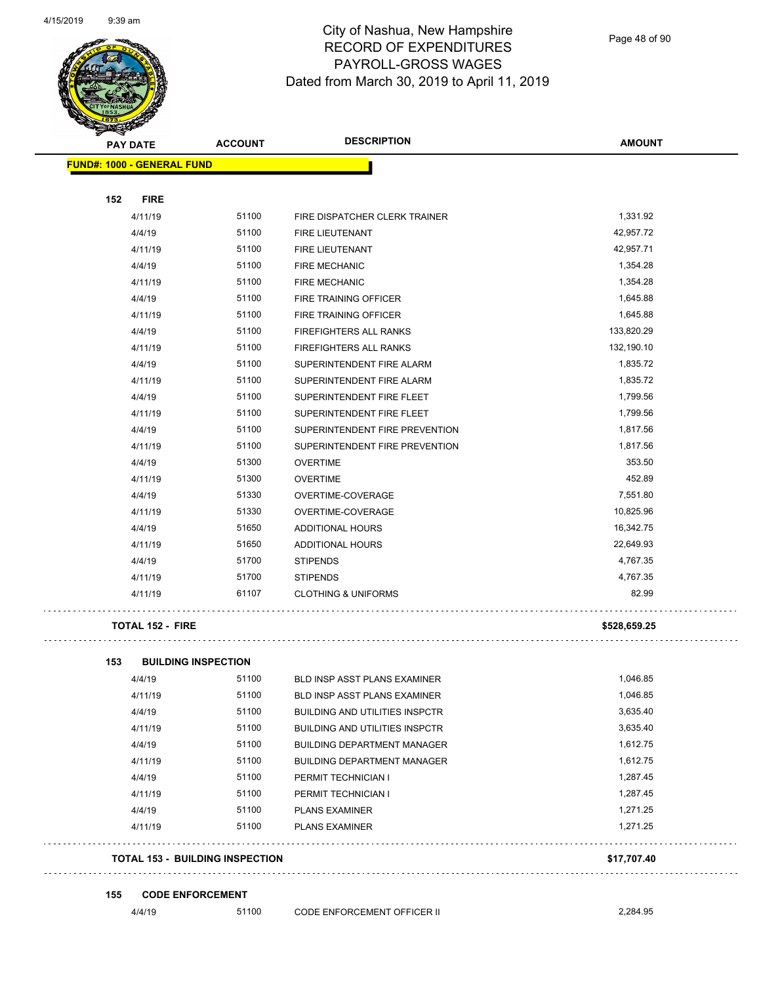

Page 48 of 90

| <b>FUND#: 1000 - GENERAL FUND</b><br>152<br><b>FIRE</b><br>51100<br>1,331.92<br>4/11/19<br>FIRE DISPATCHER CLERK TRAINER<br>51100<br>42,957.72<br>4/4/19<br><b>FIRE LIEUTENANT</b><br>4/11/19<br>51100<br><b>FIRE LIEUTENANT</b><br>42,957.71<br>4/4/19<br>51100<br><b>FIRE MECHANIC</b><br>1,354.28<br>51100<br>1,354.28<br>4/11/19<br><b>FIRE MECHANIC</b><br>51100<br>1,645.88<br>4/4/19<br>FIRE TRAINING OFFICER<br>51100<br>1,645.88<br>4/11/19<br>FIRE TRAINING OFFICER<br>4/4/19<br>51100<br>FIREFIGHTERS ALL RANKS<br>133,820.29<br>51100<br>132,190.10<br>4/11/19<br>FIREFIGHTERS ALL RANKS<br>51100<br>4/4/19<br>1,835.72<br>SUPERINTENDENT FIRE ALARM<br>51100<br>1,835.72<br>4/11/19<br>SUPERINTENDENT FIRE ALARM<br>51100<br>1,799.56<br>4/4/19<br>SUPERINTENDENT FIRE FLEET<br>4/11/19<br>51100<br>SUPERINTENDENT FIRE FLEET<br>1,799.56<br>4/4/19<br>51100<br>1,817.56<br>SUPERINTENDENT FIRE PREVENTION<br>51100<br>SUPERINTENDENT FIRE PREVENTION<br>1,817.56<br>4/11/19<br>51300<br>353.50<br>4/4/19<br><b>OVERTIME</b><br>452.89<br>51300<br>4/11/19<br><b>OVERTIME</b><br>4/4/19<br>51330<br>OVERTIME-COVERAGE<br>7,551.80<br>51330<br>10,825.96<br>4/11/19<br>OVERTIME-COVERAGE<br>51650<br>16,342.75<br>4/4/19<br>ADDITIONAL HOURS<br>51650<br>22,649.93<br>4/11/19<br>ADDITIONAL HOURS<br>51700<br>4,767.35<br>4/4/19<br><b>STIPENDS</b><br>51700<br><b>STIPENDS</b><br>4,767.35<br>4/11/19<br>61107<br>82.99<br>4/11/19<br><b>CLOTHING &amp; UNIFORMS</b><br><b>TOTAL 152 - FIRE</b><br>\$528,659.25<br><b>BUILDING INSPECTION</b><br>153<br>4/4/19<br>51100<br>BLD INSP ASST PLANS EXAMINER<br>1,046.85<br>1,046.85<br>51100<br>4/11/19<br>BLD INSP ASST PLANS EXAMINER<br>51100<br>3,635.40<br>4/4/19<br><b>BUILDING AND UTILITIES INSPCTR</b><br>51100<br>3,635.40<br>4/11/19<br><b>BUILDING AND UTILITIES INSPCTR</b><br>4/4/19<br>51100<br><b>BUILDING DEPARTMENT MANAGER</b><br>1,612.75<br>51100<br>1,612.75<br>4/11/19<br><b>BUILDING DEPARTMENT MANAGER</b><br>51100<br>1,287.45<br>4/4/19<br>PERMIT TECHNICIAN I<br>51100<br>1,287.45<br>4/11/19<br>PERMIT TECHNICIAN I<br>51100<br>4/4/19<br>1,271.25<br><b>PLANS EXAMINER</b> | <b>PAY DATE</b> | <b>ACCOUNT</b> | <b>DESCRIPTION</b> | <b>AMOUNT</b> |
|-------------------------------------------------------------------------------------------------------------------------------------------------------------------------------------------------------------------------------------------------------------------------------------------------------------------------------------------------------------------------------------------------------------------------------------------------------------------------------------------------------------------------------------------------------------------------------------------------------------------------------------------------------------------------------------------------------------------------------------------------------------------------------------------------------------------------------------------------------------------------------------------------------------------------------------------------------------------------------------------------------------------------------------------------------------------------------------------------------------------------------------------------------------------------------------------------------------------------------------------------------------------------------------------------------------------------------------------------------------------------------------------------------------------------------------------------------------------------------------------------------------------------------------------------------------------------------------------------------------------------------------------------------------------------------------------------------------------------------------------------------------------------------------------------------------------------------------------------------------------------------------------------------------------------------------------------------------------------------------------------------------------------------------------------------------------------------------------------------------------------------------------------------------------|-----------------|----------------|--------------------|---------------|
|                                                                                                                                                                                                                                                                                                                                                                                                                                                                                                                                                                                                                                                                                                                                                                                                                                                                                                                                                                                                                                                                                                                                                                                                                                                                                                                                                                                                                                                                                                                                                                                                                                                                                                                                                                                                                                                                                                                                                                                                                                                                                                                                                                   |                 |                |                    |               |
|                                                                                                                                                                                                                                                                                                                                                                                                                                                                                                                                                                                                                                                                                                                                                                                                                                                                                                                                                                                                                                                                                                                                                                                                                                                                                                                                                                                                                                                                                                                                                                                                                                                                                                                                                                                                                                                                                                                                                                                                                                                                                                                                                                   |                 |                |                    |               |
|                                                                                                                                                                                                                                                                                                                                                                                                                                                                                                                                                                                                                                                                                                                                                                                                                                                                                                                                                                                                                                                                                                                                                                                                                                                                                                                                                                                                                                                                                                                                                                                                                                                                                                                                                                                                                                                                                                                                                                                                                                                                                                                                                                   |                 |                |                    |               |
|                                                                                                                                                                                                                                                                                                                                                                                                                                                                                                                                                                                                                                                                                                                                                                                                                                                                                                                                                                                                                                                                                                                                                                                                                                                                                                                                                                                                                                                                                                                                                                                                                                                                                                                                                                                                                                                                                                                                                                                                                                                                                                                                                                   |                 |                |                    |               |
|                                                                                                                                                                                                                                                                                                                                                                                                                                                                                                                                                                                                                                                                                                                                                                                                                                                                                                                                                                                                                                                                                                                                                                                                                                                                                                                                                                                                                                                                                                                                                                                                                                                                                                                                                                                                                                                                                                                                                                                                                                                                                                                                                                   |                 |                |                    |               |
|                                                                                                                                                                                                                                                                                                                                                                                                                                                                                                                                                                                                                                                                                                                                                                                                                                                                                                                                                                                                                                                                                                                                                                                                                                                                                                                                                                                                                                                                                                                                                                                                                                                                                                                                                                                                                                                                                                                                                                                                                                                                                                                                                                   |                 |                |                    |               |
|                                                                                                                                                                                                                                                                                                                                                                                                                                                                                                                                                                                                                                                                                                                                                                                                                                                                                                                                                                                                                                                                                                                                                                                                                                                                                                                                                                                                                                                                                                                                                                                                                                                                                                                                                                                                                                                                                                                                                                                                                                                                                                                                                                   |                 |                |                    |               |
|                                                                                                                                                                                                                                                                                                                                                                                                                                                                                                                                                                                                                                                                                                                                                                                                                                                                                                                                                                                                                                                                                                                                                                                                                                                                                                                                                                                                                                                                                                                                                                                                                                                                                                                                                                                                                                                                                                                                                                                                                                                                                                                                                                   |                 |                |                    |               |
|                                                                                                                                                                                                                                                                                                                                                                                                                                                                                                                                                                                                                                                                                                                                                                                                                                                                                                                                                                                                                                                                                                                                                                                                                                                                                                                                                                                                                                                                                                                                                                                                                                                                                                                                                                                                                                                                                                                                                                                                                                                                                                                                                                   |                 |                |                    |               |
|                                                                                                                                                                                                                                                                                                                                                                                                                                                                                                                                                                                                                                                                                                                                                                                                                                                                                                                                                                                                                                                                                                                                                                                                                                                                                                                                                                                                                                                                                                                                                                                                                                                                                                                                                                                                                                                                                                                                                                                                                                                                                                                                                                   |                 |                |                    |               |
|                                                                                                                                                                                                                                                                                                                                                                                                                                                                                                                                                                                                                                                                                                                                                                                                                                                                                                                                                                                                                                                                                                                                                                                                                                                                                                                                                                                                                                                                                                                                                                                                                                                                                                                                                                                                                                                                                                                                                                                                                                                                                                                                                                   |                 |                |                    |               |
|                                                                                                                                                                                                                                                                                                                                                                                                                                                                                                                                                                                                                                                                                                                                                                                                                                                                                                                                                                                                                                                                                                                                                                                                                                                                                                                                                                                                                                                                                                                                                                                                                                                                                                                                                                                                                                                                                                                                                                                                                                                                                                                                                                   |                 |                |                    |               |
|                                                                                                                                                                                                                                                                                                                                                                                                                                                                                                                                                                                                                                                                                                                                                                                                                                                                                                                                                                                                                                                                                                                                                                                                                                                                                                                                                                                                                                                                                                                                                                                                                                                                                                                                                                                                                                                                                                                                                                                                                                                                                                                                                                   |                 |                |                    |               |
|                                                                                                                                                                                                                                                                                                                                                                                                                                                                                                                                                                                                                                                                                                                                                                                                                                                                                                                                                                                                                                                                                                                                                                                                                                                                                                                                                                                                                                                                                                                                                                                                                                                                                                                                                                                                                                                                                                                                                                                                                                                                                                                                                                   |                 |                |                    |               |
|                                                                                                                                                                                                                                                                                                                                                                                                                                                                                                                                                                                                                                                                                                                                                                                                                                                                                                                                                                                                                                                                                                                                                                                                                                                                                                                                                                                                                                                                                                                                                                                                                                                                                                                                                                                                                                                                                                                                                                                                                                                                                                                                                                   |                 |                |                    |               |
|                                                                                                                                                                                                                                                                                                                                                                                                                                                                                                                                                                                                                                                                                                                                                                                                                                                                                                                                                                                                                                                                                                                                                                                                                                                                                                                                                                                                                                                                                                                                                                                                                                                                                                                                                                                                                                                                                                                                                                                                                                                                                                                                                                   |                 |                |                    |               |
|                                                                                                                                                                                                                                                                                                                                                                                                                                                                                                                                                                                                                                                                                                                                                                                                                                                                                                                                                                                                                                                                                                                                                                                                                                                                                                                                                                                                                                                                                                                                                                                                                                                                                                                                                                                                                                                                                                                                                                                                                                                                                                                                                                   |                 |                |                    |               |
|                                                                                                                                                                                                                                                                                                                                                                                                                                                                                                                                                                                                                                                                                                                                                                                                                                                                                                                                                                                                                                                                                                                                                                                                                                                                                                                                                                                                                                                                                                                                                                                                                                                                                                                                                                                                                                                                                                                                                                                                                                                                                                                                                                   |                 |                |                    |               |
|                                                                                                                                                                                                                                                                                                                                                                                                                                                                                                                                                                                                                                                                                                                                                                                                                                                                                                                                                                                                                                                                                                                                                                                                                                                                                                                                                                                                                                                                                                                                                                                                                                                                                                                                                                                                                                                                                                                                                                                                                                                                                                                                                                   |                 |                |                    |               |
|                                                                                                                                                                                                                                                                                                                                                                                                                                                                                                                                                                                                                                                                                                                                                                                                                                                                                                                                                                                                                                                                                                                                                                                                                                                                                                                                                                                                                                                                                                                                                                                                                                                                                                                                                                                                                                                                                                                                                                                                                                                                                                                                                                   |                 |                |                    |               |
|                                                                                                                                                                                                                                                                                                                                                                                                                                                                                                                                                                                                                                                                                                                                                                                                                                                                                                                                                                                                                                                                                                                                                                                                                                                                                                                                                                                                                                                                                                                                                                                                                                                                                                                                                                                                                                                                                                                                                                                                                                                                                                                                                                   |                 |                |                    |               |
|                                                                                                                                                                                                                                                                                                                                                                                                                                                                                                                                                                                                                                                                                                                                                                                                                                                                                                                                                                                                                                                                                                                                                                                                                                                                                                                                                                                                                                                                                                                                                                                                                                                                                                                                                                                                                                                                                                                                                                                                                                                                                                                                                                   |                 |                |                    |               |
|                                                                                                                                                                                                                                                                                                                                                                                                                                                                                                                                                                                                                                                                                                                                                                                                                                                                                                                                                                                                                                                                                                                                                                                                                                                                                                                                                                                                                                                                                                                                                                                                                                                                                                                                                                                                                                                                                                                                                                                                                                                                                                                                                                   |                 |                |                    |               |
|                                                                                                                                                                                                                                                                                                                                                                                                                                                                                                                                                                                                                                                                                                                                                                                                                                                                                                                                                                                                                                                                                                                                                                                                                                                                                                                                                                                                                                                                                                                                                                                                                                                                                                                                                                                                                                                                                                                                                                                                                                                                                                                                                                   |                 |                |                    |               |
|                                                                                                                                                                                                                                                                                                                                                                                                                                                                                                                                                                                                                                                                                                                                                                                                                                                                                                                                                                                                                                                                                                                                                                                                                                                                                                                                                                                                                                                                                                                                                                                                                                                                                                                                                                                                                                                                                                                                                                                                                                                                                                                                                                   |                 |                |                    |               |
|                                                                                                                                                                                                                                                                                                                                                                                                                                                                                                                                                                                                                                                                                                                                                                                                                                                                                                                                                                                                                                                                                                                                                                                                                                                                                                                                                                                                                                                                                                                                                                                                                                                                                                                                                                                                                                                                                                                                                                                                                                                                                                                                                                   |                 |                |                    |               |
|                                                                                                                                                                                                                                                                                                                                                                                                                                                                                                                                                                                                                                                                                                                                                                                                                                                                                                                                                                                                                                                                                                                                                                                                                                                                                                                                                                                                                                                                                                                                                                                                                                                                                                                                                                                                                                                                                                                                                                                                                                                                                                                                                                   |                 |                |                    |               |
|                                                                                                                                                                                                                                                                                                                                                                                                                                                                                                                                                                                                                                                                                                                                                                                                                                                                                                                                                                                                                                                                                                                                                                                                                                                                                                                                                                                                                                                                                                                                                                                                                                                                                                                                                                                                                                                                                                                                                                                                                                                                                                                                                                   |                 |                |                    |               |
|                                                                                                                                                                                                                                                                                                                                                                                                                                                                                                                                                                                                                                                                                                                                                                                                                                                                                                                                                                                                                                                                                                                                                                                                                                                                                                                                                                                                                                                                                                                                                                                                                                                                                                                                                                                                                                                                                                                                                                                                                                                                                                                                                                   |                 |                |                    |               |
|                                                                                                                                                                                                                                                                                                                                                                                                                                                                                                                                                                                                                                                                                                                                                                                                                                                                                                                                                                                                                                                                                                                                                                                                                                                                                                                                                                                                                                                                                                                                                                                                                                                                                                                                                                                                                                                                                                                                                                                                                                                                                                                                                                   |                 |                |                    |               |
|                                                                                                                                                                                                                                                                                                                                                                                                                                                                                                                                                                                                                                                                                                                                                                                                                                                                                                                                                                                                                                                                                                                                                                                                                                                                                                                                                                                                                                                                                                                                                                                                                                                                                                                                                                                                                                                                                                                                                                                                                                                                                                                                                                   |                 |                |                    |               |
|                                                                                                                                                                                                                                                                                                                                                                                                                                                                                                                                                                                                                                                                                                                                                                                                                                                                                                                                                                                                                                                                                                                                                                                                                                                                                                                                                                                                                                                                                                                                                                                                                                                                                                                                                                                                                                                                                                                                                                                                                                                                                                                                                                   |                 |                |                    |               |
|                                                                                                                                                                                                                                                                                                                                                                                                                                                                                                                                                                                                                                                                                                                                                                                                                                                                                                                                                                                                                                                                                                                                                                                                                                                                                                                                                                                                                                                                                                                                                                                                                                                                                                                                                                                                                                                                                                                                                                                                                                                                                                                                                                   |                 |                |                    |               |
|                                                                                                                                                                                                                                                                                                                                                                                                                                                                                                                                                                                                                                                                                                                                                                                                                                                                                                                                                                                                                                                                                                                                                                                                                                                                                                                                                                                                                                                                                                                                                                                                                                                                                                                                                                                                                                                                                                                                                                                                                                                                                                                                                                   |                 |                |                    |               |
|                                                                                                                                                                                                                                                                                                                                                                                                                                                                                                                                                                                                                                                                                                                                                                                                                                                                                                                                                                                                                                                                                                                                                                                                                                                                                                                                                                                                                                                                                                                                                                                                                                                                                                                                                                                                                                                                                                                                                                                                                                                                                                                                                                   |                 |                |                    |               |
|                                                                                                                                                                                                                                                                                                                                                                                                                                                                                                                                                                                                                                                                                                                                                                                                                                                                                                                                                                                                                                                                                                                                                                                                                                                                                                                                                                                                                                                                                                                                                                                                                                                                                                                                                                                                                                                                                                                                                                                                                                                                                                                                                                   |                 |                |                    |               |
|                                                                                                                                                                                                                                                                                                                                                                                                                                                                                                                                                                                                                                                                                                                                                                                                                                                                                                                                                                                                                                                                                                                                                                                                                                                                                                                                                                                                                                                                                                                                                                                                                                                                                                                                                                                                                                                                                                                                                                                                                                                                                                                                                                   |                 |                |                    |               |
| 51100<br>4/11/19<br><b>PLANS EXAMINER</b><br>1,271.25                                                                                                                                                                                                                                                                                                                                                                                                                                                                                                                                                                                                                                                                                                                                                                                                                                                                                                                                                                                                                                                                                                                                                                                                                                                                                                                                                                                                                                                                                                                                                                                                                                                                                                                                                                                                                                                                                                                                                                                                                                                                                                             |                 |                |                    |               |
| <b>TOTAL 153 - BUILDING INSPECTION</b><br>\$17,707.40                                                                                                                                                                                                                                                                                                                                                                                                                                                                                                                                                                                                                                                                                                                                                                                                                                                                                                                                                                                                                                                                                                                                                                                                                                                                                                                                                                                                                                                                                                                                                                                                                                                                                                                                                                                                                                                                                                                                                                                                                                                                                                             |                 |                |                    |               |

4/4/19 51100 CODE ENFORCEMENT OFFICER II 2,284.95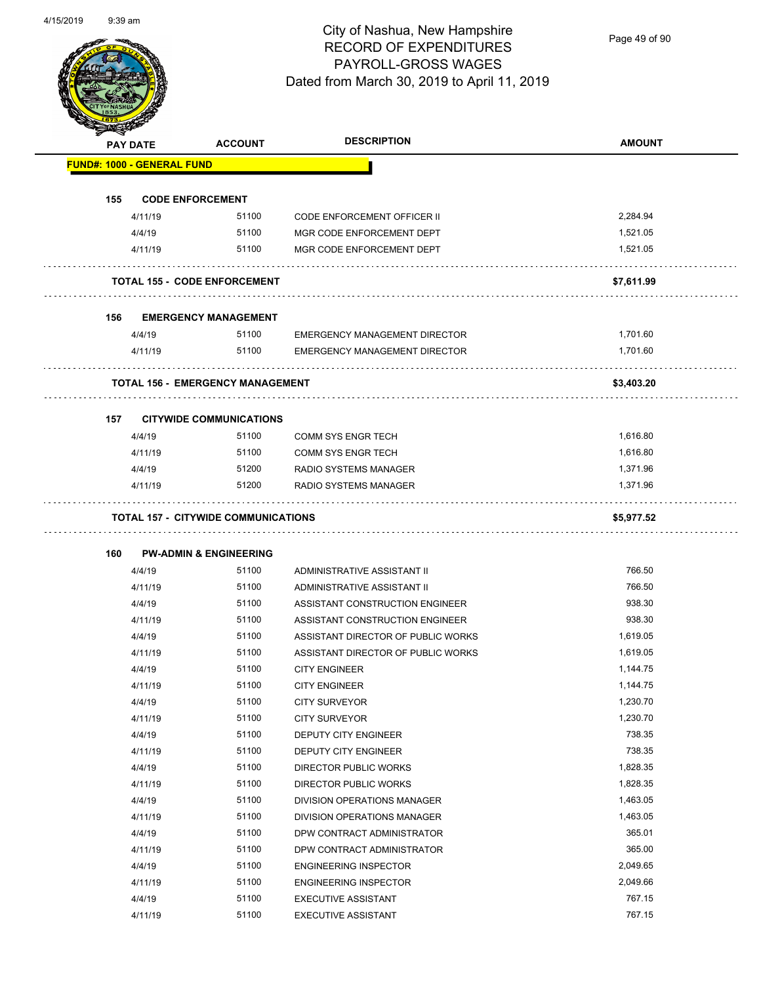Page 49 of 90

| <b>PAY DATE</b> |                                   | <b>ACCOUNT</b>                             | <b>DESCRIPTION</b>                   | <b>AMOUNT</b> |
|-----------------|-----------------------------------|--------------------------------------------|--------------------------------------|---------------|
|                 | <b>FUND#: 1000 - GENERAL FUND</b> |                                            |                                      |               |
| 155             | <b>CODE ENFORCEMENT</b>           |                                            |                                      |               |
|                 | 4/11/19                           | 51100                                      | <b>CODE ENFORCEMENT OFFICER II</b>   | 2,284.94      |
|                 | 4/4/19                            | 51100                                      | MGR CODE ENFORCEMENT DEPT            | 1,521.05      |
|                 | 4/11/19                           | 51100                                      | MGR CODE ENFORCEMENT DEPT            | 1,521.05      |
|                 |                                   | <b>TOTAL 155 - CODE ENFORCEMENT</b>        |                                      | \$7,611.99    |
| 156             |                                   | <b>EMERGENCY MANAGEMENT</b>                |                                      |               |
|                 | 4/4/19                            | 51100                                      | <b>EMERGENCY MANAGEMENT DIRECTOR</b> | 1,701.60      |
|                 | 4/11/19                           | 51100                                      | <b>EMERGENCY MANAGEMENT DIRECTOR</b> | 1,701.60      |
|                 |                                   | <b>TOTAL 156 - EMERGENCY MANAGEMENT</b>    |                                      | \$3,403.20    |
|                 |                                   |                                            |                                      |               |
| 157             |                                   | <b>CITYWIDE COMMUNICATIONS</b>             |                                      |               |
|                 | 4/4/19                            | 51100                                      | <b>COMM SYS ENGR TECH</b>            | 1,616.80      |
|                 | 4/11/19                           | 51100                                      | <b>COMM SYS ENGR TECH</b>            | 1,616.80      |
|                 | 4/4/19                            | 51200                                      | RADIO SYSTEMS MANAGER                | 1,371.96      |
|                 | 4/11/19                           | 51200                                      | RADIO SYSTEMS MANAGER                | 1,371.96      |
|                 |                                   | <b>TOTAL 157 - CITYWIDE COMMUNICATIONS</b> |                                      | \$5,977.52    |
|                 |                                   |                                            |                                      |               |
| 160             |                                   | <b>PW-ADMIN &amp; ENGINEERING</b>          |                                      |               |
|                 | 4/4/19                            | 51100                                      | ADMINISTRATIVE ASSISTANT II          | 766.50        |
|                 | 4/11/19                           | 51100                                      | ADMINISTRATIVE ASSISTANT II          | 766.50        |
|                 | 4/4/19                            | 51100                                      | ASSISTANT CONSTRUCTION ENGINEER      | 938.30        |
|                 | 4/11/19                           | 51100                                      | ASSISTANT CONSTRUCTION ENGINEER      | 938.30        |
|                 | 4/4/19                            | 51100                                      | ASSISTANT DIRECTOR OF PUBLIC WORKS   | 1,619.05      |
|                 | 4/11/19                           | 51100                                      | ASSISTANT DIRECTOR OF PUBLIC WORKS   | 1,619.05      |
|                 | 4/4/19                            | 51100                                      | <b>CITY ENGINEER</b>                 | 1,144.75      |
|                 | 4/11/19                           | 51100                                      | <b>CITY ENGINEER</b>                 | 1,144.75      |
|                 | 4/4/19                            | 51100                                      | <b>CITY SURVEYOR</b>                 | 1,230.70      |
|                 | 4/11/19                           | 51100                                      | <b>CITY SURVEYOR</b>                 | 1,230.70      |
|                 | 4/4/19                            | 51100                                      | DEPUTY CITY ENGINEER                 | 738.35        |
|                 | 4/11/19                           | 51100                                      | <b>DEPUTY CITY ENGINEER</b>          | 738.35        |
|                 | 4/4/19                            | 51100                                      | <b>DIRECTOR PUBLIC WORKS</b>         | 1,828.35      |
|                 | 4/11/19                           | 51100                                      | DIRECTOR PUBLIC WORKS                | 1,828.35      |
|                 | 4/4/19                            | 51100                                      | DIVISION OPERATIONS MANAGER          | 1,463.05      |
|                 | 4/11/19                           | 51100                                      | DIVISION OPERATIONS MANAGER          | 1,463.05      |
|                 | 4/4/19                            | 51100                                      | DPW CONTRACT ADMINISTRATOR           | 365.01        |
|                 | 4/11/19                           | 51100                                      | DPW CONTRACT ADMINISTRATOR           | 365.00        |
|                 |                                   |                                            | <b>ENGINEERING INSPECTOR</b>         | 2,049.65      |
|                 | 4/4/19                            | 51100                                      |                                      |               |
|                 | 4/11/19                           | 51100                                      | <b>ENGINEERING INSPECTOR</b>         | 2,049.66      |
|                 | 4/4/19                            | 51100                                      | <b>EXECUTIVE ASSISTANT</b>           | 767.15        |
|                 | 4/11/19                           | 51100                                      | <b>EXECUTIVE ASSISTANT</b>           | 767.15        |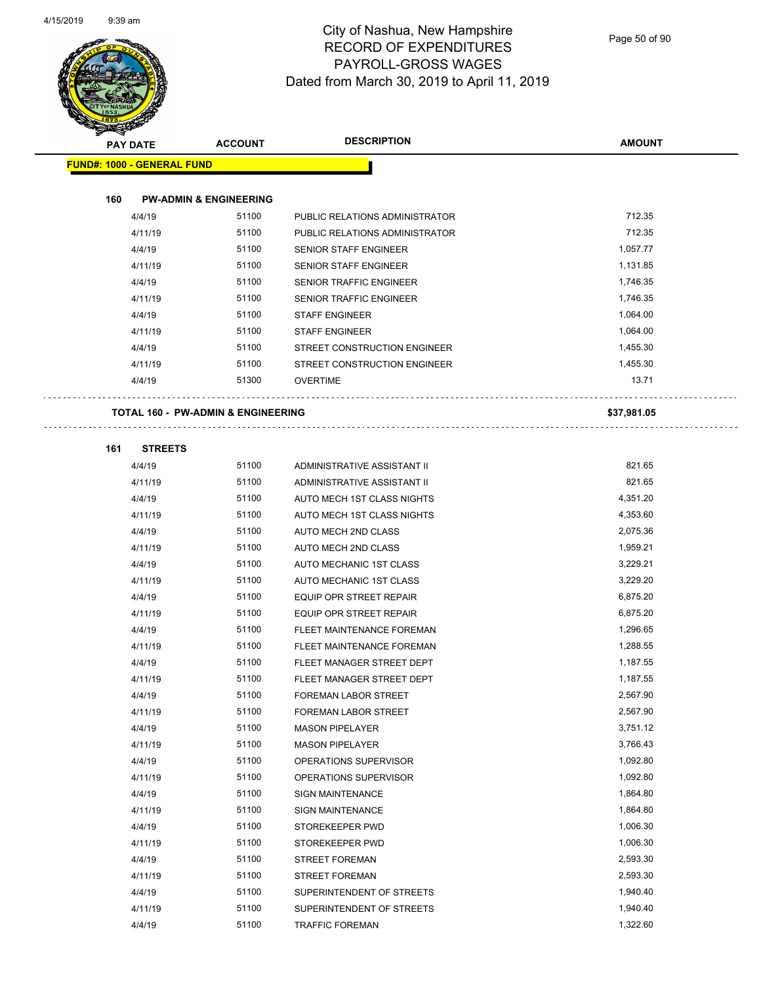

Page 50 of 90

|     | <b>PAY DATE</b>                               | <b>ACCOUNT</b>                    | <b>DESCRIPTION</b>             | <b>AMOUNT</b> |
|-----|-----------------------------------------------|-----------------------------------|--------------------------------|---------------|
|     | <b>FUND#: 1000 - GENERAL FUND</b>             |                                   |                                |               |
|     |                                               |                                   |                                |               |
| 160 |                                               | <b>PW-ADMIN &amp; ENGINEERING</b> |                                |               |
|     | 4/4/19                                        | 51100                             | PUBLIC RELATIONS ADMINISTRATOR | 712.35        |
|     | 4/11/19                                       | 51100                             | PUBLIC RELATIONS ADMINISTRATOR | 712.35        |
|     | 4/4/19                                        | 51100                             | <b>SENIOR STAFF ENGINEER</b>   | 1,057.77      |
|     | 4/11/19                                       | 51100                             | <b>SENIOR STAFF ENGINEER</b>   | 1,131.85      |
|     | 4/4/19                                        | 51100                             | <b>SENIOR TRAFFIC ENGINEER</b> | 1,746.35      |
|     | 4/11/19                                       | 51100                             | SENIOR TRAFFIC ENGINEER        | 1,746.35      |
|     | 4/4/19                                        | 51100                             | <b>STAFF ENGINEER</b>          | 1,064.00      |
|     | 4/11/19                                       | 51100                             | <b>STAFF ENGINEER</b>          | 1,064.00      |
|     | 4/4/19                                        | 51100                             | STREET CONSTRUCTION ENGINEER   | 1,455.30      |
|     | 4/11/19                                       | 51100                             | STREET CONSTRUCTION ENGINEER   | 1,455.30      |
|     | 4/4/19                                        | 51300                             | <b>OVERTIME</b>                | 13.71         |
|     |                                               |                                   |                                |               |
|     | <b>TOTAL 160 - PW-ADMIN &amp; ENGINEERING</b> |                                   |                                | \$37,981.05   |
| 161 | <b>STREETS</b>                                |                                   |                                |               |
|     | 4/4/19                                        | 51100                             | ADMINISTRATIVE ASSISTANT II    | 821.65        |
|     | 4/11/19                                       | 51100                             | ADMINISTRATIVE ASSISTANT II    | 821.65        |
|     | 4/4/19                                        | 51100                             | AUTO MECH 1ST CLASS NIGHTS     | 4,351.20      |
|     | 4/11/19                                       | 51100                             | AUTO MECH 1ST CLASS NIGHTS     | 4,353.60      |
|     | 4/4/19                                        | 51100                             | AUTO MECH 2ND CLASS            | 2,075.36      |
|     | 4/11/19                                       | 51100                             | AUTO MECH 2ND CLASS            | 1,959.21      |
|     | 4/4/19                                        | 51100                             | AUTO MECHANIC 1ST CLASS        | 3,229.21      |
|     | 4/11/19                                       | 51100                             | AUTO MECHANIC 1ST CLASS        | 3,229.20      |
|     | 4/4/19                                        | 51100                             | <b>EQUIP OPR STREET REPAIR</b> | 6,875.20      |
|     | 4/11/19                                       | 51100                             | <b>EQUIP OPR STREET REPAIR</b> | 6,875.20      |
|     | 4/4/19                                        | 51100                             | FLEET MAINTENANCE FOREMAN      | 1,296.65      |
|     | 4/11/19                                       | 51100                             | FLEET MAINTENANCE FOREMAN      | 1,288.55      |
|     | 4/4/19                                        | 51100                             | FLEET MANAGER STREET DEPT      | 1,187.55      |
|     | 4/11/19                                       | 51100                             | FLEET MANAGER STREET DEPT      | 1,187.55      |
|     | 4/4/19                                        | 51100                             | FOREMAN LABOR STREET           | 2,567.90      |
|     | 4/11/19                                       | 51100                             | FOREMAN LABOR STREET           | 2,567.90      |
|     | 4/4/19                                        | 51100                             | <b>MASON PIPELAYER</b>         | 3,751.12      |
|     | 4/11/19                                       | 51100                             | <b>MASON PIPELAYER</b>         | 3,766.43      |
|     | 4/4/19                                        | 51100                             | OPERATIONS SUPERVISOR          | 1,092.80      |
|     | 4/11/19                                       | 51100                             | OPERATIONS SUPERVISOR          | 1,092.80      |
|     | 4/4/19                                        | 51100                             | <b>SIGN MAINTENANCE</b>        | 1,864.80      |
|     | 4/11/19                                       | 51100                             | SIGN MAINTENANCE               | 1,864.80      |
|     | 4/4/19                                        | 51100                             | STOREKEEPER PWD                | 1,006.30      |
|     | 4/11/19                                       | 51100                             | STOREKEEPER PWD                | 1,006.30      |
|     | 4/4/19                                        | 51100                             | <b>STREET FOREMAN</b>          | 2,593.30      |
|     | 4/11/19                                       | 51100                             | <b>STREET FOREMAN</b>          | 2,593.30      |
|     | 4/4/19                                        | 51100                             | SUPERINTENDENT OF STREETS      | 1,940.40      |
|     | 4/11/19                                       | 51100                             | SUPERINTENDENT OF STREETS      | 1,940.40      |
|     | 4/4/19                                        | 51100                             | <b>TRAFFIC FOREMAN</b>         | 1,322.60      |
|     |                                               |                                   |                                |               |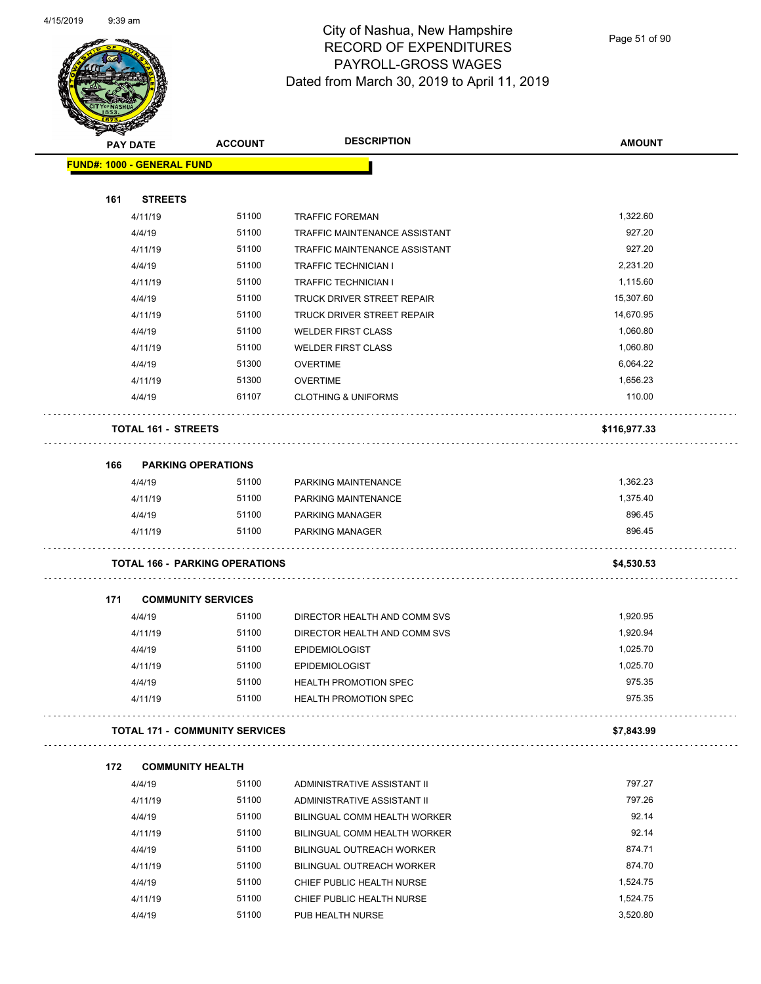

Page 51 of 90

|     | <b>PAY DATE</b>                     | <b>ACCOUNT</b>                        | <b>DESCRIPTION</b>                                      | <b>AMOUNT</b> |
|-----|-------------------------------------|---------------------------------------|---------------------------------------------------------|---------------|
|     | <b>FUND#: 1000 - GENERAL FUND</b>   |                                       |                                                         |               |
|     |                                     |                                       |                                                         |               |
| 161 | <b>STREETS</b>                      | 51100                                 |                                                         | 1,322.60      |
|     | 4/11/19<br>4/4/19                   | 51100                                 | <b>TRAFFIC FOREMAN</b><br>TRAFFIC MAINTENANCE ASSISTANT | 927.20        |
|     | 4/11/19                             | 51100                                 | TRAFFIC MAINTENANCE ASSISTANT                           | 927.20        |
|     | 4/4/19                              | 51100                                 | <b>TRAFFIC TECHNICIAN I</b>                             | 2,231.20      |
|     | 4/11/19                             | 51100                                 | <b>TRAFFIC TECHNICIAN I</b>                             | 1,115.60      |
|     | 4/4/19                              | 51100                                 | TRUCK DRIVER STREET REPAIR                              | 15,307.60     |
|     | 4/11/19                             | 51100                                 | TRUCK DRIVER STREET REPAIR                              | 14,670.95     |
|     | 4/4/19                              | 51100                                 | <b>WELDER FIRST CLASS</b>                               | 1,060.80      |
|     | 4/11/19                             | 51100                                 | <b>WELDER FIRST CLASS</b>                               | 1,060.80      |
|     | 4/4/19                              | 51300                                 | <b>OVERTIME</b>                                         | 6,064.22      |
|     | 4/11/19                             | 51300                                 | <b>OVERTIME</b>                                         | 1,656.23      |
|     | 4/4/19                              | 61107                                 | <b>CLOTHING &amp; UNIFORMS</b>                          | 110.00        |
|     | <b>TOTAL 161 - STREETS</b>          |                                       |                                                         | \$116,977.33  |
|     |                                     |                                       |                                                         |               |
| 166 | <b>PARKING OPERATIONS</b><br>4/4/19 | 51100                                 | PARKING MAINTENANCE                                     | 1,362.23      |
|     | 4/11/19                             | 51100                                 | PARKING MAINTENANCE                                     | 1,375.40      |
|     | 4/4/19                              | 51100                                 | <b>PARKING MANAGER</b>                                  | 896.45        |
|     | 4/11/19                             | 51100                                 | <b>PARKING MANAGER</b>                                  | 896.45        |
|     |                                     | <b>TOTAL 166 - PARKING OPERATIONS</b> |                                                         | \$4,530.53    |
|     |                                     |                                       |                                                         |               |
| 171 | <b>COMMUNITY SERVICES</b><br>4/4/19 | 51100                                 | DIRECTOR HEALTH AND COMM SVS                            | 1,920.95      |
|     | 4/11/19                             | 51100                                 | DIRECTOR HEALTH AND COMM SVS                            | 1,920.94      |
|     | 4/4/19                              | 51100                                 | <b>EPIDEMIOLOGIST</b>                                   | 1,025.70      |
|     | 4/11/19                             | 51100                                 | <b>EPIDEMIOLOGIST</b>                                   | 1,025.70      |
|     | 4/4/19                              | 51100                                 | HEALTH PROMOTION SPEC                                   | 975.35        |
|     | 4/11/19                             | 51100                                 | <b>HEALTH PROMOTION SPEC</b>                            | 975.35        |
|     |                                     | <b>TOTAL 171 - COMMUNITY SERVICES</b> |                                                         | \$7,843.99    |
| 172 | <b>COMMUNITY HEALTH</b>             |                                       |                                                         |               |
|     | 4/4/19                              | 51100                                 | ADMINISTRATIVE ASSISTANT II                             | 797.27        |
|     | 4/11/19                             | 51100                                 | ADMINISTRATIVE ASSISTANT II                             | 797.26        |
|     | 4/4/19                              | 51100                                 | BILINGUAL COMM HEALTH WORKER                            | 92.14         |
|     | 4/11/19                             | 51100                                 | <b>BILINGUAL COMM HEALTH WORKER</b>                     | 92.14         |
|     | 4/4/19                              | 51100                                 | BILINGUAL OUTREACH WORKER                               | 874.71        |
|     | 4/11/19                             | 51100                                 | <b>BILINGUAL OUTREACH WORKER</b>                        | 874.70        |
|     |                                     |                                       |                                                         |               |
|     | 4/4/19                              | 51100                                 | CHIEF PUBLIC HEALTH NURSE                               | 1,524.75      |
|     | 4/11/19                             | 51100                                 | CHIEF PUBLIC HEALTH NURSE                               | 1,524.75      |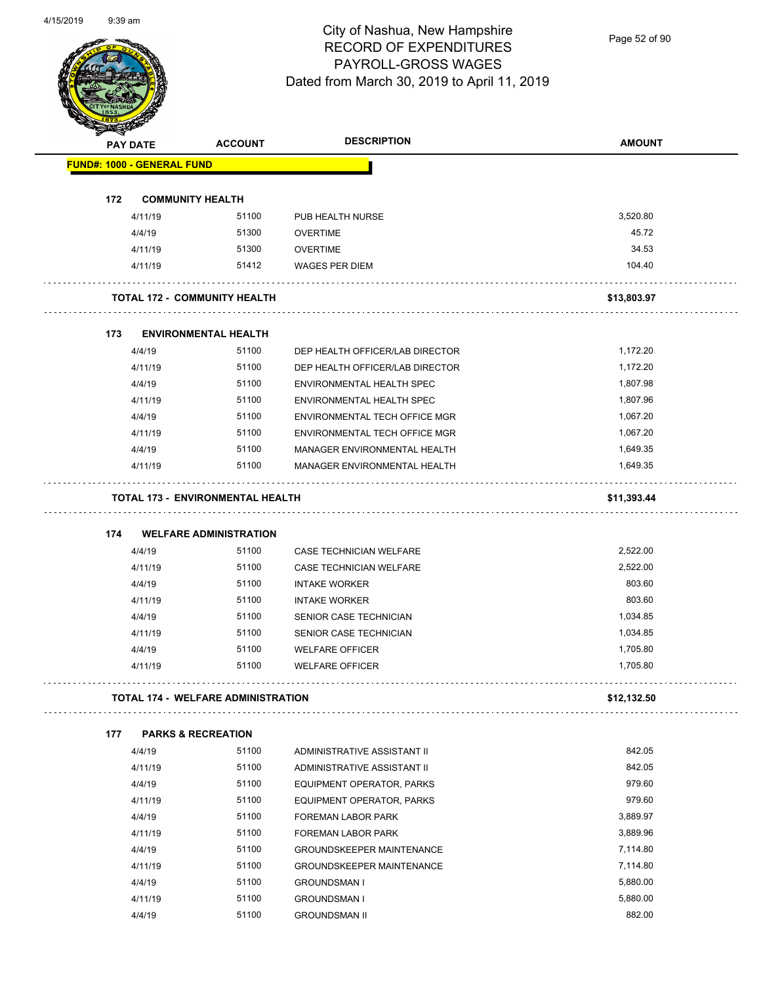Page 52 of 90

|     | <b>PAY DATE</b>                   | <b>ACCOUNT</b>                            | <b>DESCRIPTION</b>               | <b>AMOUNT</b>        |
|-----|-----------------------------------|-------------------------------------------|----------------------------------|----------------------|
|     | <b>FUND#: 1000 - GENERAL FUND</b> |                                           |                                  |                      |
| 172 | <b>COMMUNITY HEALTH</b>           |                                           |                                  |                      |
|     | 4/11/19                           | 51100                                     | PUB HEALTH NURSE                 | 3,520.80             |
|     | 4/4/19                            | 51300                                     | <b>OVERTIME</b>                  | 45.72                |
|     | 4/11/19                           | 51300                                     | <b>OVERTIME</b>                  | 34.53                |
|     | 4/11/19                           | 51412                                     | WAGES PER DIEM                   | 104.40               |
|     |                                   | <b>TOTAL 172 - COMMUNITY HEALTH</b>       |                                  | \$13,803.97          |
| 173 |                                   | <b>ENVIRONMENTAL HEALTH</b>               |                                  |                      |
|     | 4/4/19                            | 51100                                     | DEP HEALTH OFFICER/LAB DIRECTOR  | 1,172.20             |
|     | 4/11/19                           | 51100                                     | DEP HEALTH OFFICER/LAB DIRECTOR  | 1,172.20             |
|     | 4/4/19                            | 51100                                     | ENVIRONMENTAL HEALTH SPEC        | 1,807.98             |
|     | 4/11/19                           | 51100                                     | ENVIRONMENTAL HEALTH SPEC        | 1,807.96             |
|     | 4/4/19                            | 51100                                     | ENVIRONMENTAL TECH OFFICE MGR    | 1,067.20             |
|     | 4/11/19                           | 51100                                     | ENVIRONMENTAL TECH OFFICE MGR    | 1,067.20             |
|     | 4/4/19                            | 51100                                     | MANAGER ENVIRONMENTAL HEALTH     | 1,649.35             |
|     | 4/11/19                           | 51100                                     | MANAGER ENVIRONMENTAL HEALTH     | 1,649.35             |
|     |                                   | <b>TOTAL 173 - ENVIRONMENTAL HEALTH</b>   |                                  | \$11,393.44          |
| 174 |                                   | <b>WELFARE ADMINISTRATION</b>             |                                  |                      |
|     | 4/4/19                            | 51100                                     | CASE TECHNICIAN WELFARE          | 2,522.00             |
|     | 4/11/19                           | 51100                                     | CASE TECHNICIAN WELFARE          | 2,522.00             |
|     | 4/4/19                            | 51100                                     | <b>INTAKE WORKER</b>             | 803.60               |
|     | 4/11/19                           | 51100                                     | <b>INTAKE WORKER</b>             | 803.60               |
|     | 4/4/19                            | 51100                                     | SENIOR CASE TECHNICIAN           | 1,034.85             |
|     | 4/11/19                           | 51100                                     | SENIOR CASE TECHNICIAN           | 1,034.85             |
|     | 4/4/19                            | 51100                                     | <b>WELFARE OFFICER</b>           | 1,705.80             |
|     | 4/11/19                           | 51100                                     | <b>WELFARE OFFICER</b>           | 1,705.80             |
|     |                                   | <b>TOTAL 174 - WELFARE ADMINISTRATION</b> |                                  | \$12,132.50          |
| 177 |                                   | <b>PARKS &amp; RECREATION</b>             |                                  | .                    |
|     | 4/4/19                            | 51100                                     | ADMINISTRATIVE ASSISTANT II      | 842.05               |
|     | 4/11/19                           | 51100                                     | ADMINISTRATIVE ASSISTANT II      | 842.05               |
|     | 4/4/19                            | 51100                                     | EQUIPMENT OPERATOR, PARKS        | 979.60               |
|     | 4/11/19                           | 51100                                     | EQUIPMENT OPERATOR, PARKS        | 979.60               |
|     | 4/4/19                            | 51100                                     | FOREMAN LABOR PARK               | 3,889.97             |
|     | 4/11/19                           | 51100                                     | <b>FOREMAN LABOR PARK</b>        | 3,889.96             |
|     |                                   |                                           |                                  |                      |
|     | 4/4/19                            | 51100                                     | <b>GROUNDSKEEPER MAINTENANCE</b> | 7,114.80             |
|     | 4/11/19                           | 51100                                     | <b>GROUNDSKEEPER MAINTENANCE</b> | 7,114.80             |
|     | 4/4/19                            | 51100                                     | <b>GROUNDSMAN I</b>              | 5,880.00<br>5,880.00 |
|     | 4/11/19                           | 51100                                     | <b>GROUNDSMAN I</b>              |                      |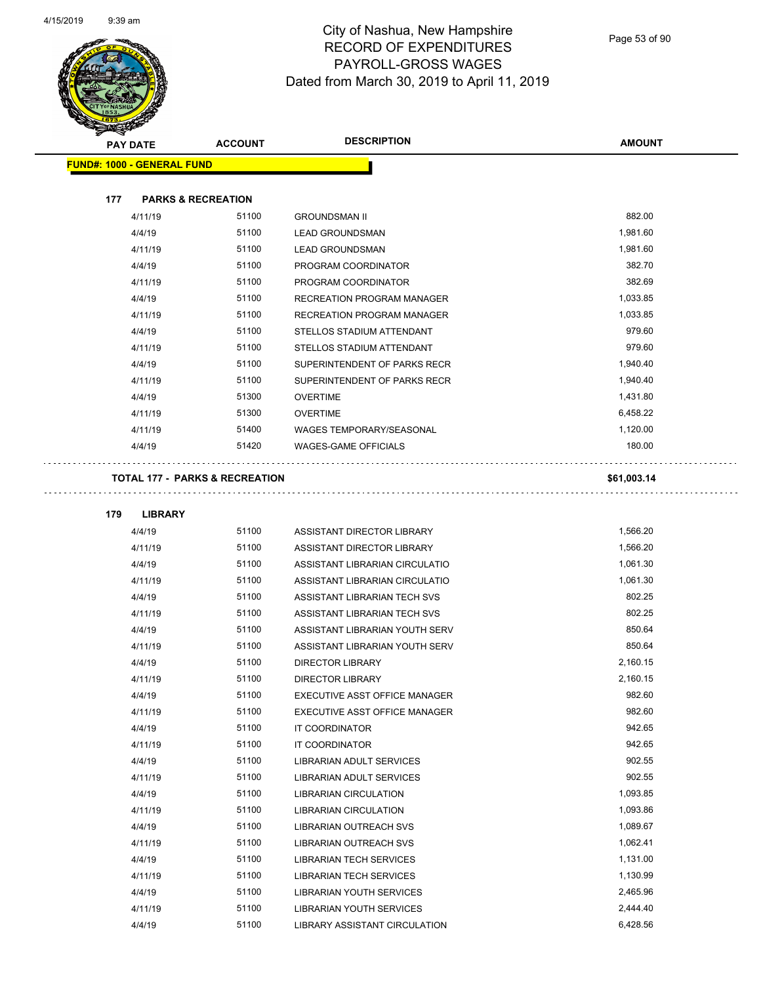

Page 53 of 90

| <b>PAY DATE</b>                   |                | <b>ACCOUNT</b>                            | <b>DESCRIPTION</b>              | <b>AMOUNT</b> |
|-----------------------------------|----------------|-------------------------------------------|---------------------------------|---------------|
| <b>FUND#: 1000 - GENERAL FUND</b> |                |                                           |                                 |               |
| 177                               |                | <b>PARKS &amp; RECREATION</b>             |                                 |               |
|                                   | 4/11/19        | 51100                                     | <b>GROUNDSMAN II</b>            | 882.00        |
|                                   | 4/4/19         | 51100                                     | <b>LEAD GROUNDSMAN</b>          | 1,981.60      |
|                                   | 4/11/19        | 51100                                     | <b>LEAD GROUNDSMAN</b>          | 1,981.60      |
|                                   | 4/4/19         | 51100                                     | PROGRAM COORDINATOR             | 382.70        |
|                                   | 4/11/19        | 51100                                     | PROGRAM COORDINATOR             | 382.69        |
|                                   | 4/4/19         | 51100                                     | RECREATION PROGRAM MANAGER      | 1,033.85      |
|                                   | 4/11/19        | 51100                                     | RECREATION PROGRAM MANAGER      | 1,033.85      |
|                                   | 4/4/19         | 51100                                     | STELLOS STADIUM ATTENDANT       | 979.60        |
|                                   | 4/11/19        | 51100                                     | STELLOS STADIUM ATTENDANT       | 979.60        |
|                                   | 4/4/19         | 51100                                     | SUPERINTENDENT OF PARKS RECR    | 1,940.40      |
|                                   | 4/11/19        | 51100                                     | SUPERINTENDENT OF PARKS RECR    | 1,940.40      |
|                                   | 4/4/19         | 51300                                     | <b>OVERTIME</b>                 | 1,431.80      |
|                                   | 4/11/19        | 51300                                     | <b>OVERTIME</b>                 | 6,458.22      |
|                                   | 4/11/19        | 51400                                     | <b>WAGES TEMPORARY/SEASONAL</b> | 1,120.00      |
|                                   | 4/4/19         | 51420                                     | WAGES-GAME OFFICIALS            | 180.00        |
|                                   |                | <b>TOTAL 177 - PARKS &amp; RECREATION</b> |                                 | \$61,003.14   |
| 179                               | <b>LIBRARY</b> |                                           |                                 |               |
|                                   | 4/4/19         | 51100                                     | ASSISTANT DIRECTOR LIBRARY      | 1,566.20      |
|                                   | 4/11/19        | 51100                                     | ASSISTANT DIRECTOR LIBRARY      | 1,566.20      |
|                                   | 4/4/19         | 51100                                     | ASSISTANT LIBRARIAN CIRCULATIO  | 1,061.30      |
|                                   | 4/11/19        | 51100                                     | ASSISTANT LIBRARIAN CIRCULATIO  | 1,061.30      |
|                                   | 4/4/19         | 51100                                     | ASSISTANT LIBRARIAN TECH SVS    | 802.25        |
|                                   | 4/11/19        | 51100                                     | ASSISTANT LIBRARIAN TECH SVS    | 802.25        |
|                                   | 4/4/19         | 51100                                     | ASSISTANT LIBRARIAN YOUTH SERV  | 850.64        |
|                                   | 4/11/19        | 51100                                     | ASSISTANT LIBRARIAN YOUTH SERV  | 850.64        |
|                                   | 4/4/19         | 51100                                     | <b>DIRECTOR LIBRARY</b>         | 2,160.15      |
|                                   | 4/11/19        | 51100                                     | DIRECTOR LIBRARY                | 2,160.15      |
|                                   | 4/4/19         | 51100                                     | EXECUTIVE ASST OFFICE MANAGER   | 982.60        |
|                                   | 4/11/19        | 51100                                     | EXECUTIVE ASST OFFICE MANAGER   | 982.60        |
|                                   | 4/4/19         | 51100                                     | IT COORDINATOR                  | 942.65        |
|                                   | 4/11/19        | 51100                                     | IT COORDINATOR                  | 942.65        |
|                                   | 4/4/19         | 51100                                     | LIBRARIAN ADULT SERVICES        | 902.55        |
|                                   | 4/11/19        | 51100                                     | LIBRARIAN ADULT SERVICES        | 902.55        |
|                                   | 4/4/19         | 51100                                     | <b>LIBRARIAN CIRCULATION</b>    | 1,093.85      |
|                                   | 4/11/19        | 51100                                     | <b>LIBRARIAN CIRCULATION</b>    | 1,093.86      |
|                                   | 4/4/19         | 51100                                     | LIBRARIAN OUTREACH SVS          | 1,089.67      |
|                                   | 4/11/19        | 51100                                     | LIBRARIAN OUTREACH SVS          | 1,062.41      |
|                                   | 4/4/19         | 51100                                     | <b>LIBRARIAN TECH SERVICES</b>  | 1,131.00      |
|                                   | 4/11/19        | 51100                                     | <b>LIBRARIAN TECH SERVICES</b>  | 1,130.99      |
|                                   | 4/4/19         | 51100                                     | LIBRARIAN YOUTH SERVICES        | 2,465.96      |
|                                   | 4/11/19        | 51100                                     | LIBRARIAN YOUTH SERVICES        | 2,444.40      |
|                                   | 4/4/19         | 51100                                     | LIBRARY ASSISTANT CIRCULATION   | 6,428.56      |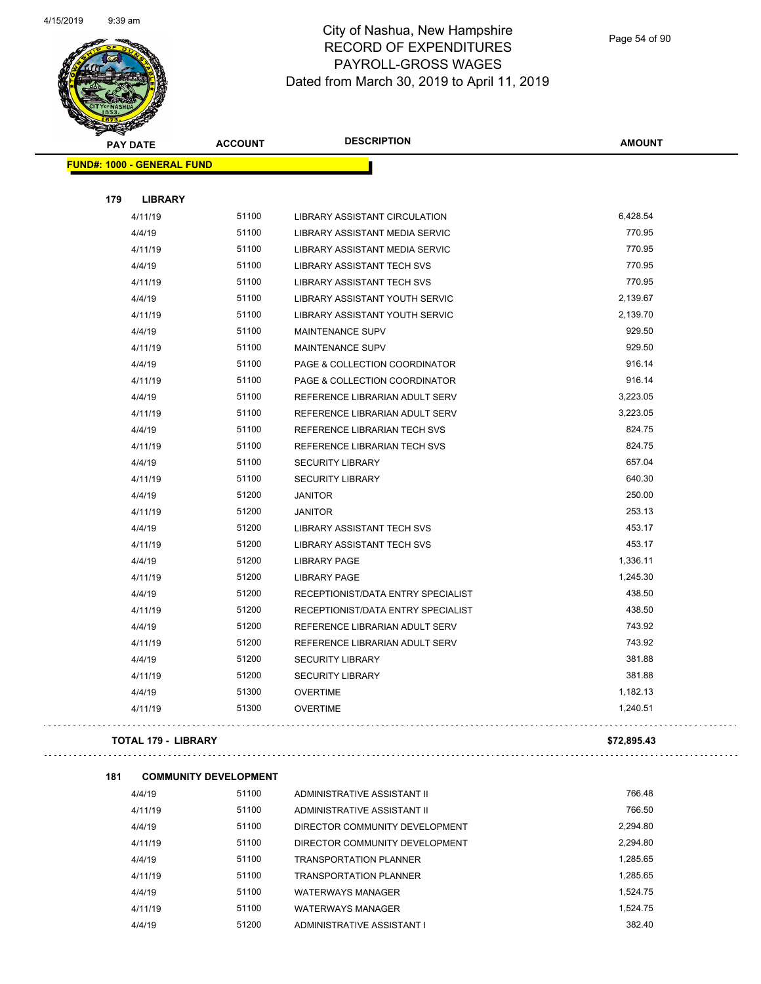

### City of Nashua, New Hampshire RECORD OF EXPENDITURES PAYROLL-GROSS WAGES Dated from March 30, 2019 to April 11, 2019

Page 54 of 90

| <b>PAY DATE</b>                   | <b>ACCOUNT</b>               | <b>DESCRIPTION</b>                 | <b>AMOUNT</b> |
|-----------------------------------|------------------------------|------------------------------------|---------------|
| <b>FUND#: 1000 - GENERAL FUND</b> |                              |                                    |               |
| 179<br><b>LIBRARY</b>             |                              |                                    |               |
| 4/11/19                           | 51100                        | LIBRARY ASSISTANT CIRCULATION      | 6,428.54      |
| 4/4/19                            | 51100                        | LIBRARY ASSISTANT MEDIA SERVIC     | 770.95        |
| 4/11/19                           | 51100                        | LIBRARY ASSISTANT MEDIA SERVIC     | 770.95        |
| 4/4/19                            | 51100                        | LIBRARY ASSISTANT TECH SVS         | 770.95        |
| 4/11/19                           | 51100                        | LIBRARY ASSISTANT TECH SVS         | 770.95        |
| 4/4/19                            | 51100                        | LIBRARY ASSISTANT YOUTH SERVIC     | 2,139.67      |
| 4/11/19                           | 51100                        | LIBRARY ASSISTANT YOUTH SERVIC     | 2,139.70      |
| 4/4/19                            | 51100                        | <b>MAINTENANCE SUPV</b>            | 929.50        |
| 4/11/19                           | 51100                        | <b>MAINTENANCE SUPV</b>            | 929.50        |
| 4/4/19                            | 51100                        | PAGE & COLLECTION COORDINATOR      | 916.14        |
| 4/11/19                           | 51100                        | PAGE & COLLECTION COORDINATOR      | 916.14        |
| 4/4/19                            | 51100                        | REFERENCE LIBRARIAN ADULT SERV     | 3,223.05      |
| 4/11/19                           | 51100                        | REFERENCE LIBRARIAN ADULT SERV     | 3,223.05      |
| 4/4/19                            | 51100                        | REFERENCE LIBRARIAN TECH SVS       | 824.75        |
| 4/11/19                           | 51100                        | REFERENCE LIBRARIAN TECH SVS       | 824.75        |
| 4/4/19                            | 51100                        | <b>SECURITY LIBRARY</b>            | 657.04        |
| 4/11/19                           | 51100                        | <b>SECURITY LIBRARY</b>            | 640.30        |
| 4/4/19                            | 51200                        | <b>JANITOR</b>                     | 250.00        |
| 4/11/19                           | 51200                        | <b>JANITOR</b>                     | 253.13        |
| 4/4/19                            | 51200                        | LIBRARY ASSISTANT TECH SVS         | 453.17        |
| 4/11/19                           | 51200                        | LIBRARY ASSISTANT TECH SVS         | 453.17        |
| 4/4/19                            | 51200                        | <b>LIBRARY PAGE</b>                | 1,336.11      |
| 4/11/19                           | 51200                        | <b>LIBRARY PAGE</b>                | 1,245.30      |
| 4/4/19                            | 51200                        | RECEPTIONIST/DATA ENTRY SPECIALIST | 438.50        |
| 4/11/19                           | 51200                        | RECEPTIONIST/DATA ENTRY SPECIALIST | 438.50        |
| 4/4/19                            | 51200                        | REFERENCE LIBRARIAN ADULT SERV     | 743.92        |
| 4/11/19                           | 51200                        | REFERENCE LIBRARIAN ADULT SERV     | 743.92        |
| 4/4/19                            | 51200                        | <b>SECURITY LIBRARY</b>            | 381.88        |
| 4/11/19                           | 51200                        | SECURITY LIBRARY                   | 381.88        |
| 4/4/19                            | 51300                        | <b>OVERTIME</b>                    | 1,182.13      |
| 4/11/19                           | 51300                        | <b>OVERTIME</b>                    | 1,240.51      |
| <b>TOTAL 179 - LIBRARY</b>        |                              |                                    | \$72,895.43   |
| 181                               | <b>COMMUNITY DEVELOPMENT</b> |                                    |               |
| AIA/10                            | 51100                        | ADMINICTDATIVE ACCICTANT II        | 766 48        |

| 4/4/19  | 51100 | ADMINISTRATIVE ASSISTANT II    | 766.48   |
|---------|-------|--------------------------------|----------|
| 4/11/19 | 51100 | ADMINISTRATIVE ASSISTANT II    | 766.50   |
| 4/4/19  | 51100 | DIRECTOR COMMUNITY DEVELOPMENT | 2,294.80 |
| 4/11/19 | 51100 | DIRECTOR COMMUNITY DEVELOPMENT | 2.294.80 |
| 4/4/19  | 51100 | <b>TRANSPORTATION PLANNER</b>  | 1.285.65 |
| 4/11/19 | 51100 | <b>TRANSPORTATION PLANNER</b>  | 1.285.65 |
| 4/4/19  | 51100 | <b>WATERWAYS MANAGER</b>       | 1.524.75 |
| 4/11/19 | 51100 | <b>WATERWAYS MANAGER</b>       | 1.524.75 |
| 4/4/19  | 51200 | ADMINISTRATIVE ASSISTANT I     | 382.40   |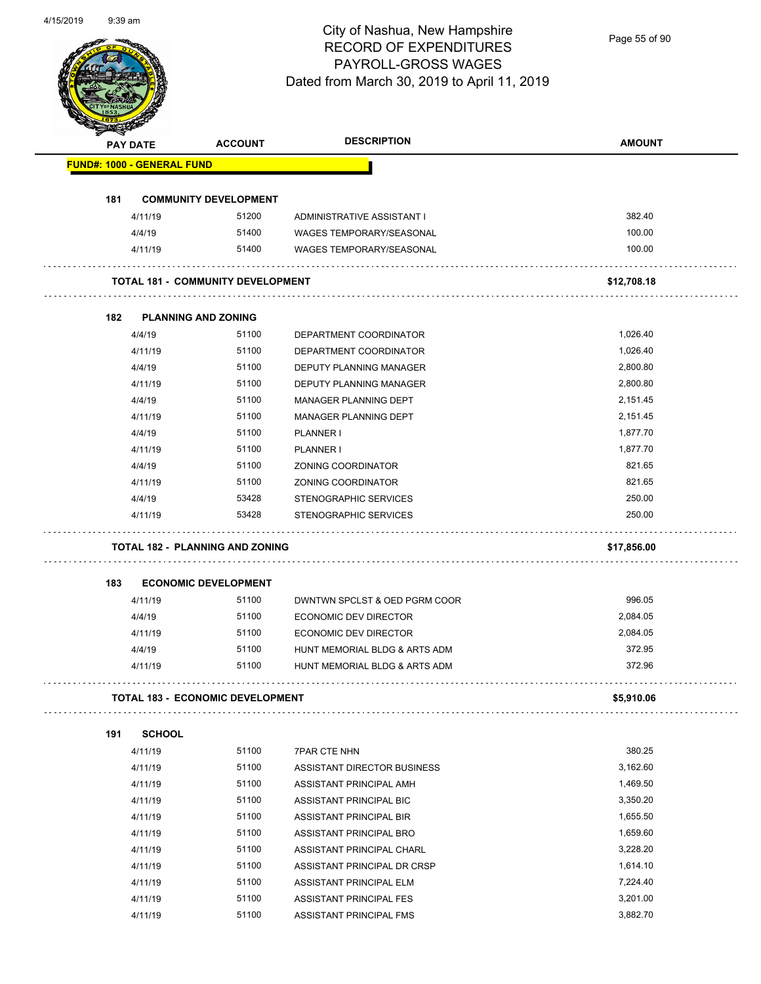Page 55 of 90

|     | <b>PAY DATE</b>                   | <b>ACCOUNT</b>                           | <b>DESCRIPTION</b>                                 | <b>AMOUNT</b>        |
|-----|-----------------------------------|------------------------------------------|----------------------------------------------------|----------------------|
|     | <b>FUND#: 1000 - GENERAL FUND</b> |                                          |                                                    |                      |
| 181 |                                   | <b>COMMUNITY DEVELOPMENT</b>             |                                                    |                      |
|     | 4/11/19                           | 51200                                    | ADMINISTRATIVE ASSISTANT I                         | 382.40               |
|     | 4/4/19                            | 51400                                    | <b>WAGES TEMPORARY/SEASONAL</b>                    | 100.00               |
|     | 4/11/19                           | 51400                                    | WAGES TEMPORARY/SEASONAL                           | 100.00               |
|     |                                   | <b>TOTAL 181 - COMMUNITY DEVELOPMENT</b> |                                                    | \$12,708.18          |
| 182 | <b>PLANNING AND ZONING</b>        |                                          |                                                    |                      |
|     | 4/4/19                            | 51100                                    | DEPARTMENT COORDINATOR                             | 1,026.40             |
|     | 4/11/19                           | 51100                                    | DEPARTMENT COORDINATOR                             | 1,026.40             |
|     | 4/4/19                            | 51100                                    | <b>DEPUTY PLANNING MANAGER</b>                     | 2,800.80             |
|     | 4/11/19                           | 51100                                    | DEPUTY PLANNING MANAGER                            | 2,800.80             |
|     | 4/4/19                            | 51100                                    | <b>MANAGER PLANNING DEPT</b>                       | 2,151.45             |
|     | 4/11/19                           | 51100                                    | MANAGER PLANNING DEPT                              | 2,151.45             |
|     | 4/4/19                            | 51100                                    | PLANNER I                                          | 1,877.70             |
|     | 4/11/19                           | 51100                                    | PLANNER I                                          | 1,877.70             |
|     | 4/4/19                            | 51100                                    | ZONING COORDINATOR                                 | 821.65               |
|     | 4/11/19                           | 51100                                    | ZONING COORDINATOR                                 | 821.65               |
|     | 4/4/19                            | 53428                                    | <b>STENOGRAPHIC SERVICES</b>                       | 250.00               |
|     | 4/11/19                           | 53428                                    | <b>STENOGRAPHIC SERVICES</b>                       | 250.00               |
|     |                                   | <b>TOTAL 182 - PLANNING AND ZONING</b>   |                                                    | \$17,856.00          |
| 183 |                                   | <b>ECONOMIC DEVELOPMENT</b>              |                                                    |                      |
|     | 4/11/19                           | 51100                                    | DWNTWN SPCLST & OED PGRM COOR                      | 996.05               |
|     | 4/4/19                            | 51100                                    | ECONOMIC DEV DIRECTOR                              | 2,084.05             |
|     | 4/11/19                           | 51100                                    | <b>ECONOMIC DEV DIRECTOR</b>                       | 2,084.05             |
|     | 4/4/19                            | 51100                                    | HUNT MEMORIAL BLDG & ARTS ADM                      | 372.95               |
|     | 4/11/19                           | 51100                                    | HUNT MEMORIAL BLDG & ARTS ADM                      | 372.96               |
|     |                                   | <b>TOTAL 183 - ECONOMIC DEVELOPMENT</b>  |                                                    | \$5,910.06           |
| 191 | <b>SCHOOL</b>                     |                                          |                                                    |                      |
|     | 4/11/19                           | 51100                                    | <b>7PAR CTE NHN</b>                                | 380.25               |
|     | 4/11/19                           | 51100                                    | ASSISTANT DIRECTOR BUSINESS                        | 3,162.60             |
|     | 4/11/19                           | 51100                                    | ASSISTANT PRINCIPAL AMH                            | 1,469.50             |
|     | 4/11/19                           | 51100                                    | ASSISTANT PRINCIPAL BIC                            | 3,350.20             |
|     |                                   | 51100                                    | ASSISTANT PRINCIPAL BIR                            | 1,655.50             |
|     |                                   |                                          |                                                    |                      |
|     | 4/11/19                           |                                          |                                                    |                      |
|     | 4/11/19                           | 51100                                    | ASSISTANT PRINCIPAL BRO                            | 1,659.60             |
|     | 4/11/19                           | 51100                                    | ASSISTANT PRINCIPAL CHARL                          | 3,228.20             |
|     | 4/11/19                           | 51100                                    | ASSISTANT PRINCIPAL DR CRSP                        | 1,614.10             |
|     | 4/11/19<br>4/11/19                | 51100<br>51100                           | ASSISTANT PRINCIPAL ELM<br>ASSISTANT PRINCIPAL FES | 7,224.40<br>3,201.00 |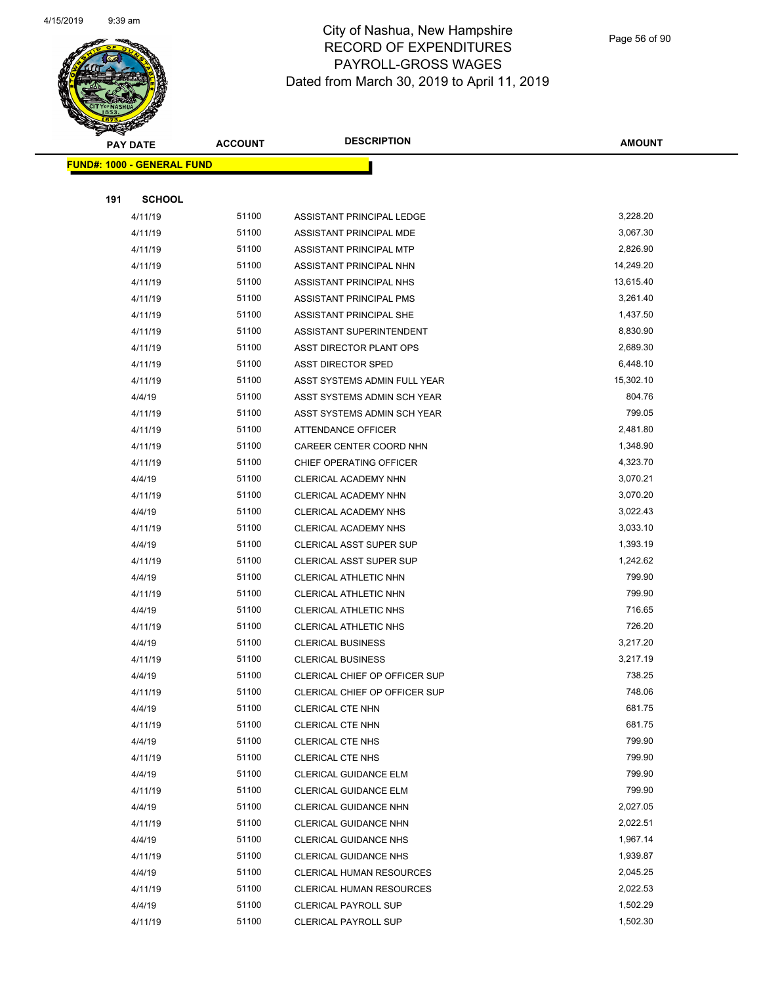

Page 56 of 90

| <b>PAY DATE</b>                   | <b>ACCOUNT</b> | <b>DESCRIPTION</b>                          | <b>AMOUNT</b>    |
|-----------------------------------|----------------|---------------------------------------------|------------------|
| <b>FUND#: 1000 - GENERAL FUND</b> |                |                                             |                  |
|                                   |                |                                             |                  |
| <b>SCHOOL</b><br>191              |                |                                             |                  |
| 4/11/19                           | 51100          | ASSISTANT PRINCIPAL LEDGE                   | 3,228.20         |
| 4/11/19                           | 51100          | ASSISTANT PRINCIPAL MDE                     | 3,067.30         |
| 4/11/19                           | 51100          | ASSISTANT PRINCIPAL MTP                     | 2,826.90         |
| 4/11/19                           | 51100          | ASSISTANT PRINCIPAL NHN                     | 14,249.20        |
| 4/11/19                           | 51100          | ASSISTANT PRINCIPAL NHS                     | 13,615.40        |
| 4/11/19                           | 51100          | ASSISTANT PRINCIPAL PMS                     | 3,261.40         |
| 4/11/19                           | 51100          | ASSISTANT PRINCIPAL SHE                     | 1,437.50         |
| 4/11/19                           | 51100          | ASSISTANT SUPERINTENDENT                    | 8,830.90         |
| 4/11/19                           | 51100          | ASST DIRECTOR PLANT OPS                     | 2,689.30         |
| 4/11/19                           | 51100          | <b>ASST DIRECTOR SPED</b>                   | 6,448.10         |
| 4/11/19                           | 51100          | ASST SYSTEMS ADMIN FULL YEAR                | 15,302.10        |
| 4/4/19                            | 51100          | ASST SYSTEMS ADMIN SCH YEAR                 | 804.76           |
| 4/11/19                           | 51100          | ASST SYSTEMS ADMIN SCH YEAR                 | 799.05           |
| 4/11/19                           | 51100          | ATTENDANCE OFFICER                          | 2,481.80         |
| 4/11/19                           | 51100          | CAREER CENTER COORD NHN                     | 1,348.90         |
| 4/11/19                           | 51100          | CHIEF OPERATING OFFICER                     | 4,323.70         |
| 4/4/19                            | 51100          | CLERICAL ACADEMY NHN                        | 3,070.21         |
| 4/11/19                           | 51100          | CLERICAL ACADEMY NHN                        | 3,070.20         |
| 4/4/19                            | 51100          | CLERICAL ACADEMY NHS                        | 3,022.43         |
| 4/11/19                           | 51100          | CLERICAL ACADEMY NHS                        | 3,033.10         |
| 4/4/19                            | 51100          | <b>CLERICAL ASST SUPER SUP</b>              | 1,393.19         |
| 4/11/19                           | 51100          | CLERICAL ASST SUPER SUP                     | 1,242.62         |
| 4/4/19                            | 51100          | CLERICAL ATHLETIC NHN                       | 799.90           |
| 4/11/19                           | 51100          | CLERICAL ATHLETIC NHN                       | 799.90           |
| 4/4/19                            | 51100          | CLERICAL ATHLETIC NHS                       | 716.65           |
| 4/11/19                           | 51100          | <b>CLERICAL ATHLETIC NHS</b>                | 726.20           |
| 4/4/19                            | 51100          | <b>CLERICAL BUSINESS</b>                    | 3,217.20         |
| 4/11/19                           | 51100          | <b>CLERICAL BUSINESS</b>                    | 3,217.19         |
| 4/4/19                            | 51100          | CLERICAL CHIEF OP OFFICER SUP               | 738.25           |
| 4/11/19                           | 51100          | CLERICAL CHIEF OP OFFICER SUP               | 748.06<br>681.75 |
| 4/4/19                            | 51100<br>51100 | CLERICAL CTE NHN                            | 681.75           |
| 4/11/19                           | 51100          | CLERICAL CTE NHN                            | 799.90           |
| 4/4/19<br>4/11/19                 | 51100          | <b>CLERICAL CTE NHS</b><br>CLERICAL CTE NHS | 799.90           |
| 4/4/19                            | 51100          | CLERICAL GUIDANCE ELM                       | 799.90           |
| 4/11/19                           | 51100          | CLERICAL GUIDANCE ELM                       | 799.90           |
| 4/4/19                            | 51100          | CLERICAL GUIDANCE NHN                       | 2,027.05         |
| 4/11/19                           | 51100          | CLERICAL GUIDANCE NHN                       | 2,022.51         |
| 4/4/19                            | 51100          | CLERICAL GUIDANCE NHS                       | 1,967.14         |
| 4/11/19                           | 51100          | <b>CLERICAL GUIDANCE NHS</b>                | 1,939.87         |
| 4/4/19                            | 51100          | <b>CLERICAL HUMAN RESOURCES</b>             | 2,045.25         |
| 4/11/19                           | 51100          | CLERICAL HUMAN RESOURCES                    | 2,022.53         |
| 4/4/19                            | 51100          | <b>CLERICAL PAYROLL SUP</b>                 | 1,502.29         |
| 4/11/19                           | 51100          | <b>CLERICAL PAYROLL SUP</b>                 | 1,502.30         |
|                                   |                |                                             |                  |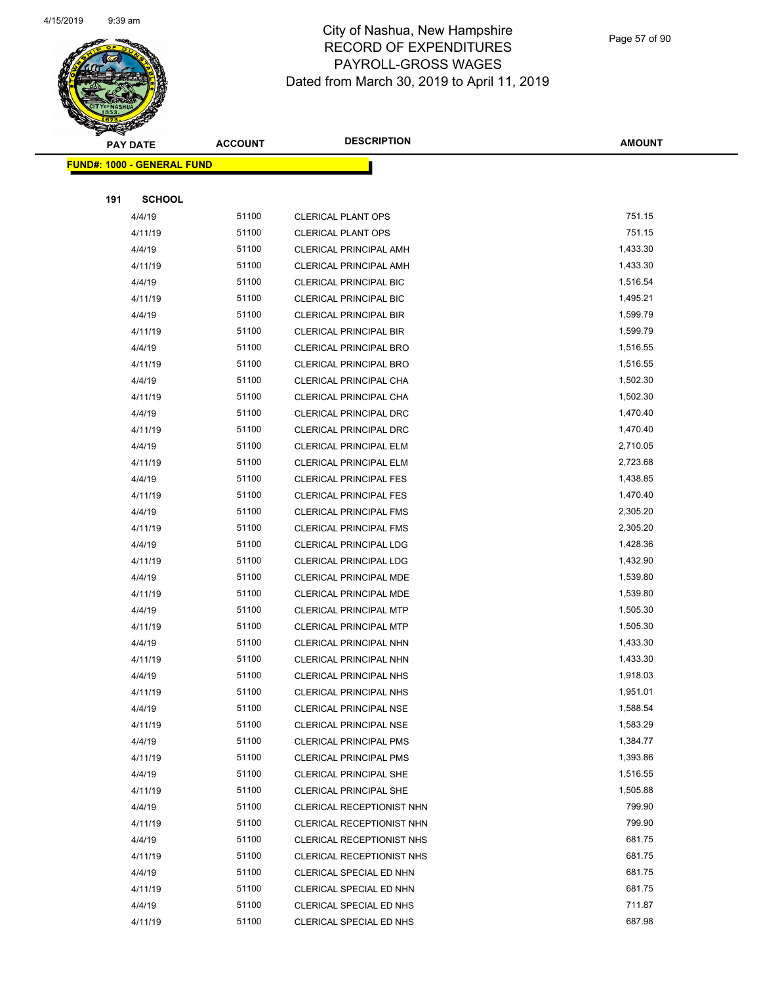

|     | <b>PAY DATE</b>                   | <b>ACCOUNT</b> | <b>DESCRIPTION</b>                                 | <b>AMOUNT</b>      |
|-----|-----------------------------------|----------------|----------------------------------------------------|--------------------|
|     | <b>FUND#: 1000 - GENERAL FUND</b> |                |                                                    |                    |
|     |                                   |                |                                                    |                    |
| 191 | <b>SCHOOL</b>                     |                |                                                    |                    |
|     | 4/4/19                            | 51100          | <b>CLERICAL PLANT OPS</b>                          | 751.15             |
|     | 4/11/19                           | 51100          | <b>CLERICAL PLANT OPS</b>                          | 751.15             |
|     | 4/4/19                            | 51100          | <b>CLERICAL PRINCIPAL AMH</b>                      | 1,433.30           |
|     | 4/11/19                           | 51100          | <b>CLERICAL PRINCIPAL AMH</b>                      | 1,433.30           |
|     | 4/4/19                            | 51100          | CLERICAL PRINCIPAL BIC                             | 1,516.54           |
|     | 4/11/19                           | 51100          | CLERICAL PRINCIPAL BIC                             | 1,495.21           |
|     | 4/4/19                            | 51100          | <b>CLERICAL PRINCIPAL BIR</b>                      | 1,599.79           |
|     | 4/11/19                           | 51100          | <b>CLERICAL PRINCIPAL BIR</b>                      | 1,599.79           |
|     | 4/4/19                            | 51100          | <b>CLERICAL PRINCIPAL BRO</b>                      | 1,516.55           |
|     | 4/11/19                           | 51100          | CLERICAL PRINCIPAL BRO                             | 1,516.55           |
|     | 4/4/19                            | 51100          | CLERICAL PRINCIPAL CHA                             | 1,502.30           |
|     | 4/11/19                           | 51100          | CLERICAL PRINCIPAL CHA                             | 1,502.30           |
|     | 4/4/19                            | 51100          | CLERICAL PRINCIPAL DRC                             | 1,470.40           |
|     | 4/11/19                           | 51100          | CLERICAL PRINCIPAL DRC                             | 1,470.40           |
|     | 4/4/19                            | 51100          | CLERICAL PRINCIPAL ELM                             | 2,710.05           |
|     | 4/11/19                           | 51100          | CLERICAL PRINCIPAL ELM                             | 2,723.68           |
|     | 4/4/19                            | 51100          | <b>CLERICAL PRINCIPAL FES</b>                      | 1,438.85           |
|     | 4/11/19                           | 51100          | <b>CLERICAL PRINCIPAL FES</b>                      | 1,470.40           |
|     | 4/4/19                            | 51100          | <b>CLERICAL PRINCIPAL FMS</b>                      | 2,305.20           |
|     | 4/11/19                           | 51100          | <b>CLERICAL PRINCIPAL FMS</b>                      | 2,305.20           |
|     | 4/4/19                            | 51100          | CLERICAL PRINCIPAL LDG                             | 1,428.36           |
|     | 4/11/19                           | 51100          | <b>CLERICAL PRINCIPAL LDG</b>                      | 1,432.90           |
|     | 4/4/19                            | 51100          | <b>CLERICAL PRINCIPAL MDE</b>                      | 1,539.80           |
|     | 4/11/19                           | 51100          | <b>CLERICAL PRINCIPAL MDE</b>                      | 1,539.80           |
|     | 4/4/19                            | 51100          | <b>CLERICAL PRINCIPAL MTP</b>                      | 1,505.30           |
|     | 4/11/19                           | 51100          | CLERICAL PRINCIPAL MTP                             | 1,505.30           |
|     | 4/4/19                            | 51100          | CLERICAL PRINCIPAL NHN                             | 1,433.30           |
|     | 4/11/19                           | 51100          | CLERICAL PRINCIPAL NHN                             | 1,433.30           |
|     | 4/4/19                            | 51100          | <b>CLERICAL PRINCIPAL NHS</b>                      | 1,918.03           |
|     | 4/11/19                           | 51100          | CLERICAL PRINCIPAL NHS                             | 1,951.01           |
|     | 4/4/19                            | 51100          | <b>CLERICAL PRINCIPAL NSE</b>                      | 1,588.54           |
|     | 4/11/19                           | 51100          | <b>CLERICAL PRINCIPAL NSE</b>                      | 1,583.29           |
|     | 4/4/19                            | 51100          | <b>CLERICAL PRINCIPAL PMS</b>                      | 1,384.77           |
|     | 4/11/19                           | 51100          | <b>CLERICAL PRINCIPAL PMS</b>                      | 1,393.86           |
|     | 4/4/19                            | 51100          | <b>CLERICAL PRINCIPAL SHE</b>                      | 1,516.55           |
|     | 4/11/19                           | 51100          | CLERICAL PRINCIPAL SHE                             | 1,505.88<br>799.90 |
|     | 4/4/19                            | 51100          | CLERICAL RECEPTIONIST NHN                          | 799.90             |
|     | 4/11/19                           | 51100          | CLERICAL RECEPTIONIST NHN                          | 681.75             |
|     | 4/4/19                            | 51100          | CLERICAL RECEPTIONIST NHS                          | 681.75             |
|     | 4/11/19                           | 51100<br>51100 | CLERICAL RECEPTIONIST NHS                          | 681.75             |
|     | 4/4/19<br>4/11/19                 | 51100          | CLERICAL SPECIAL ED NHN                            | 681.75             |
|     | 4/4/19                            | 51100          | CLERICAL SPECIAL ED NHN<br>CLERICAL SPECIAL ED NHS | 711.87             |
|     | 4/11/19                           | 51100          | CLERICAL SPECIAL ED NHS                            | 687.98             |
|     |                                   |                |                                                    |                    |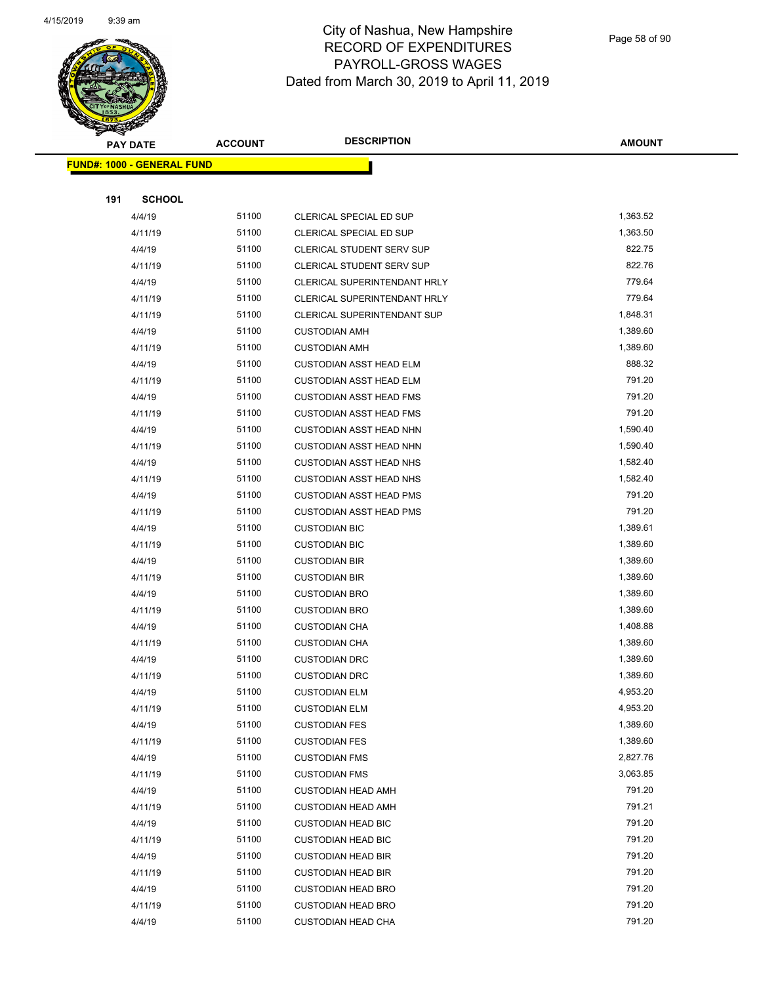

Page 58 of 90

| <b>PAY DATE</b>                   | <b>ACCOUNT</b> | <b>DESCRIPTION</b>                                     | <b>AMOUNT</b>    |
|-----------------------------------|----------------|--------------------------------------------------------|------------------|
| <b>FUND#: 1000 - GENERAL FUND</b> |                |                                                        |                  |
|                                   |                |                                                        |                  |
| 191<br><b>SCHOOL</b>              |                |                                                        |                  |
| 4/4/19                            | 51100          | CLERICAL SPECIAL ED SUP                                | 1,363.52         |
| 4/11/19                           | 51100          | CLERICAL SPECIAL ED SUP                                | 1,363.50         |
| 4/4/19                            | 51100          | <b>CLERICAL STUDENT SERV SUP</b>                       | 822.75           |
| 4/11/19                           | 51100          | CLERICAL STUDENT SERV SUP                              | 822.76           |
| 4/4/19                            | 51100          | CLERICAL SUPERINTENDANT HRLY                           | 779.64           |
| 4/11/19                           | 51100          | CLERICAL SUPERINTENDANT HRLY                           | 779.64           |
| 4/11/19                           | 51100          | CLERICAL SUPERINTENDANT SUP                            | 1,848.31         |
| 4/4/19                            | 51100          | <b>CUSTODIAN AMH</b>                                   | 1,389.60         |
| 4/11/19                           | 51100          | <b>CUSTODIAN AMH</b>                                   | 1,389.60         |
| 4/4/19                            | 51100          | <b>CUSTODIAN ASST HEAD ELM</b>                         | 888.32           |
| 4/11/19                           | 51100          | <b>CUSTODIAN ASST HEAD ELM</b>                         | 791.20           |
| 4/4/19                            | 51100          | <b>CUSTODIAN ASST HEAD FMS</b>                         | 791.20           |
| 4/11/19                           | 51100          | <b>CUSTODIAN ASST HEAD FMS</b>                         | 791.20           |
| 4/4/19                            | 51100          | <b>CUSTODIAN ASST HEAD NHN</b>                         | 1,590.40         |
| 4/11/19                           | 51100          | <b>CUSTODIAN ASST HEAD NHN</b>                         | 1,590.40         |
| 4/4/19                            | 51100          | <b>CUSTODIAN ASST HEAD NHS</b>                         | 1,582.40         |
| 4/11/19                           | 51100          | <b>CUSTODIAN ASST HEAD NHS</b>                         | 1,582.40         |
| 4/4/19                            | 51100          | <b>CUSTODIAN ASST HEAD PMS</b>                         | 791.20           |
| 4/11/19                           | 51100          | <b>CUSTODIAN ASST HEAD PMS</b>                         | 791.20           |
| 4/4/19                            | 51100          | <b>CUSTODIAN BIC</b>                                   | 1,389.61         |
| 4/11/19                           | 51100          | <b>CUSTODIAN BIC</b>                                   | 1,389.60         |
| 4/4/19                            | 51100          | <b>CUSTODIAN BIR</b>                                   | 1,389.60         |
| 4/11/19                           | 51100          | <b>CUSTODIAN BIR</b>                                   | 1,389.60         |
| 4/4/19                            | 51100          | <b>CUSTODIAN BRO</b>                                   | 1,389.60         |
| 4/11/19                           | 51100          | <b>CUSTODIAN BRO</b>                                   | 1,389.60         |
| 4/4/19                            | 51100          | <b>CUSTODIAN CHA</b>                                   | 1,408.88         |
| 4/11/19                           | 51100          | <b>CUSTODIAN CHA</b>                                   | 1,389.60         |
| 4/4/19                            | 51100          | <b>CUSTODIAN DRC</b>                                   | 1,389.60         |
| 4/11/19                           | 51100          | <b>CUSTODIAN DRC</b>                                   | 1,389.60         |
| 4/4/19                            | 51100          | <b>CUSTODIAN ELM</b>                                   | 4,953.20         |
| 4/11/19                           | 51100          | <b>CUSTODIAN ELM</b>                                   | 4,953.20         |
| 4/4/19                            | 51100          | <b>CUSTODIAN FES</b>                                   | 1,389.60         |
| 4/11/19                           | 51100          | <b>CUSTODIAN FES</b>                                   | 1,389.60         |
| 4/4/19                            | 51100          | <b>CUSTODIAN FMS</b>                                   | 2,827.76         |
| 4/11/19                           | 51100          | <b>CUSTODIAN FMS</b>                                   | 3,063.85         |
| 4/4/19                            | 51100          | <b>CUSTODIAN HEAD AMH</b>                              | 791.20           |
| 4/11/19                           | 51100          | <b>CUSTODIAN HEAD AMH</b>                              | 791.21           |
| 4/4/19                            | 51100          | <b>CUSTODIAN HEAD BIC</b>                              | 791.20           |
| 4/11/19                           | 51100          | <b>CUSTODIAN HEAD BIC</b>                              | 791.20           |
| 4/4/19                            | 51100          | <b>CUSTODIAN HEAD BIR</b>                              | 791.20<br>791.20 |
| 4/11/19                           | 51100<br>51100 | <b>CUSTODIAN HEAD BIR</b>                              | 791.20           |
| 4/4/19<br>4/11/19                 | 51100          | <b>CUSTODIAN HEAD BRO</b>                              | 791.20           |
| 4/4/19                            | 51100          | <b>CUSTODIAN HEAD BRO</b><br><b>CUSTODIAN HEAD CHA</b> | 791.20           |
|                                   |                |                                                        |                  |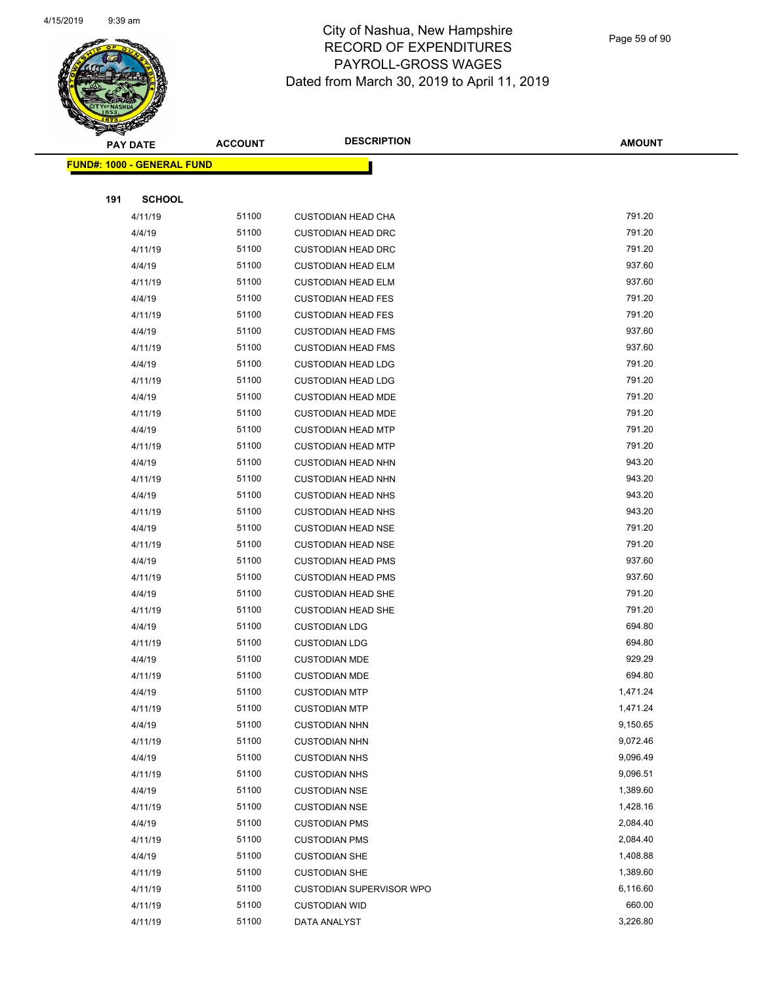

Page 59 of 90

|     | <b>PAY DATE</b>                    | <b>ACCOUNT</b> | <b>DESCRIPTION</b>              | <b>AMOUNT</b> |  |
|-----|------------------------------------|----------------|---------------------------------|---------------|--|
|     | <u> FUND#: 1000 - GENERAL FUND</u> |                |                                 |               |  |
|     |                                    |                |                                 |               |  |
| 191 | <b>SCHOOL</b>                      |                |                                 |               |  |
|     | 4/11/19                            | 51100          | <b>CUSTODIAN HEAD CHA</b>       | 791.20        |  |
|     | 4/4/19                             | 51100          | <b>CUSTODIAN HEAD DRC</b>       | 791.20        |  |
|     | 4/11/19                            | 51100          | <b>CUSTODIAN HEAD DRC</b>       | 791.20        |  |
|     | 4/4/19                             | 51100          | <b>CUSTODIAN HEAD ELM</b>       | 937.60        |  |
|     | 4/11/19                            | 51100          | <b>CUSTODIAN HEAD ELM</b>       | 937.60        |  |
|     | 4/4/19                             | 51100          | <b>CUSTODIAN HEAD FES</b>       | 791.20        |  |
|     | 4/11/19                            | 51100          | <b>CUSTODIAN HEAD FES</b>       | 791.20        |  |
|     | 4/4/19                             | 51100          | <b>CUSTODIAN HEAD FMS</b>       | 937.60        |  |
|     | 4/11/19                            | 51100          | <b>CUSTODIAN HEAD FMS</b>       | 937.60        |  |
|     | 4/4/19                             | 51100          | <b>CUSTODIAN HEAD LDG</b>       | 791.20        |  |
|     | 4/11/19                            | 51100          | <b>CUSTODIAN HEAD LDG</b>       | 791.20        |  |
|     | 4/4/19                             | 51100          | <b>CUSTODIAN HEAD MDE</b>       | 791.20        |  |
|     | 4/11/19                            | 51100          | <b>CUSTODIAN HEAD MDE</b>       | 791.20        |  |
|     | 4/4/19                             | 51100          | <b>CUSTODIAN HEAD MTP</b>       | 791.20        |  |
|     | 4/11/19                            | 51100          | <b>CUSTODIAN HEAD MTP</b>       | 791.20        |  |
|     | 4/4/19                             | 51100          | <b>CUSTODIAN HEAD NHN</b>       | 943.20        |  |
|     | 4/11/19                            | 51100          | <b>CUSTODIAN HEAD NHN</b>       | 943.20        |  |
|     | 4/4/19                             | 51100          | <b>CUSTODIAN HEAD NHS</b>       | 943.20        |  |
|     | 4/11/19                            | 51100          | <b>CUSTODIAN HEAD NHS</b>       | 943.20        |  |
|     | 4/4/19                             | 51100          | <b>CUSTODIAN HEAD NSE</b>       | 791.20        |  |
|     | 4/11/19                            | 51100          | <b>CUSTODIAN HEAD NSE</b>       | 791.20        |  |
|     | 4/4/19                             | 51100          | <b>CUSTODIAN HEAD PMS</b>       | 937.60        |  |
|     | 4/11/19                            | 51100          | <b>CUSTODIAN HEAD PMS</b>       | 937.60        |  |
|     | 4/4/19                             | 51100          | <b>CUSTODIAN HEAD SHE</b>       | 791.20        |  |
|     | 4/11/19                            | 51100          | <b>CUSTODIAN HEAD SHE</b>       | 791.20        |  |
|     | 4/4/19                             | 51100          | <b>CUSTODIAN LDG</b>            | 694.80        |  |
|     | 4/11/19                            | 51100          | <b>CUSTODIAN LDG</b>            | 694.80        |  |
|     | 4/4/19                             | 51100          | <b>CUSTODIAN MDE</b>            | 929.29        |  |
|     | 4/11/19                            | 51100          | <b>CUSTODIAN MDE</b>            | 694.80        |  |
|     | 4/4/19                             | 51100          | <b>CUSTODIAN MTP</b>            | 1,471.24      |  |
|     | 4/11/19                            | 51100          | <b>CUSTODIAN MTP</b>            | 1,471.24      |  |
|     | 4/4/19                             | 51100          | <b>CUSTODIAN NHN</b>            | 9,150.65      |  |
|     | 4/11/19                            | 51100          | <b>CUSTODIAN NHN</b>            | 9,072.46      |  |
|     | 4/4/19                             | 51100          | <b>CUSTODIAN NHS</b>            | 9,096.49      |  |
|     | 4/11/19                            | 51100          | <b>CUSTODIAN NHS</b>            | 9,096.51      |  |
|     | 4/4/19                             | 51100          | <b>CUSTODIAN NSE</b>            | 1,389.60      |  |
|     | 4/11/19                            | 51100          | <b>CUSTODIAN NSE</b>            | 1,428.16      |  |
|     | 4/4/19                             | 51100          | <b>CUSTODIAN PMS</b>            | 2,084.40      |  |
|     | 4/11/19                            | 51100          | <b>CUSTODIAN PMS</b>            | 2,084.40      |  |
|     | 4/4/19                             | 51100          | <b>CUSTODIAN SHE</b>            | 1,408.88      |  |
|     | 4/11/19                            | 51100          | <b>CUSTODIAN SHE</b>            | 1,389.60      |  |
|     | 4/11/19                            | 51100          | <b>CUSTODIAN SUPERVISOR WPO</b> | 6,116.60      |  |
|     | 4/11/19                            | 51100          | <b>CUSTODIAN WID</b>            | 660.00        |  |
|     | 4/11/19                            | 51100          | DATA ANALYST                    | 3,226.80      |  |
|     |                                    |                |                                 |               |  |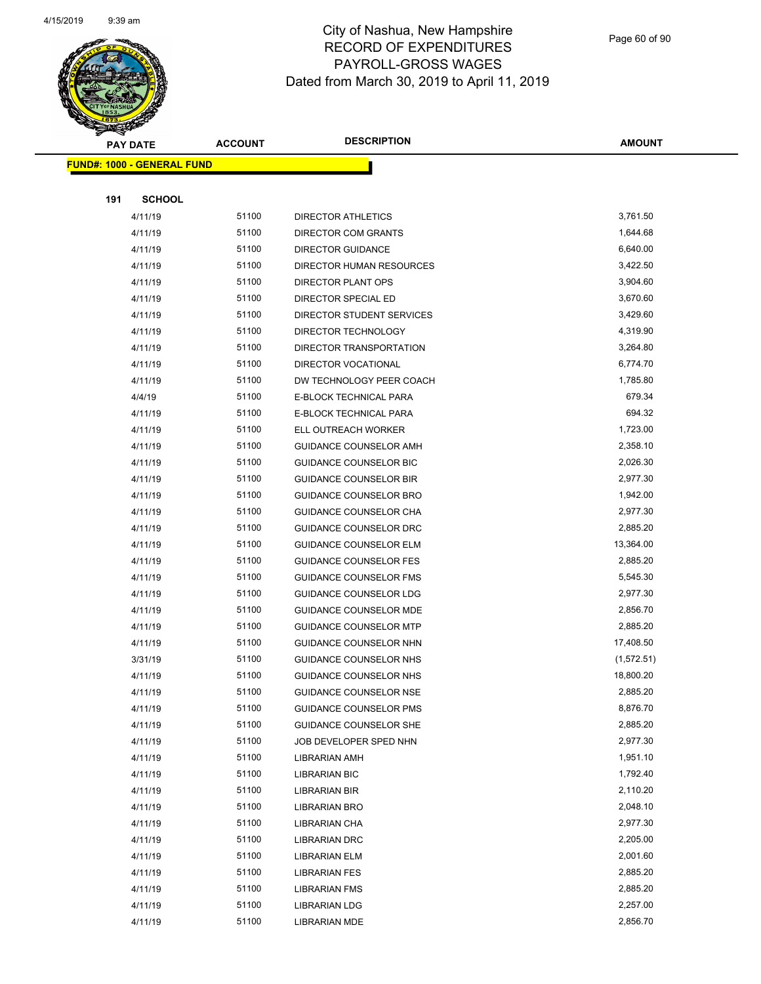

Page 60 of 90

|     | <b>PAY DATE</b>                   | <b>ACCOUNT</b> | <b>DESCRIPTION</b>            | <b>AMOUNT</b> |
|-----|-----------------------------------|----------------|-------------------------------|---------------|
|     | <b>FUND#: 1000 - GENERAL FUND</b> |                |                               |               |
|     |                                   |                |                               |               |
| 191 | <b>SCHOOL</b>                     |                |                               |               |
|     | 4/11/19                           | 51100          | <b>DIRECTOR ATHLETICS</b>     | 3,761.50      |
|     | 4/11/19                           | 51100          | DIRECTOR COM GRANTS           | 1,644.68      |
|     | 4/11/19                           | 51100          | <b>DIRECTOR GUIDANCE</b>      | 6,640.00      |
|     | 4/11/19                           | 51100          | DIRECTOR HUMAN RESOURCES      | 3,422.50      |
|     | 4/11/19                           | 51100          | <b>DIRECTOR PLANT OPS</b>     | 3,904.60      |
|     | 4/11/19                           | 51100          | DIRECTOR SPECIAL ED           | 3,670.60      |
|     | 4/11/19                           | 51100          | DIRECTOR STUDENT SERVICES     | 3,429.60      |
|     | 4/11/19                           | 51100          | DIRECTOR TECHNOLOGY           | 4,319.90      |
|     | 4/11/19                           | 51100          | DIRECTOR TRANSPORTATION       | 3,264.80      |
|     | 4/11/19                           | 51100          | DIRECTOR VOCATIONAL           | 6,774.70      |
|     | 4/11/19                           | 51100          | DW TECHNOLOGY PEER COACH      | 1,785.80      |
|     | 4/4/19                            | 51100          | E-BLOCK TECHNICAL PARA        | 679.34        |
|     | 4/11/19                           | 51100          | E-BLOCK TECHNICAL PARA        | 694.32        |
|     | 4/11/19                           | 51100          | ELL OUTREACH WORKER           | 1,723.00      |
|     | 4/11/19                           | 51100          | <b>GUIDANCE COUNSELOR AMH</b> | 2,358.10      |
|     | 4/11/19                           | 51100          | <b>GUIDANCE COUNSELOR BIC</b> | 2,026.30      |
|     | 4/11/19                           | 51100          | <b>GUIDANCE COUNSELOR BIR</b> | 2,977.30      |
|     | 4/11/19                           | 51100          | GUIDANCE COUNSELOR BRO        | 1,942.00      |
|     | 4/11/19                           | 51100          | <b>GUIDANCE COUNSELOR CHA</b> | 2,977.30      |
|     | 4/11/19                           | 51100          | <b>GUIDANCE COUNSELOR DRC</b> | 2,885.20      |
|     | 4/11/19                           | 51100          | GUIDANCE COUNSELOR ELM        | 13,364.00     |
|     | 4/11/19                           | 51100          | <b>GUIDANCE COUNSELOR FES</b> | 2,885.20      |
|     | 4/11/19                           | 51100          | GUIDANCE COUNSELOR FMS        | 5,545.30      |
|     | 4/11/19                           | 51100          | GUIDANCE COUNSELOR LDG        | 2,977.30      |
|     | 4/11/19                           | 51100          | <b>GUIDANCE COUNSELOR MDE</b> | 2,856.70      |
|     | 4/11/19                           | 51100          | <b>GUIDANCE COUNSELOR MTP</b> | 2,885.20      |
|     | 4/11/19                           | 51100          | GUIDANCE COUNSELOR NHN        | 17,408.50     |
|     | 3/31/19                           | 51100          | GUIDANCE COUNSELOR NHS        | (1,572.51)    |
|     | 4/11/19                           | 51100          | GUIDANCE COUNSELOR NHS        | 18,800.20     |
|     | 4/11/19                           | 51100          | <b>GUIDANCE COUNSELOR NSE</b> | 2,885.20      |
|     | 4/11/19                           | 51100          | <b>GUIDANCE COUNSELOR PMS</b> | 8,876.70      |
|     | 4/11/19                           | 51100          | GUIDANCE COUNSELOR SHE        | 2,885.20      |
|     | 4/11/19                           | 51100          | JOB DEVELOPER SPED NHN        | 2,977.30      |
|     | 4/11/19                           | 51100          | LIBRARIAN AMH                 | 1,951.10      |
|     | 4/11/19                           | 51100          | <b>LIBRARIAN BIC</b>          | 1,792.40      |
|     | 4/11/19                           | 51100          | <b>LIBRARIAN BIR</b>          | 2,110.20      |
|     | 4/11/19                           | 51100          | LIBRARIAN BRO                 | 2,048.10      |
|     | 4/11/19                           | 51100          | LIBRARIAN CHA                 | 2,977.30      |
|     | 4/11/19                           | 51100          | LIBRARIAN DRC                 | 2,205.00      |
|     | 4/11/19                           | 51100          | LIBRARIAN ELM                 | 2,001.60      |
|     | 4/11/19                           | 51100          | <b>LIBRARIAN FES</b>          | 2,885.20      |
|     | 4/11/19                           | 51100          | <b>LIBRARIAN FMS</b>          | 2,885.20      |
|     | 4/11/19                           | 51100          | <b>LIBRARIAN LDG</b>          | 2,257.00      |
|     | 4/11/19                           | 51100          | LIBRARIAN MDE                 | 2,856.70      |
|     |                                   |                |                               |               |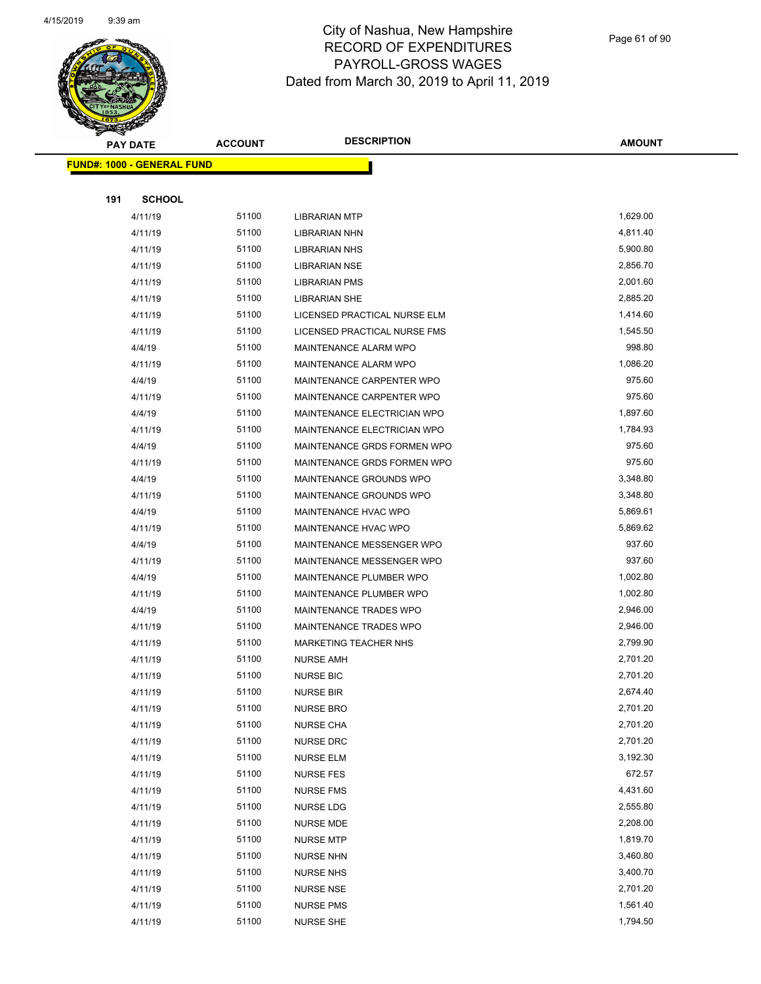

| S<br>$\tilde{\phantom{a}}$ | <b>PAY DATE</b>                   | <b>ACCOUNT</b> | <b>DESCRIPTION</b>           | AMOUNT   |
|----------------------------|-----------------------------------|----------------|------------------------------|----------|
|                            | <b>FUND#: 1000 - GENERAL FUND</b> |                |                              |          |
|                            |                                   |                |                              |          |
| 191                        | <b>SCHOOL</b>                     |                |                              |          |
|                            | 4/11/19                           | 51100          | <b>LIBRARIAN MTP</b>         | 1,629.00 |
|                            | 4/11/19                           | 51100          | LIBRARIAN NHN                | 4,811.40 |
|                            | 4/11/19                           | 51100          | <b>LIBRARIAN NHS</b>         | 5,900.80 |
|                            | 4/11/19                           | 51100          | LIBRARIAN NSE                | 2,856.70 |
|                            | 4/11/19                           | 51100          | <b>LIBRARIAN PMS</b>         | 2,001.60 |
|                            | 4/11/19                           | 51100          | <b>LIBRARIAN SHE</b>         | 2,885.20 |
|                            | 4/11/19                           | 51100          | LICENSED PRACTICAL NURSE ELM | 1,414.60 |
|                            | 4/11/19                           | 51100          | LICENSED PRACTICAL NURSE FMS | 1,545.50 |
|                            | 4/4/19                            | 51100          | MAINTENANCE ALARM WPO        | 998.80   |
|                            | 4/11/19                           | 51100          | MAINTENANCE ALARM WPO        | 1,086.20 |
|                            | 4/4/19                            | 51100          | MAINTENANCE CARPENTER WPO    | 975.60   |
|                            | 4/11/19                           | 51100          | MAINTENANCE CARPENTER WPO    | 975.60   |
|                            | 4/4/19                            | 51100          | MAINTENANCE ELECTRICIAN WPO  | 1,897.60 |
|                            | 4/11/19                           | 51100          | MAINTENANCE ELECTRICIAN WPO  | 1,784.93 |
|                            | 4/4/19                            | 51100          | MAINTENANCE GRDS FORMEN WPO  | 975.60   |
|                            | 4/11/19                           | 51100          | MAINTENANCE GRDS FORMEN WPO  | 975.60   |
|                            | 4/4/19                            | 51100          | MAINTENANCE GROUNDS WPO      | 3,348.80 |
|                            | 4/11/19                           | 51100          | MAINTENANCE GROUNDS WPO      | 3,348.80 |
|                            | 4/4/19                            | 51100          | MAINTENANCE HVAC WPO         | 5,869.61 |
|                            | 4/11/19                           | 51100          | MAINTENANCE HVAC WPO         | 5,869.62 |
|                            | 4/4/19                            | 51100          | MAINTENANCE MESSENGER WPO    | 937.60   |
|                            | 4/11/19                           | 51100          | MAINTENANCE MESSENGER WPO    | 937.60   |
|                            | 4/4/19                            | 51100          | MAINTENANCE PLUMBER WPO      | 1,002.80 |
|                            | 4/11/19                           | 51100          | MAINTENANCE PLUMBER WPO      | 1,002.80 |
|                            | 4/4/19                            | 51100          | MAINTENANCE TRADES WPO       | 2,946.00 |
|                            | 4/11/19                           | 51100          | MAINTENANCE TRADES WPO       | 2,946.00 |
|                            | 4/11/19                           | 51100          | <b>MARKETING TEACHER NHS</b> | 2,799.90 |
|                            | 4/11/19                           | 51100          | <b>NURSE AMH</b>             | 2,701.20 |
|                            | 4/11/19                           | 51100          | <b>NURSE BIC</b>             | 2,701.20 |
|                            | 4/11/19                           | 51100          | <b>NURSE BIR</b>             | 2,674.40 |
|                            | 4/11/19                           | 51100          | <b>NURSE BRO</b>             | 2,701.20 |
|                            | 4/11/19                           | 51100          | <b>NURSE CHA</b>             | 2,701.20 |
|                            | 4/11/19                           | 51100          | <b>NURSE DRC</b>             | 2,701.20 |
|                            | 4/11/19                           | 51100          | <b>NURSE ELM</b>             | 3,192.30 |
|                            | 4/11/19                           | 51100          | <b>NURSE FES</b>             | 672.57   |
|                            | 4/11/19                           | 51100          | <b>NURSE FMS</b>             | 4,431.60 |
|                            | 4/11/19                           | 51100          | NURSE LDG                    | 2,555.80 |
|                            | 4/11/19                           | 51100          | <b>NURSE MDE</b>             | 2,208.00 |
|                            | 4/11/19                           | 51100          | <b>NURSE MTP</b>             | 1,819.70 |
|                            | 4/11/19                           | 51100          | <b>NURSE NHN</b>             | 3,460.80 |
|                            | 4/11/19                           | 51100          | <b>NURSE NHS</b>             | 3,400.70 |
|                            | 4/11/19                           | 51100          | <b>NURSE NSE</b>             | 2,701.20 |
|                            | 4/11/19                           | 51100          | <b>NURSE PMS</b>             | 1,561.40 |
|                            | 4/11/19                           | 51100          | <b>NURSE SHE</b>             | 1,794.50 |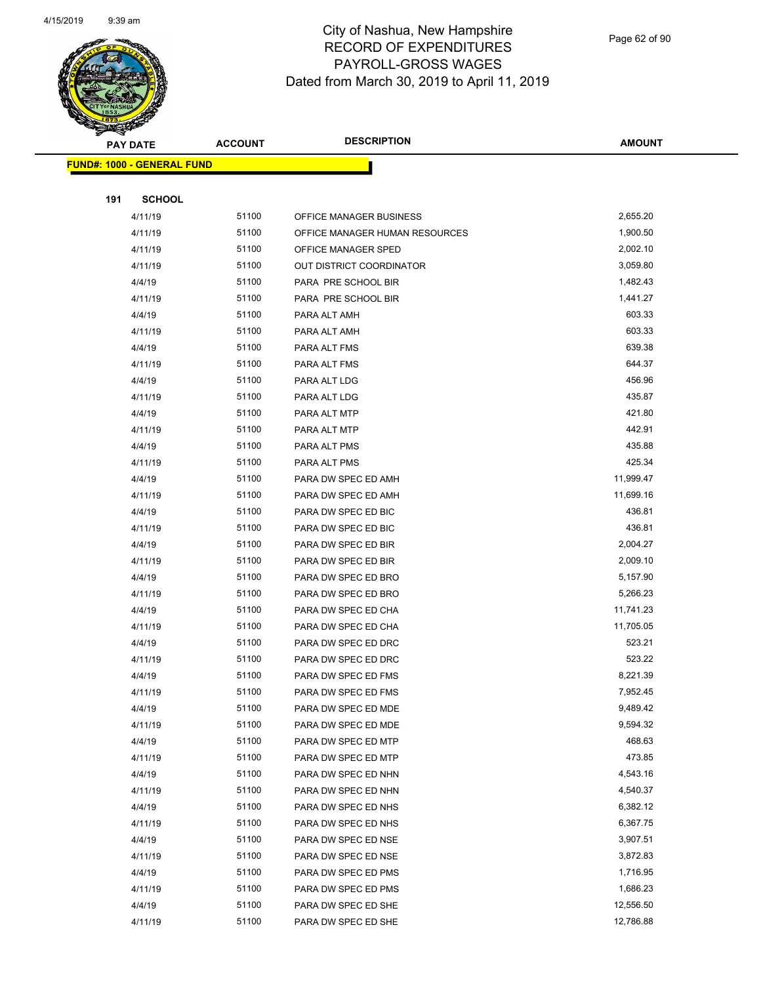

|     | <b>PAY DATE</b>                   | <b>ACCOUNT</b> | <b>DESCRIPTION</b>              | <b>AMOUNT</b> |
|-----|-----------------------------------|----------------|---------------------------------|---------------|
|     | <b>FUND#: 1000 - GENERAL FUND</b> |                |                                 |               |
|     |                                   |                |                                 |               |
| 191 | <b>SCHOOL</b>                     |                |                                 |               |
|     | 4/11/19                           | 51100          | OFFICE MANAGER BUSINESS         | 2,655.20      |
|     | 4/11/19                           | 51100          | OFFICE MANAGER HUMAN RESOURCES  | 1,900.50      |
|     | 4/11/19                           | 51100          | OFFICE MANAGER SPED             | 2,002.10      |
|     | 4/11/19                           | 51100          | <b>OUT DISTRICT COORDINATOR</b> | 3,059.80      |
|     | 4/4/19                            | 51100          | PARA PRE SCHOOL BIR             | 1,482.43      |
|     | 4/11/19                           | 51100          | PARA PRE SCHOOL BIR             | 1,441.27      |
|     | 4/4/19                            | 51100          | PARA ALT AMH                    | 603.33        |
|     | 4/11/19                           | 51100          | PARA ALT AMH                    | 603.33        |
|     | 4/4/19                            | 51100          | PARA ALT FMS                    | 639.38        |
|     | 4/11/19                           | 51100          | PARA ALT FMS                    | 644.37        |
|     | 4/4/19                            | 51100          | PARA ALT LDG                    | 456.96        |
|     | 4/11/19                           | 51100          | PARA ALT LDG                    | 435.87        |
|     | 4/4/19                            | 51100          | PARA ALT MTP                    | 421.80        |
|     | 4/11/19                           | 51100          | PARA ALT MTP                    | 442.91        |
|     | 4/4/19                            | 51100          | PARA ALT PMS                    | 435.88        |
|     | 4/11/19                           | 51100          | PARA ALT PMS                    | 425.34        |
|     | 4/4/19                            | 51100          | PARA DW SPEC ED AMH             | 11,999.47     |
|     | 4/11/19                           | 51100          | PARA DW SPEC ED AMH             | 11,699.16     |
|     | 4/4/19                            | 51100          | PARA DW SPEC ED BIC             | 436.81        |
|     | 4/11/19                           | 51100          | PARA DW SPEC ED BIC             | 436.81        |
|     | 4/4/19                            | 51100          | PARA DW SPEC ED BIR             | 2,004.27      |
|     | 4/11/19                           | 51100          | PARA DW SPEC ED BIR             | 2,009.10      |
|     | 4/4/19                            | 51100          | PARA DW SPEC ED BRO             | 5,157.90      |
|     | 4/11/19                           | 51100          | PARA DW SPEC ED BRO             | 5,266.23      |
|     | 4/4/19                            | 51100          | PARA DW SPEC ED CHA             | 11,741.23     |
|     | 4/11/19                           | 51100          | PARA DW SPEC ED CHA             | 11,705.05     |
|     | 4/4/19                            | 51100          | PARA DW SPEC ED DRC             | 523.21        |
|     | 4/11/19                           | 51100          | PARA DW SPEC ED DRC             | 523.22        |
|     | 4/4/19                            | 51100          | PARA DW SPEC ED FMS             | 8,221.39      |
|     | 4/11/19                           | 51100          | PARA DW SPEC ED FMS             | 7,952.45      |
|     | 4/4/19                            | 51100          | PARA DW SPEC ED MDE             | 9,489.42      |
|     | 4/11/19                           | 51100          | PARA DW SPEC ED MDE             | 9,594.32      |
|     | 4/4/19                            | 51100          | PARA DW SPEC ED MTP             | 468.63        |
|     | 4/11/19                           | 51100          | PARA DW SPEC ED MTP             | 473.85        |
|     | 4/4/19                            | 51100          | PARA DW SPEC ED NHN             | 4,543.16      |
|     | 4/11/19                           | 51100          | PARA DW SPEC ED NHN             | 4,540.37      |
|     | 4/4/19                            | 51100          | PARA DW SPEC ED NHS             | 6,382.12      |
|     | 4/11/19                           | 51100          | PARA DW SPEC ED NHS             | 6,367.75      |
|     | 4/4/19                            | 51100          | PARA DW SPEC ED NSE             | 3,907.51      |
|     | 4/11/19                           | 51100          | PARA DW SPEC ED NSE             | 3,872.83      |
|     | 4/4/19                            | 51100          | PARA DW SPEC ED PMS             | 1,716.95      |
|     | 4/11/19                           | 51100          | PARA DW SPEC ED PMS             | 1,686.23      |
|     | 4/4/19                            | 51100          | PARA DW SPEC ED SHE             | 12,556.50     |
|     | 4/11/19                           | 51100          | PARA DW SPEC ED SHE             | 12,786.88     |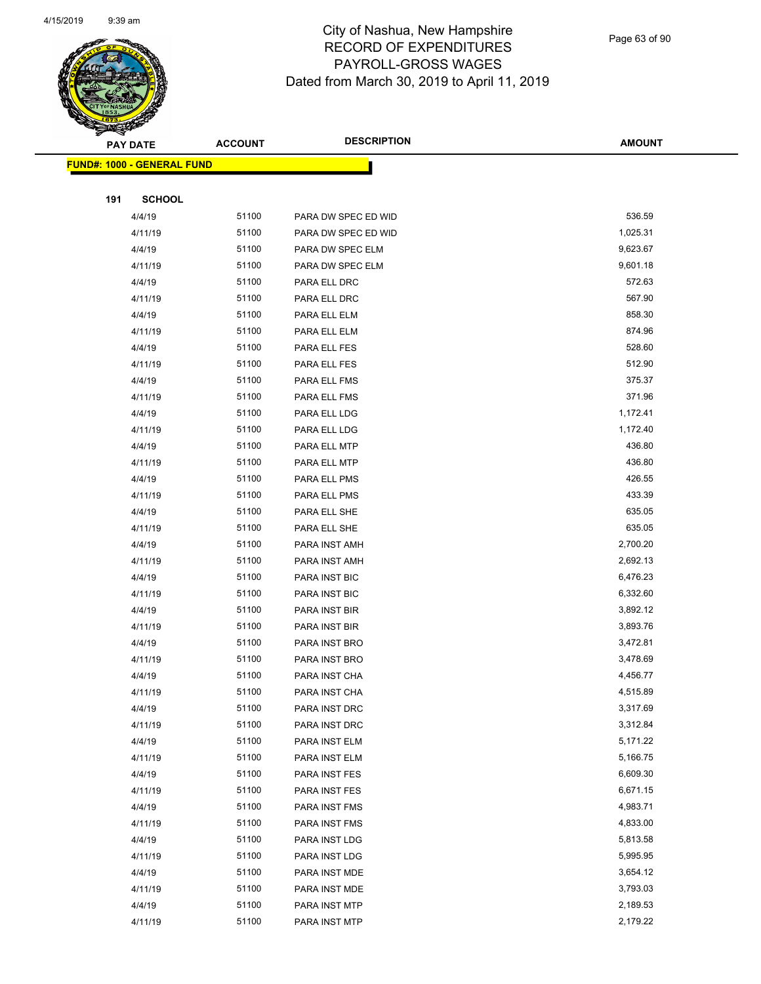

Page 63 of 90

| ॼ   | <b>PAY DATE</b>                   | <b>ACCOUNT</b> | <b>DESCRIPTION</b>             | <b>AMOUNT</b>        |
|-----|-----------------------------------|----------------|--------------------------------|----------------------|
|     | <b>FUND#: 1000 - GENERAL FUND</b> |                |                                |                      |
|     |                                   |                |                                |                      |
| 191 | <b>SCHOOL</b>                     |                |                                |                      |
|     | 4/4/19                            | 51100          | PARA DW SPEC ED WID            | 536.59               |
|     | 4/11/19                           | 51100          | PARA DW SPEC ED WID            | 1,025.31             |
|     | 4/4/19                            | 51100          | PARA DW SPEC ELM               | 9,623.67             |
|     | 4/11/19                           | 51100          | PARA DW SPEC ELM               | 9,601.18             |
|     | 4/4/19                            | 51100          | PARA ELL DRC                   | 572.63               |
|     | 4/11/19                           | 51100          | PARA ELL DRC                   | 567.90               |
|     | 4/4/19                            | 51100          | PARA ELL ELM                   | 858.30               |
|     | 4/11/19                           | 51100          | PARA ELL ELM                   | 874.96               |
|     | 4/4/19                            | 51100          | PARA ELL FES                   | 528.60               |
|     | 4/11/19                           | 51100          | PARA ELL FES                   | 512.90               |
|     | 4/4/19                            | 51100          | PARA ELL FMS                   | 375.37               |
|     | 4/11/19                           | 51100          | PARA ELL FMS                   | 371.96               |
|     | 4/4/19                            | 51100          | PARA ELL LDG                   | 1,172.41             |
|     | 4/11/19                           | 51100          | PARA ELL LDG                   | 1,172.40             |
|     | 4/4/19                            | 51100          | PARA ELL MTP                   | 436.80               |
|     | 4/11/19                           | 51100          | PARA ELL MTP                   | 436.80               |
|     | 4/4/19                            | 51100          | PARA ELL PMS                   | 426.55               |
|     | 4/11/19                           | 51100          | PARA ELL PMS                   | 433.39               |
|     | 4/4/19                            | 51100          | PARA ELL SHE                   | 635.05               |
|     | 4/11/19                           | 51100          | PARA ELL SHE                   | 635.05               |
|     | 4/4/19                            | 51100          | PARA INST AMH                  | 2,700.20             |
|     | 4/11/19                           | 51100          | PARA INST AMH                  | 2,692.13             |
|     | 4/4/19                            | 51100          | PARA INST BIC                  | 6,476.23             |
|     | 4/11/19                           | 51100          | PARA INST BIC                  | 6,332.60             |
|     | 4/4/19                            | 51100          | PARA INST BIR                  | 3,892.12             |
|     | 4/11/19                           | 51100          | PARA INST BIR                  | 3,893.76             |
|     | 4/4/19                            | 51100          | PARA INST BRO                  | 3,472.81             |
|     | 4/11/19                           | 51100          | PARA INST BRO                  | 3,478.69             |
|     | 4/4/19                            | 51100          | PARA INST CHA                  | 4,456.77             |
|     | 4/11/19                           | 51100          | PARA INST CHA                  | 4,515.89             |
|     | 4/4/19                            | 51100          | PARA INST DRC                  | 3,317.69             |
|     | 4/11/19                           | 51100          | PARA INST DRC                  | 3,312.84             |
|     | 4/4/19                            | 51100          | PARA INST ELM                  | 5,171.22             |
|     | 4/11/19                           | 51100          | PARA INST ELM                  | 5,166.75             |
|     | 4/4/19                            | 51100<br>51100 | PARA INST FES                  | 6,609.30<br>6,671.15 |
|     | 4/11/19                           | 51100          | PARA INST FES                  | 4,983.71             |
|     | 4/4/19                            | 51100          | PARA INST FMS                  | 4,833.00             |
|     | 4/11/19<br>4/4/19                 | 51100          | PARA INST FMS<br>PARA INST LDG | 5,813.58             |
|     | 4/11/19                           | 51100          | PARA INST LDG                  | 5,995.95             |
|     | 4/4/19                            | 51100          | PARA INST MDE                  | 3,654.12             |
|     | 4/11/19                           | 51100          | PARA INST MDE                  | 3,793.03             |
|     | 4/4/19                            | 51100          | PARA INST MTP                  | 2,189.53             |
|     | 4/11/19                           | 51100          | PARA INST MTP                  | 2,179.22             |
|     |                                   |                |                                |                      |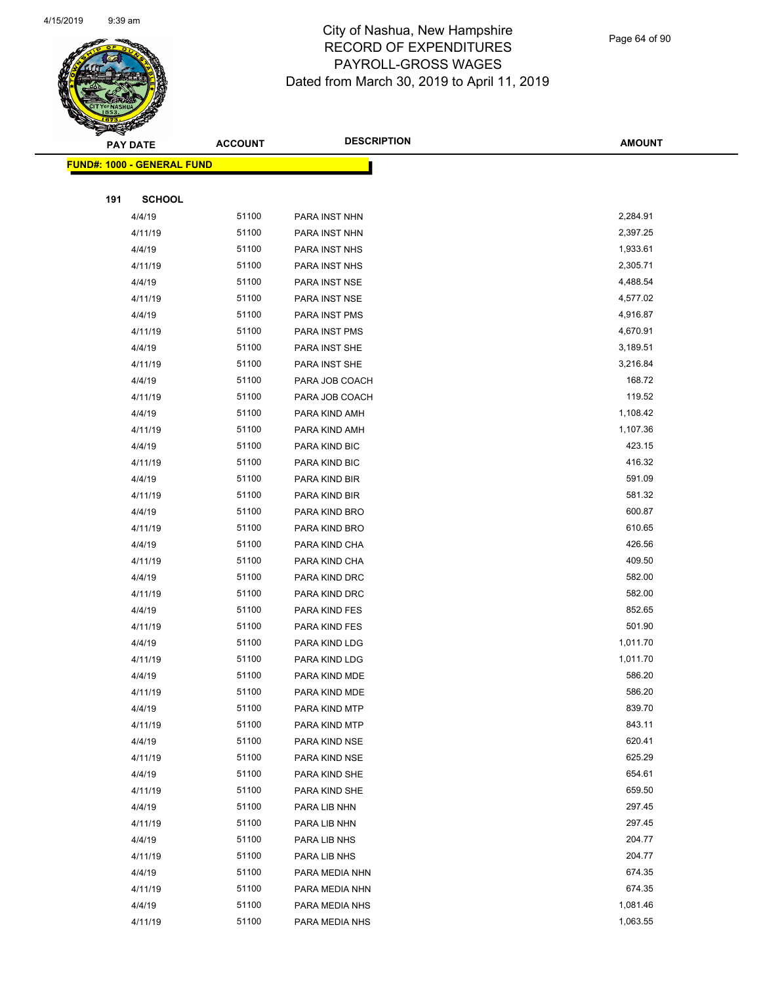

Page 64 of 90

|     | <b>PAY DATE</b>                   | <b>ACCOUNT</b> | <b>DESCRIPTION</b> | <b>AMOUNT</b> |
|-----|-----------------------------------|----------------|--------------------|---------------|
|     | <b>FUND#: 1000 - GENERAL FUND</b> |                |                    |               |
|     |                                   |                |                    |               |
| 191 | <b>SCHOOL</b>                     |                |                    |               |
|     | 4/4/19                            | 51100          | PARA INST NHN      | 2,284.91      |
|     | 4/11/19                           | 51100          | PARA INST NHN      | 2,397.25      |
|     | 4/4/19                            | 51100          | PARA INST NHS      | 1,933.61      |
|     | 4/11/19                           | 51100          | PARA INST NHS      | 2,305.71      |
|     | 4/4/19                            | 51100          | PARA INST NSE      | 4,488.54      |
|     | 4/11/19                           | 51100          | PARA INST NSE      | 4,577.02      |
|     | 4/4/19                            | 51100          | PARA INST PMS      | 4,916.87      |
|     | 4/11/19                           | 51100          | PARA INST PMS      | 4,670.91      |
|     | 4/4/19                            | 51100          | PARA INST SHE      | 3,189.51      |
|     | 4/11/19                           | 51100          | PARA INST SHE      | 3,216.84      |
|     | 4/4/19                            | 51100          | PARA JOB COACH     | 168.72        |
|     | 4/11/19                           | 51100          | PARA JOB COACH     | 119.52        |
|     | 4/4/19                            | 51100          | PARA KIND AMH      | 1,108.42      |
|     | 4/11/19                           | 51100          | PARA KIND AMH      | 1,107.36      |
|     | 4/4/19                            | 51100          | PARA KIND BIC      | 423.15        |
|     | 4/11/19                           | 51100          | PARA KIND BIC      | 416.32        |
|     | 4/4/19                            | 51100          | PARA KIND BIR      | 591.09        |
|     | 4/11/19                           | 51100          | PARA KIND BIR      | 581.32        |
|     | 4/4/19                            | 51100          | PARA KIND BRO      | 600.87        |
|     | 4/11/19                           | 51100          | PARA KIND BRO      | 610.65        |
|     | 4/4/19                            | 51100          | PARA KIND CHA      | 426.56        |
|     | 4/11/19                           | 51100          | PARA KIND CHA      | 409.50        |
|     | 4/4/19                            | 51100          | PARA KIND DRC      | 582.00        |
|     | 4/11/19                           | 51100          | PARA KIND DRC      | 582.00        |
|     | 4/4/19                            | 51100          | PARA KIND FES      | 852.65        |
|     | 4/11/19                           | 51100          | PARA KIND FES      | 501.90        |
|     | 4/4/19                            | 51100          | PARA KIND LDG      | 1,011.70      |
|     | 4/11/19                           | 51100          | PARA KIND LDG      | 1,011.70      |
|     | 4/4/19                            | 51100          | PARA KIND MDE      | 586.20        |
|     | 4/11/19                           | 51100          | PARA KIND MDE      | 586.20        |
|     | 4/4/19                            | 51100          | PARA KIND MTP      | 839.70        |
|     | 4/11/19                           | 51100          | PARA KIND MTP      | 843.11        |
|     | 4/4/19                            | 51100          | PARA KIND NSE      | 620.41        |
|     | 4/11/19                           | 51100          | PARA KIND NSE      | 625.29        |
|     | 4/4/19                            | 51100          | PARA KIND SHE      | 654.61        |
|     | 4/11/19                           | 51100          | PARA KIND SHE      | 659.50        |
|     | 4/4/19                            | 51100          | PARA LIB NHN       | 297.45        |
|     | 4/11/19                           | 51100          | PARA LIB NHN       | 297.45        |
|     | 4/4/19                            | 51100          | PARA LIB NHS       | 204.77        |
|     | 4/11/19                           | 51100          | PARA LIB NHS       | 204.77        |
|     | 4/4/19                            | 51100          | PARA MEDIA NHN     | 674.35        |
|     | 4/11/19                           | 51100          | PARA MEDIA NHN     | 674.35        |
|     | 4/4/19                            | 51100          | PARA MEDIA NHS     | 1,081.46      |
|     | 4/11/19                           | 51100          | PARA MEDIA NHS     | 1,063.55      |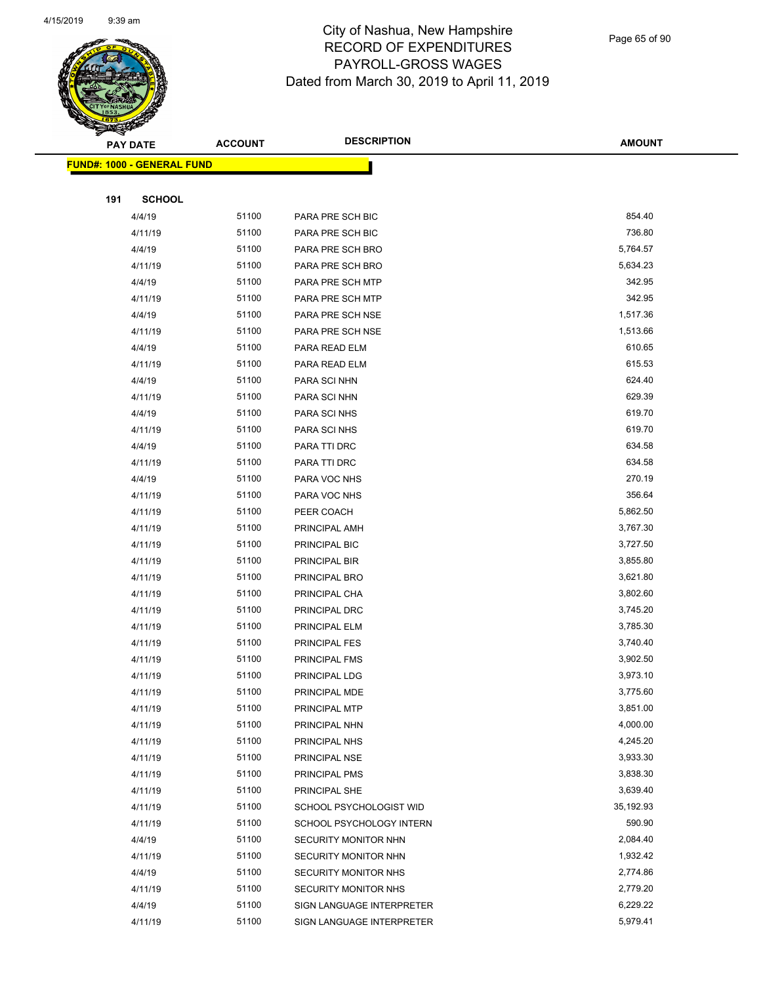

Page 65 of 90

| ॼ   | <b>PAY DATE</b>                   | <b>ACCOUNT</b> | <b>DESCRIPTION</b>        | <b>AMOUNT</b> |
|-----|-----------------------------------|----------------|---------------------------|---------------|
|     | <b>FUND#: 1000 - GENERAL FUND</b> |                |                           |               |
|     |                                   |                |                           |               |
| 191 | <b>SCHOOL</b>                     |                |                           |               |
|     | 4/4/19                            | 51100          | PARA PRE SCH BIC          | 854.40        |
|     | 4/11/19                           | 51100          | PARA PRE SCH BIC          | 736.80        |
|     | 4/4/19                            | 51100          | PARA PRE SCH BRO          | 5,764.57      |
|     | 4/11/19                           | 51100          | PARA PRE SCH BRO          | 5,634.23      |
|     | 4/4/19                            | 51100          | PARA PRE SCH MTP          | 342.95        |
|     | 4/11/19                           | 51100          | PARA PRE SCH MTP          | 342.95        |
|     | 4/4/19                            | 51100          | PARA PRE SCH NSE          | 1,517.36      |
|     | 4/11/19                           | 51100          | PARA PRE SCH NSE          | 1,513.66      |
|     | 4/4/19                            | 51100          | PARA READ ELM             | 610.65        |
|     | 4/11/19                           | 51100          | PARA READ ELM             | 615.53        |
|     | 4/4/19                            | 51100          | PARA SCI NHN              | 624.40        |
|     | 4/11/19                           | 51100          | PARA SCI NHN              | 629.39        |
|     | 4/4/19                            | 51100          | PARA SCI NHS              | 619.70        |
|     | 4/11/19                           | 51100          | PARA SCI NHS              | 619.70        |
|     | 4/4/19                            | 51100          | PARA TTI DRC              | 634.58        |
|     | 4/11/19                           | 51100          | PARA TTI DRC              | 634.58        |
|     | 4/4/19                            | 51100          | PARA VOC NHS              | 270.19        |
|     | 4/11/19                           | 51100          | PARA VOC NHS              | 356.64        |
|     | 4/11/19                           | 51100          | PEER COACH                | 5,862.50      |
|     | 4/11/19                           | 51100          | PRINCIPAL AMH             | 3,767.30      |
|     | 4/11/19                           | 51100          | PRINCIPAL BIC             | 3,727.50      |
|     | 4/11/19                           | 51100          | PRINCIPAL BIR             | 3,855.80      |
|     | 4/11/19                           | 51100          | PRINCIPAL BRO             | 3,621.80      |
|     | 4/11/19                           | 51100          | PRINCIPAL CHA             | 3,802.60      |
|     | 4/11/19                           | 51100          | PRINCIPAL DRC             | 3,745.20      |
|     | 4/11/19                           | 51100          | PRINCIPAL ELM             | 3,785.30      |
|     | 4/11/19                           | 51100          | PRINCIPAL FES             | 3,740.40      |
|     | 4/11/19                           | 51100          | PRINCIPAL FMS             | 3,902.50      |
|     | 4/11/19                           | 51100          | PRINCIPAL LDG             | 3,973.10      |
|     | 4/11/19                           | 51100          | PRINCIPAL MDE             | 3,775.60      |
|     | 4/11/19                           | 51100          | PRINCIPAL MTP             | 3,851.00      |
|     | 4/11/19                           | 51100          | PRINCIPAL NHN             | 4,000.00      |
|     | 4/11/19                           | 51100          | PRINCIPAL NHS             | 4,245.20      |
|     | 4/11/19                           | 51100          | PRINCIPAL NSE             | 3,933.30      |
|     | 4/11/19                           | 51100          | PRINCIPAL PMS             | 3,838.30      |
|     | 4/11/19                           | 51100          | PRINCIPAL SHE             | 3,639.40      |
|     | 4/11/19                           | 51100          | SCHOOL PSYCHOLOGIST WID   | 35,192.93     |
|     | 4/11/19                           | 51100          | SCHOOL PSYCHOLOGY INTERN  | 590.90        |
|     | 4/4/19                            | 51100          | SECURITY MONITOR NHN      | 2,084.40      |
|     | 4/11/19                           | 51100          | SECURITY MONITOR NHN      | 1,932.42      |
|     | 4/4/19                            | 51100          | SECURITY MONITOR NHS      | 2,774.86      |
|     | 4/11/19                           | 51100<br>51100 | SECURITY MONITOR NHS      | 2,779.20      |
|     | 4/4/19                            |                | SIGN LANGUAGE INTERPRETER | 6,229.22      |
|     | 4/11/19                           | 51100          | SIGN LANGUAGE INTERPRETER | 5,979.41      |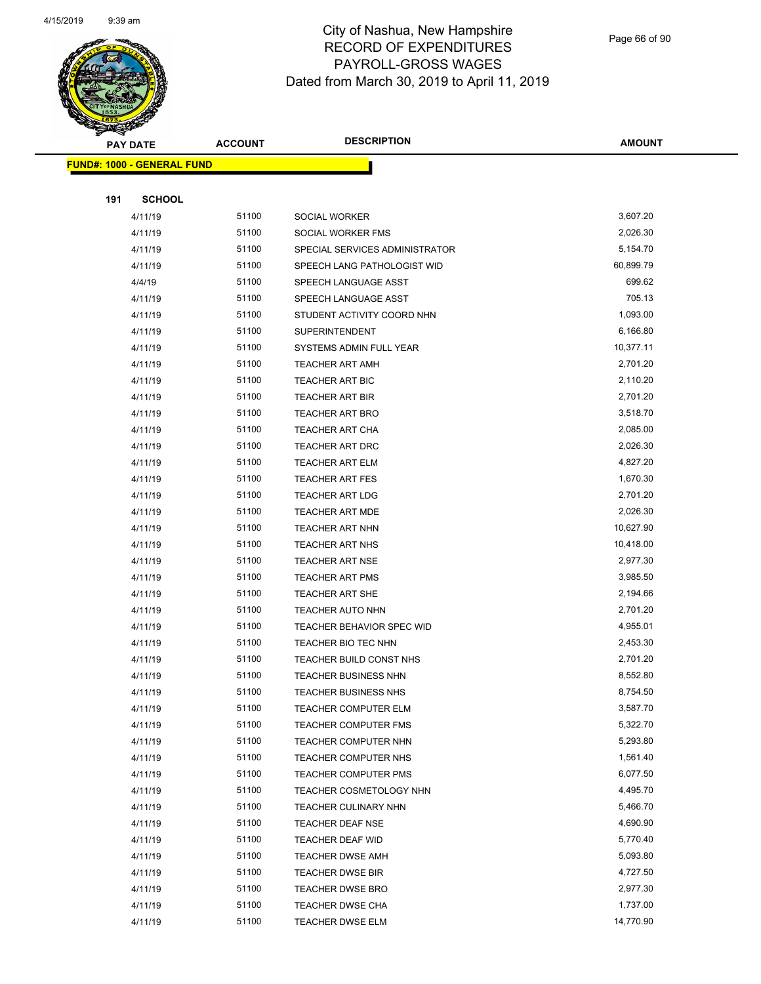

Page 66 of 90

| <b>Contraction</b><br><b>PAY DATE</b> | <b>ACCOUNT</b> | <b>DESCRIPTION</b>             | <b>AMOUNT</b> |
|---------------------------------------|----------------|--------------------------------|---------------|
| <b>FUND#: 1000 - GENERAL FUND</b>     |                |                                |               |
|                                       |                |                                |               |
| 191<br><b>SCHOOL</b>                  |                |                                |               |
| 4/11/19                               | 51100          | <b>SOCIAL WORKER</b>           | 3,607.20      |
| 4/11/19                               | 51100          | SOCIAL WORKER FMS              | 2,026.30      |
| 4/11/19                               | 51100          | SPECIAL SERVICES ADMINISTRATOR | 5,154.70      |
| 4/11/19                               | 51100          | SPEECH LANG PATHOLOGIST WID    | 60,899.79     |
| 4/4/19                                | 51100          | SPEECH LANGUAGE ASST           | 699.62        |
| 4/11/19                               | 51100          | SPEECH LANGUAGE ASST           | 705.13        |
| 4/11/19                               | 51100          | STUDENT ACTIVITY COORD NHN     | 1,093.00      |
| 4/11/19                               | 51100          | <b>SUPERINTENDENT</b>          | 6,166.80      |
| 4/11/19                               | 51100          | SYSTEMS ADMIN FULL YEAR        | 10,377.11     |
| 4/11/19                               | 51100          | <b>TEACHER ART AMH</b>         | 2,701.20      |
| 4/11/19                               | 51100          | <b>TEACHER ART BIC</b>         | 2,110.20      |
| 4/11/19                               | 51100          | <b>TEACHER ART BIR</b>         | 2,701.20      |
| 4/11/19                               | 51100          | <b>TEACHER ART BRO</b>         | 3,518.70      |
| 4/11/19                               | 51100          | TEACHER ART CHA                | 2,085.00      |
| 4/11/19                               | 51100          | TEACHER ART DRC                | 2,026.30      |
| 4/11/19                               | 51100          | <b>TEACHER ART ELM</b>         | 4,827.20      |
| 4/11/19                               | 51100          | <b>TEACHER ART FES</b>         | 1,670.30      |
| 4/11/19                               | 51100          | <b>TEACHER ART LDG</b>         | 2,701.20      |
| 4/11/19                               | 51100          | <b>TEACHER ART MDE</b>         | 2,026.30      |
| 4/11/19                               | 51100          | TEACHER ART NHN                | 10,627.90     |
| 4/11/19                               | 51100          | <b>TEACHER ART NHS</b>         | 10,418.00     |
| 4/11/19                               | 51100          | <b>TEACHER ART NSE</b>         | 2,977.30      |
| 4/11/19                               | 51100          | TEACHER ART PMS                | 3,985.50      |
| 4/11/19                               | 51100          | <b>TEACHER ART SHE</b>         | 2,194.66      |
| 4/11/19                               | 51100          | <b>TEACHER AUTO NHN</b>        | 2,701.20      |
| 4/11/19                               | 51100          | TEACHER BEHAVIOR SPEC WID      | 4,955.01      |
| 4/11/19                               | 51100          | TEACHER BIO TEC NHN            | 2,453.30      |
| 4/11/19                               | 51100          | TEACHER BUILD CONST NHS        | 2,701.20      |
| 4/11/19                               | 51100          | <b>TEACHER BUSINESS NHN</b>    | 8,552.80      |
| 4/11/19                               | 51100          | <b>TEACHER BUSINESS NHS</b>    | 8,754.50      |
| 4/11/19                               | 51100          | TEACHER COMPUTER ELM           | 3,587.70      |
| 4/11/19                               | 51100          | <b>TEACHER COMPUTER FMS</b>    | 5,322.70      |
| 4/11/19                               | 51100          | TEACHER COMPUTER NHN           | 5,293.80      |
| 4/11/19                               | 51100          | <b>TEACHER COMPUTER NHS</b>    | 1,561.40      |
| 4/11/19                               | 51100          | TEACHER COMPUTER PMS           | 6,077.50      |
| 4/11/19                               | 51100          | TEACHER COSMETOLOGY NHN        | 4,495.70      |
| 4/11/19                               | 51100          | <b>TEACHER CULINARY NHN</b>    | 5,466.70      |
| 4/11/19                               | 51100          | TEACHER DEAF NSE               | 4,690.90      |
| 4/11/19                               | 51100          | TEACHER DEAF WID               | 5,770.40      |
| 4/11/19                               | 51100          | TEACHER DWSE AMH               | 5,093.80      |
| 4/11/19                               | 51100          | TEACHER DWSE BIR               | 4,727.50      |
| 4/11/19                               | 51100          | TEACHER DWSE BRO               | 2,977.30      |
| 4/11/19                               | 51100          | TEACHER DWSE CHA               | 1,737.00      |
| 4/11/19                               | 51100          | <b>TEACHER DWSE ELM</b>        | 14,770.90     |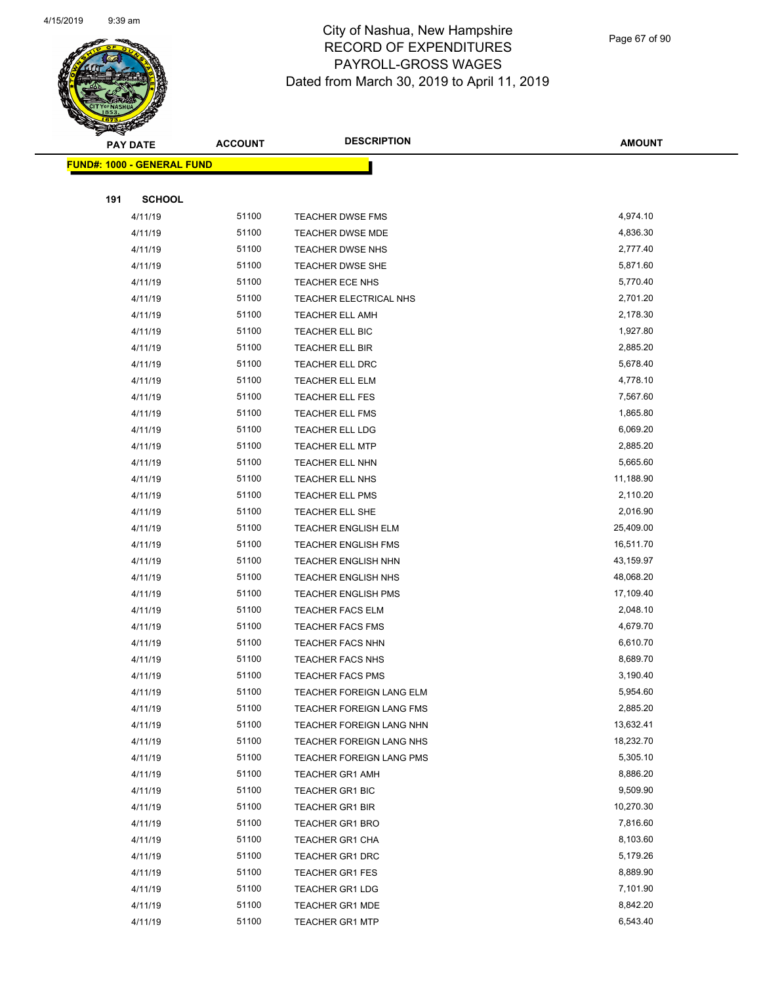

Page 67 of 90

|     | <b>PAY DATE</b>                   | <b>ACCOUNT</b> | <b>DESCRIPTION</b>                               | <b>AMOUNT</b>        |
|-----|-----------------------------------|----------------|--------------------------------------------------|----------------------|
|     | <b>FUND#: 1000 - GENERAL FUND</b> |                |                                                  |                      |
|     |                                   |                |                                                  |                      |
| 191 | <b>SCHOOL</b>                     |                |                                                  |                      |
|     | 4/11/19                           | 51100          | <b>TEACHER DWSE FMS</b>                          | 4,974.10             |
|     | 4/11/19                           | 51100          | TEACHER DWSE MDE                                 | 4,836.30             |
|     | 4/11/19                           | 51100          | <b>TEACHER DWSE NHS</b>                          | 2,777.40             |
|     | 4/11/19                           | 51100          | TEACHER DWSE SHE                                 | 5,871.60             |
|     | 4/11/19                           | 51100          | TEACHER ECE NHS                                  | 5,770.40             |
|     | 4/11/19                           | 51100          | TEACHER ELECTRICAL NHS                           | 2,701.20             |
|     | 4/11/19                           | 51100          | <b>TEACHER ELL AMH</b>                           | 2,178.30             |
|     | 4/11/19                           | 51100          | TEACHER ELL BIC                                  | 1,927.80             |
|     | 4/11/19                           | 51100          | TEACHER ELL BIR                                  | 2,885.20             |
|     | 4/11/19                           | 51100          | TEACHER ELL DRC                                  | 5,678.40             |
|     | 4/11/19                           | 51100          | TEACHER ELL ELM                                  | 4,778.10             |
|     | 4/11/19                           | 51100          | TEACHER ELL FES                                  | 7,567.60             |
|     | 4/11/19                           | 51100          | <b>TEACHER ELL FMS</b>                           | 1,865.80             |
|     | 4/11/19                           | 51100          | TEACHER ELL LDG                                  | 6,069.20             |
|     | 4/11/19                           | 51100          | <b>TEACHER ELL MTP</b>                           | 2,885.20             |
|     | 4/11/19                           | 51100          | TEACHER ELL NHN                                  | 5,665.60             |
|     | 4/11/19                           | 51100          | TEACHER ELL NHS                                  | 11,188.90            |
|     | 4/11/19                           | 51100          | <b>TEACHER ELL PMS</b>                           | 2,110.20             |
|     | 4/11/19                           | 51100          | TEACHER ELL SHE                                  | 2,016.90             |
|     | 4/11/19                           | 51100          | TEACHER ENGLISH ELM                              | 25,409.00            |
|     | 4/11/19                           | 51100          | <b>TEACHER ENGLISH FMS</b>                       | 16,511.70            |
|     | 4/11/19                           | 51100          | <b>TEACHER ENGLISH NHN</b>                       | 43,159.97            |
|     | 4/11/19                           | 51100          | <b>TEACHER ENGLISH NHS</b>                       | 48,068.20            |
|     | 4/11/19                           | 51100          | <b>TEACHER ENGLISH PMS</b>                       | 17,109.40            |
|     | 4/11/19                           | 51100          | <b>TEACHER FACS ELM</b>                          | 2,048.10             |
|     | 4/11/19                           | 51100          | <b>TEACHER FACS FMS</b>                          | 4,679.70             |
|     | 4/11/19                           | 51100          | <b>TEACHER FACS NHN</b>                          | 6,610.70             |
|     | 4/11/19                           | 51100          | <b>TEACHER FACS NHS</b>                          | 8,689.70             |
|     | 4/11/19                           | 51100          | <b>TEACHER FACS PMS</b>                          | 3,190.40             |
|     | 4/11/19                           | 51100          | TEACHER FOREIGN LANG ELM                         | 5,954.60             |
|     | 4/11/19                           | 51100          | <b>TEACHER FOREIGN LANG FMS</b>                  | 2,885.20             |
|     | 4/11/19                           | 51100          | TEACHER FOREIGN LANG NHN                         | 13,632.41            |
|     | 4/11/19                           | 51100          | TEACHER FOREIGN LANG NHS                         | 18,232.70            |
|     | 4/11/19                           | 51100          | TEACHER FOREIGN LANG PMS                         | 5,305.10             |
|     | 4/11/19                           | 51100          | <b>TEACHER GR1 AMH</b>                           | 8,886.20             |
|     | 4/11/19                           | 51100          | <b>TEACHER GR1 BIC</b>                           | 9,509.90             |
|     | 4/11/19                           | 51100          | TEACHER GR1 BIR                                  | 10,270.30            |
|     | 4/11/19                           | 51100          | TEACHER GR1 BRO                                  | 7,816.60<br>8,103.60 |
|     | 4/11/19                           | 51100<br>51100 | <b>TEACHER GR1 CHA</b>                           | 5,179.26             |
|     | 4/11/19<br>4/11/19                | 51100          | <b>TEACHER GR1 DRC</b><br><b>TEACHER GR1 FES</b> | 8,889.90             |
|     | 4/11/19                           | 51100          | <b>TEACHER GR1 LDG</b>                           | 7,101.90             |
|     | 4/11/19                           | 51100          | <b>TEACHER GR1 MDE</b>                           | 8,842.20             |
|     | 4/11/19                           | 51100          | <b>TEACHER GR1 MTP</b>                           | 6,543.40             |
|     |                                   |                |                                                  |                      |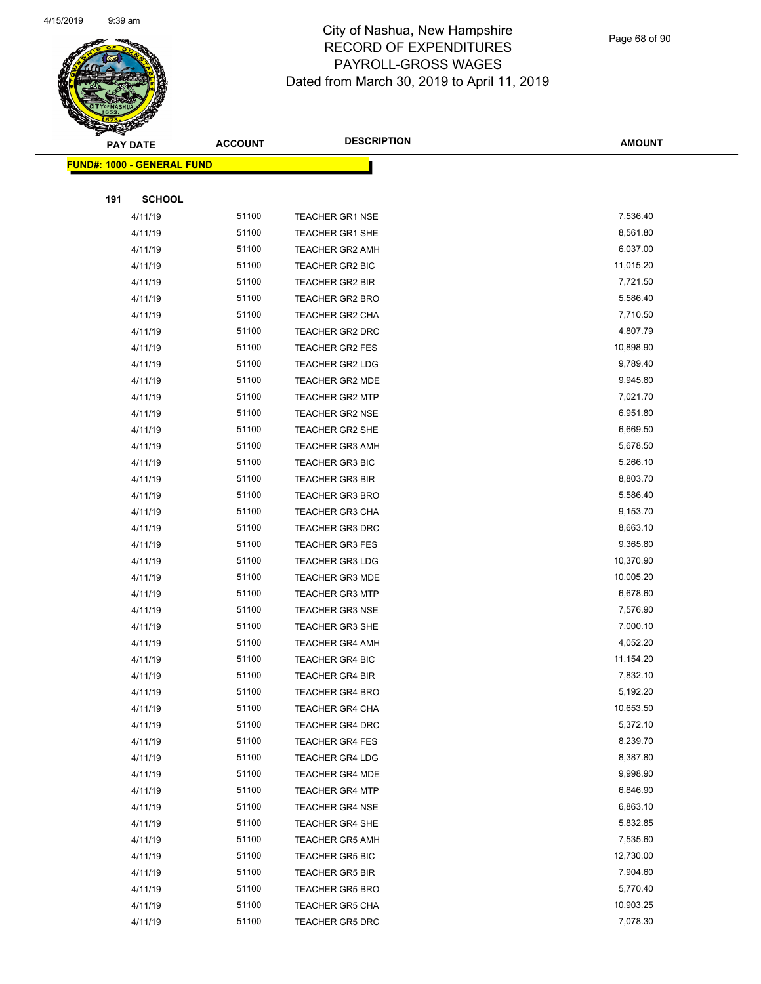

Page 68 of 90

| <b>PAY DATE</b>                   | <b>ACCOUNT</b> | <b>DESCRIPTION</b>     | <b>AMOUNT</b> |
|-----------------------------------|----------------|------------------------|---------------|
| <b>FUND#: 1000 - GENERAL FUND</b> |                |                        |               |
|                                   |                |                        |               |
| 191<br><b>SCHOOL</b>              |                |                        |               |
| 4/11/19                           | 51100          | <b>TEACHER GR1 NSE</b> | 7,536.40      |
| 4/11/19                           | 51100          | <b>TEACHER GR1 SHE</b> | 8,561.80      |
| 4/11/19                           | 51100          | <b>TEACHER GR2 AMH</b> | 6,037.00      |
| 4/11/19                           | 51100          | TEACHER GR2 BIC        | 11,015.20     |
| 4/11/19                           | 51100          | <b>TEACHER GR2 BIR</b> | 7,721.50      |
| 4/11/19                           | 51100          | <b>TEACHER GR2 BRO</b> | 5,586.40      |
| 4/11/19                           | 51100          | <b>TEACHER GR2 CHA</b> | 7,710.50      |
| 4/11/19                           | 51100          | <b>TEACHER GR2 DRC</b> | 4,807.79      |
| 4/11/19                           | 51100          | TEACHER GR2 FES        | 10,898.90     |
| 4/11/19                           | 51100          | <b>TEACHER GR2 LDG</b> | 9,789.40      |
| 4/11/19                           | 51100          | TEACHER GR2 MDE        | 9,945.80      |
| 4/11/19                           | 51100          | <b>TEACHER GR2 MTP</b> | 7,021.70      |
| 4/11/19                           | 51100          | <b>TEACHER GR2 NSE</b> | 6,951.80      |
| 4/11/19                           | 51100          | <b>TEACHER GR2 SHE</b> | 6,669.50      |
| 4/11/19                           | 51100          | <b>TEACHER GR3 AMH</b> | 5,678.50      |
| 4/11/19                           | 51100          | TEACHER GR3 BIC        | 5,266.10      |
| 4/11/19                           | 51100          | <b>TEACHER GR3 BIR</b> | 8,803.70      |
| 4/11/19                           | 51100          | <b>TEACHER GR3 BRO</b> | 5,586.40      |
| 4/11/19                           | 51100          | <b>TEACHER GR3 CHA</b> | 9,153.70      |
| 4/11/19                           | 51100          | <b>TEACHER GR3 DRC</b> | 8,663.10      |
| 4/11/19                           | 51100          | <b>TEACHER GR3 FES</b> | 9,365.80      |
| 4/11/19                           | 51100          | <b>TEACHER GR3 LDG</b> | 10,370.90     |
| 4/11/19                           | 51100          | <b>TEACHER GR3 MDE</b> | 10,005.20     |
| 4/11/19                           | 51100          | <b>TEACHER GR3 MTP</b> | 6,678.60      |
| 4/11/19                           | 51100          | <b>TEACHER GR3 NSE</b> | 7,576.90      |
| 4/11/19                           | 51100          | <b>TEACHER GR3 SHE</b> | 7,000.10      |
| 4/11/19                           | 51100          | <b>TEACHER GR4 AMH</b> | 4,052.20      |
| 4/11/19                           | 51100          | <b>TEACHER GR4 BIC</b> | 11,154.20     |
| 4/11/19                           | 51100          | <b>TEACHER GR4 BIR</b> | 7,832.10      |
| 4/11/19                           | 51100          | TEACHER GR4 BRO        | 5,192.20      |
| 4/11/19                           | 51100          | <b>TEACHER GR4 CHA</b> | 10,653.50     |
| 4/11/19                           | 51100          | <b>TEACHER GR4 DRC</b> | 5,372.10      |
| 4/11/19                           | 51100          | <b>TEACHER GR4 FES</b> | 8,239.70      |
| 4/11/19                           | 51100          | <b>TEACHER GR4 LDG</b> | 8,387.80      |
| 4/11/19                           | 51100          | <b>TEACHER GR4 MDE</b> | 9,998.90      |
| 4/11/19                           | 51100          | <b>TEACHER GR4 MTP</b> | 6,846.90      |
| 4/11/19                           | 51100          | <b>TEACHER GR4 NSE</b> | 6,863.10      |
| 4/11/19                           | 51100          | <b>TEACHER GR4 SHE</b> | 5,832.85      |
| 4/11/19                           | 51100          | <b>TEACHER GR5 AMH</b> | 7,535.60      |
| 4/11/19                           | 51100          | <b>TEACHER GR5 BIC</b> | 12,730.00     |
| 4/11/19                           | 51100          | TEACHER GR5 BIR        | 7,904.60      |
| 4/11/19                           | 51100          | <b>TEACHER GR5 BRO</b> | 5,770.40      |
| 4/11/19                           | 51100          | <b>TEACHER GR5 CHA</b> | 10,903.25     |
| 4/11/19                           | 51100          | <b>TEACHER GR5 DRC</b> | 7,078.30      |
|                                   |                |                        |               |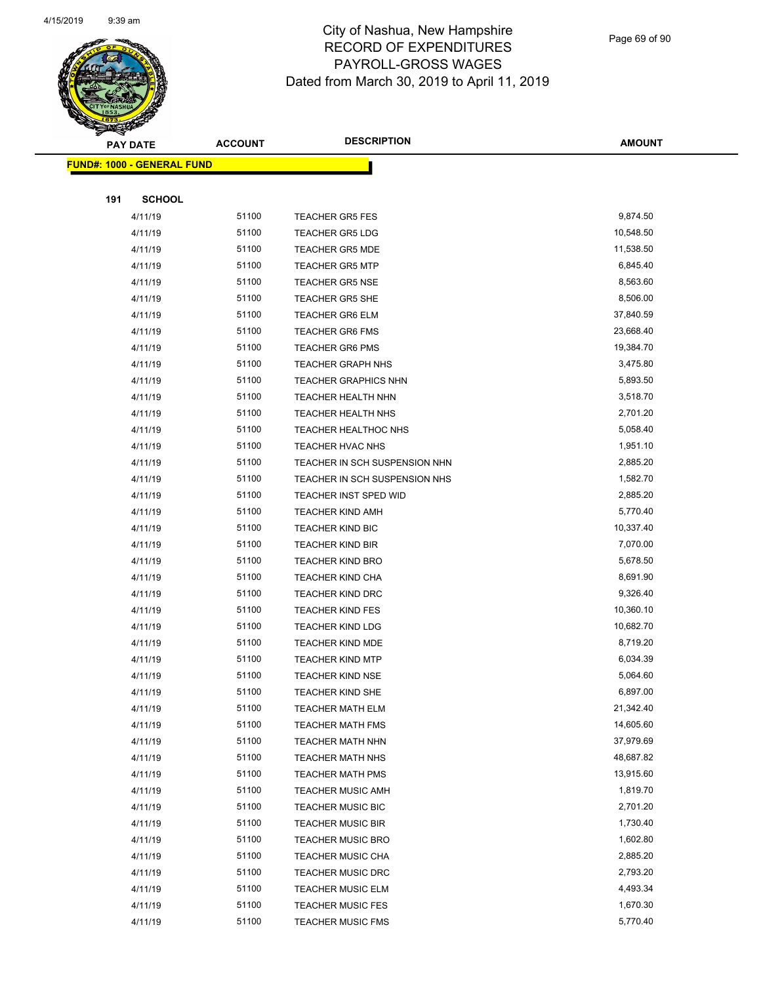

Page 69 of 90

|     | <b>PAY DATE</b>                   | <b>ACCOUNT</b> | <b>DESCRIPTION</b>            | <b>AMOUNT</b> |
|-----|-----------------------------------|----------------|-------------------------------|---------------|
|     | <b>FUND#: 1000 - GENERAL FUND</b> |                |                               |               |
|     |                                   |                |                               |               |
| 191 | <b>SCHOOL</b>                     |                |                               |               |
|     | 4/11/19                           | 51100          | <b>TEACHER GR5 FES</b>        | 9,874.50      |
|     | 4/11/19                           | 51100          | <b>TEACHER GR5 LDG</b>        | 10,548.50     |
|     | 4/11/19                           | 51100          | <b>TEACHER GR5 MDE</b>        | 11,538.50     |
|     | 4/11/19                           | 51100          | <b>TEACHER GR5 MTP</b>        | 6,845.40      |
|     | 4/11/19                           | 51100          | <b>TEACHER GR5 NSE</b>        | 8,563.60      |
|     | 4/11/19                           | 51100          | <b>TEACHER GR5 SHE</b>        | 8,506.00      |
|     | 4/11/19                           | 51100          | <b>TEACHER GR6 ELM</b>        | 37,840.59     |
|     | 4/11/19                           | 51100          | <b>TEACHER GR6 FMS</b>        | 23,668.40     |
|     | 4/11/19                           | 51100          | <b>TEACHER GR6 PMS</b>        | 19,384.70     |
|     | 4/11/19                           | 51100          | <b>TEACHER GRAPH NHS</b>      | 3,475.80      |
|     | 4/11/19                           | 51100          | <b>TEACHER GRAPHICS NHN</b>   | 5,893.50      |
|     | 4/11/19                           | 51100          | <b>TEACHER HEALTH NHN</b>     | 3,518.70      |
|     | 4/11/19                           | 51100          | TEACHER HEALTH NHS            | 2,701.20      |
|     | 4/11/19                           | 51100          | <b>TEACHER HEALTHOC NHS</b>   | 5,058.40      |
|     | 4/11/19                           | 51100          | TEACHER HVAC NHS              | 1,951.10      |
|     | 4/11/19                           | 51100          | TEACHER IN SCH SUSPENSION NHN | 2,885.20      |
|     | 4/11/19                           | 51100          | TEACHER IN SCH SUSPENSION NHS | 1,582.70      |
|     | 4/11/19                           | 51100          | TEACHER INST SPED WID         | 2,885.20      |
|     | 4/11/19                           | 51100          | TEACHER KIND AMH              | 5,770.40      |
|     | 4/11/19                           | 51100          | <b>TEACHER KIND BIC</b>       | 10,337.40     |
|     | 4/11/19                           | 51100          | <b>TEACHER KIND BIR</b>       | 7,070.00      |
|     | 4/11/19                           | 51100          | <b>TEACHER KIND BRO</b>       | 5,678.50      |
|     | 4/11/19                           | 51100          | <b>TEACHER KIND CHA</b>       | 8,691.90      |
|     | 4/11/19                           | 51100          | <b>TEACHER KIND DRC</b>       | 9,326.40      |
|     | 4/11/19                           | 51100          | <b>TEACHER KIND FES</b>       | 10,360.10     |
|     | 4/11/19                           | 51100          | <b>TEACHER KIND LDG</b>       | 10,682.70     |
|     | 4/11/19                           | 51100          | <b>TEACHER KIND MDE</b>       | 8,719.20      |
|     | 4/11/19                           | 51100          | <b>TEACHER KIND MTP</b>       | 6,034.39      |
|     | 4/11/19                           | 51100          | <b>TEACHER KIND NSE</b>       | 5,064.60      |
|     | 4/11/19                           | 51100          | TEACHER KIND SHE              | 6,897.00      |
|     | 4/11/19                           | 51100          | TEACHER MATH ELM              | 21,342.40     |
|     | 4/11/19                           | 51100          | <b>TEACHER MATH FMS</b>       | 14,605.60     |
|     | 4/11/19                           | 51100          | <b>TEACHER MATH NHN</b>       | 37,979.69     |
|     | 4/11/19                           | 51100          | TEACHER MATH NHS              | 48,687.82     |
|     | 4/11/19                           | 51100          | <b>TEACHER MATH PMS</b>       | 13,915.60     |
|     | 4/11/19                           | 51100          | <b>TEACHER MUSIC AMH</b>      | 1,819.70      |
|     | 4/11/19                           | 51100          | <b>TEACHER MUSIC BIC</b>      | 2,701.20      |
|     | 4/11/19                           | 51100          | <b>TEACHER MUSIC BIR</b>      | 1,730.40      |
|     | 4/11/19                           | 51100          | <b>TEACHER MUSIC BRO</b>      | 1,602.80      |
|     | 4/11/19                           | 51100          | <b>TEACHER MUSIC CHA</b>      | 2,885.20      |
|     | 4/11/19                           | 51100          | <b>TEACHER MUSIC DRC</b>      | 2,793.20      |
|     | 4/11/19                           | 51100          | <b>TEACHER MUSIC ELM</b>      | 4,493.34      |
|     | 4/11/19                           | 51100          | <b>TEACHER MUSIC FES</b>      | 1,670.30      |
|     | 4/11/19                           | 51100          | <b>TEACHER MUSIC FMS</b>      | 5,770.40      |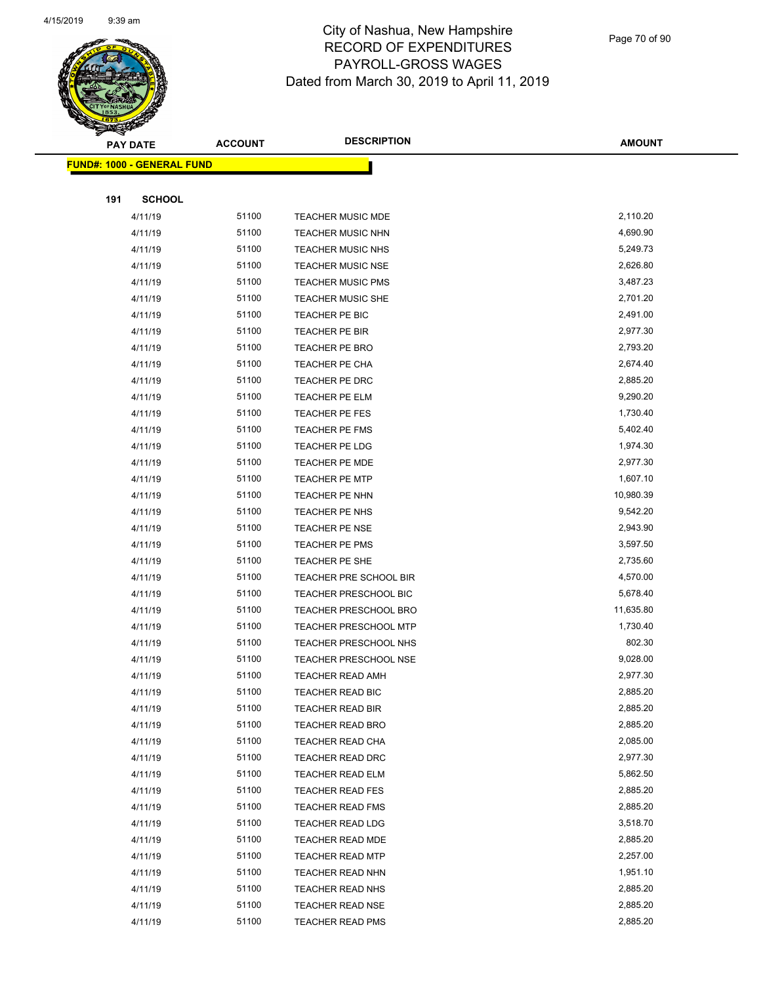

Page 70 of 90

| <b>PAY DATE</b> |                                   | <b>ACCOUNT</b> | <b>DESCRIPTION</b>           | <b>AMOUNT</b> |
|-----------------|-----------------------------------|----------------|------------------------------|---------------|
|                 | <b>FUND#: 1000 - GENERAL FUND</b> |                |                              |               |
|                 |                                   |                |                              |               |
| 191             | <b>SCHOOL</b>                     |                |                              |               |
|                 | 4/11/19                           | 51100          | TEACHER MUSIC MDE            | 2,110.20      |
|                 | 4/11/19                           | 51100          | <b>TEACHER MUSIC NHN</b>     | 4,690.90      |
|                 | 4/11/19                           | 51100          | <b>TEACHER MUSIC NHS</b>     | 5,249.73      |
|                 | 4/11/19                           | 51100          | <b>TEACHER MUSIC NSE</b>     | 2,626.80      |
|                 | 4/11/19                           | 51100          | <b>TEACHER MUSIC PMS</b>     | 3,487.23      |
|                 | 4/11/19                           | 51100          | TEACHER MUSIC SHE            | 2,701.20      |
|                 | 4/11/19                           | 51100          | TEACHER PE BIC               | 2,491.00      |
|                 | 4/11/19                           | 51100          | TEACHER PE BIR               | 2,977.30      |
|                 | 4/11/19                           | 51100          | TEACHER PE BRO               | 2,793.20      |
|                 | 4/11/19                           | 51100          | TEACHER PE CHA               | 2,674.40      |
|                 | 4/11/19                           | 51100          | TEACHER PE DRC               | 2,885.20      |
|                 | 4/11/19                           | 51100          | TEACHER PE ELM               | 9,290.20      |
|                 | 4/11/19                           | 51100          | <b>TEACHER PE FES</b>        | 1,730.40      |
|                 | 4/11/19                           | 51100          | TEACHER PE FMS               | 5,402.40      |
|                 | 4/11/19                           | 51100          | TEACHER PE LDG               | 1,974.30      |
|                 | 4/11/19                           | 51100          | TEACHER PE MDE               | 2,977.30      |
|                 | 4/11/19                           | 51100          | <b>TEACHER PE MTP</b>        | 1,607.10      |
|                 | 4/11/19                           | 51100          | TEACHER PE NHN               | 10,980.39     |
|                 | 4/11/19                           | 51100          | TEACHER PE NHS               | 9,542.20      |
|                 | 4/11/19                           | 51100          | TEACHER PE NSE               | 2,943.90      |
|                 | 4/11/19                           | 51100          | TEACHER PE PMS               | 3,597.50      |
|                 | 4/11/19                           | 51100          | TEACHER PE SHE               | 2,735.60      |
|                 | 4/11/19                           | 51100          | TEACHER PRE SCHOOL BIR       | 4,570.00      |
|                 | 4/11/19                           | 51100          | <b>TEACHER PRESCHOOL BIC</b> | 5,678.40      |
|                 | 4/11/19                           | 51100          | <b>TEACHER PRESCHOOL BRO</b> | 11,635.80     |
|                 | 4/11/19                           | 51100          | TEACHER PRESCHOOL MTP        | 1,730.40      |
|                 | 4/11/19                           | 51100          | TEACHER PRESCHOOL NHS        | 802.30        |
|                 | 4/11/19                           | 51100          | <b>TEACHER PRESCHOOL NSE</b> | 9,028.00      |
|                 | 4/11/19                           | 51100          | <b>TEACHER READ AMH</b>      | 2,977.30      |
|                 | 4/11/19                           | 51100          | <b>TEACHER READ BIC</b>      | 2,885.20      |
|                 | 4/11/19                           | 51100          | TEACHER READ BIR             | 2,885.20      |
|                 | 4/11/19                           | 51100          | <b>TEACHER READ BRO</b>      | 2,885.20      |
|                 | 4/11/19                           | 51100          | TEACHER READ CHA             | 2,085.00      |
|                 | 4/11/19                           | 51100          | TEACHER READ DRC             | 2,977.30      |
|                 | 4/11/19                           | 51100          | <b>TEACHER READ ELM</b>      | 5,862.50      |
|                 | 4/11/19                           | 51100          | TEACHER READ FES             | 2,885.20      |
|                 | 4/11/19                           | 51100          | <b>TEACHER READ FMS</b>      | 2,885.20      |
|                 | 4/11/19                           | 51100          | <b>TEACHER READ LDG</b>      | 3,518.70      |
|                 | 4/11/19                           | 51100          | TEACHER READ MDE             | 2,885.20      |
|                 | 4/11/19                           | 51100          | <b>TEACHER READ MTP</b>      | 2,257.00      |
|                 | 4/11/19                           | 51100          | TEACHER READ NHN             | 1,951.10      |
|                 | 4/11/19                           | 51100          | <b>TEACHER READ NHS</b>      | 2,885.20      |
|                 | 4/11/19                           | 51100          | <b>TEACHER READ NSE</b>      | 2,885.20      |
|                 | 4/11/19                           | 51100          | <b>TEACHER READ PMS</b>      | 2,885.20      |
|                 |                                   |                |                              |               |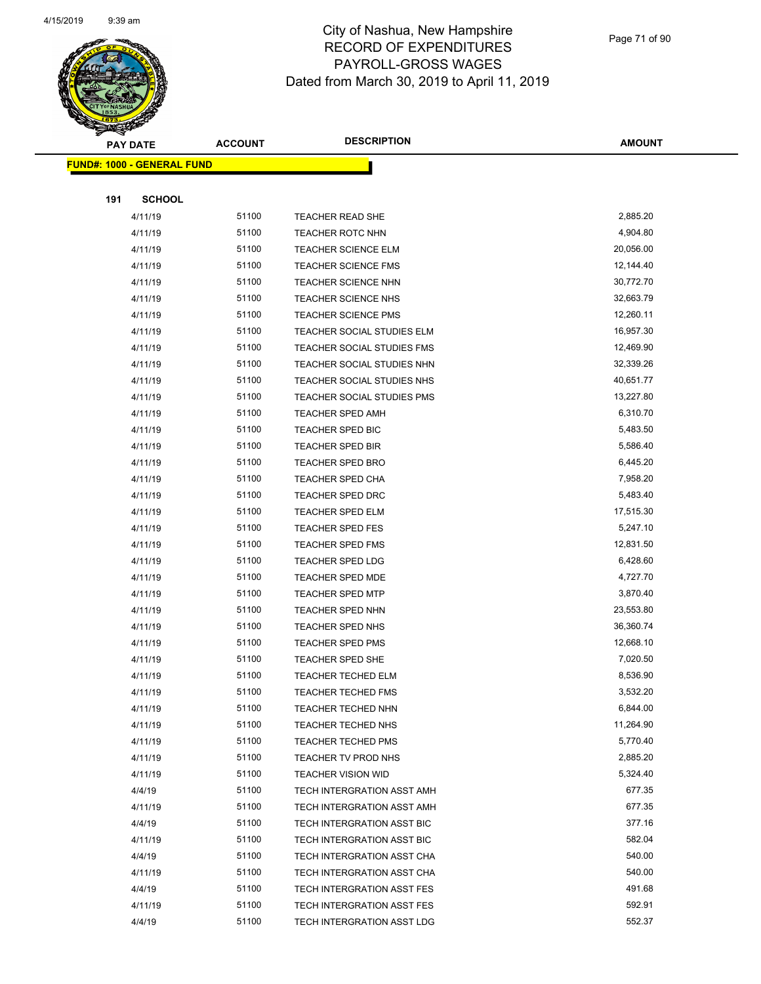

Page 71 of 90

|     | <b>PAY DATE</b>                    | <b>ACCOUNT</b> | <b>DESCRIPTION</b>         | <b>AMOUNT</b> |
|-----|------------------------------------|----------------|----------------------------|---------------|
|     | <u> FUND#: 1000 - GENERAL FUND</u> |                |                            |               |
|     |                                    |                |                            |               |
| 191 | <b>SCHOOL</b>                      |                |                            |               |
|     | 4/11/19                            | 51100          | TEACHER READ SHE           | 2,885.20      |
|     | 4/11/19                            | 51100          | <b>TEACHER ROTC NHN</b>    | 4,904.80      |
|     | 4/11/19                            | 51100          | <b>TEACHER SCIENCE ELM</b> | 20,056.00     |
|     | 4/11/19                            | 51100          | <b>TEACHER SCIENCE FMS</b> | 12,144.40     |
|     | 4/11/19                            | 51100          | <b>TEACHER SCIENCE NHN</b> | 30,772.70     |
|     | 4/11/19                            | 51100          | TEACHER SCIENCE NHS        | 32,663.79     |
|     | 4/11/19                            | 51100          | <b>TEACHER SCIENCE PMS</b> | 12,260.11     |
|     | 4/11/19                            | 51100          | TEACHER SOCIAL STUDIES ELM | 16,957.30     |
|     | 4/11/19                            | 51100          | TEACHER SOCIAL STUDIES FMS | 12,469.90     |
|     | 4/11/19                            | 51100          | TEACHER SOCIAL STUDIES NHN | 32,339.26     |
|     | 4/11/19                            | 51100          | TEACHER SOCIAL STUDIES NHS | 40,651.77     |
|     | 4/11/19                            | 51100          | TEACHER SOCIAL STUDIES PMS | 13,227.80     |
|     | 4/11/19                            | 51100          | <b>TEACHER SPED AMH</b>    | 6,310.70      |
|     | 4/11/19                            | 51100          | <b>TEACHER SPED BIC</b>    | 5,483.50      |
|     | 4/11/19                            | 51100          | <b>TEACHER SPED BIR</b>    | 5,586.40      |
|     | 4/11/19                            | 51100          | <b>TEACHER SPED BRO</b>    | 6,445.20      |
|     | 4/11/19                            | 51100          | <b>TEACHER SPED CHA</b>    | 7,958.20      |
|     | 4/11/19                            | 51100          | <b>TEACHER SPED DRC</b>    | 5,483.40      |
|     | 4/11/19                            | 51100          | <b>TEACHER SPED ELM</b>    | 17,515.30     |
|     | 4/11/19                            | 51100          | <b>TEACHER SPED FES</b>    | 5,247.10      |
|     | 4/11/19                            | 51100          | <b>TEACHER SPED FMS</b>    | 12,831.50     |
|     | 4/11/19                            | 51100          | <b>TEACHER SPED LDG</b>    | 6,428.60      |
|     | 4/11/19                            | 51100          | <b>TEACHER SPED MDE</b>    | 4,727.70      |
|     | 4/11/19                            | 51100          | <b>TEACHER SPED MTP</b>    | 3,870.40      |
|     | 4/11/19                            | 51100          | <b>TEACHER SPED NHN</b>    | 23,553.80     |
|     | 4/11/19                            | 51100          | <b>TEACHER SPED NHS</b>    | 36,360.74     |
|     | 4/11/19                            | 51100          | <b>TEACHER SPED PMS</b>    | 12,668.10     |
|     | 4/11/19                            | 51100          | <b>TEACHER SPED SHE</b>    | 7,020.50      |
|     | 4/11/19                            | 51100          | <b>TEACHER TECHED ELM</b>  | 8,536.90      |
|     | 4/11/19                            | 51100          | <b>TEACHER TECHED FMS</b>  | 3,532.20      |
|     | 4/11/19                            | 51100          | TEACHER TECHED NHN         | 6,844.00      |
|     | 4/11/19                            | 51100          | <b>TEACHER TECHED NHS</b>  | 11,264.90     |
|     | 4/11/19                            | 51100          | <b>TEACHER TECHED PMS</b>  | 5,770.40      |
|     | 4/11/19                            | 51100          | TEACHER TV PROD NHS        | 2,885.20      |
|     | 4/11/19                            | 51100          | <b>TEACHER VISION WID</b>  | 5,324.40      |
|     | 4/4/19                             | 51100          | TECH INTERGRATION ASST AMH | 677.35        |
|     | 4/11/19                            | 51100          | TECH INTERGRATION ASST AMH | 677.35        |
|     | 4/4/19                             | 51100          | TECH INTERGRATION ASST BIC | 377.16        |
|     | 4/11/19                            | 51100          | TECH INTERGRATION ASST BIC | 582.04        |
|     | 4/4/19                             | 51100          | TECH INTERGRATION ASST CHA | 540.00        |
|     | 4/11/19                            | 51100          | TECH INTERGRATION ASST CHA | 540.00        |
|     | 4/4/19                             | 51100          | TECH INTERGRATION ASST FES | 491.68        |
|     | 4/11/19                            | 51100          | TECH INTERGRATION ASST FES | 592.91        |
|     | 4/4/19                             | 51100          | TECH INTERGRATION ASST LDG | 552.37        |
|     |                                    |                |                            |               |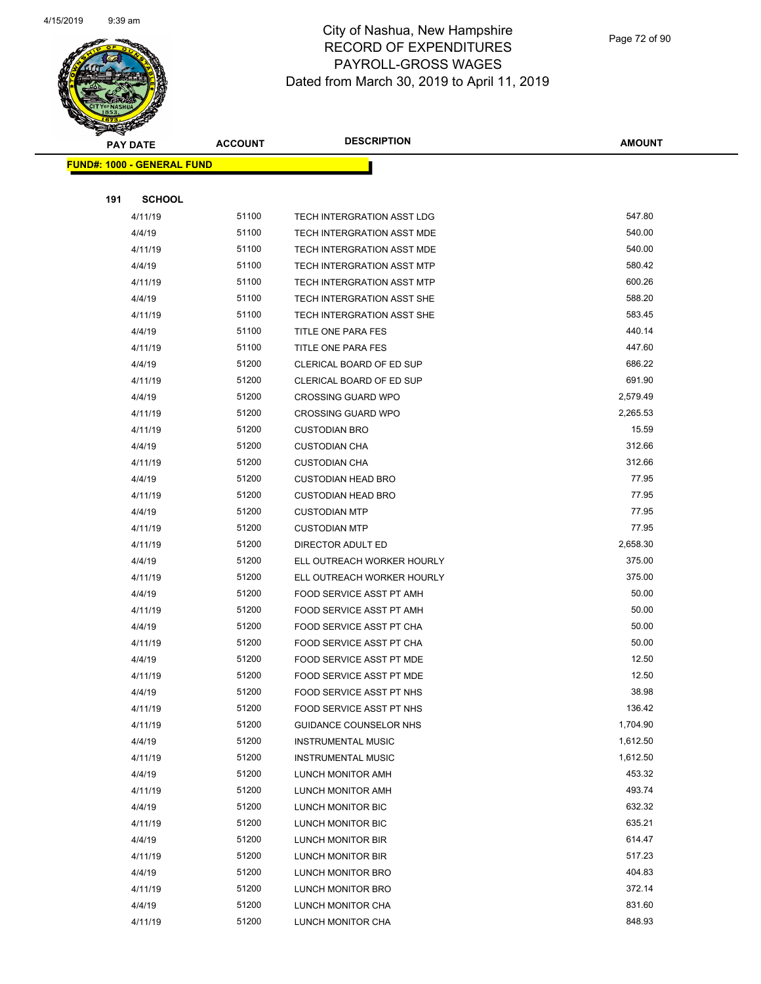

|  | <b>PAY DATE</b><br><b>FUND#: 1000 - GENERAL FUND</b> |               | <b>ACCOUNT</b> | <b>DESCRIPTION</b>            | <b>AMOUNT</b> |
|--|------------------------------------------------------|---------------|----------------|-------------------------------|---------------|
|  |                                                      |               |                |                               |               |
|  |                                                      |               |                |                               |               |
|  | 191                                                  | <b>SCHOOL</b> |                |                               |               |
|  |                                                      | 4/11/19       | 51100          | TECH INTERGRATION ASST LDG    | 547.80        |
|  |                                                      | 4/4/19        | 51100          | TECH INTERGRATION ASST MDE    | 540.00        |
|  |                                                      | 4/11/19       | 51100          | TECH INTERGRATION ASST MDE    | 540.00        |
|  |                                                      | 4/4/19        | 51100          | TECH INTERGRATION ASST MTP    | 580.42        |
|  |                                                      | 4/11/19       | 51100          | TECH INTERGRATION ASST MTP    | 600.26        |
|  |                                                      | 4/4/19        | 51100          | TECH INTERGRATION ASST SHE    | 588.20        |
|  |                                                      | 4/11/19       | 51100          | TECH INTERGRATION ASST SHE    | 583.45        |
|  |                                                      | 4/4/19        | 51100          | TITLE ONE PARA FES            | 440.14        |
|  |                                                      | 4/11/19       | 51100          | TITLE ONE PARA FES            | 447.60        |
|  |                                                      | 4/4/19        | 51200          | CLERICAL BOARD OF ED SUP      | 686.22        |
|  |                                                      | 4/11/19       | 51200          | CLERICAL BOARD OF ED SUP      | 691.90        |
|  |                                                      | 4/4/19        | 51200          | <b>CROSSING GUARD WPO</b>     | 2,579.49      |
|  |                                                      | 4/11/19       | 51200          | <b>CROSSING GUARD WPO</b>     | 2,265.53      |
|  |                                                      | 4/11/19       | 51200          | <b>CUSTODIAN BRO</b>          | 15.59         |
|  |                                                      | 4/4/19        | 51200          | <b>CUSTODIAN CHA</b>          | 312.66        |
|  |                                                      | 4/11/19       | 51200          | <b>CUSTODIAN CHA</b>          | 312.66        |
|  |                                                      | 4/4/19        | 51200          | <b>CUSTODIAN HEAD BRO</b>     | 77.95         |
|  |                                                      | 4/11/19       | 51200          | <b>CUSTODIAN HEAD BRO</b>     | 77.95         |
|  |                                                      | 4/4/19        | 51200          | <b>CUSTODIAN MTP</b>          | 77.95         |
|  |                                                      | 4/11/19       | 51200          | <b>CUSTODIAN MTP</b>          | 77.95         |
|  |                                                      | 4/11/19       | 51200          | DIRECTOR ADULT ED             | 2,658.30      |
|  |                                                      | 4/4/19        | 51200          | ELL OUTREACH WORKER HOURLY    | 375.00        |
|  |                                                      | 4/11/19       | 51200          | ELL OUTREACH WORKER HOURLY    | 375.00        |
|  |                                                      | 4/4/19        | 51200          | FOOD SERVICE ASST PT AMH      | 50.00         |
|  |                                                      | 4/11/19       | 51200          | FOOD SERVICE ASST PT AMH      | 50.00         |
|  |                                                      | 4/4/19        | 51200          | FOOD SERVICE ASST PT CHA      | 50.00         |
|  |                                                      | 4/11/19       | 51200          | FOOD SERVICE ASST PT CHA      | 50.00         |
|  |                                                      | 4/4/19        | 51200          | FOOD SERVICE ASST PT MDE      | 12.50         |
|  |                                                      | 4/11/19       | 51200          | FOOD SERVICE ASST PT MDE      | 12.50         |
|  |                                                      | 4/4/19        | 51200          | FOOD SERVICE ASST PT NHS      | 38.98         |
|  |                                                      | 4/11/19       | 51200          | FOOD SERVICE ASST PT NHS      | 136.42        |
|  |                                                      | 4/11/19       | 51200          | <b>GUIDANCE COUNSELOR NHS</b> | 1,704.90      |
|  |                                                      | 4/4/19        | 51200          | <b>INSTRUMENTAL MUSIC</b>     | 1,612.50      |
|  |                                                      | 4/11/19       | 51200          | <b>INSTRUMENTAL MUSIC</b>     | 1,612.50      |
|  |                                                      | 4/4/19        | 51200          | LUNCH MONITOR AMH             | 453.32        |
|  |                                                      | 4/11/19       | 51200          | LUNCH MONITOR AMH             | 493.74        |
|  |                                                      | 4/4/19        | 51200          | LUNCH MONITOR BIC             | 632.32        |
|  |                                                      | 4/11/19       | 51200          | LUNCH MONITOR BIC             | 635.21        |
|  |                                                      | 4/4/19        | 51200          | LUNCH MONITOR BIR             | 614.47        |
|  |                                                      | 4/11/19       | 51200          | LUNCH MONITOR BIR             | 517.23        |
|  |                                                      | 4/4/19        | 51200          | LUNCH MONITOR BRO             | 404.83        |
|  |                                                      | 4/11/19       | 51200          | LUNCH MONITOR BRO             | 372.14        |
|  |                                                      | 4/4/19        | 51200          | LUNCH MONITOR CHA             | 831.60        |
|  |                                                      | 4/11/19       | 51200          | LUNCH MONITOR CHA             | 848.93        |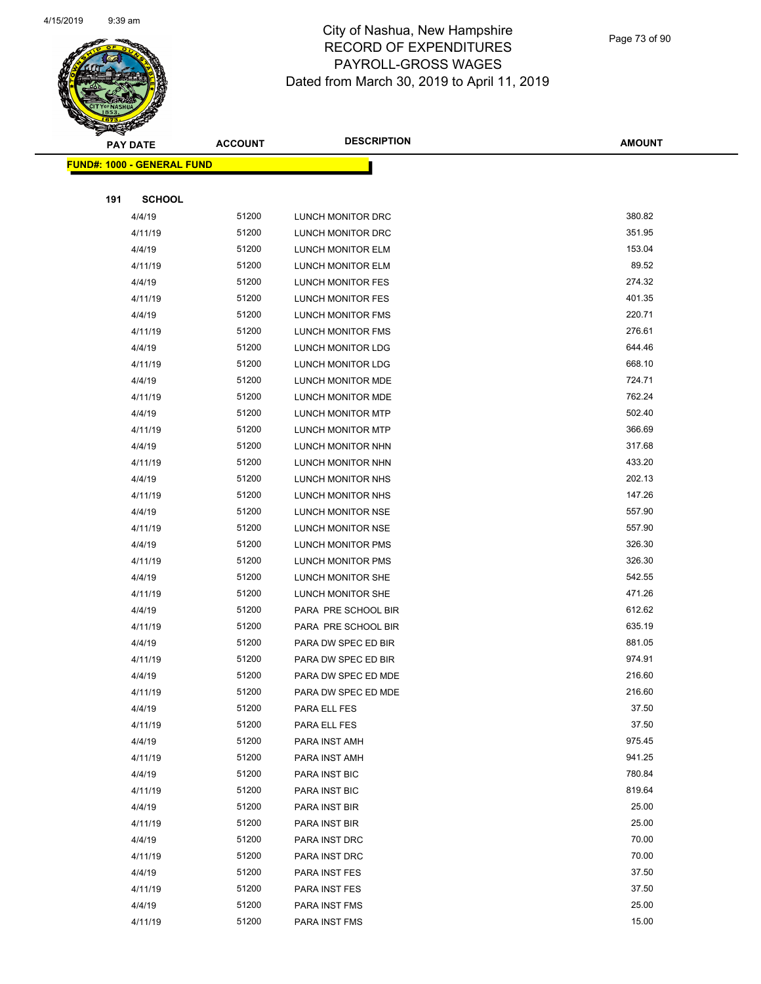

Page 73 of 90

|     | <b>PAY DATE</b>                    | <b>ACCOUNT</b> | <b>DESCRIPTION</b>       | <b>AMOUNT</b> |
|-----|------------------------------------|----------------|--------------------------|---------------|
|     | <u> FUND#: 1000 - GENERAL FUND</u> |                |                          |               |
|     |                                    |                |                          |               |
| 191 | <b>SCHOOL</b>                      |                |                          |               |
|     | 4/4/19                             | 51200          | LUNCH MONITOR DRC        | 380.82        |
|     | 4/11/19                            | 51200          | LUNCH MONITOR DRC        | 351.95        |
|     | 4/4/19                             | 51200          | LUNCH MONITOR ELM        | 153.04        |
|     | 4/11/19                            | 51200          | LUNCH MONITOR ELM        | 89.52         |
|     | 4/4/19                             | 51200          | LUNCH MONITOR FES        | 274.32        |
|     | 4/11/19                            | 51200          | LUNCH MONITOR FES        | 401.35        |
|     | 4/4/19                             | 51200          | LUNCH MONITOR FMS        | 220.71        |
|     | 4/11/19                            | 51200          | <b>LUNCH MONITOR FMS</b> | 276.61        |
|     | 4/4/19                             | 51200          | LUNCH MONITOR LDG        | 644.46        |
|     | 4/11/19                            | 51200          | LUNCH MONITOR LDG        | 668.10        |
|     | 4/4/19                             | 51200          | LUNCH MONITOR MDE        | 724.71        |
|     | 4/11/19                            | 51200          | LUNCH MONITOR MDE        | 762.24        |
|     | 4/4/19                             | 51200          | <b>LUNCH MONITOR MTP</b> | 502.40        |
|     | 4/11/19                            | 51200          | LUNCH MONITOR MTP        | 366.69        |
|     | 4/4/19                             | 51200          | LUNCH MONITOR NHN        | 317.68        |
|     | 4/11/19                            | 51200          | LUNCH MONITOR NHN        | 433.20        |
|     | 4/4/19                             | 51200          | LUNCH MONITOR NHS        | 202.13        |
|     | 4/11/19                            | 51200          | LUNCH MONITOR NHS        | 147.26        |
|     | 4/4/19                             | 51200          | LUNCH MONITOR NSE        | 557.90        |
|     | 4/11/19                            | 51200          | LUNCH MONITOR NSE        | 557.90        |
|     | 4/4/19                             | 51200          | <b>LUNCH MONITOR PMS</b> | 326.30        |
|     | 4/11/19                            | 51200          | LUNCH MONITOR PMS        | 326.30        |
|     | 4/4/19                             | 51200          | LUNCH MONITOR SHE        | 542.55        |
|     | 4/11/19                            | 51200          | LUNCH MONITOR SHE        | 471.26        |
|     | 4/4/19                             | 51200          | PARA PRE SCHOOL BIR      | 612.62        |
|     | 4/11/19                            | 51200          | PARA PRE SCHOOL BIR      | 635.19        |
|     | 4/4/19                             | 51200          | PARA DW SPEC ED BIR      | 881.05        |
|     | 4/11/19                            | 51200          | PARA DW SPEC ED BIR      | 974.91        |
|     | 4/4/19                             | 51200          | PARA DW SPEC ED MDE      | 216.60        |
|     | 4/11/19                            | 51200          | PARA DW SPEC ED MDE      | 216.60        |
|     | 4/4/19                             | 51200          | PARA ELL FES             | 37.50         |
|     | 4/11/19                            | 51200          | PARA ELL FES             | 37.50         |
|     | 4/4/19                             | 51200          | PARA INST AMH            | 975.45        |
|     | 4/11/19                            | 51200          | PARA INST AMH            | 941.25        |
|     | 4/4/19                             | 51200          | PARA INST BIC            | 780.84        |
|     | 4/11/19                            | 51200          | PARA INST BIC            | 819.64        |
|     | 4/4/19                             | 51200          | PARA INST BIR            | 25.00         |
|     | 4/11/19                            | 51200          | PARA INST BIR            | 25.00         |
|     | 4/4/19                             | 51200          | PARA INST DRC            | 70.00         |
|     | 4/11/19                            | 51200          | PARA INST DRC            | 70.00         |
|     | 4/4/19                             | 51200          | PARA INST FES            | 37.50         |
|     | 4/11/19                            | 51200          | PARA INST FES            | 37.50         |
|     | 4/4/19                             | 51200          | PARA INST FMS            | 25.00         |
|     | 4/11/19                            | 51200          | PARA INST FMS            | 15.00         |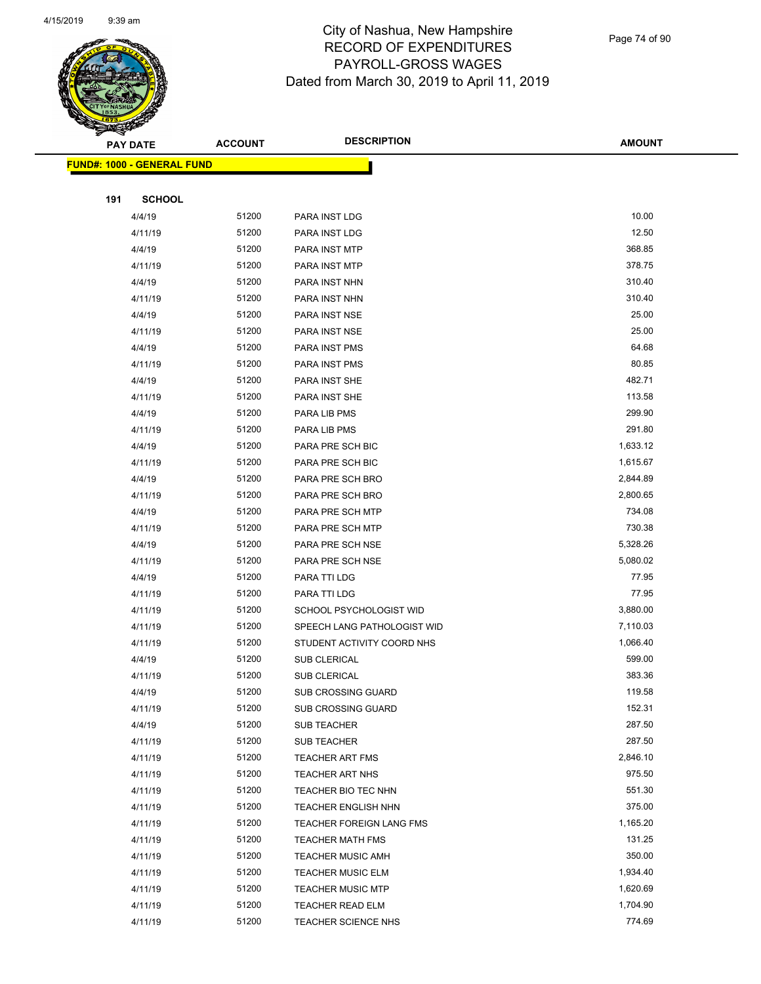

Page 74 of 90

|     | <b>PAY DATE</b>                    | <b>ACCOUNT</b> | <b>DESCRIPTION</b>          | <b>AMOUNT</b> |
|-----|------------------------------------|----------------|-----------------------------|---------------|
|     | <u> FUND#: 1000 - GENERAL FUND</u> |                |                             |               |
|     |                                    |                |                             |               |
| 191 | <b>SCHOOL</b>                      |                |                             |               |
|     | 4/4/19                             | 51200          | PARA INST LDG               | 10.00         |
|     | 4/11/19                            | 51200          | PARA INST LDG               | 12.50         |
|     | 4/4/19                             | 51200          | PARA INST MTP               | 368.85        |
|     | 4/11/19                            | 51200          | PARA INST MTP               | 378.75        |
|     | 4/4/19                             | 51200          | PARA INST NHN               | 310.40        |
|     | 4/11/19                            | 51200          | PARA INST NHN               | 310.40        |
|     | 4/4/19                             | 51200          | PARA INST NSE               | 25.00         |
|     | 4/11/19                            | 51200          | PARA INST NSE               | 25.00         |
|     | 4/4/19                             | 51200          | PARA INST PMS               | 64.68         |
|     | 4/11/19                            | 51200          | PARA INST PMS               | 80.85         |
|     | 4/4/19                             | 51200          | PARA INST SHE               | 482.71        |
|     | 4/11/19                            | 51200          | PARA INST SHE               | 113.58        |
|     | 4/4/19                             | 51200          | PARA LIB PMS                | 299.90        |
|     | 4/11/19                            | 51200          | PARA LIB PMS                | 291.80        |
|     | 4/4/19                             | 51200          | PARA PRE SCH BIC            | 1,633.12      |
|     | 4/11/19                            | 51200          | PARA PRE SCH BIC            | 1,615.67      |
|     | 4/4/19                             | 51200          | PARA PRE SCH BRO            | 2,844.89      |
|     | 4/11/19                            | 51200          | PARA PRE SCH BRO            | 2,800.65      |
|     | 4/4/19                             | 51200          | PARA PRE SCH MTP            | 734.08        |
|     | 4/11/19                            | 51200          | PARA PRE SCH MTP            | 730.38        |
|     | 4/4/19                             | 51200          | PARA PRE SCH NSE            | 5,328.26      |
|     | 4/11/19                            | 51200          | PARA PRE SCH NSE            | 5,080.02      |
|     | 4/4/19                             | 51200          | PARA TTI LDG                | 77.95         |
|     | 4/11/19                            | 51200          | PARA TTI LDG                | 77.95         |
|     | 4/11/19                            | 51200          | SCHOOL PSYCHOLOGIST WID     | 3,880.00      |
|     | 4/11/19                            | 51200          | SPEECH LANG PATHOLOGIST WID | 7,110.03      |
|     | 4/11/19                            | 51200          | STUDENT ACTIVITY COORD NHS  | 1,066.40      |
|     | 4/4/19                             | 51200          | <b>SUB CLERICAL</b>         | 599.00        |
|     | 4/11/19                            | 51200          | <b>SUB CLERICAL</b>         | 383.36        |
|     | 4/4/19                             | 51200          | <b>SUB CROSSING GUARD</b>   | 119.58        |
|     | 4/11/19                            | 51200          | <b>SUB CROSSING GUARD</b>   | 152.31        |
|     | 4/4/19                             | 51200          | SUB TEACHER                 | 287.50        |
|     | 4/11/19                            | 51200          | <b>SUB TEACHER</b>          | 287.50        |
|     | 4/11/19                            | 51200          | <b>TEACHER ART FMS</b>      | 2,846.10      |
|     | 4/11/19                            | 51200          | <b>TEACHER ART NHS</b>      | 975.50        |
|     | 4/11/19                            | 51200          | TEACHER BIO TEC NHN         | 551.30        |
|     | 4/11/19                            | 51200          | <b>TEACHER ENGLISH NHN</b>  | 375.00        |
|     | 4/11/19                            | 51200          | TEACHER FOREIGN LANG FMS    | 1,165.20      |
|     | 4/11/19                            | 51200          | <b>TEACHER MATH FMS</b>     | 131.25        |
|     | 4/11/19                            | 51200          | <b>TEACHER MUSIC AMH</b>    | 350.00        |
|     | 4/11/19                            | 51200          | <b>TEACHER MUSIC ELM</b>    | 1,934.40      |
|     | 4/11/19                            | 51200          | <b>TEACHER MUSIC MTP</b>    | 1,620.69      |
|     | 4/11/19                            | 51200          | <b>TEACHER READ ELM</b>     | 1,704.90      |
|     | 4/11/19                            | 51200          | <b>TEACHER SCIENCE NHS</b>  | 774.69        |
|     |                                    |                |                             |               |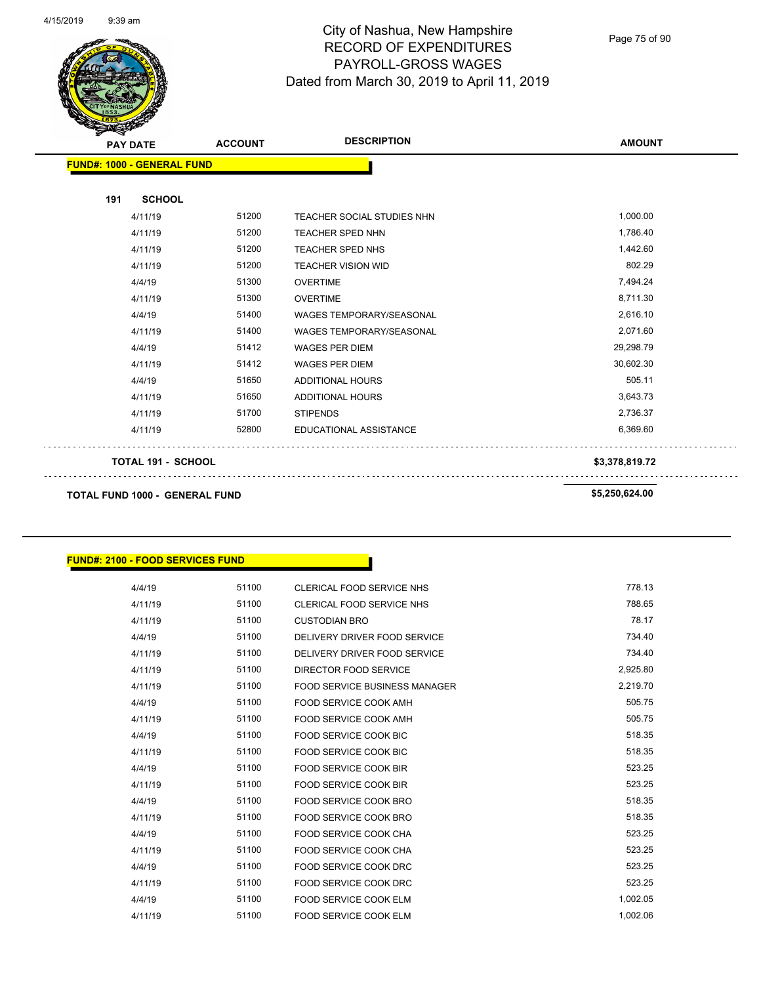

Page 75 of 90

| z v<br><b>PAY DATE</b>                | <b>ACCOUNT</b> | <b>DESCRIPTION</b>              | <b>AMOUNT</b>  |
|---------------------------------------|----------------|---------------------------------|----------------|
| <b>FUND#: 1000 - GENERAL FUND</b>     |                |                                 |                |
| 191<br><b>SCHOOL</b>                  |                |                                 |                |
| 4/11/19                               | 51200          | TEACHER SOCIAL STUDIES NHN      | 1,000.00       |
| 4/11/19                               | 51200          | <b>TEACHER SPED NHN</b>         | 1,786.40       |
| 4/11/19                               | 51200          | <b>TEACHER SPED NHS</b>         | 1,442.60       |
| 4/11/19                               | 51200          | <b>TEACHER VISION WID</b>       | 802.29         |
| 4/4/19                                | 51300          | <b>OVERTIME</b>                 | 7,494.24       |
| 4/11/19                               | 51300          | <b>OVERTIME</b>                 | 8,711.30       |
| 4/4/19                                | 51400          | <b>WAGES TEMPORARY/SEASONAL</b> | 2,616.10       |
| 4/11/19                               | 51400          | <b>WAGES TEMPORARY/SEASONAL</b> | 2,071.60       |
| 4/4/19                                | 51412          | <b>WAGES PER DIEM</b>           | 29,298.79      |
| 4/11/19                               | 51412          | <b>WAGES PER DIEM</b>           | 30,602.30      |
| 4/4/19                                | 51650          | <b>ADDITIONAL HOURS</b>         | 505.11         |
| 4/11/19                               | 51650          | <b>ADDITIONAL HOURS</b>         | 3,643.73       |
| 4/11/19                               | 51700          | <b>STIPENDS</b>                 | 2,736.37       |
| 4/11/19                               | 52800          | EDUCATIONAL ASSISTANCE          | 6,369.60       |
| TOTAL 191 - SCHOOL                    |                |                                 | \$3,378,819.72 |
| <b>TOTAL FUND 1000 - GENERAL FUND</b> |                |                                 | \$5,250,624.00 |

#### **FUND#: 2100 - FOOD SERVICES FUND**

| 4/4/19  | 51100 | CLERICAL FOOD SERVICE NHS            | 778.13   |
|---------|-------|--------------------------------------|----------|
| 4/11/19 | 51100 | CLERICAL FOOD SERVICE NHS            | 788.65   |
| 4/11/19 | 51100 | <b>CUSTODIAN BRO</b>                 | 78.17    |
| 4/4/19  | 51100 | DELIVERY DRIVER FOOD SERVICE         | 734.40   |
| 4/11/19 | 51100 | DELIVERY DRIVER FOOD SERVICE         | 734.40   |
| 4/11/19 | 51100 | DIRECTOR FOOD SERVICE                | 2,925.80 |
| 4/11/19 | 51100 | <b>FOOD SERVICE BUSINESS MANAGER</b> | 2,219.70 |
| 4/4/19  | 51100 | FOOD SERVICE COOK AMH                | 505.75   |
| 4/11/19 | 51100 | FOOD SERVICE COOK AMH                | 505.75   |
| 4/4/19  | 51100 | <b>FOOD SERVICE COOK BIC</b>         | 518.35   |
| 4/11/19 | 51100 | <b>FOOD SERVICE COOK BIC</b>         | 518.35   |
| 4/4/19  | 51100 | <b>FOOD SERVICE COOK BIR</b>         | 523.25   |
| 4/11/19 | 51100 | <b>FOOD SERVICE COOK BIR</b>         | 523.25   |
| 4/4/19  | 51100 | FOOD SERVICE COOK BRO                | 518.35   |
| 4/11/19 | 51100 | FOOD SERVICE COOK BRO                | 518.35   |
| 4/4/19  | 51100 | FOOD SERVICE COOK CHA                | 523.25   |
| 4/11/19 | 51100 | FOOD SERVICE COOK CHA                | 523.25   |
| 4/4/19  | 51100 | FOOD SERVICE COOK DRC                | 523.25   |
| 4/11/19 | 51100 | FOOD SERVICE COOK DRC                | 523.25   |
| 4/4/19  | 51100 | <b>FOOD SERVICE COOK ELM</b>         | 1,002.05 |
| 4/11/19 | 51100 | <b>FOOD SERVICE COOK ELM</b>         | 1,002.06 |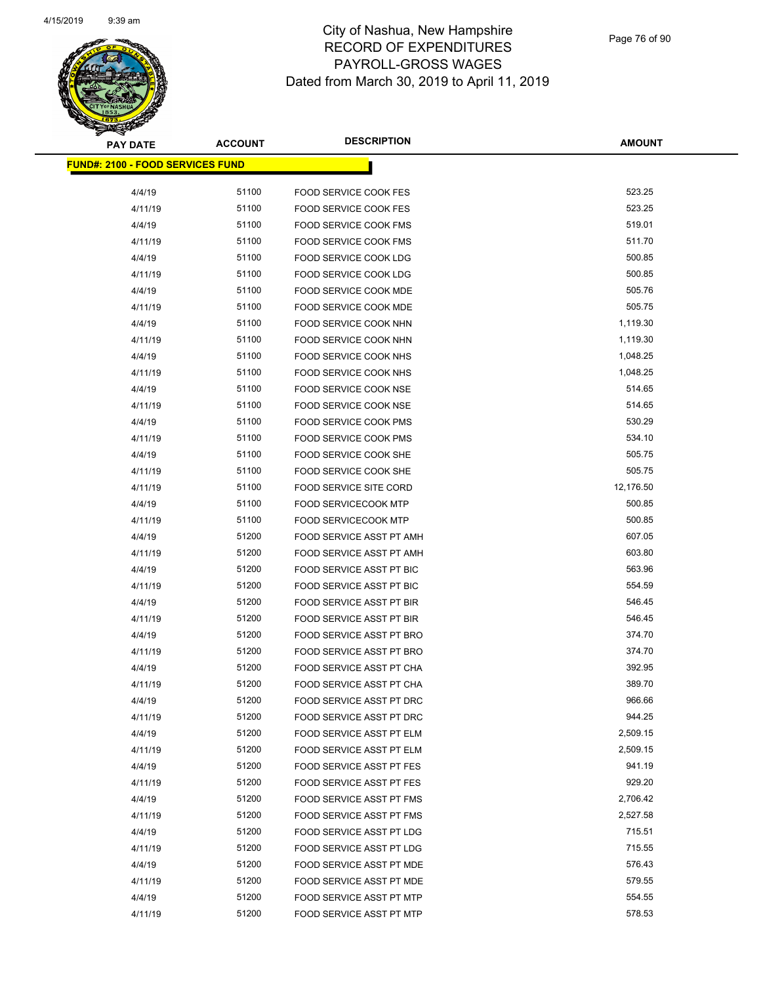

Page 76 of 90

| <b>PAY DATE</b>                         | <b>ACCOUNT</b> | <b>DESCRIPTION</b>                                   | <b>AMOUNT</b>       |
|-----------------------------------------|----------------|------------------------------------------------------|---------------------|
| <b>FUND#: 2100 - FOOD SERVICES FUND</b> |                |                                                      |                     |
|                                         |                |                                                      |                     |
| 4/4/19                                  | 51100          | FOOD SERVICE COOK FES                                | 523.25              |
| 4/11/19                                 | 51100          | FOOD SERVICE COOK FES                                | 523.25              |
| 4/4/19                                  | 51100          | <b>FOOD SERVICE COOK FMS</b>                         | 519.01<br>511.70    |
| 4/11/19                                 | 51100          | <b>FOOD SERVICE COOK FMS</b>                         |                     |
| 4/4/19                                  | 51100          | FOOD SERVICE COOK LDG                                | 500.85              |
| 4/11/19                                 | 51100          | <b>FOOD SERVICE COOK LDG</b>                         | 500.85              |
| 4/4/19                                  | 51100          | FOOD SERVICE COOK MDE                                | 505.76              |
| 4/11/19                                 | 51100          | FOOD SERVICE COOK MDE                                | 505.75              |
| 4/4/19                                  | 51100          | FOOD SERVICE COOK NHN                                | 1,119.30            |
| 4/11/19                                 | 51100          | FOOD SERVICE COOK NHN                                | 1,119.30            |
| 4/4/19                                  | 51100          | FOOD SERVICE COOK NHS                                | 1,048.25            |
| 4/11/19                                 | 51100          | FOOD SERVICE COOK NHS                                | 1,048.25            |
| 4/4/19                                  | 51100          | <b>FOOD SERVICE COOK NSE</b>                         | 514.65              |
| 4/11/19                                 | 51100          | FOOD SERVICE COOK NSE                                | 514.65              |
| 4/4/19                                  | 51100          | <b>FOOD SERVICE COOK PMS</b>                         | 530.29              |
| 4/11/19                                 | 51100          | <b>FOOD SERVICE COOK PMS</b>                         | 534.10              |
| 4/4/19                                  | 51100          | FOOD SERVICE COOK SHE                                | 505.75              |
| 4/11/19                                 | 51100          | FOOD SERVICE COOK SHE                                | 505.75              |
| 4/11/19                                 | 51100<br>51100 | <b>FOOD SERVICE SITE CORD</b>                        | 12,176.50<br>500.85 |
| 4/4/19                                  |                | <b>FOOD SERVICECOOK MTP</b>                          | 500.85              |
| 4/11/19<br>4/4/19                       | 51100<br>51200 | <b>FOOD SERVICECOOK MTP</b>                          | 607.05              |
| 4/11/19                                 | 51200          | FOOD SERVICE ASST PT AMH                             | 603.80              |
|                                         | 51200          | FOOD SERVICE ASST PT AMH                             | 563.96              |
| 4/4/19<br>4/11/19                       | 51200          | FOOD SERVICE ASST PT BIC<br>FOOD SERVICE ASST PT BIC | 554.59              |
| 4/4/19                                  | 51200          | FOOD SERVICE ASST PT BIR                             | 546.45              |
| 4/11/19                                 | 51200          | FOOD SERVICE ASST PT BIR                             | 546.45              |
| 4/4/19                                  | 51200          | FOOD SERVICE ASST PT BRO                             | 374.70              |
| 4/11/19                                 | 51200          | FOOD SERVICE ASST PT BRO                             | 374.70              |
| 4/4/19                                  | 51200          | FOOD SERVICE ASST PT CHA                             | 392.95              |
| 4/11/19                                 | 51200          | FOOD SERVICE ASST PT CHA                             | 389.70              |
| 4/4/19                                  | 51200          | FOOD SERVICE ASST PT DRC                             | 966.66              |
| 4/11/19                                 | 51200          | FOOD SERVICE ASST PT DRC                             | 944.25              |
| 4/4/19                                  | 51200          | FOOD SERVICE ASST PT ELM                             | 2,509.15            |
| 4/11/19                                 | 51200          | FOOD SERVICE ASST PT ELM                             | 2,509.15            |
| 4/4/19                                  | 51200          | FOOD SERVICE ASST PT FES                             | 941.19              |
| 4/11/19                                 | 51200          | FOOD SERVICE ASST PT FES                             | 929.20              |
| 4/4/19                                  | 51200          | <b>FOOD SERVICE ASST PT FMS</b>                      | 2,706.42            |
| 4/11/19                                 | 51200          | FOOD SERVICE ASST PT FMS                             | 2,527.58            |
| 4/4/19                                  | 51200          | FOOD SERVICE ASST PT LDG                             | 715.51              |
| 4/11/19                                 | 51200          | FOOD SERVICE ASST PT LDG                             | 715.55              |
| 4/4/19                                  | 51200          | FOOD SERVICE ASST PT MDE                             | 576.43              |
| 4/11/19                                 | 51200          | FOOD SERVICE ASST PT MDE                             | 579.55              |
| 4/4/19                                  | 51200          | FOOD SERVICE ASST PT MTP                             | 554.55              |
| 4/11/19                                 | 51200          | FOOD SERVICE ASST PT MTP                             | 578.53              |
|                                         |                |                                                      |                     |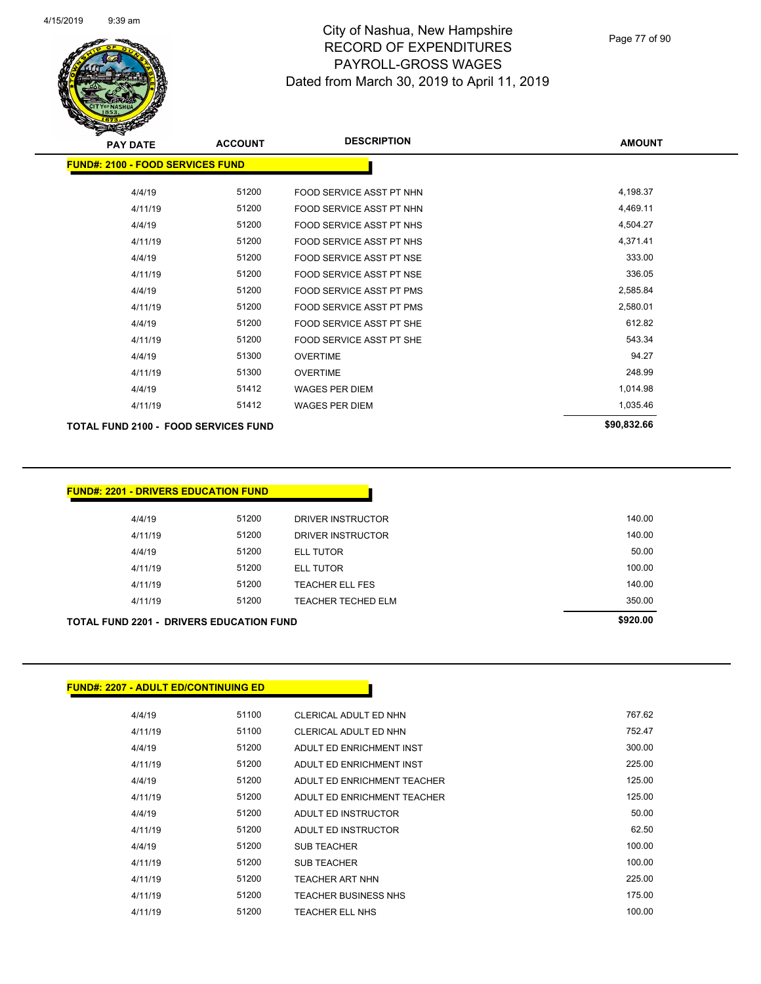

Page 77 of 90

| <b>PAY DATE</b>                             | <b>ACCOUNT</b> | <b>DESCRIPTION</b>              | <b>AMOUNT</b> |
|---------------------------------------------|----------------|---------------------------------|---------------|
| <b>FUND#: 2100 - FOOD SERVICES FUND</b>     |                |                                 |               |
| 4/4/19                                      | 51200          | FOOD SERVICE ASST PT NHN        | 4,198.37      |
| 4/11/19                                     | 51200          | FOOD SERVICE ASST PT NHN        | 4,469.11      |
| 4/4/19                                      | 51200          | <b>FOOD SERVICE ASST PT NHS</b> | 4,504.27      |
| 4/11/19                                     | 51200          | <b>FOOD SERVICE ASST PT NHS</b> | 4,371.41      |
| 4/4/19                                      | 51200          | <b>FOOD SERVICE ASST PT NSE</b> | 333.00        |
| 4/11/19                                     | 51200          | <b>FOOD SERVICE ASST PT NSE</b> | 336.05        |
| 4/4/19                                      | 51200          | <b>FOOD SERVICE ASST PT PMS</b> | 2,585.84      |
| 4/11/19                                     | 51200          | <b>FOOD SERVICE ASST PT PMS</b> | 2,580.01      |
| 4/4/19                                      | 51200          | FOOD SERVICE ASST PT SHE        | 612.82        |
| 4/11/19                                     | 51200          | <b>FOOD SERVICE ASST PT SHE</b> | 543.34        |
| 4/4/19                                      | 51300          | <b>OVERTIME</b>                 | 94.27         |
| 4/11/19                                     | 51300          | <b>OVERTIME</b>                 | 248.99        |
| 4/4/19                                      | 51412          | <b>WAGES PER DIEM</b>           | 1,014.98      |
| 4/11/19                                     | 51412          | <b>WAGES PER DIEM</b>           | 1,035.46      |
| <b>TOTAL FUND 2100 - FOOD SERVICES FUND</b> |                |                                 | \$90,832.66   |

| 51200<br>4/11/19 | <b>TEACHER ELL FES</b>    | 140.00                  |
|------------------|---------------------------|-------------------------|
|                  |                           |                         |
| 4/11/19          | 51200<br><b>ELL TUTOR</b> | 100.00                  |
|                  | <b>ELL TUTOR</b>          | 50.00                   |
|                  | DRIVER INSTRUCTOR         | 140.00                  |
|                  | DRIVER INSTRUCTOR         | 140.00                  |
| 4/4/19<br>4/4/19 | 4/11/19                   | 51200<br>51200<br>51200 |

| <b>FUND#: 2207 - ADULT ED/CONTINUING ED</b> |       |                             |        |
|---------------------------------------------|-------|-----------------------------|--------|
| 4/4/19                                      | 51100 | CLERICAL ADULT ED NHN       | 767.62 |
| 4/11/19                                     | 51100 | CLERICAL ADULT ED NHN       | 752.47 |
| 4/4/19                                      | 51200 | ADULT ED ENRICHMENT INST    | 300.00 |
| 4/11/19                                     | 51200 | ADULT ED ENRICHMENT INST    | 225.00 |
| 4/4/19                                      | 51200 | ADULT ED ENRICHMENT TEACHER | 125.00 |
| 4/11/19                                     | 51200 | ADULT ED ENRICHMENT TEACHER | 125.00 |
| 4/4/19                                      | 51200 | ADULT ED INSTRUCTOR         | 50.00  |
| 4/11/19                                     | 51200 | ADULT ED INSTRUCTOR         | 62.50  |
| 4/4/19                                      | 51200 | <b>SUB TEACHER</b>          | 100.00 |
| 4/11/19                                     | 51200 | <b>SUB TEACHER</b>          | 100.00 |
| 4/11/19                                     | 51200 | <b>TEACHER ART NHN</b>      | 225.00 |
| 4/11/19                                     | 51200 | <b>TEACHER BUSINESS NHS</b> | 175.00 |
| 4/11/19                                     | 51200 | <b>TEACHER ELL NHS</b>      | 100.00 |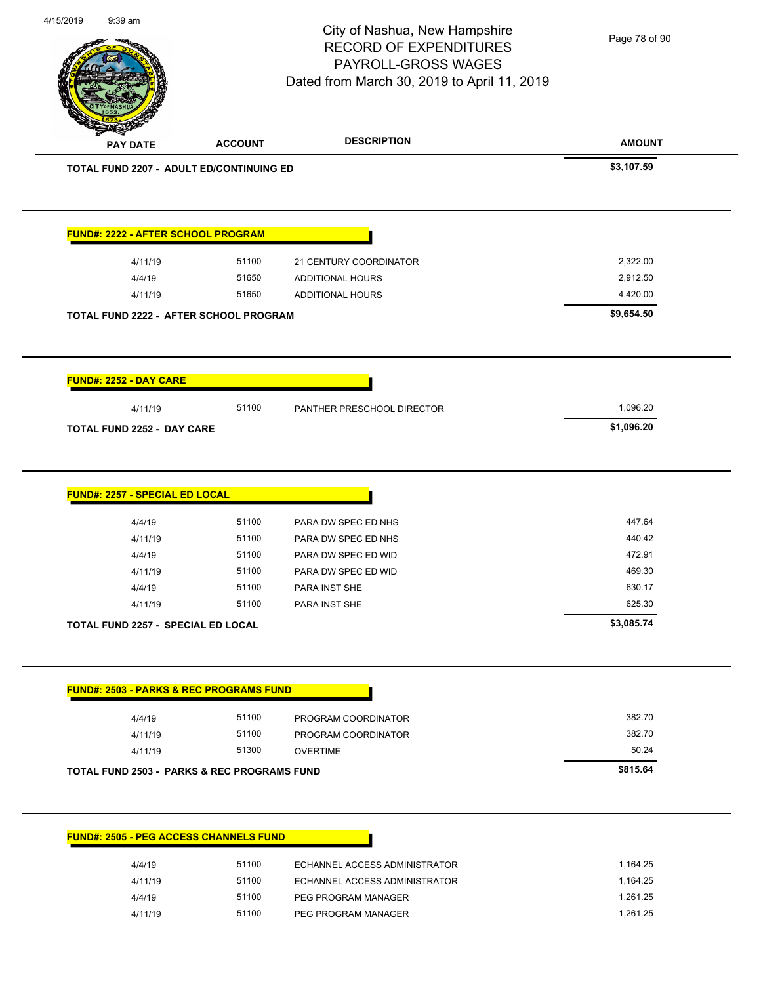City of Nashua, New Hampshire RECORD OF EXPENDITURES PAYROLL-GROSS WAGES Page 78 of 90

Dated from March 30, 2019 to April 11, 2019

4/15/2019 9:39 am

| <b>PAY DATE</b>                                    | <b>ACCOUNT</b> | <b>DESCRIPTION</b>         | <b>AMOUNT</b> |
|----------------------------------------------------|----------------|----------------------------|---------------|
| TOTAL FUND 2207 - ADULT ED/CONTINUING ED           |                |                            | \$3,107.59    |
| <b>FUND#: 2222 - AFTER SCHOOL PROGRAM</b>          |                |                            |               |
| 4/11/19                                            | 51100          | 21 CENTURY COORDINATOR     | 2,322.00      |
| 4/4/19                                             | 51650          | <b>ADDITIONAL HOURS</b>    | 2,912.50      |
| 4/11/19                                            | 51650          | ADDITIONAL HOURS           | 4,420.00      |
| TOTAL FUND 2222 - AFTER SCHOOL PROGRAM             |                |                            | \$9,654.50    |
| <b>FUND#: 2252 - DAY CARE</b>                      |                |                            |               |
| 4/11/19                                            | 51100          | PANTHER PRESCHOOL DIRECTOR | 1,096.20      |
| <b>TOTAL FUND 2252 - DAY CARE</b>                  |                |                            | \$1,096.20    |
| <b>FUND#: 2257 - SPECIAL ED LOCAL</b>              |                |                            |               |
| 4/4/19                                             | 51100          | PARA DW SPEC ED NHS        | 447.64        |
| 4/11/19                                            | 51100          | PARA DW SPEC ED NHS        | 440.42        |
| 4/4/19                                             | 51100          | PARA DW SPEC ED WID        | 472.91        |
| 4/11/19                                            | 51100          | PARA DW SPEC ED WID        | 469.30        |
| 4/4/19                                             | 51100          | PARA INST SHE              | 630.17        |
| 4/11/19                                            | 51100          | PARA INST SHE              | 625.30        |
| <b>TOTAL FUND 2257 - SPECIAL ED LOCAL</b>          |                |                            | \$3,085.74    |
| <b>FUND#: 2503 - PARKS &amp; REC PROGRAMS FUND</b> |                |                            |               |
| 4/4/19                                             | 51100          | PROGRAM COORDINATOR        | 382.70        |
| 4/11/19                                            | 51100          | PROGRAM COORDINATOR        | 382.70        |
| 4/11/19                                            | 51300          | <b>OVERTIME</b>            | 50.24         |
|                                                    |                |                            | \$815.64      |
| TOTAL FUND 2503 - PARKS & REC PROGRAMS FUND        |                |                            |               |

| 4/4/19  | 51100 | ECHANNEL ACCESS ADMINISTRATOR | 1.164.25 |
|---------|-------|-------------------------------|----------|
| 4/11/19 | 51100 | ECHANNEL ACCESS ADMINISTRATOR | .164.25  |

**FUND#: 2505 - PEG ACCESS CHANNELS FUND**

4/11/19 51100 ECHANNEL ACCESS ADMINISTRATOR 1,164.25 4/4/19 51100 PEG PROGRAM MANAGER 1,261.25 4/11/19 51100 PEG PROGRAM MANAGER 1,261.25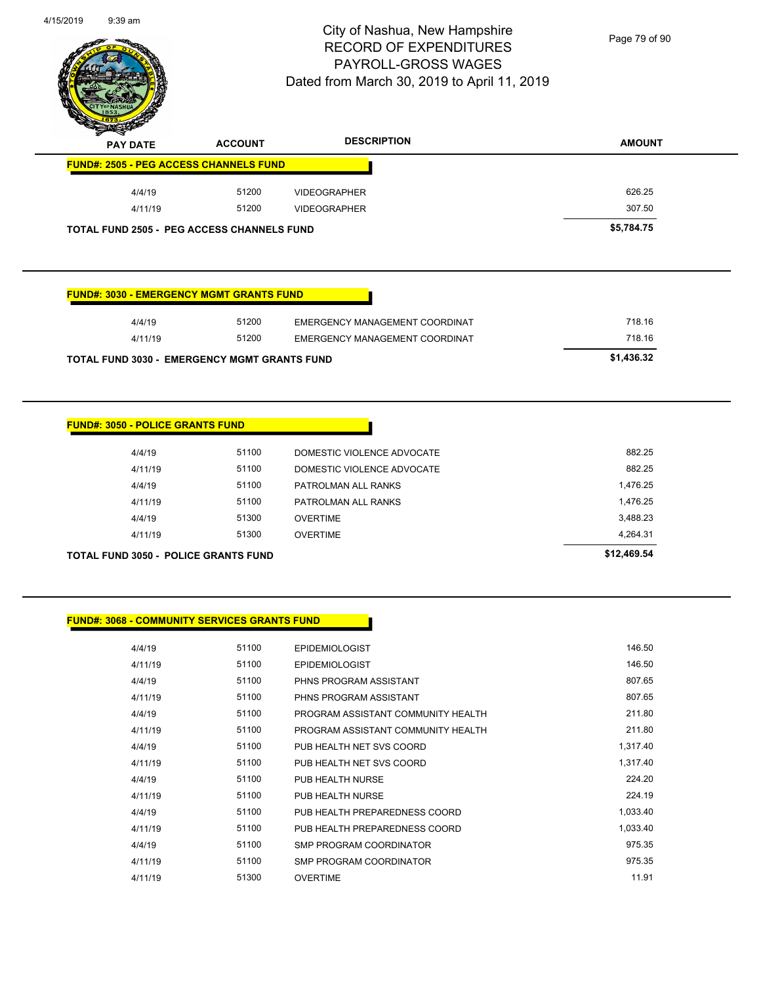

Page 79 of 90

| z<br>◅<br><b>PAY DATE</b>                         | <b>ACCOUNT</b> | <b>DESCRIPTION</b>  | <b>AMOUNT</b> |
|---------------------------------------------------|----------------|---------------------|---------------|
| <b>FUND#: 2505 - PEG ACCESS CHANNELS FUND</b>     |                |                     |               |
| 4/4/19                                            | 51200          | <b>VIDEOGRAPHER</b> | 626.25        |
| 4/11/19                                           | 51200          | <b>VIDEOGRAPHER</b> | 307.50        |
| <b>TOTAL FUND 2505 - PEG ACCESS CHANNELS FUND</b> |                |                     | \$5,784.75    |

#### **FUND#: 3030 - EMERGENCY MGMT GRANTS FUND**

| <b>TOTAL FUND 3030 - EMERGENCY MGMT GRANTS FUND</b> |       |                                | \$1,436.32 |
|-----------------------------------------------------|-------|--------------------------------|------------|
| 4/11/19                                             | 51200 | EMERGENCY MANAGEMENT COORDINAT | 718.16     |
| 4/4/19                                              | 51200 | EMERGENCY MANAGEMENT COORDINAT | 718.16     |

#### **FUND#: 3050 - POLICE GRANTS FUND**

| TOTAL FUND 3050 - POLICE GRANTS FUND |       |                            | \$12,469.54 |
|--------------------------------------|-------|----------------------------|-------------|
| 4/11/19                              | 51300 | <b>OVERTIME</b>            | 4,264.31    |
| 4/4/19                               | 51300 | <b>OVERTIME</b>            | 3.488.23    |
| 4/11/19                              | 51100 | PATROLMAN ALL RANKS        | 1.476.25    |
| 4/4/19                               | 51100 | PATROLMAN ALL RANKS        | 1.476.25    |
| 4/11/19                              | 51100 | DOMESTIC VIOLENCE ADVOCATE | 882.25      |
| 4/4/19                               | 51100 | DOMESTIC VIOLENCE ADVOCATE | 882.25      |
|                                      |       |                            |             |

#### **FUND#: 3068 - COMMUNITY SERVICES GRANTS FUND**

| 4/4/19  | 51100 | <b>EPIDEMIOLOGIST</b>              | 146.50   |
|---------|-------|------------------------------------|----------|
| 4/11/19 | 51100 | <b>EPIDEMIOLOGIST</b>              | 146.50   |
| 4/4/19  | 51100 | PHNS PROGRAM ASSISTANT             | 807.65   |
| 4/11/19 | 51100 | PHNS PROGRAM ASSISTANT             | 807.65   |
| 4/4/19  | 51100 | PROGRAM ASSISTANT COMMUNITY HEALTH | 211.80   |
| 4/11/19 | 51100 | PROGRAM ASSISTANT COMMUNITY HEALTH | 211.80   |
| 4/4/19  | 51100 | PUB HEALTH NET SVS COORD           | 1,317.40 |
| 4/11/19 | 51100 | PUB HEALTH NET SVS COORD           | 1,317.40 |
| 4/4/19  | 51100 | PUB HEALTH NURSE                   | 224.20   |
| 4/11/19 | 51100 | PUB HEALTH NURSE                   | 224.19   |
| 4/4/19  | 51100 | PUB HEALTH PREPAREDNESS COORD      | 1,033.40 |
| 4/11/19 | 51100 | PUB HEALTH PREPAREDNESS COORD      | 1,033.40 |
| 4/4/19  | 51100 | SMP PROGRAM COORDINATOR            | 975.35   |
| 4/11/19 | 51100 | SMP PROGRAM COORDINATOR            | 975.35   |
| 4/11/19 | 51300 | <b>OVERTIME</b>                    | 11.91    |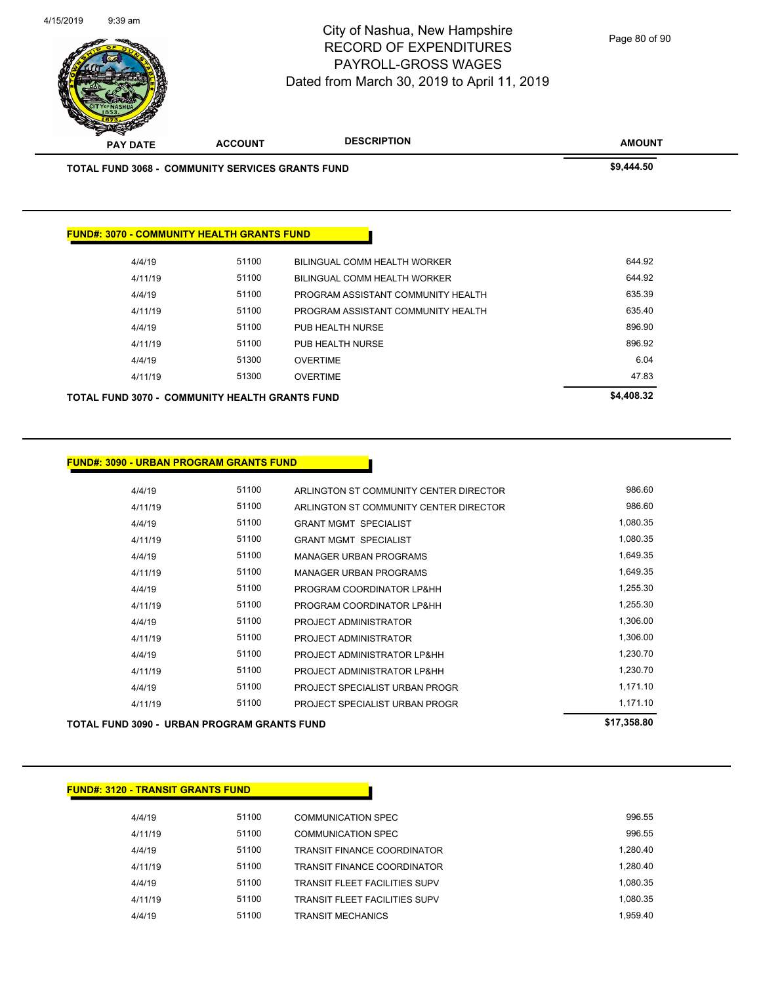

Page 80 of 90

| <b>TOTAL FUND 3068 - COMMUNITY SERVICES GRANTS FUND</b> |       | \$9,444.50                         |        |
|---------------------------------------------------------|-------|------------------------------------|--------|
|                                                         |       |                                    |        |
| <b>FUND#: 3070 - COMMUNITY HEALTH GRANTS FUND</b>       |       |                                    |        |
| 4/4/19                                                  | 51100 | BILINGUAL COMM HEALTH WORKER       | 644.92 |
| 4/11/19                                                 | 51100 | BILINGUAL COMM HEALTH WORKER       | 644.92 |
| 4/4/19                                                  | 51100 | PROGRAM ASSISTANT COMMUNITY HEALTH | 635.39 |
| 4/11/19                                                 | 51100 | PROGRAM ASSISTANT COMMUNITY HEALTH | 635.40 |
| 4/4/19                                                  | 51100 | PUB HEALTH NURSE                   | 896.90 |
| 4/11/19                                                 | 51100 | PUB HEALTH NURSE                   | 896.92 |
| 4/4/19                                                  | 51300 | <b>OVERTIME</b>                    | 6.04   |
|                                                         | 51300 | <b>OVERTIME</b>                    | 47.83  |
| 4/11/19                                                 |       |                                    |        |

#### **FUND#: 3090 - URBAN PROGRAM GRANTS FUND**

|         | TOTAL FUND 3090 - URBAN PROGRAM GRANTS FUND |                                        | \$17,358.80 |
|---------|---------------------------------------------|----------------------------------------|-------------|
| 4/11/19 | 51100                                       | PROJECT SPECIALIST URBAN PROGR         | 1,171.10    |
| 4/4/19  | 51100                                       | PROJECT SPECIALIST URBAN PROGR         | 1,171.10    |
| 4/11/19 | 51100                                       | PROJECT ADMINISTRATOR LP&HH            | 1,230.70    |
| 4/4/19  | 51100                                       | PROJECT ADMINISTRATOR LP&HH            | 1,230.70    |
| 4/11/19 | 51100                                       | PROJECT ADMINISTRATOR                  | 1,306.00    |
| 4/4/19  | 51100                                       | PROJECT ADMINISTRATOR                  | 1,306.00    |
| 4/11/19 | 51100                                       | PROGRAM COORDINATOR LP&HH              | 1,255.30    |
| 4/4/19  | 51100                                       | PROGRAM COORDINATOR LP&HH              | 1,255.30    |
| 4/11/19 | 51100                                       | <b>MANAGER URBAN PROGRAMS</b>          | 1,649.35    |
| 4/4/19  | 51100                                       | <b>MANAGER URBAN PROGRAMS</b>          | 1,649.35    |
| 4/11/19 | 51100                                       | <b>GRANT MGMT SPECIALIST</b>           | 1,080.35    |
| 4/4/19  | 51100                                       | <b>GRANT MGMT SPECIALIST</b>           | 1,080.35    |
| 4/11/19 | 51100                                       | ARLINGTON ST COMMUNITY CENTER DIRECTOR | 986.60      |
| 4/4/19  | 51100                                       | ARLINGTON ST COMMUNITY CENTER DIRECTOR | 986.60      |
|         |                                             |                                        |             |

#### **FUND#: 3120 - TRANSIT GRANTS FUND**

| 4/4/19  | 51100 | COMMUNICATION SPEC                    | 996.55   |
|---------|-------|---------------------------------------|----------|
| 4/11/19 | 51100 | COMMUNICATION SPEC                    | 996.55   |
| 4/4/19  | 51100 | <b>TRANSIT FINANCE COORDINATOR</b>    | 1.280.40 |
| 4/11/19 | 51100 | <b>TRANSIT FINANCE COORDINATOR</b>    | 1.280.40 |
| 4/4/19  | 51100 | <b>TRANSIT FI FFT FACILITIES SUPV</b> | 1.080.35 |
| 4/11/19 | 51100 | <b>TRANSIT FLEET FACILITIES SUPV</b>  | 1.080.35 |
| 4/4/19  | 51100 | <b>TRANSIT MECHANICS</b>              | 1.959.40 |
|         |       |                                       |          |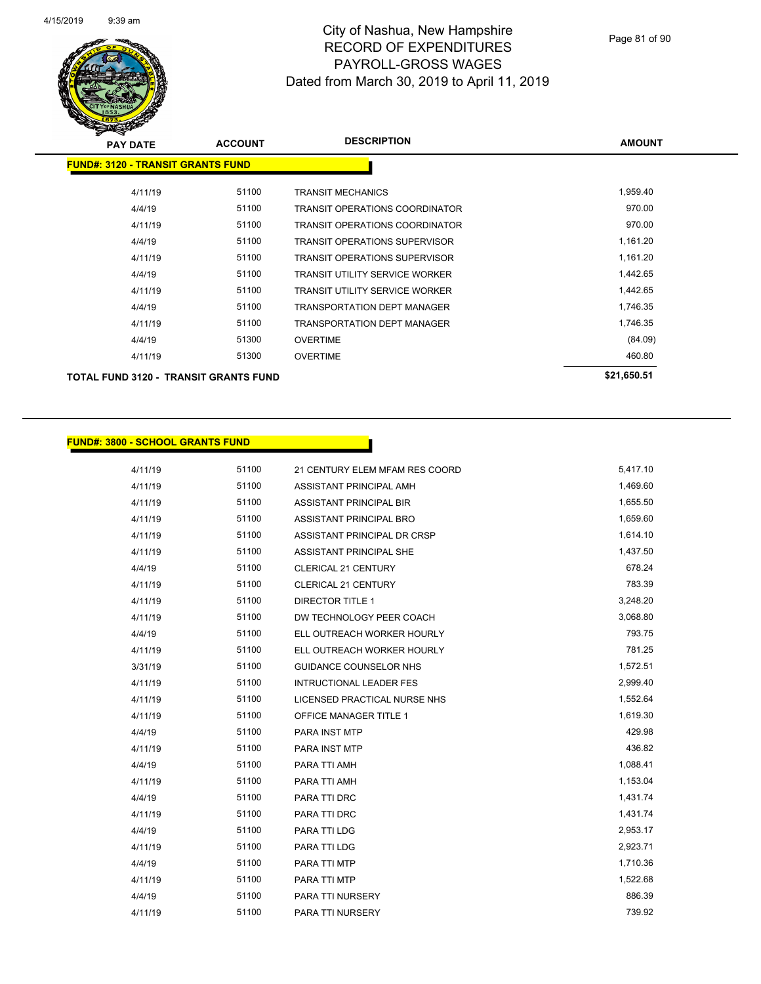

| <b>PAY DATE</b>                          | <b>ACCOUNT</b> | <b>DESCRIPTION</b>                    | <b>AMOUNT</b> |
|------------------------------------------|----------------|---------------------------------------|---------------|
| <b>FUND#: 3120 - TRANSIT GRANTS FUND</b> |                |                                       |               |
| 4/11/19                                  | 51100          | TRANSIT MECHANICS                     | 1,959.40      |
| 4/4/19                                   | 51100          | TRANSIT OPERATIONS COORDINATOR        | 970.00        |
| 4/11/19                                  | 51100          | TRANSIT OPERATIONS COORDINATOR        | 970.00        |
| 4/4/19                                   | 51100          | <b>TRANSIT OPERATIONS SUPERVISOR</b>  | 1,161.20      |
| 4/11/19                                  | 51100          | <b>TRANSIT OPERATIONS SUPERVISOR</b>  | 1,161.20      |
| 4/4/19                                   | 51100          | <b>TRANSIT UTILITY SERVICE WORKER</b> | 1,442.65      |
| 4/11/19                                  | 51100          | <b>TRANSIT UTILITY SERVICE WORKER</b> | 1,442.65      |
| 4/4/19                                   | 51100          | <b>TRANSPORTATION DEPT MANAGER</b>    | 1,746.35      |
| 4/11/19                                  | 51100          | TRANSPORTATION DEPT MANAGER           | 1,746.35      |
| 4/4/19                                   | 51300          | <b>OVERTIME</b>                       | (84.09)       |
| 4/11/19                                  | 51300          | <b>OVERTIME</b>                       | 460.80        |
| TOTAL FUND 3120 - TRANSIT GRANTS FUND    |                |                                       | \$21,650.51   |

#### **FUND#: 3800 - SCHOOL GRANTS FUND**

| 4/11/19 | 51100 | 21 CENTURY ELEM MFAM RES COORD | 5,417.10 |
|---------|-------|--------------------------------|----------|
| 4/11/19 | 51100 | ASSISTANT PRINCIPAL AMH        | 1,469.60 |
| 4/11/19 | 51100 | ASSISTANT PRINCIPAL BIR        | 1,655.50 |
| 4/11/19 | 51100 | ASSISTANT PRINCIPAL BRO        | 1,659.60 |
| 4/11/19 | 51100 | ASSISTANT PRINCIPAL DR CRSP    | 1,614.10 |
| 4/11/19 | 51100 | ASSISTANT PRINCIPAL SHE        | 1,437.50 |
| 4/4/19  | 51100 | CLERICAL 21 CENTURY            | 678.24   |
| 4/11/19 | 51100 | <b>CLERICAL 21 CENTURY</b>     | 783.39   |
| 4/11/19 | 51100 | <b>DIRECTOR TITLE 1</b>        | 3,248.20 |
| 4/11/19 | 51100 | DW TECHNOLOGY PEER COACH       | 3,068.80 |
| 4/4/19  | 51100 | ELL OUTREACH WORKER HOURLY     | 793.75   |
| 4/11/19 | 51100 | ELL OUTREACH WORKER HOURLY     | 781.25   |
| 3/31/19 | 51100 | <b>GUIDANCE COUNSELOR NHS</b>  | 1,572.51 |
| 4/11/19 | 51100 | <b>INTRUCTIONAL LEADER FES</b> | 2,999.40 |
| 4/11/19 | 51100 | LICENSED PRACTICAL NURSE NHS   | 1,552.64 |
| 4/11/19 | 51100 | <b>OFFICE MANAGER TITLE 1</b>  | 1,619.30 |
| 4/4/19  | 51100 | PARA INST MTP                  | 429.98   |
| 4/11/19 | 51100 | <b>PARA INST MTP</b>           | 436.82   |
| 4/4/19  | 51100 | PARA TTI AMH                   | 1,088.41 |
| 4/11/19 | 51100 | PARA TTI AMH                   | 1,153.04 |
| 4/4/19  | 51100 | PARA TTI DRC                   | 1,431.74 |
| 4/11/19 | 51100 | PARA TTI DRC                   | 1,431.74 |
| 4/4/19  | 51100 | PARA TTI LDG                   | 2,953.17 |
| 4/11/19 | 51100 | PARA TTI LDG                   | 2,923.71 |
| 4/4/19  | 51100 | PARA TTI MTP                   | 1,710.36 |
| 4/11/19 | 51100 | PARA TTI MTP                   | 1,522.68 |
| 4/4/19  | 51100 | PARA TTI NURSERY               | 886.39   |
| 4/11/19 | 51100 | <b>PARA TTI NURSERY</b>        | 739.92   |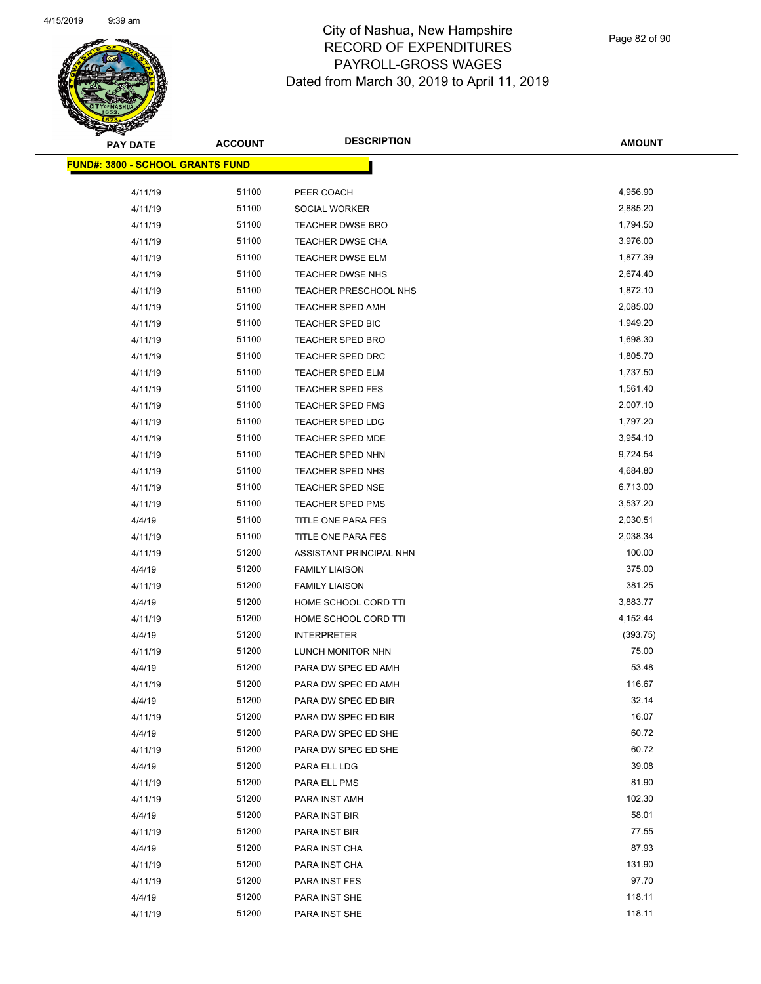

Page 82 of 90

| <b>PAY DATE</b>                         | <b>ACCOUNT</b> | <b>DESCRIPTION</b>      | <b>AMOUNT</b> |
|-----------------------------------------|----------------|-------------------------|---------------|
| <b>FUND#: 3800 - SCHOOL GRANTS FUND</b> |                |                         |               |
| 4/11/19                                 | 51100          | PEER COACH              | 4,956.90      |
| 4/11/19                                 | 51100          | <b>SOCIAL WORKER</b>    | 2,885.20      |
| 4/11/19                                 | 51100          | TEACHER DWSE BRO        | 1,794.50      |
| 4/11/19                                 | 51100          | TEACHER DWSE CHA        | 3,976.00      |
| 4/11/19                                 | 51100          | TEACHER DWSE ELM        | 1,877.39      |
| 4/11/19                                 | 51100          | TEACHER DWSE NHS        | 2,674.40      |
| 4/11/19                                 | 51100          | TEACHER PRESCHOOL NHS   | 1,872.10      |
| 4/11/19                                 | 51100          | TEACHER SPED AMH        | 2,085.00      |
| 4/11/19                                 | 51100          | TEACHER SPED BIC        | 1,949.20      |
| 4/11/19                                 | 51100          | TEACHER SPED BRO        | 1,698.30      |
| 4/11/19                                 | 51100          | <b>TEACHER SPED DRC</b> | 1,805.70      |
| 4/11/19                                 | 51100          | <b>TEACHER SPED ELM</b> | 1,737.50      |
| 4/11/19                                 | 51100          | TEACHER SPED FES        | 1,561.40      |
| 4/11/19                                 | 51100          | <b>TEACHER SPED FMS</b> | 2,007.10      |
| 4/11/19                                 | 51100          | TEACHER SPED LDG        | 1,797.20      |
| 4/11/19                                 | 51100          | TEACHER SPED MDE        | 3,954.10      |
| 4/11/19                                 | 51100          | TEACHER SPED NHN        | 9,724.54      |
| 4/11/19                                 | 51100          | TEACHER SPED NHS        | 4,684.80      |
| 4/11/19                                 | 51100          | TEACHER SPED NSE        | 6,713.00      |
| 4/11/19                                 | 51100          | TEACHER SPED PMS        | 3,537.20      |
| 4/4/19                                  | 51100          | TITLE ONE PARA FES      | 2,030.51      |
| 4/11/19                                 | 51100          | TITLE ONE PARA FES      | 2,038.34      |
| 4/11/19                                 | 51200          | ASSISTANT PRINCIPAL NHN | 100.00        |
| 4/4/19                                  | 51200          | <b>FAMILY LIAISON</b>   | 375.00        |
| 4/11/19                                 | 51200          | <b>FAMILY LIAISON</b>   | 381.25        |
| 4/4/19                                  | 51200          | HOME SCHOOL CORD TTI    | 3,883.77      |
| 4/11/19                                 | 51200          | HOME SCHOOL CORD TTI    | 4,152.44      |
| 4/4/19                                  | 51200          | <b>INTERPRETER</b>      | (393.75)      |
| 4/11/19                                 | 51200          | LUNCH MONITOR NHN       | 75.00         |
| 4/4/19                                  | 51200          | PARA DW SPEC ED AMH     | 53.48         |
| 4/11/19                                 | 51200          | PARA DW SPEC ED AMH     | 116.67        |
| 4/4/19                                  | 51200          | PARA DW SPEC ED BIR     | 32.14         |
| 4/11/19                                 | 51200          | PARA DW SPEC ED BIR     | 16.07         |
| 4/4/19                                  | 51200          | PARA DW SPEC ED SHE     | 60.72         |
| 4/11/19                                 | 51200          | PARA DW SPEC ED SHE     | 60.72         |
| 4/4/19                                  | 51200          | PARA ELL LDG            | 39.08         |
| 4/11/19                                 | 51200          | PARA ELL PMS            | 81.90         |
| 4/11/19                                 | 51200          | PARA INST AMH           | 102.30        |
| 4/4/19                                  | 51200          | PARA INST BIR           | 58.01         |
| 4/11/19                                 | 51200          | PARA INST BIR           | 77.55         |
| 4/4/19                                  | 51200          | PARA INST CHA           | 87.93         |
| 4/11/19                                 | 51200          | PARA INST CHA           | 131.90        |
| 4/11/19                                 | 51200          | PARA INST FES           | 97.70         |
| 4/4/19                                  | 51200          | PARA INST SHE           | 118.11        |
| 4/11/19                                 | 51200          | PARA INST SHE           | 118.11        |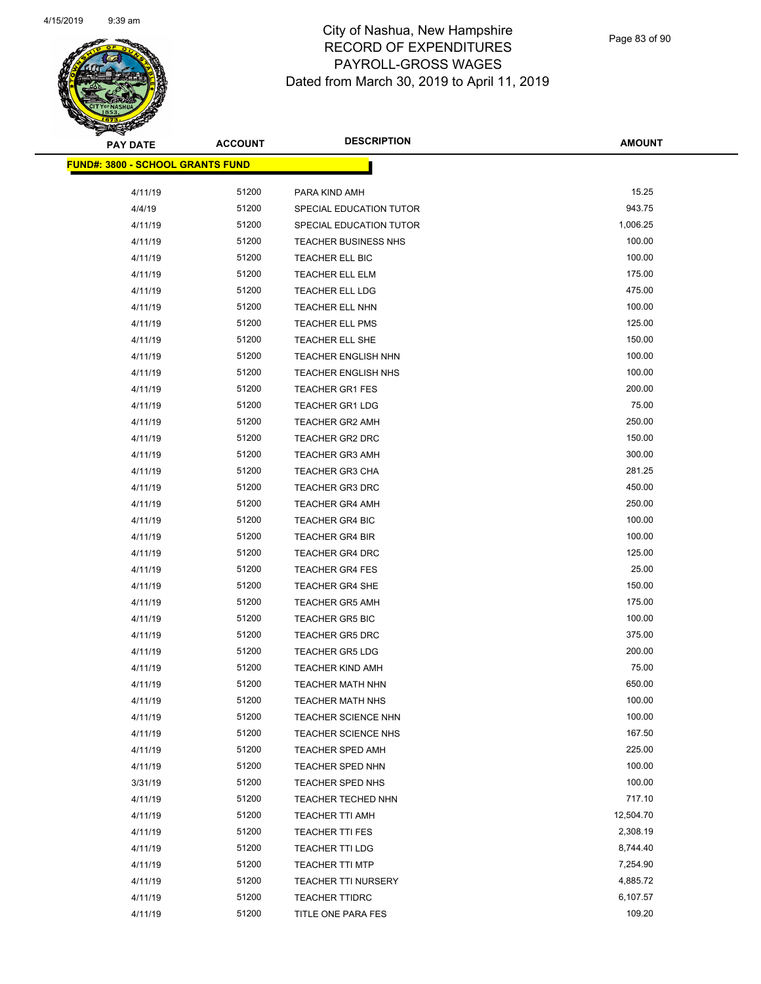

| <b>PAY DATE</b>                          | <b>ACCOUNT</b> | <b>DESCRIPTION</b>                       | <b>AMOUNT</b> |
|------------------------------------------|----------------|------------------------------------------|---------------|
| <u> FUND#: 3800 - SCHOOL GRANTS FUND</u> |                |                                          |               |
|                                          |                |                                          | 15.25         |
| 4/11/19<br>4/4/19                        | 51200<br>51200 | PARA KIND AMH<br>SPECIAL EDUCATION TUTOR | 943.75        |
|                                          | 51200          |                                          | 1,006.25      |
| 4/11/19                                  | 51200          | SPECIAL EDUCATION TUTOR                  | 100.00        |
| 4/11/19                                  |                | <b>TEACHER BUSINESS NHS</b>              | 100.00        |
| 4/11/19                                  | 51200          | <b>TEACHER ELL BIC</b>                   |               |
| 4/11/19                                  | 51200          | <b>TEACHER ELL ELM</b>                   | 175.00        |
| 4/11/19                                  | 51200          | <b>TEACHER ELL LDG</b>                   | 475.00        |
| 4/11/19                                  | 51200          | TEACHER ELL NHN                          | 100.00        |
| 4/11/19                                  | 51200          | <b>TEACHER ELL PMS</b>                   | 125.00        |
| 4/11/19                                  | 51200          | TEACHER ELL SHE                          | 150.00        |
| 4/11/19                                  | 51200          | <b>TEACHER ENGLISH NHN</b>               | 100.00        |
| 4/11/19                                  | 51200          | <b>TEACHER ENGLISH NHS</b>               | 100.00        |
| 4/11/19                                  | 51200          | <b>TEACHER GR1 FES</b>                   | 200.00        |
| 4/11/19                                  | 51200          | <b>TEACHER GR1 LDG</b>                   | 75.00         |
| 4/11/19                                  | 51200          | <b>TEACHER GR2 AMH</b>                   | 250.00        |
| 4/11/19                                  | 51200          | <b>TEACHER GR2 DRC</b>                   | 150.00        |
| 4/11/19                                  | 51200          | <b>TEACHER GR3 AMH</b>                   | 300.00        |
| 4/11/19                                  | 51200          | <b>TEACHER GR3 CHA</b>                   | 281.25        |
| 4/11/19                                  | 51200          | <b>TEACHER GR3 DRC</b>                   | 450.00        |
| 4/11/19                                  | 51200          | <b>TEACHER GR4 AMH</b>                   | 250.00        |
| 4/11/19                                  | 51200          | <b>TEACHER GR4 BIC</b>                   | 100.00        |
| 4/11/19                                  | 51200          | <b>TEACHER GR4 BIR</b>                   | 100.00        |
| 4/11/19                                  | 51200          | <b>TEACHER GR4 DRC</b>                   | 125.00        |
| 4/11/19                                  | 51200          | <b>TEACHER GR4 FES</b>                   | 25.00         |
| 4/11/19                                  | 51200          | <b>TEACHER GR4 SHE</b>                   | 150.00        |
| 4/11/19                                  | 51200          | <b>TEACHER GR5 AMH</b>                   | 175.00        |
| 4/11/19                                  | 51200          | <b>TEACHER GR5 BIC</b>                   | 100.00        |
| 4/11/19                                  | 51200          | <b>TEACHER GR5 DRC</b>                   | 375.00        |
| 4/11/19                                  | 51200          | <b>TEACHER GR5 LDG</b>                   | 200.00        |
| 4/11/19                                  | 51200          | <b>TEACHER KIND AMH</b>                  | 75.00         |
| 4/11/19                                  | 51200          | <b>TEACHER MATH NHN</b>                  | 650.00        |
| 4/11/19                                  | 51200          | <b>TEACHER MATH NHS</b>                  | 100.00        |
| 4/11/19                                  | 51200          | TEACHER SCIENCE NHN                      | 100.00        |
| 4/11/19                                  | 51200          | <b>TEACHER SCIENCE NHS</b>               | 167.50        |
| 4/11/19                                  | 51200          | TEACHER SPED AMH                         | 225.00        |
| 4/11/19                                  | 51200          | <b>TEACHER SPED NHN</b>                  | 100.00        |
| 3/31/19                                  | 51200          | <b>TEACHER SPED NHS</b>                  | 100.00        |
| 4/11/19                                  | 51200          | <b>TEACHER TECHED NHN</b>                | 717.10        |
| 4/11/19                                  | 51200          | TEACHER TTI AMH                          | 12,504.70     |
| 4/11/19                                  | 51200          | TEACHER TTI FES                          | 2,308.19      |
| 4/11/19                                  | 51200          | <b>TEACHER TTI LDG</b>                   | 8,744.40      |
| 4/11/19                                  | 51200          | <b>TEACHER TTI MTP</b>                   | 7,254.90      |
| 4/11/19                                  | 51200          | <b>TEACHER TTI NURSERY</b>               | 4,885.72      |
| 4/11/19                                  | 51200          | <b>TEACHER TTIDRC</b>                    | 6,107.57      |
| 4/11/19                                  | 51200          | TITLE ONE PARA FES                       | 109.20        |
|                                          |                |                                          |               |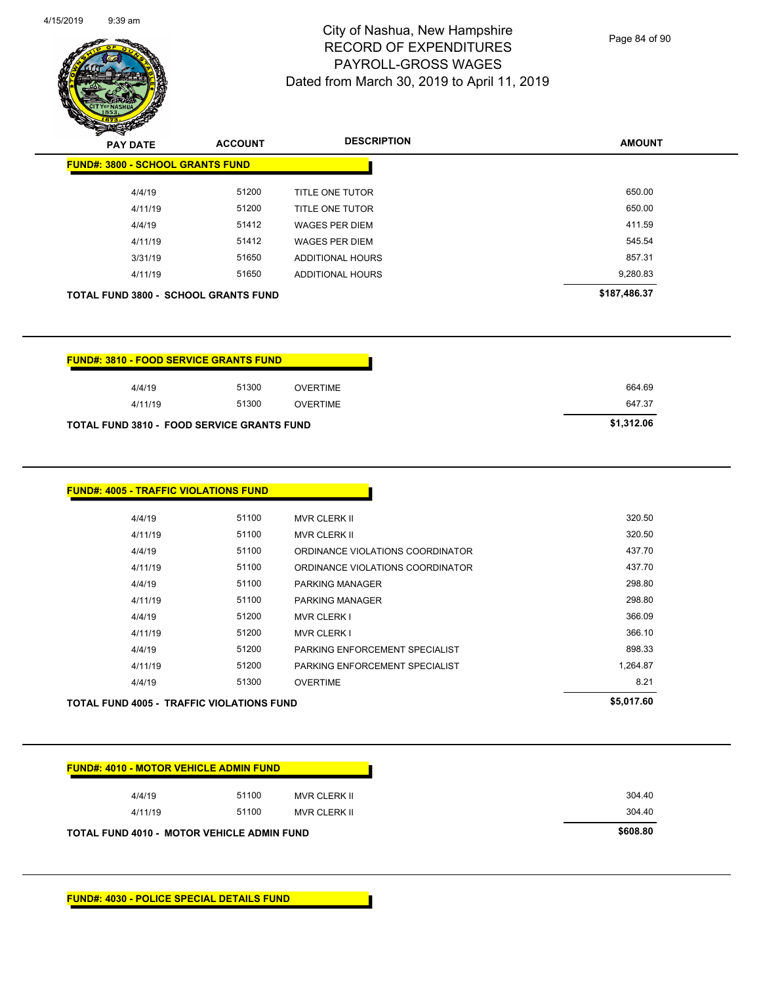

Page 84 of 90

| z v<br><b>PAY DATE</b>                      | <b>ACCOUNT</b> | <b>DESCRIPTION</b>      | <b>AMOUNT</b> |
|---------------------------------------------|----------------|-------------------------|---------------|
| <b>FUND#: 3800 - SCHOOL GRANTS FUND</b>     |                |                         |               |
| 4/4/19                                      | 51200          | <b>TITLE ONE TUTOR</b>  | 650.00        |
| 4/11/19                                     | 51200          | TITLE ONE TUTOR         | 650.00        |
| 4/4/19                                      | 51412          | <b>WAGES PER DIEM</b>   | 411.59        |
| 4/11/19                                     | 51412          | <b>WAGES PER DIEM</b>   | 545.54        |
| 3/31/19                                     | 51650          | <b>ADDITIONAL HOURS</b> | 857.31        |
| 4/11/19                                     | 51650          | ADDITIONAL HOURS        | 9,280.83      |
| <b>TOTAL FUND 3800 - SCHOOL GRANTS FUND</b> |                |                         | \$187,486.37  |

| <b>FUND#: 3810 - FOOD SERVICE GRANTS FUND</b>     |       |                 |            |
|---------------------------------------------------|-------|-----------------|------------|
| 4/4/19                                            | 51300 | <b>OVERTIME</b> |            |
| 4/11/19                                           | 51300 | OVERTIME        | 647.37     |
| <b>TOTAL FUND 3810 - FOOD SERVICE GRANTS FUND</b> |       |                 | \$1.312.06 |

| 4/11/19<br>4/4/19 | 51100<br>51100 | ORDINANCE VIOLATIONS COORDINATOR<br><b>PARKING MANAGER</b>       | 437.70<br>298.80 |
|-------------------|----------------|------------------------------------------------------------------|------------------|
| 4/11/19           | 51100          | <b>PARKING MANAGER</b>                                           | 298.80           |
| 4/4/19            | 51200          | <b>MVR CLERK I</b>                                               | 366.09           |
| 4/11/19           | 51200          | <b>MVR CLERK I</b>                                               | 366.10           |
|                   | 51200          |                                                                  | 898.33           |
|                   |                |                                                                  | 1,264.87         |
| 4/4/19<br>4/11/19 | 51200          | PARKING ENFORCEMENT SPECIALIST<br>PARKING ENFORCEMENT SPECIALIST |                  |
| 4/4/19            | 51300          | <b>OVERTIME</b>                                                  | 8.21             |

| 4/4/19  | 51100 | MVR CLERK II        | 304.40 |
|---------|-------|---------------------|--------|
| 4/11/19 | 51100 | <b>MVR CLERK II</b> | 304.40 |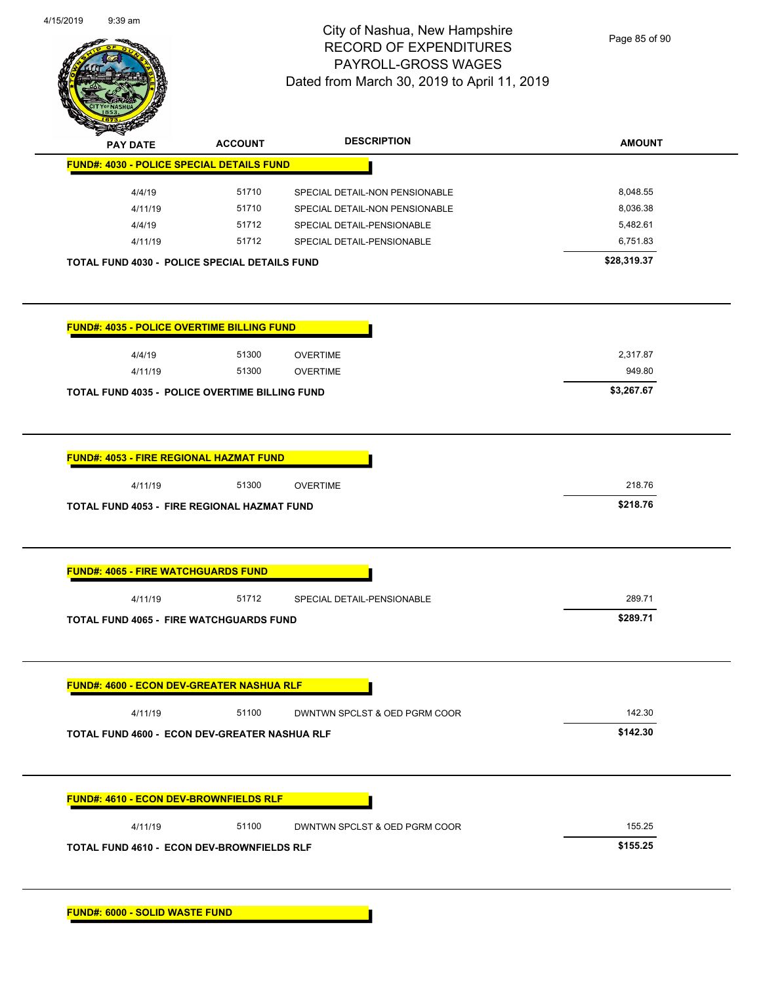

Page 85 of 90

|                                                       | <b>ACCOUNT</b> | <b>DESCRIPTION</b>             | <b>AMOUNT</b> |
|-------------------------------------------------------|----------------|--------------------------------|---------------|
| <b>FUND#: 4030 - POLICE SPECIAL DETAILS FUND</b>      |                |                                |               |
| 4/4/19                                                | 51710          | SPECIAL DETAIL-NON PENSIONABLE | 8,048.55      |
| 4/11/19                                               | 51710          | SPECIAL DETAIL-NON PENSIONABLE | 8,036.38      |
| 4/4/19                                                | 51712          | SPECIAL DETAIL-PENSIONABLE     | 5,482.61      |
| 4/11/19                                               | 51712          | SPECIAL DETAIL-PENSIONABLE     | 6,751.83      |
| <b>TOTAL FUND 4030 - POLICE SPECIAL DETAILS FUND</b>  |                |                                | \$28,319.37   |
| <b>FUND#: 4035 - POLICE OVERTIME BILLING FUND</b>     |                |                                |               |
| 4/4/19                                                | 51300          | <b>OVERTIME</b>                | 2,317.87      |
| 4/11/19                                               | 51300          | <b>OVERTIME</b>                | 949.80        |
| <b>TOTAL FUND 4035 - POLICE OVERTIME BILLING FUND</b> |                |                                | \$3,267.67    |
|                                                       |                |                                |               |
| <b>FUND#: 4053 - FIRE REGIONAL HAZMAT FUND</b>        |                |                                |               |
| 4/11/19                                               | 51300          | <b>OVERTIME</b>                | 218.76        |
| <b>TOTAL FUND 4053 - FIRE REGIONAL HAZMAT FUND</b>    |                |                                | \$218.76      |
|                                                       |                |                                |               |
|                                                       |                |                                |               |
|                                                       |                |                                |               |
| <b>FUND#: 4065 - FIRE WATCHGUARDS FUND</b>            |                |                                |               |
| 4/11/19                                               | 51712          | SPECIAL DETAIL-PENSIONABLE     | 289.71        |
| <b>TOTAL FUND 4065 - FIRE WATCHGUARDS FUND</b>        |                |                                | \$289.71      |
| <b>FUND#: 4600 - ECON DEV-GREATER NASHUA RLF</b>      |                |                                |               |
|                                                       |                |                                |               |
| 4/11/19                                               | 51100          | DWNTWN SPCLST & OED PGRM COOR  | 142.30        |
| TOTAL FUND 4600 - ECON DEV-GREATER NASHUA RLF         |                |                                | \$142.30      |
| <b>FUND#: 4610 - ECON DEV-BROWNFIELDS RLF</b>         |                |                                |               |
| 4/11/19                                               | 51100          | DWNTWN SPCLST & OED PGRM COOR  | 155.25        |
| <b>TOTAL FUND 4610 - ECON DEV-BROWNFIELDS RLF</b>     |                |                                | \$155.25      |

**FUND#: 6000 - SOLID WASTE FUND**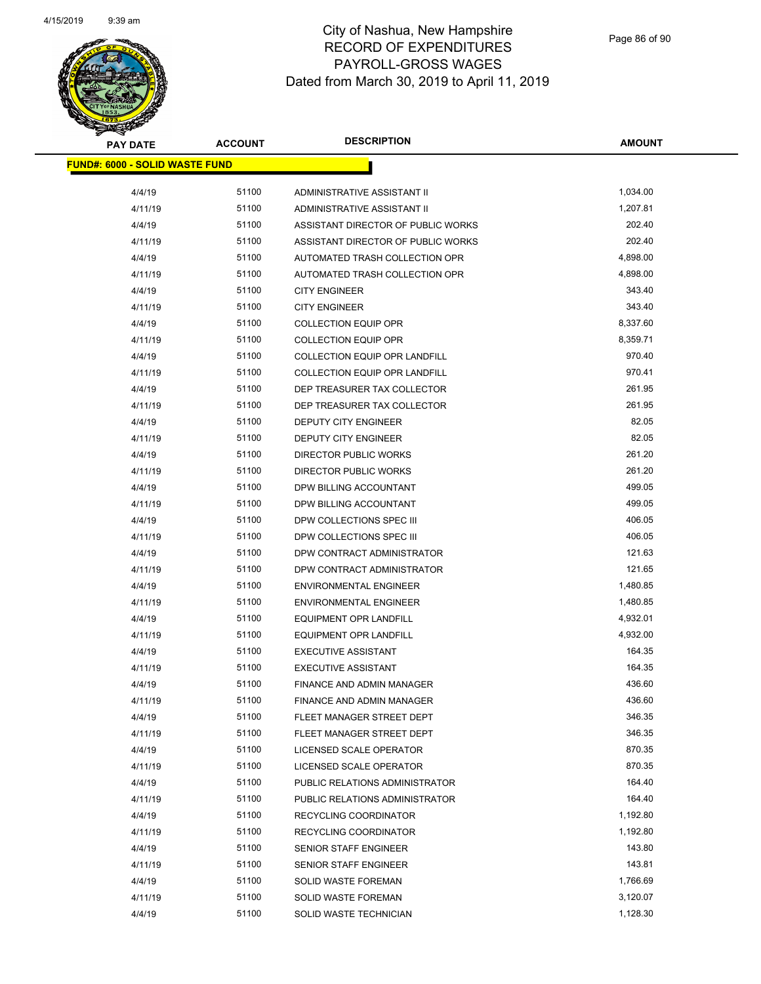

| <b>PAY DATE</b>                        | <b>ACCOUNT</b> | <b>DESCRIPTION</b>                   | <b>AMOUNT</b> |
|----------------------------------------|----------------|--------------------------------------|---------------|
| <u> FUND#: 6000 - SOLID WASTE FUND</u> |                |                                      |               |
|                                        |                |                                      |               |
| 4/4/19                                 | 51100          | ADMINISTRATIVE ASSISTANT II          | 1,034.00      |
| 4/11/19                                | 51100          | ADMINISTRATIVE ASSISTANT II          | 1,207.81      |
| 4/4/19                                 | 51100          | ASSISTANT DIRECTOR OF PUBLIC WORKS   | 202.40        |
| 4/11/19                                | 51100          | ASSISTANT DIRECTOR OF PUBLIC WORKS   | 202.40        |
| 4/4/19                                 | 51100          | AUTOMATED TRASH COLLECTION OPR       | 4,898.00      |
| 4/11/19                                | 51100          | AUTOMATED TRASH COLLECTION OPR       | 4,898.00      |
| 4/4/19                                 | 51100          | <b>CITY ENGINEER</b>                 | 343.40        |
| 4/11/19                                | 51100          | <b>CITY ENGINEER</b>                 | 343.40        |
| 4/4/19                                 | 51100          | <b>COLLECTION EQUIP OPR</b>          | 8,337.60      |
| 4/11/19                                | 51100          | <b>COLLECTION EQUIP OPR</b>          | 8,359.71      |
| 4/4/19                                 | 51100          | <b>COLLECTION EQUIP OPR LANDFILL</b> | 970.40        |
| 4/11/19                                | 51100          | <b>COLLECTION EQUIP OPR LANDFILL</b> | 970.41        |
| 4/4/19                                 | 51100          | DEP TREASURER TAX COLLECTOR          | 261.95        |
| 4/11/19                                | 51100          | DEP TREASURER TAX COLLECTOR          | 261.95        |
| 4/4/19                                 | 51100          | DEPUTY CITY ENGINEER                 | 82.05         |
| 4/11/19                                | 51100          | <b>DEPUTY CITY ENGINEER</b>          | 82.05         |
| 4/4/19                                 | 51100          | DIRECTOR PUBLIC WORKS                | 261.20        |
| 4/11/19                                | 51100          | <b>DIRECTOR PUBLIC WORKS</b>         | 261.20        |
| 4/4/19                                 | 51100          | DPW BILLING ACCOUNTANT               | 499.05        |
| 4/11/19                                | 51100          | DPW BILLING ACCOUNTANT               | 499.05        |
| 4/4/19                                 | 51100          | DPW COLLECTIONS SPEC III             | 406.05        |
| 4/11/19                                | 51100          | DPW COLLECTIONS SPEC III             | 406.05        |
| 4/4/19                                 | 51100          | DPW CONTRACT ADMINISTRATOR           | 121.63        |
| 4/11/19                                | 51100          | DPW CONTRACT ADMINISTRATOR           | 121.65        |
| 4/4/19                                 | 51100          | <b>ENVIRONMENTAL ENGINEER</b>        | 1,480.85      |
| 4/11/19                                | 51100          | <b>ENVIRONMENTAL ENGINEER</b>        | 1,480.85      |
| 4/4/19                                 | 51100          | <b>EQUIPMENT OPR LANDFILL</b>        | 4,932.01      |
| 4/11/19                                | 51100          | <b>EQUIPMENT OPR LANDFILL</b>        | 4,932.00      |
| 4/4/19                                 | 51100          | <b>EXECUTIVE ASSISTANT</b>           | 164.35        |
| 4/11/19                                | 51100          | <b>EXECUTIVE ASSISTANT</b>           | 164.35        |
| 4/4/19                                 | 51100          | <b>FINANCE AND ADMIN MANAGER</b>     | 436.60        |
| 4/11/19                                | 51100          | FINANCE AND ADMIN MANAGER            | 436.60        |
| 4/4/19                                 | 51100          | FLEET MANAGER STREET DEPT            | 346.35        |
| 4/11/19                                | 51100          | FLEET MANAGER STREET DEPT            | 346.35        |
| 4/4/19                                 | 51100          | LICENSED SCALE OPERATOR              | 870.35        |
| 4/11/19                                | 51100          | LICENSED SCALE OPERATOR              | 870.35        |
| 4/4/19                                 | 51100          | PUBLIC RELATIONS ADMINISTRATOR       | 164.40        |
| 4/11/19                                | 51100          | PUBLIC RELATIONS ADMINISTRATOR       | 164.40        |
| 4/4/19                                 | 51100          | RECYCLING COORDINATOR                | 1,192.80      |
| 4/11/19                                | 51100          | RECYCLING COORDINATOR                | 1,192.80      |
| 4/4/19                                 | 51100          | SENIOR STAFF ENGINEER                | 143.80        |
| 4/11/19                                | 51100          | SENIOR STAFF ENGINEER                | 143.81        |
| 4/4/19                                 | 51100          | <b>SOLID WASTE FOREMAN</b>           | 1,766.69      |
| 4/11/19                                | 51100          | <b>SOLID WASTE FOREMAN</b>           | 3,120.07      |
| 4/4/19                                 | 51100          | SOLID WASTE TECHNICIAN               | 1,128.30      |
|                                        |                |                                      |               |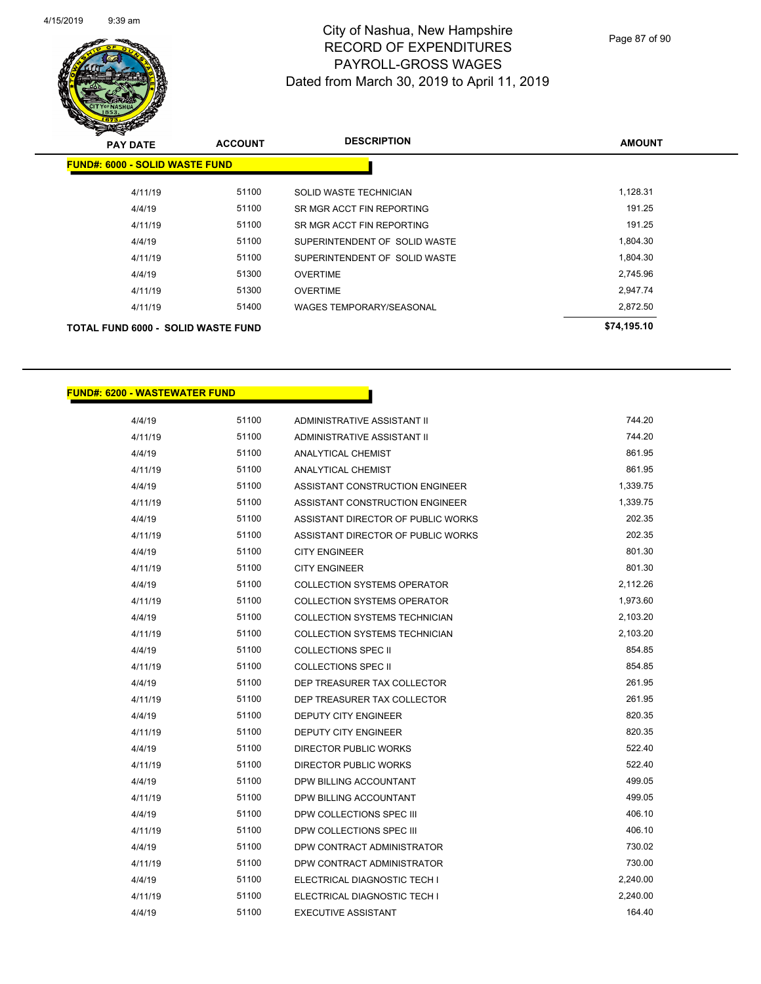

Page 87 of 90

| <b>PAY DATE</b>                           | <b>ACCOUNT</b> | <b>DESCRIPTION</b>              | <b>AMOUNT</b> |
|-------------------------------------------|----------------|---------------------------------|---------------|
| <b>FUND#: 6000 - SOLID WASTE FUND</b>     |                |                                 |               |
| 4/11/19                                   | 51100          | SOLID WASTE TECHNICIAN          | 1,128.31      |
| 4/4/19                                    | 51100          | SR MGR ACCT FIN REPORTING       | 191.25        |
| 4/11/19                                   | 51100          | SR MGR ACCT FIN REPORTING       | 191.25        |
| 4/4/19                                    | 51100          | SUPERINTENDENT OF SOLID WASTE   | 1,804.30      |
| 4/11/19                                   | 51100          | SUPERINTENDENT OF SOLID WASTE   | 1,804.30      |
| 4/4/19                                    | 51300          | <b>OVERTIME</b>                 | 2,745.96      |
| 4/11/19                                   | 51300          | <b>OVERTIME</b>                 | 2.947.74      |
| 4/11/19                                   | 51400          | <b>WAGES TEMPORARY/SEASONAL</b> | 2,872.50      |
| <b>TOTAL FUND 6000 - SOLID WASTE FUND</b> |                |                                 | \$74,195.10   |

#### **FUND#: 6200 - WASTEWATER FUND**

| 4/4/19  | 51100 | ADMINISTRATIVE ASSISTANT II          | 744.20   |
|---------|-------|--------------------------------------|----------|
| 4/11/19 | 51100 | ADMINISTRATIVE ASSISTANT II          | 744.20   |
| 4/4/19  | 51100 | ANALYTICAL CHEMIST                   | 861.95   |
| 4/11/19 | 51100 | <b>ANALYTICAL CHEMIST</b>            | 861.95   |
| 4/4/19  | 51100 | ASSISTANT CONSTRUCTION ENGINEER      | 1,339.75 |
| 4/11/19 | 51100 | ASSISTANT CONSTRUCTION ENGINEER      | 1,339.75 |
| 4/4/19  | 51100 | ASSISTANT DIRECTOR OF PUBLIC WORKS   | 202.35   |
| 4/11/19 | 51100 | ASSISTANT DIRECTOR OF PUBLIC WORKS   | 202.35   |
| 4/4/19  | 51100 | <b>CITY ENGINEER</b>                 | 801.30   |
| 4/11/19 | 51100 | <b>CITY ENGINEER</b>                 | 801.30   |
| 4/4/19  | 51100 | <b>COLLECTION SYSTEMS OPERATOR</b>   | 2,112.26 |
| 4/11/19 | 51100 | <b>COLLECTION SYSTEMS OPERATOR</b>   | 1,973.60 |
| 4/4/19  | 51100 | <b>COLLECTION SYSTEMS TECHNICIAN</b> | 2,103.20 |
| 4/11/19 | 51100 | <b>COLLECTION SYSTEMS TECHNICIAN</b> | 2,103.20 |
| 4/4/19  | 51100 | <b>COLLECTIONS SPEC II</b>           | 854.85   |
| 4/11/19 | 51100 | <b>COLLECTIONS SPEC II</b>           | 854.85   |
| 4/4/19  | 51100 | DEP TREASURER TAX COLLECTOR          | 261.95   |
| 4/11/19 | 51100 | DEP TREASURER TAX COLLECTOR          | 261.95   |
| 4/4/19  | 51100 | <b>DEPUTY CITY ENGINEER</b>          | 820.35   |
| 4/11/19 | 51100 | <b>DEPUTY CITY ENGINEER</b>          | 820.35   |
| 4/4/19  | 51100 | <b>DIRECTOR PUBLIC WORKS</b>         | 522.40   |
| 4/11/19 | 51100 | DIRECTOR PUBLIC WORKS                | 522.40   |
| 4/4/19  | 51100 | DPW BILLING ACCOUNTANT               | 499.05   |
| 4/11/19 | 51100 | DPW BILLING ACCOUNTANT               | 499.05   |
| 4/4/19  | 51100 | DPW COLLECTIONS SPEC III             | 406.10   |
| 4/11/19 | 51100 | DPW COLLECTIONS SPEC III             | 406.10   |
| 4/4/19  | 51100 | DPW CONTRACT ADMINISTRATOR           | 730.02   |
| 4/11/19 | 51100 | DPW CONTRACT ADMINISTRATOR           | 730.00   |
| 4/4/19  | 51100 | ELECTRICAL DIAGNOSTIC TECH I         | 2,240.00 |
| 4/11/19 | 51100 | ELECTRICAL DIAGNOSTIC TECH I         | 2,240.00 |
| 4/4/19  | 51100 | <b>EXECUTIVE ASSISTANT</b>           | 164.40   |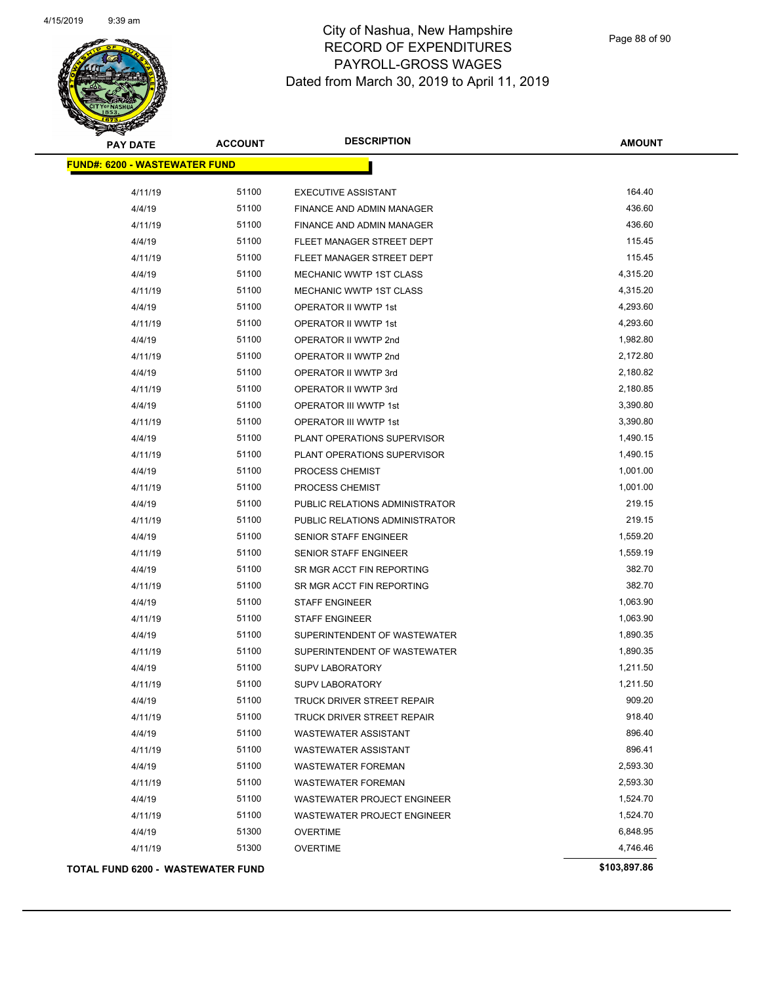

Page 88 of 90

| <b>PAY DATE</b>                          | <b>ACCOUNT</b> | <b>DESCRIPTION</b>                 | <b>AMOUNT</b> |
|------------------------------------------|----------------|------------------------------------|---------------|
| <b>FUND#: 6200 - WASTEWATER FUND</b>     |                |                                    |               |
| 4/11/19                                  | 51100          | <b>EXECUTIVE ASSISTANT</b>         | 164.40        |
| 4/4/19                                   | 51100          | <b>FINANCE AND ADMIN MANAGER</b>   | 436.60        |
| 4/11/19                                  | 51100          | FINANCE AND ADMIN MANAGER          | 436.60        |
| 4/4/19                                   | 51100          | FLEET MANAGER STREET DEPT          | 115.45        |
| 4/11/19                                  | 51100          | FLEET MANAGER STREET DEPT          | 115.45        |
| 4/4/19                                   | 51100          | MECHANIC WWTP 1ST CLASS            | 4,315.20      |
| 4/11/19                                  | 51100          | MECHANIC WWTP 1ST CLASS            | 4,315.20      |
| 4/4/19                                   | 51100          | OPERATOR II WWTP 1st               | 4,293.60      |
| 4/11/19                                  | 51100          | OPERATOR II WWTP 1st               | 4,293.60      |
| 4/4/19                                   | 51100          | OPERATOR II WWTP 2nd               | 1,982.80      |
| 4/11/19                                  | 51100          | OPERATOR II WWTP 2nd               | 2,172.80      |
| 4/4/19                                   | 51100          | OPERATOR II WWTP 3rd               | 2,180.82      |
| 4/11/19                                  | 51100          | OPERATOR II WWTP 3rd               | 2,180.85      |
| 4/4/19                                   | 51100          | OPERATOR III WWTP 1st              | 3,390.80      |
| 4/11/19                                  | 51100          | OPERATOR III WWTP 1st              | 3,390.80      |
| 4/4/19                                   | 51100          | PLANT OPERATIONS SUPERVISOR        | 1,490.15      |
| 4/11/19                                  | 51100          | PLANT OPERATIONS SUPERVISOR        | 1,490.15      |
| 4/4/19                                   | 51100          | PROCESS CHEMIST                    | 1,001.00      |
| 4/11/19                                  | 51100          | PROCESS CHEMIST                    | 1,001.00      |
| 4/4/19                                   | 51100          | PUBLIC RELATIONS ADMINISTRATOR     | 219.15        |
| 4/11/19                                  | 51100          | PUBLIC RELATIONS ADMINISTRATOR     | 219.15        |
| 4/4/19                                   | 51100          | SENIOR STAFF ENGINEER              | 1,559.20      |
| 4/11/19                                  | 51100          | SENIOR STAFF ENGINEER              | 1,559.19      |
| 4/4/19                                   | 51100          | SR MGR ACCT FIN REPORTING          | 382.70        |
| 4/11/19                                  | 51100          | SR MGR ACCT FIN REPORTING          | 382.70        |
| 4/4/19                                   | 51100          | <b>STAFF ENGINEER</b>              | 1,063.90      |
| 4/11/19                                  | 51100          | <b>STAFF ENGINEER</b>              | 1,063.90      |
| 4/4/19                                   | 51100          | SUPERINTENDENT OF WASTEWATER       | 1,890.35      |
| 4/11/19                                  | 51100          | SUPERINTENDENT OF WASTEWATER       | 1,890.35      |
| 4/4/19                                   | 51100          | <b>SUPV LABORATORY</b>             | 1,211.50      |
| 4/11/19                                  | 51100          | <b>SUPV LABORATORY</b>             | 1,211.50      |
| 4/4/19                                   | 51100          | TRUCK DRIVER STREET REPAIR         | 909.20        |
| 4/11/19                                  | 51100          | TRUCK DRIVER STREET REPAIR         | 918.40        |
| 4/4/19                                   | 51100          | <b>WASTEWATER ASSISTANT</b>        | 896.40        |
| 4/11/19                                  | 51100          | <b>WASTEWATER ASSISTANT</b>        | 896.41        |
| 4/4/19                                   | 51100          | <b>WASTEWATER FOREMAN</b>          | 2,593.30      |
| 4/11/19                                  | 51100          | <b>WASTEWATER FOREMAN</b>          | 2,593.30      |
| 4/4/19                                   | 51100          | WASTEWATER PROJECT ENGINEER        | 1,524.70      |
| 4/11/19                                  | 51100          | <b>WASTEWATER PROJECT ENGINEER</b> | 1,524.70      |
| 4/4/19                                   | 51300          | <b>OVERTIME</b>                    | 6,848.95      |
| 4/11/19                                  | 51300          | <b>OVERTIME</b>                    | 4,746.46      |
| <b>TOTAL FUND 6200 - WASTEWATER FUND</b> |                |                                    | \$103,897.86  |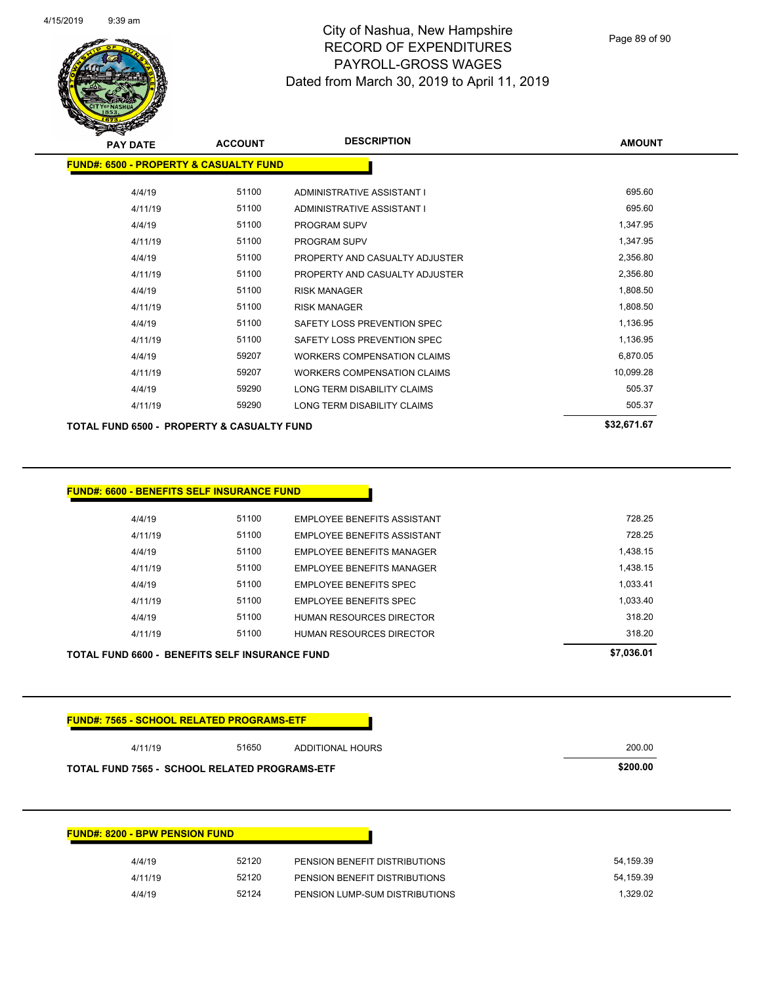

Page 89 of 90

| <b>PAY DATE</b>                                       | <b>ACCOUNT</b> | <b>DESCRIPTION</b>                 | <b>AMOUNT</b> |
|-------------------------------------------------------|----------------|------------------------------------|---------------|
| <b>FUND#: 6500 - PROPERTY &amp; CASUALTY FUND</b>     |                |                                    |               |
| 4/4/19                                                | 51100          | ADMINISTRATIVE ASSISTANT I         | 695.60        |
| 4/11/19                                               | 51100          | ADMINISTRATIVE ASSISTANT I         | 695.60        |
| 4/4/19                                                | 51100          | <b>PROGRAM SUPV</b>                | 1,347.95      |
| 4/11/19                                               | 51100          | <b>PROGRAM SUPV</b>                | 1,347.95      |
| 4/4/19                                                | 51100          | PROPERTY AND CASUALTY ADJUSTER     | 2,356.80      |
| 4/11/19                                               | 51100          | PROPERTY AND CASUALTY ADJUSTER     | 2,356.80      |
| 4/4/19                                                | 51100          | <b>RISK MANAGER</b>                | 1,808.50      |
| 4/11/19                                               | 51100          | <b>RISK MANAGER</b>                | 1,808.50      |
| 4/4/19                                                | 51100          | SAFETY LOSS PREVENTION SPEC        | 1,136.95      |
| 4/11/19                                               | 51100          | SAFETY LOSS PREVENTION SPEC        | 1,136.95      |
| 4/4/19                                                | 59207          | <b>WORKERS COMPENSATION CLAIMS</b> | 6,870.05      |
| 4/11/19                                               | 59207          | <b>WORKERS COMPENSATION CLAIMS</b> | 10,099.28     |
| 4/4/19                                                | 59290          | LONG TERM DISABILITY CLAIMS        | 505.37        |
| 4/11/19                                               | 59290          | LONG TERM DISABILITY CLAIMS        | 505.37        |
| <b>TOTAL FUND 6500 - PROPERTY &amp; CASUALTY FUND</b> |                |                                    | \$32,671.67   |

| <b>FUND#: 6600 - BENEFITS SELF INSURANCE FUND</b> |       |                                    |            |
|---------------------------------------------------|-------|------------------------------------|------------|
|                                                   |       |                                    |            |
| 4/4/19                                            | 51100 | EMPLOYEE BENEFITS ASSISTANT        | 728.25     |
| 4/11/19                                           | 51100 | <b>EMPLOYEE BENEFITS ASSISTANT</b> | 728.25     |
| 4/4/19                                            | 51100 | <b>EMPLOYEE BENEFITS MANAGER</b>   | 1,438.15   |
| 4/11/19                                           | 51100 | EMPLOYEE BENEFITS MANAGER          | 1.438.15   |
| 4/4/19                                            | 51100 | <b>EMPLOYEE BENEFITS SPEC</b>      | 1,033.41   |
| 4/11/19                                           | 51100 | EMPLOYEE BENEFITS SPEC             | 1.033.40   |
| 4/4/19                                            | 51100 | <b>HUMAN RESOURCES DIRECTOR</b>    | 318.20     |
| 4/11/19                                           | 51100 | <b>HUMAN RESOURCES DIRECTOR</b>    | 318.20     |
| TOTAL FUND 6600 - BENEFITS SELF INSURANCE FUND    |       |                                    | \$7,036.01 |

| 4/11/19                                              | 51650 | <b>ADDITIONAL HOURS</b>       | 200.00    |
|------------------------------------------------------|-------|-------------------------------|-----------|
| <b>TOTAL FUND 7565 - SCHOOL RELATED PROGRAMS-ETF</b> |       |                               | \$200.00  |
|                                                      |       |                               |           |
|                                                      |       |                               |           |
|                                                      |       |                               |           |
|                                                      |       |                               |           |
|                                                      |       |                               |           |
|                                                      |       |                               |           |
| 4/4/19                                               | 52120 | PENSION BENEFIT DISTRIBUTIONS | 54,159.39 |
| <b>FUND#: 8200 - BPW PENSION FUND</b><br>4/11/19     | 52120 | PENSION BENEFIT DISTRIBUTIONS | 54,159.39 |